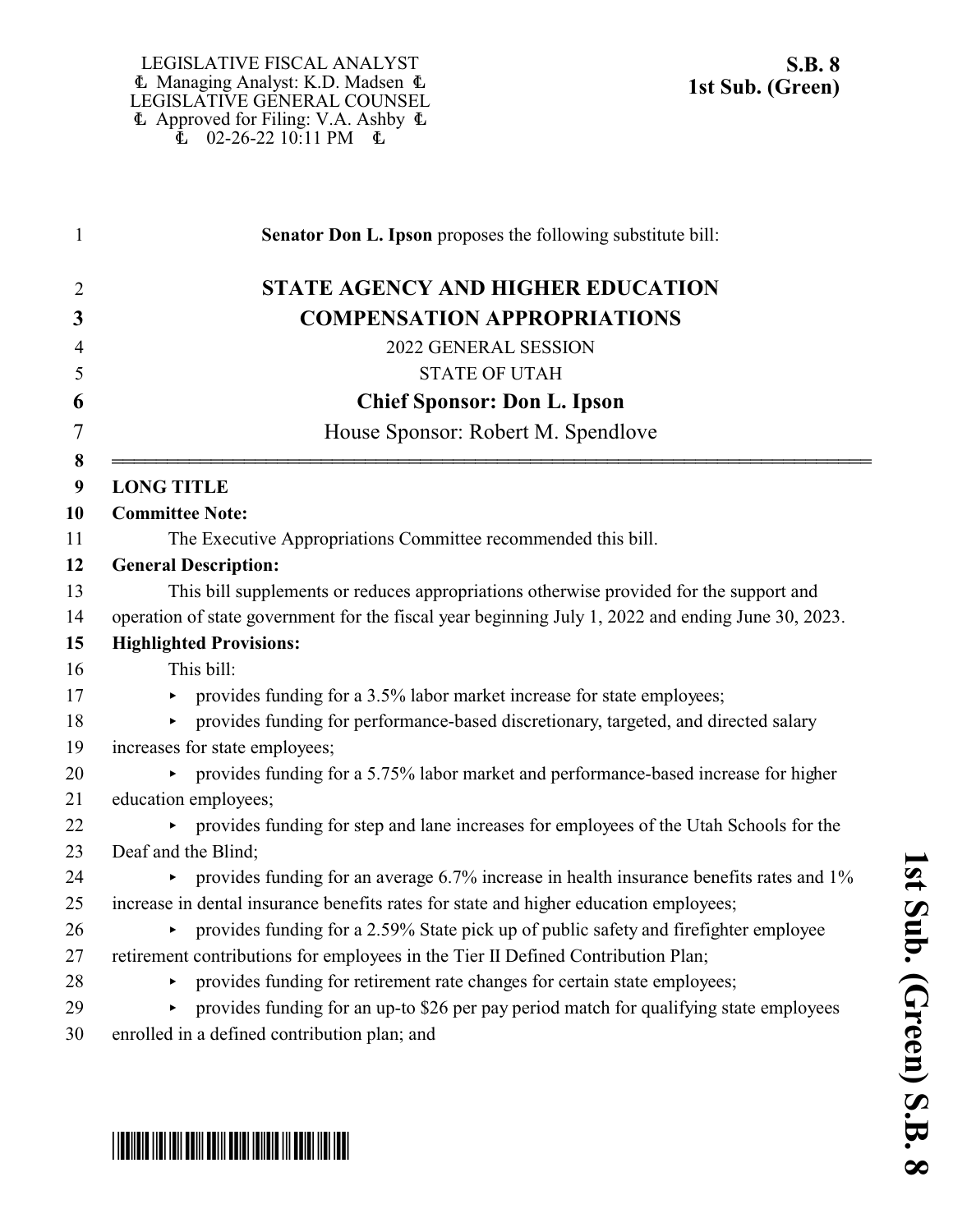\*SB0008S01\*

| $\mathbf{1}$          | Senator Don L. Ipson proposes the following substitute bill:                                       |
|-----------------------|----------------------------------------------------------------------------------------------------|
| 2                     | <b>STATE AGENCY AND HIGHER EDUCATION</b>                                                           |
| 3                     | <b>COMPENSATION APPROPRIATIONS</b>                                                                 |
| $\overline{4}$        | 2022 GENERAL SESSION                                                                               |
| 5                     | <b>STATE OF UTAH</b>                                                                               |
| 6                     | <b>Chief Sponsor: Don L. Ipson</b>                                                                 |
| 7                     | House Sponsor: Robert M. Spendlove                                                                 |
| 8<br>$\boldsymbol{9}$ | <b>LONG TITLE</b>                                                                                  |
| 10                    | <b>Committee Note:</b>                                                                             |
| 11                    | The Executive Appropriations Committee recommended this bill.                                      |
| 12                    | <b>General Description:</b>                                                                        |
| 13                    | This bill supplements or reduces appropriations otherwise provided for the support and             |
| 14                    | operation of state government for the fiscal year beginning July 1, 2022 and ending June 30, 2023. |
| 15                    | <b>Highlighted Provisions:</b>                                                                     |
| 16                    | This bill:                                                                                         |
| 17                    | provides funding for a 3.5% labor market increase for state employees;                             |
| 18                    | provides funding for performance-based discretionary, targeted, and directed salary                |
| 19                    | increases for state employees;                                                                     |
| 20                    | • provides funding for a 5.75% labor market and performance-based increase for higher              |
| 21                    | education employees;                                                                               |
| 22                    | provides funding for step and lane increases for employees of the Utah Schools for the             |
| 23                    | Deaf and the Blind;                                                                                |
| 24                    | provides funding for an average 6.7% increase in health insurance benefits rates and 1%            |
| 25                    | increase in dental insurance benefits rates for state and higher education employees;              |
| 26                    | provides funding for a 2.59% State pick up of public safety and firefighter employee               |
| 27                    | retirement contributions for employees in the Tier II Defined Contribution Plan;                   |
| 28                    | provides funding for retirement rate changes for certain state employees;                          |
| 29                    | provides funding for an up-to \$26 per pay period match for qualifying state employees             |
| 30                    | enrolled in a defined contribution plan; and                                                       |



**1 s t S u**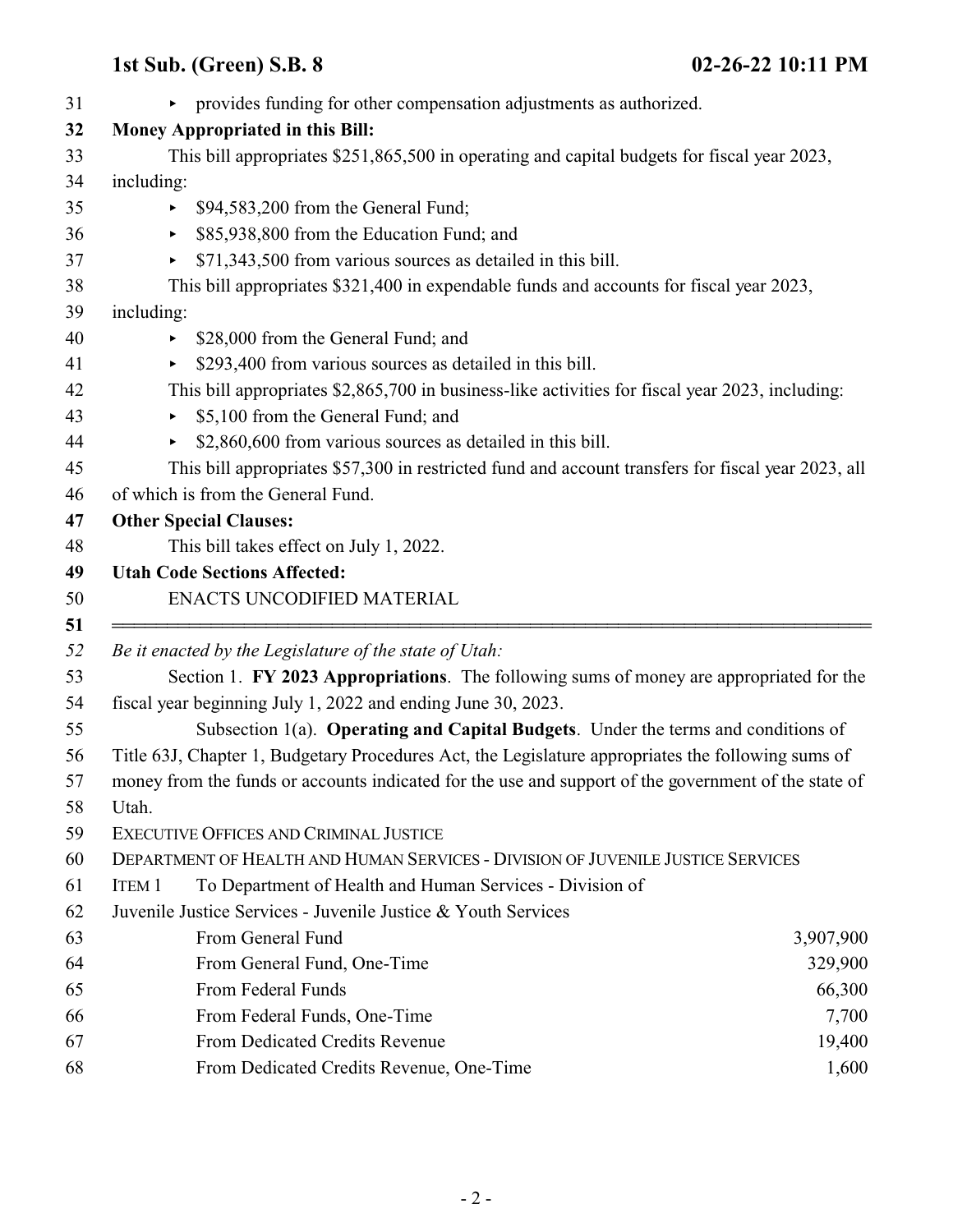| 31 |              | • provides funding for other compensation adjustments as authorized.                                                                              |           |
|----|--------------|---------------------------------------------------------------------------------------------------------------------------------------------------|-----------|
| 32 |              | <b>Money Appropriated in this Bill:</b>                                                                                                           |           |
| 33 |              | This bill appropriates \$251,865,500 in operating and capital budgets for fiscal year 2023,                                                       |           |
| 34 | including:   |                                                                                                                                                   |           |
|    | ▶.           | \$94,583,200 from the General Fund;                                                                                                               |           |
|    | Þ.           | \$85,938,800 from the Education Fund; and                                                                                                         |           |
|    | ▶            | \$71,343,500 from various sources as detailed in this bill.                                                                                       |           |
|    |              | This bill appropriates \$321,400 in expendable funds and accounts for fiscal year 2023,                                                           |           |
|    | including:   |                                                                                                                                                   |           |
|    | ►            | \$28,000 from the General Fund; and                                                                                                               |           |
|    |              | \$293,400 from various sources as detailed in this bill.                                                                                          |           |
|    |              | This bill appropriates \$2,865,700 in business-like activities for fiscal year 2023, including:                                                   |           |
|    | ▶            | \$5,100 from the General Fund; and                                                                                                                |           |
|    | Þ.           | \$2,860,600 from various sources as detailed in this bill.                                                                                        |           |
|    |              | This bill appropriates \$57,300 in restricted fund and account transfers for fiscal year 2023, all                                                |           |
|    |              | of which is from the General Fund.                                                                                                                |           |
|    |              | <b>Other Special Clauses:</b>                                                                                                                     |           |
|    |              | This bill takes effect on July 1, 2022.                                                                                                           |           |
|    |              | <b>Utah Code Sections Affected:</b>                                                                                                               |           |
|    |              | ENACTS UNCODIFIED MATERIAL                                                                                                                        |           |
|    |              | Be it enacted by the Legislature of the state of Utah:<br>Section 1. FY 2023 Appropriations. The following sums of money are appropriated for the |           |
|    |              | fiscal year beginning July 1, 2022 and ending June 30, 2023.                                                                                      |           |
|    |              | Subsection 1(a). Operating and Capital Budgets. Under the terms and conditions of                                                                 |           |
|    |              | Title 63J, Chapter 1, Budgetary Procedures Act, the Legislature appropriates the following sums of                                                |           |
|    |              | money from the funds or accounts indicated for the use and support of the government of the state of                                              |           |
|    | Utah.        |                                                                                                                                                   |           |
|    |              | EXECUTIVE OFFICES AND CRIMINAL JUSTICE                                                                                                            |           |
|    |              | DEPARTMENT OF HEALTH AND HUMAN SERVICES - DIVISION OF JUVENILE JUSTICE SERVICES                                                                   |           |
|    | <b>ITEM1</b> | To Department of Health and Human Services - Division of                                                                                          |           |
|    |              | Juvenile Justice Services - Juvenile Justice & Youth Services                                                                                     |           |
|    |              | From General Fund                                                                                                                                 | 3,907,900 |
|    |              | From General Fund, One-Time                                                                                                                       | 329,900   |
|    |              | From Federal Funds                                                                                                                                | 66,300    |
|    |              | From Federal Funds, One-Time                                                                                                                      | 7,700     |
|    |              | From Dedicated Credits Revenue                                                                                                                    | 19,400    |
|    |              | From Dedicated Credits Revenue, One-Time                                                                                                          | 1,600     |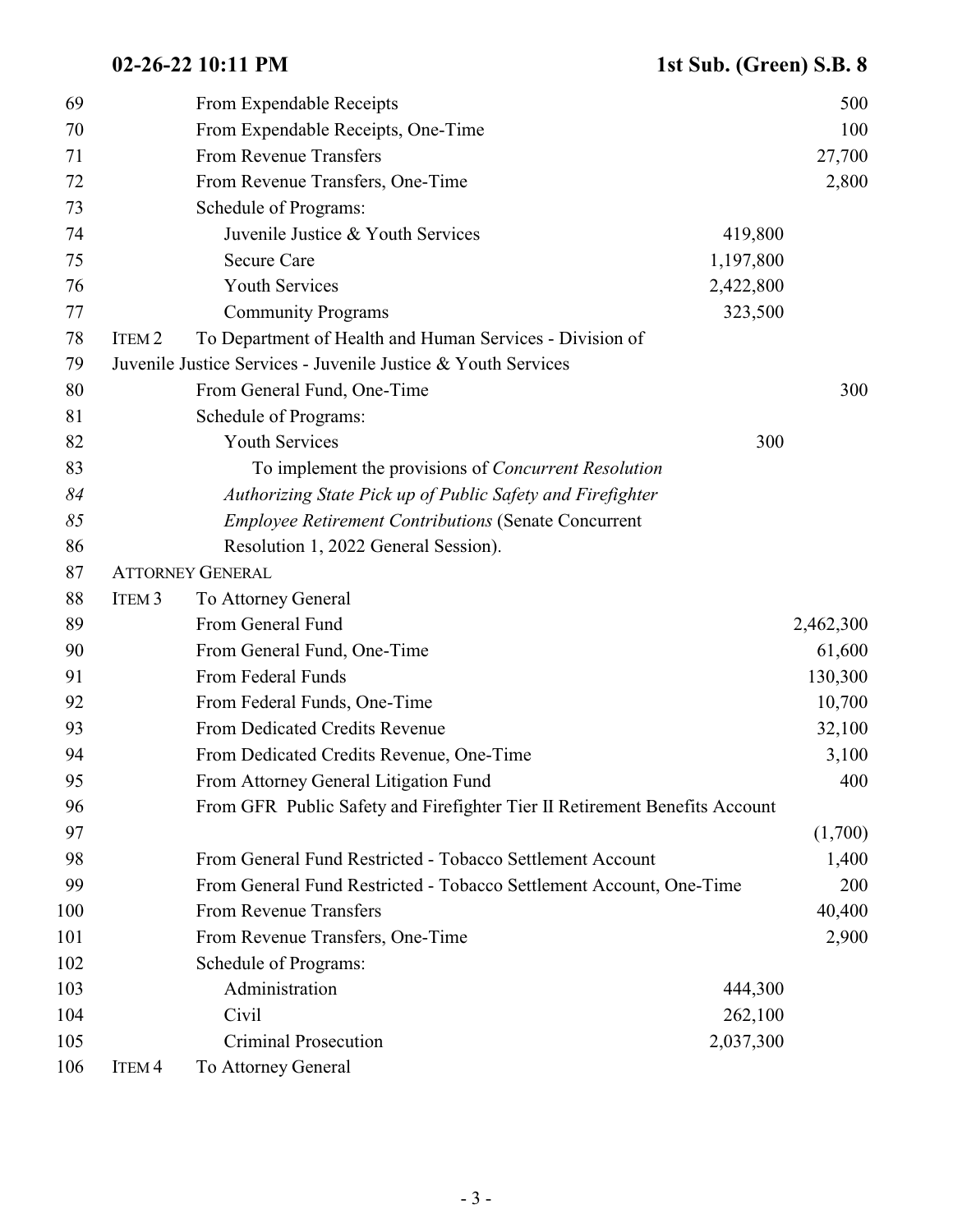| 69  |                   | From Expendable Receipts                                                   |           | 500       |
|-----|-------------------|----------------------------------------------------------------------------|-----------|-----------|
| 70  |                   | From Expendable Receipts, One-Time                                         |           | 100       |
| 71  |                   | From Revenue Transfers                                                     |           | 27,700    |
| 72  |                   | From Revenue Transfers, One-Time                                           |           | 2,800     |
| 73  |                   | Schedule of Programs:                                                      |           |           |
| 74  |                   | Juvenile Justice & Youth Services                                          | 419,800   |           |
| 75  |                   | <b>Secure Care</b>                                                         | 1,197,800 |           |
| 76  |                   | <b>Youth Services</b>                                                      | 2,422,800 |           |
| 77  |                   | <b>Community Programs</b>                                                  | 323,500   |           |
| 78  | ITEM <sub>2</sub> | To Department of Health and Human Services - Division of                   |           |           |
| 79  |                   | Juvenile Justice Services - Juvenile Justice & Youth Services              |           |           |
| 80  |                   | From General Fund, One-Time                                                |           | 300       |
| 81  |                   | Schedule of Programs:                                                      |           |           |
| 82  |                   | <b>Youth Services</b>                                                      | 300       |           |
| 83  |                   | To implement the provisions of <i>Concurrent Resolution</i>                |           |           |
| 84  |                   | Authorizing State Pick up of Public Safety and Firefighter                 |           |           |
| 85  |                   | <b>Employee Retirement Contributions (Senate Concurrent</b>                |           |           |
| 86  |                   | Resolution 1, 2022 General Session).                                       |           |           |
| 87  |                   | <b>ATTORNEY GENERAL</b>                                                    |           |           |
| 88  | ITEM <sub>3</sub> | To Attorney General                                                        |           |           |
| 89  |                   | From General Fund                                                          |           | 2,462,300 |
| 90  |                   | From General Fund, One-Time                                                |           | 61,600    |
| 91  |                   | From Federal Funds                                                         |           | 130,300   |
| 92  |                   | From Federal Funds, One-Time                                               |           | 10,700    |
| 93  |                   | From Dedicated Credits Revenue                                             |           | 32,100    |
| 94  |                   | From Dedicated Credits Revenue, One-Time                                   |           | 3,100     |
| 95  |                   | From Attorney General Litigation Fund                                      |           | 400       |
| 96  |                   | From GFR Public Safety and Firefighter Tier II Retirement Benefits Account |           |           |
| 97  |                   |                                                                            |           | (1,700)   |
| 98  |                   | From General Fund Restricted - Tobacco Settlement Account                  |           | 1,400     |
| 99  |                   | From General Fund Restricted - Tobacco Settlement Account, One-Time        |           | 200       |
| 100 |                   | From Revenue Transfers                                                     |           | 40,400    |
| 101 |                   | From Revenue Transfers, One-Time                                           |           | 2,900     |
| 102 |                   | Schedule of Programs:                                                      |           |           |
| 103 |                   | Administration                                                             | 444,300   |           |
| 104 |                   | Civil                                                                      | 262,100   |           |
| 105 |                   | <b>Criminal Prosecution</b>                                                | 2,037,300 |           |
| 106 | ITEM <sub>4</sub> | To Attorney General                                                        |           |           |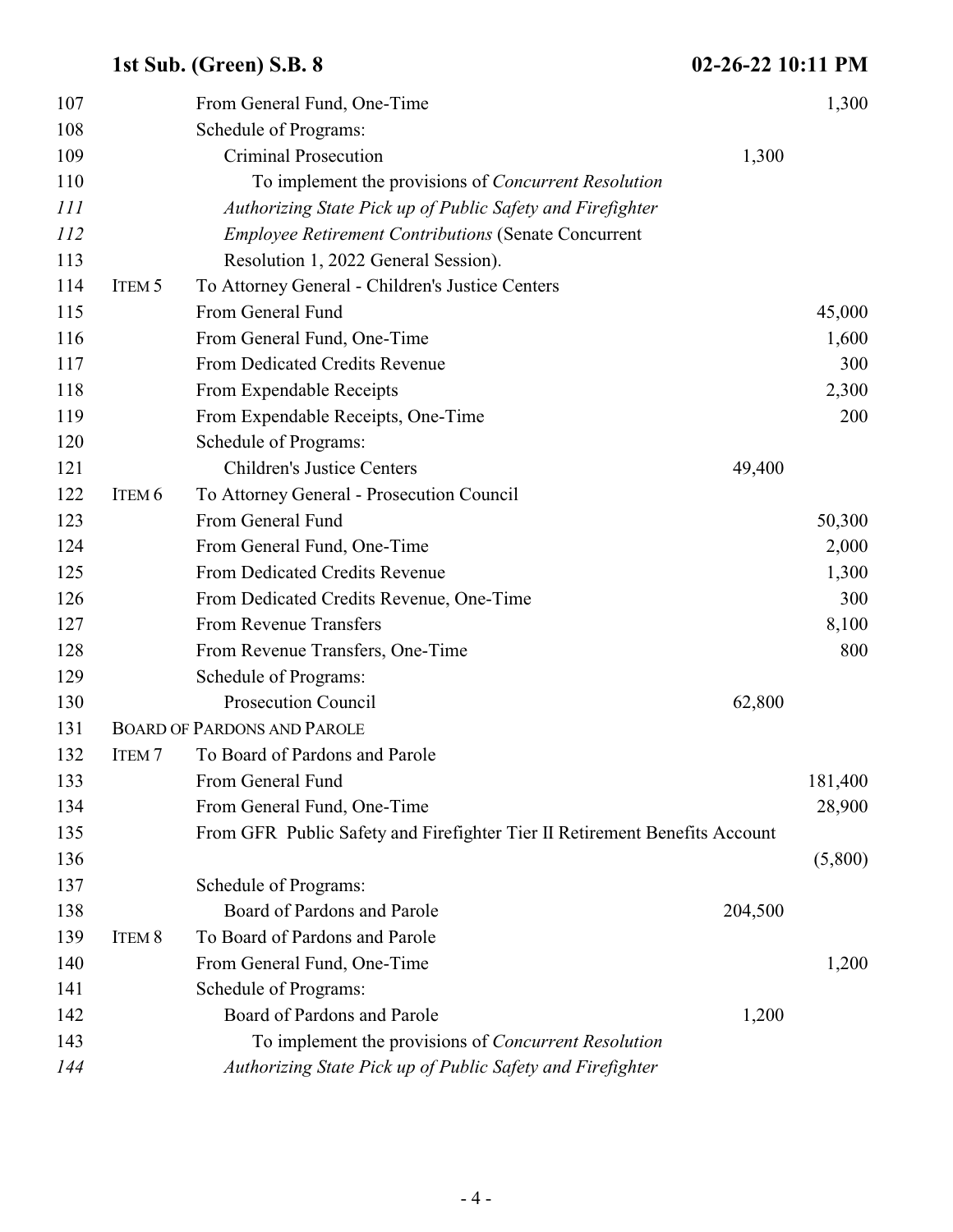| 107        |                   | From General Fund, One-Time                                                |         | 1,300   |
|------------|-------------------|----------------------------------------------------------------------------|---------|---------|
| 108        |                   | Schedule of Programs:                                                      |         |         |
| 109        |                   | <b>Criminal Prosecution</b>                                                | 1,300   |         |
| 110        |                   | To implement the provisions of <i>Concurrent Resolution</i>                |         |         |
| 111        |                   | Authorizing State Pick up of Public Safety and Firefighter                 |         |         |
| <i>112</i> |                   | <b>Employee Retirement Contributions (Senate Concurrent</b>                |         |         |
| 113        |                   | Resolution 1, 2022 General Session).                                       |         |         |
| 114        | ITEM <sub>5</sub> | To Attorney General - Children's Justice Centers                           |         |         |
| 115        |                   | From General Fund                                                          |         | 45,000  |
| 116        |                   | From General Fund, One-Time                                                |         | 1,600   |
| 117        |                   | From Dedicated Credits Revenue                                             |         | 300     |
| 118        |                   | From Expendable Receipts                                                   |         | 2,300   |
| 119        |                   | From Expendable Receipts, One-Time                                         |         | 200     |
| 120        |                   | Schedule of Programs:                                                      |         |         |
| 121        |                   | <b>Children's Justice Centers</b>                                          | 49,400  |         |
| 122        | ITEM <sub>6</sub> | To Attorney General - Prosecution Council                                  |         |         |
| 123        |                   | From General Fund                                                          |         | 50,300  |
| 124        |                   | From General Fund, One-Time                                                |         | 2,000   |
| 125        |                   | From Dedicated Credits Revenue                                             |         | 1,300   |
| 126        |                   | From Dedicated Credits Revenue, One-Time                                   |         | 300     |
| 127        |                   | From Revenue Transfers                                                     |         | 8,100   |
| 128        |                   | From Revenue Transfers, One-Time                                           |         | 800     |
| 129        |                   | Schedule of Programs:                                                      |         |         |
| 130        |                   | <b>Prosecution Council</b>                                                 | 62,800  |         |
| 131        |                   | <b>BOARD OF PARDONS AND PAROLE</b>                                         |         |         |
| 132        | ITEM <sub>7</sub> | To Board of Pardons and Parole                                             |         |         |
| 133        |                   | From General Fund                                                          |         | 181,400 |
| 134        |                   | From General Fund, One-Time                                                |         | 28,900  |
| 135        |                   | From GFR Public Safety and Firefighter Tier II Retirement Benefits Account |         |         |
| 136        |                   |                                                                            |         | (5,800) |
| 137        |                   | Schedule of Programs:                                                      |         |         |
| 138        |                   | Board of Pardons and Parole                                                | 204,500 |         |
| 139        | ITEM <sub>8</sub> | To Board of Pardons and Parole                                             |         |         |
| 140        |                   | From General Fund, One-Time                                                |         | 1,200   |
| 141        |                   | Schedule of Programs:                                                      |         |         |
| 142        |                   | Board of Pardons and Parole                                                | 1,200   |         |
| 143        |                   | To implement the provisions of <i>Concurrent Resolution</i>                |         |         |
| 144        |                   | Authorizing State Pick up of Public Safety and Firefighter                 |         |         |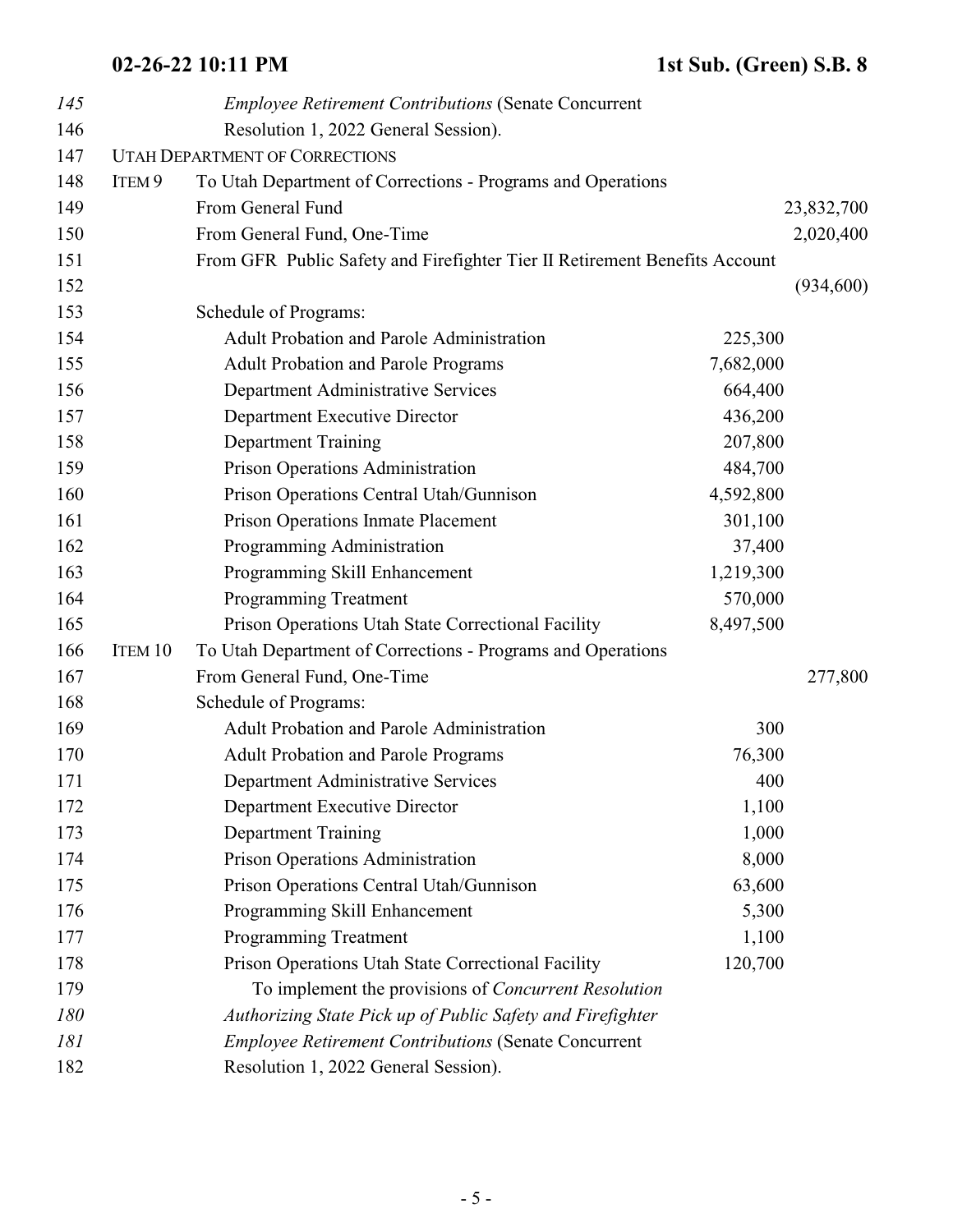| 145 |                   | <b>Employee Retirement Contributions (Senate Concurrent</b>                |           |            |
|-----|-------------------|----------------------------------------------------------------------------|-----------|------------|
| 146 |                   | Resolution 1, 2022 General Session).                                       |           |            |
| 147 |                   | <b>UTAH DEPARTMENT OF CORRECTIONS</b>                                      |           |            |
| 148 | ITEM <sub>9</sub> | To Utah Department of Corrections - Programs and Operations                |           |            |
| 149 |                   | From General Fund                                                          |           | 23,832,700 |
| 150 |                   | From General Fund, One-Time                                                |           | 2,020,400  |
| 151 |                   | From GFR Public Safety and Firefighter Tier II Retirement Benefits Account |           |            |
| 152 |                   |                                                                            |           | (934, 600) |
| 153 |                   | Schedule of Programs:                                                      |           |            |
| 154 |                   | <b>Adult Probation and Parole Administration</b>                           | 225,300   |            |
| 155 |                   | <b>Adult Probation and Parole Programs</b>                                 | 7,682,000 |            |
| 156 |                   | Department Administrative Services                                         | 664,400   |            |
| 157 |                   | Department Executive Director                                              | 436,200   |            |
| 158 |                   | <b>Department Training</b>                                                 | 207,800   |            |
| 159 |                   | Prison Operations Administration                                           | 484,700   |            |
| 160 |                   | Prison Operations Central Utah/Gunnison                                    | 4,592,800 |            |
| 161 |                   | Prison Operations Inmate Placement                                         | 301,100   |            |
| 162 |                   | Programming Administration                                                 | 37,400    |            |
| 163 |                   | Programming Skill Enhancement                                              | 1,219,300 |            |
| 164 |                   | Programming Treatment                                                      | 570,000   |            |
| 165 |                   | Prison Operations Utah State Correctional Facility                         | 8,497,500 |            |
| 166 | ITEM 10           | To Utah Department of Corrections - Programs and Operations                |           |            |
| 167 |                   | From General Fund, One-Time                                                |           | 277,800    |
| 168 |                   | Schedule of Programs:                                                      |           |            |
| 169 |                   | Adult Probation and Parole Administration                                  | 300       |            |
| 170 |                   | <b>Adult Probation and Parole Programs</b>                                 | 76,300    |            |
| 171 |                   | Department Administrative Services                                         | 400       |            |
| 172 |                   | Department Executive Director                                              | 1,100     |            |
| 173 |                   | <b>Department Training</b>                                                 | 1,000     |            |
| 174 |                   | Prison Operations Administration                                           | 8,000     |            |
| 175 |                   | Prison Operations Central Utah/Gunnison                                    | 63,600    |            |
| 176 |                   | Programming Skill Enhancement                                              | 5,300     |            |
| 177 |                   | Programming Treatment                                                      | 1,100     |            |
| 178 |                   | Prison Operations Utah State Correctional Facility                         | 120,700   |            |
| 179 |                   | To implement the provisions of Concurrent Resolution                       |           |            |
| 180 |                   | Authorizing State Pick up of Public Safety and Firefighter                 |           |            |
| 181 |                   | <b>Employee Retirement Contributions (Senate Concurrent</b>                |           |            |
| 182 |                   | Resolution 1, 2022 General Session).                                       |           |            |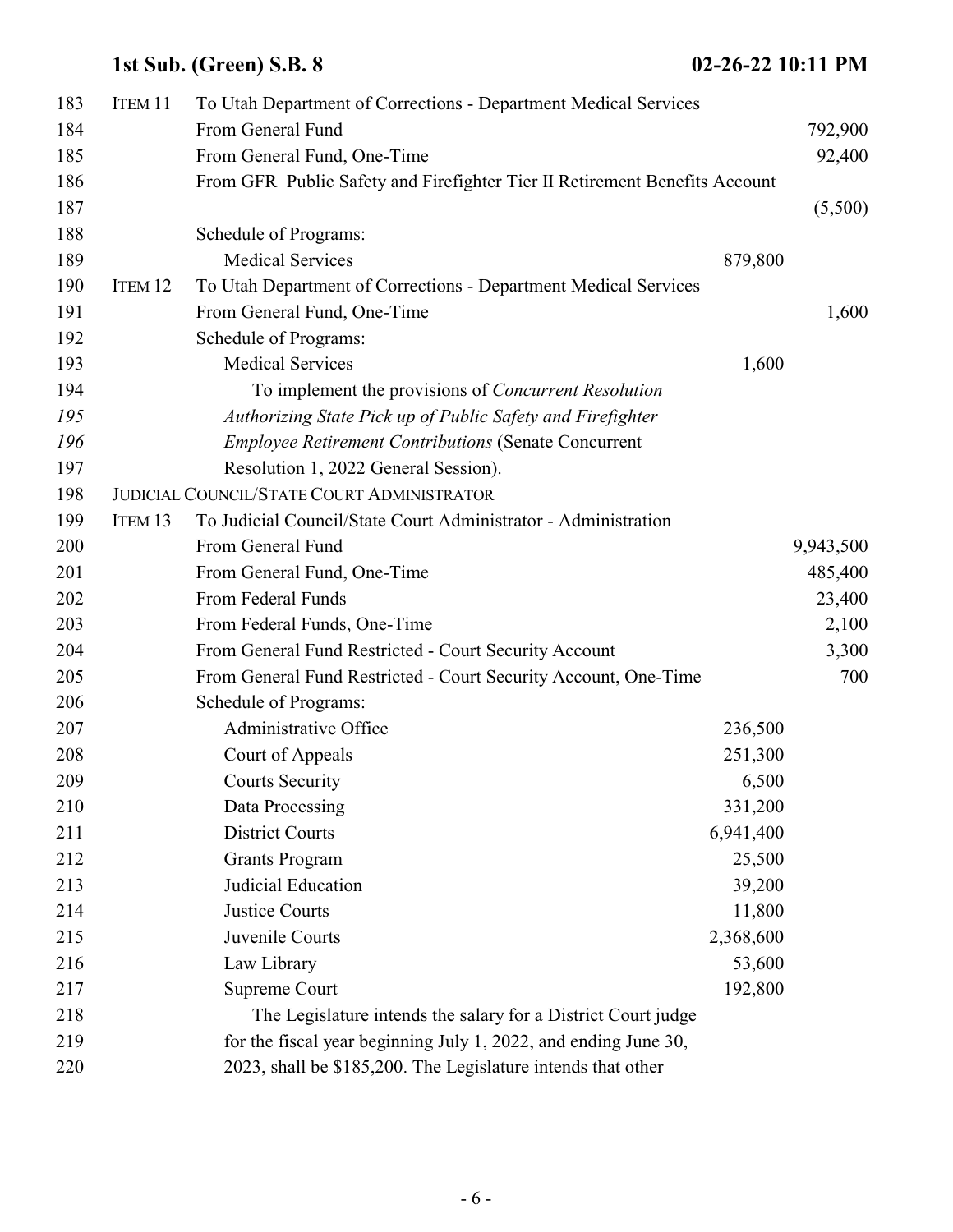| 183 | ITEM 11            | To Utah Department of Corrections - Department Medical Services            |           |           |
|-----|--------------------|----------------------------------------------------------------------------|-----------|-----------|
| 184 |                    | From General Fund                                                          |           | 792,900   |
| 185 |                    | From General Fund, One-Time                                                |           | 92,400    |
| 186 |                    | From GFR Public Safety and Firefighter Tier II Retirement Benefits Account |           |           |
| 187 |                    |                                                                            |           | (5,500)   |
| 188 |                    | Schedule of Programs:                                                      |           |           |
| 189 |                    | <b>Medical Services</b>                                                    | 879,800   |           |
| 190 | ITEM <sub>12</sub> | To Utah Department of Corrections - Department Medical Services            |           |           |
| 191 |                    | From General Fund, One-Time                                                |           | 1,600     |
| 192 |                    | Schedule of Programs:                                                      |           |           |
| 193 |                    | <b>Medical Services</b>                                                    | 1,600     |           |
| 194 |                    | To implement the provisions of <i>Concurrent Resolution</i>                |           |           |
| 195 |                    | Authorizing State Pick up of Public Safety and Firefighter                 |           |           |
| 196 |                    | <b>Employee Retirement Contributions (Senate Concurrent</b>                |           |           |
| 197 |                    | Resolution 1, 2022 General Session).                                       |           |           |
| 198 |                    | <b>JUDICIAL COUNCIL/STATE COURT ADMINISTRATOR</b>                          |           |           |
| 199 | ITEM <sub>13</sub> | To Judicial Council/State Court Administrator - Administration             |           |           |
| 200 |                    | From General Fund                                                          |           | 9,943,500 |
| 201 |                    | From General Fund, One-Time                                                |           | 485,400   |
| 202 |                    | From Federal Funds                                                         |           | 23,400    |
| 203 |                    | From Federal Funds, One-Time                                               |           | 2,100     |
| 204 |                    | From General Fund Restricted - Court Security Account                      |           | 3,300     |
| 205 |                    | From General Fund Restricted - Court Security Account, One-Time            |           | 700       |
| 206 |                    | Schedule of Programs:                                                      |           |           |
| 207 |                    | Administrative Office                                                      | 236,500   |           |
| 208 |                    | Court of Appeals                                                           | 251,300   |           |
| 209 |                    | <b>Courts Security</b>                                                     | 6,500     |           |
| 210 |                    | Data Processing                                                            | 331,200   |           |
| 211 |                    | <b>District Courts</b>                                                     | 6,941,400 |           |
| 212 |                    | <b>Grants Program</b>                                                      | 25,500    |           |
| 213 |                    | Judicial Education                                                         | 39,200    |           |
| 214 |                    | Justice Courts                                                             | 11,800    |           |
| 215 |                    | Juvenile Courts                                                            | 2,368,600 |           |
| 216 |                    | Law Library                                                                | 53,600    |           |
| 217 |                    | Supreme Court                                                              | 192,800   |           |
| 218 |                    | The Legislature intends the salary for a District Court judge              |           |           |
| 219 |                    | for the fiscal year beginning July 1, 2022, and ending June 30,            |           |           |
| 220 |                    | 2023, shall be \$185,200. The Legislature intends that other               |           |           |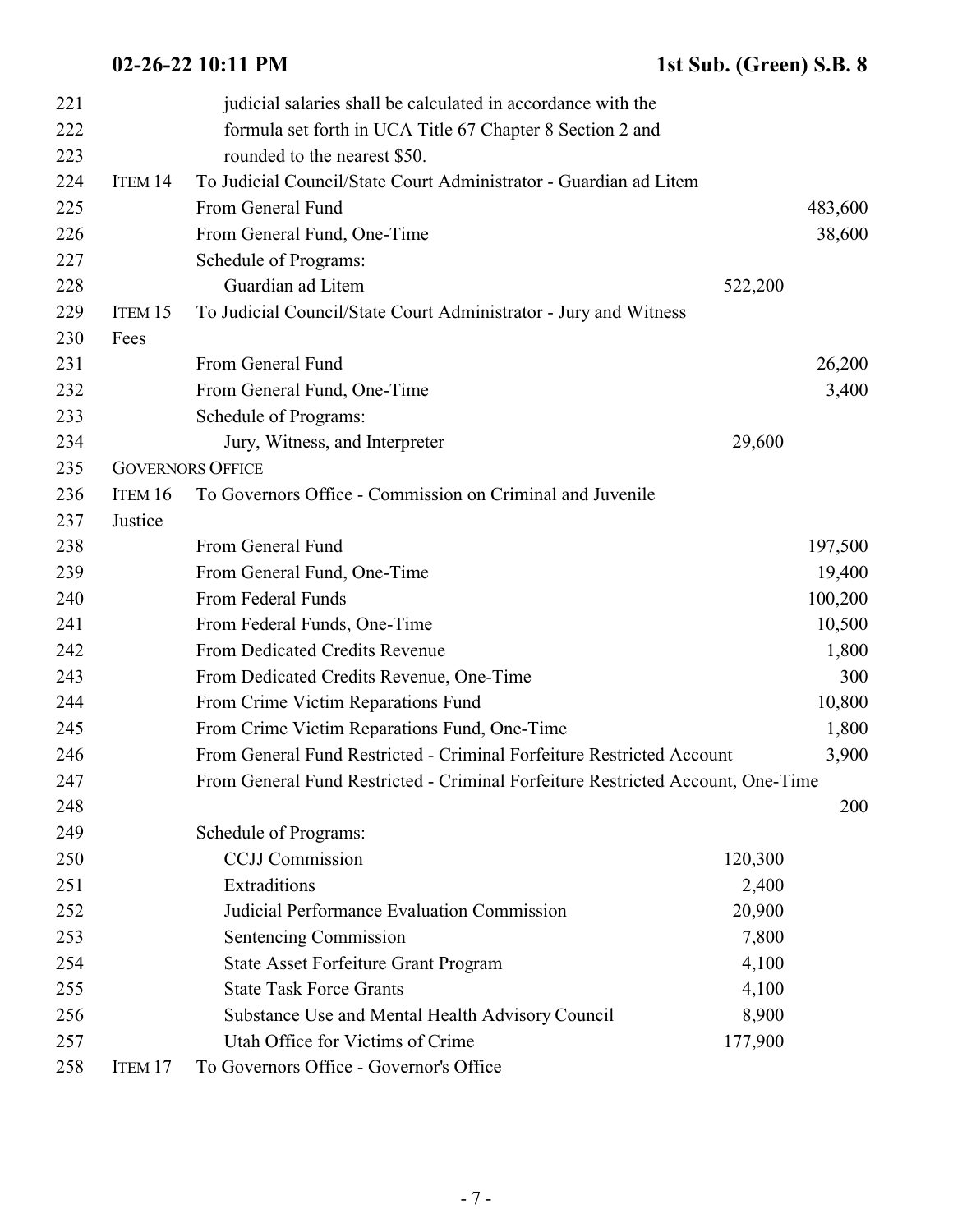| 221 |         | judicial salaries shall be calculated in accordance with the                    |         |         |
|-----|---------|---------------------------------------------------------------------------------|---------|---------|
| 222 |         | formula set forth in UCA Title 67 Chapter 8 Section 2 and                       |         |         |
| 223 |         | rounded to the nearest \$50.                                                    |         |         |
| 224 | ITEM 14 | To Judicial Council/State Court Administrator - Guardian ad Litem               |         |         |
| 225 |         | From General Fund                                                               |         | 483,600 |
| 226 |         | From General Fund, One-Time                                                     |         | 38,600  |
| 227 |         | Schedule of Programs:                                                           |         |         |
| 228 |         | Guardian ad Litem                                                               | 522,200 |         |
| 229 | ITEM 15 | To Judicial Council/State Court Administrator - Jury and Witness                |         |         |
| 230 | Fees    |                                                                                 |         |         |
| 231 |         | From General Fund                                                               |         | 26,200  |
| 232 |         | From General Fund, One-Time                                                     |         | 3,400   |
| 233 |         | Schedule of Programs:                                                           |         |         |
| 234 |         | Jury, Witness, and Interpreter                                                  | 29,600  |         |
| 235 |         | <b>GOVERNORS OFFICE</b>                                                         |         |         |
| 236 | ITEM 16 | To Governors Office - Commission on Criminal and Juvenile                       |         |         |
| 237 | Justice |                                                                                 |         |         |
| 238 |         | From General Fund                                                               |         | 197,500 |
| 239 |         | From General Fund, One-Time                                                     |         | 19,400  |
| 240 |         | From Federal Funds                                                              |         | 100,200 |
| 241 |         | From Federal Funds, One-Time                                                    |         | 10,500  |
| 242 |         | From Dedicated Credits Revenue                                                  |         | 1,800   |
| 243 |         | From Dedicated Credits Revenue, One-Time                                        |         | 300     |
| 244 |         | From Crime Victim Reparations Fund                                              |         | 10,800  |
| 245 |         | From Crime Victim Reparations Fund, One-Time                                    |         | 1,800   |
| 246 |         | From General Fund Restricted - Criminal Forfeiture Restricted Account           |         | 3,900   |
| 247 |         | From General Fund Restricted - Criminal Forfeiture Restricted Account, One-Time |         |         |
| 248 |         |                                                                                 |         | 200     |
| 249 |         | Schedule of Programs:                                                           |         |         |
| 250 |         | <b>CCJJ</b> Commission                                                          | 120,300 |         |
| 251 |         | Extraditions                                                                    | 2,400   |         |
| 252 |         | Judicial Performance Evaluation Commission                                      | 20,900  |         |
| 253 |         | Sentencing Commission                                                           | 7,800   |         |
| 254 |         | <b>State Asset Forfeiture Grant Program</b>                                     | 4,100   |         |
| 255 |         | <b>State Task Force Grants</b>                                                  | 4,100   |         |
| 256 |         | Substance Use and Mental Health Advisory Council                                | 8,900   |         |
| 257 |         | Utah Office for Victims of Crime                                                | 177,900 |         |
| 258 | ITEM 17 | To Governors Office - Governor's Office                                         |         |         |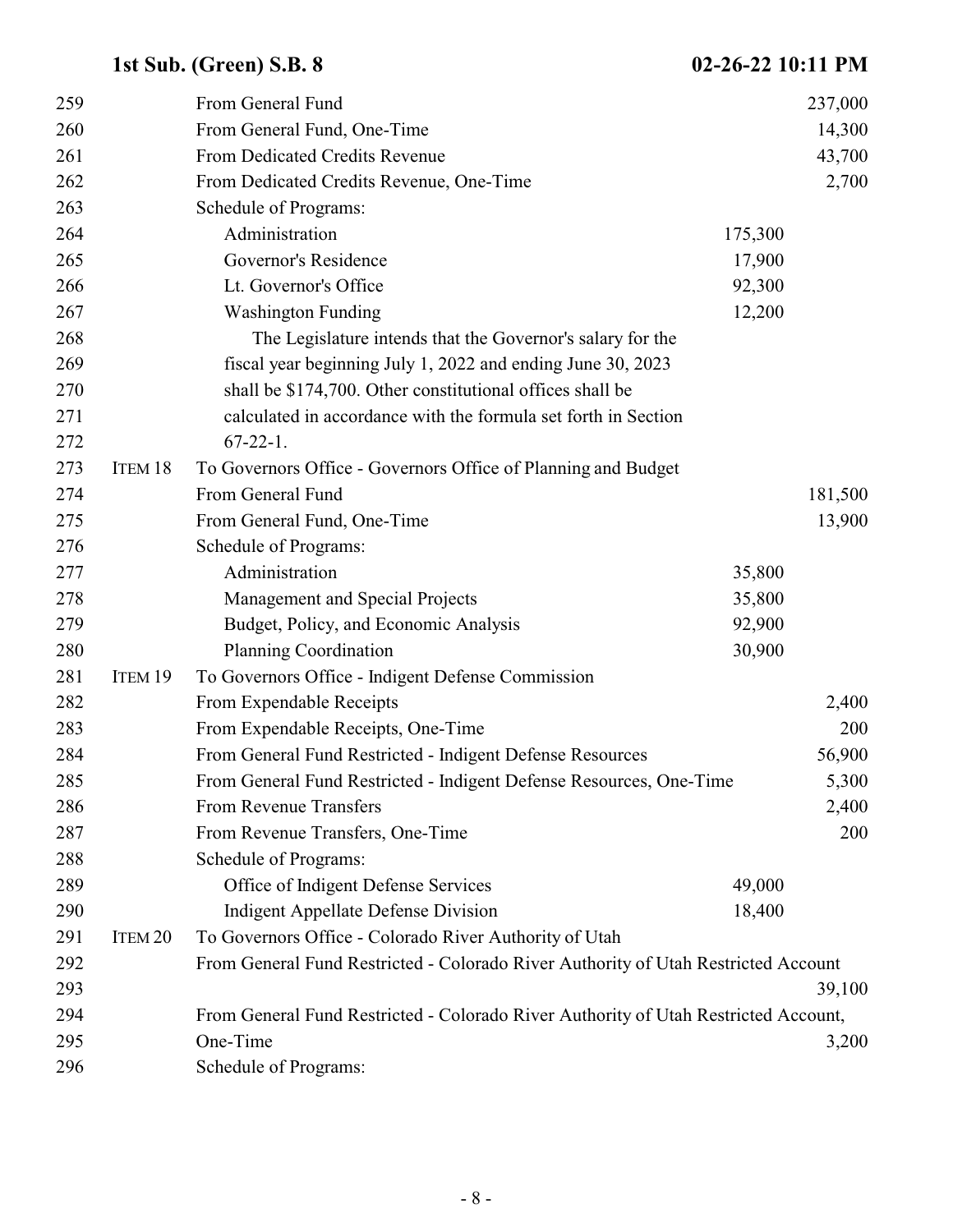| 259 |                    | From General Fund                                                                   |         | 237,000 |
|-----|--------------------|-------------------------------------------------------------------------------------|---------|---------|
| 260 |                    | From General Fund, One-Time                                                         |         | 14,300  |
| 261 |                    | From Dedicated Credits Revenue                                                      |         | 43,700  |
| 262 |                    | From Dedicated Credits Revenue, One-Time                                            |         | 2,700   |
| 263 |                    | Schedule of Programs:                                                               |         |         |
| 264 |                    | Administration                                                                      | 175,300 |         |
| 265 |                    | Governor's Residence                                                                | 17,900  |         |
| 266 |                    | Lt. Governor's Office                                                               | 92,300  |         |
| 267 |                    | <b>Washington Funding</b>                                                           | 12,200  |         |
| 268 |                    | The Legislature intends that the Governor's salary for the                          |         |         |
| 269 |                    | fiscal year beginning July 1, 2022 and ending June 30, 2023                         |         |         |
| 270 |                    | shall be \$174,700. Other constitutional offices shall be                           |         |         |
| 271 |                    | calculated in accordance with the formula set forth in Section                      |         |         |
| 272 |                    | $67-22-1$ .                                                                         |         |         |
| 273 | ITEM 18            | To Governors Office - Governors Office of Planning and Budget                       |         |         |
| 274 |                    | From General Fund                                                                   |         | 181,500 |
| 275 |                    | From General Fund, One-Time                                                         |         | 13,900  |
| 276 |                    | Schedule of Programs:                                                               |         |         |
| 277 |                    | Administration                                                                      | 35,800  |         |
| 278 |                    | Management and Special Projects                                                     | 35,800  |         |
| 279 |                    | Budget, Policy, and Economic Analysis                                               | 92,900  |         |
| 280 |                    | <b>Planning Coordination</b>                                                        | 30,900  |         |
| 281 | ITEM 19            | To Governors Office - Indigent Defense Commission                                   |         |         |
| 282 |                    | From Expendable Receipts                                                            |         | 2,400   |
| 283 |                    | From Expendable Receipts, One-Time                                                  |         | 200     |
| 284 |                    | From General Fund Restricted - Indigent Defense Resources                           |         | 56,900  |
| 285 |                    | From General Fund Restricted - Indigent Defense Resources, One-Time                 |         | 5,300   |
| 286 |                    | From Revenue Transfers                                                              |         | 2,400   |
| 287 |                    | From Revenue Transfers, One-Time                                                    |         | 200     |
| 288 |                    | Schedule of Programs:                                                               |         |         |
| 289 |                    | Office of Indigent Defense Services                                                 | 49,000  |         |
| 290 |                    | <b>Indigent Appellate Defense Division</b>                                          | 18,400  |         |
| 291 | ITEM <sub>20</sub> | To Governors Office - Colorado River Authority of Utah                              |         |         |
| 292 |                    | From General Fund Restricted - Colorado River Authority of Utah Restricted Account  |         |         |
| 293 |                    |                                                                                     |         | 39,100  |
| 294 |                    | From General Fund Restricted - Colorado River Authority of Utah Restricted Account, |         |         |
| 295 |                    | One-Time                                                                            |         | 3,200   |
| 296 |                    | Schedule of Programs:                                                               |         |         |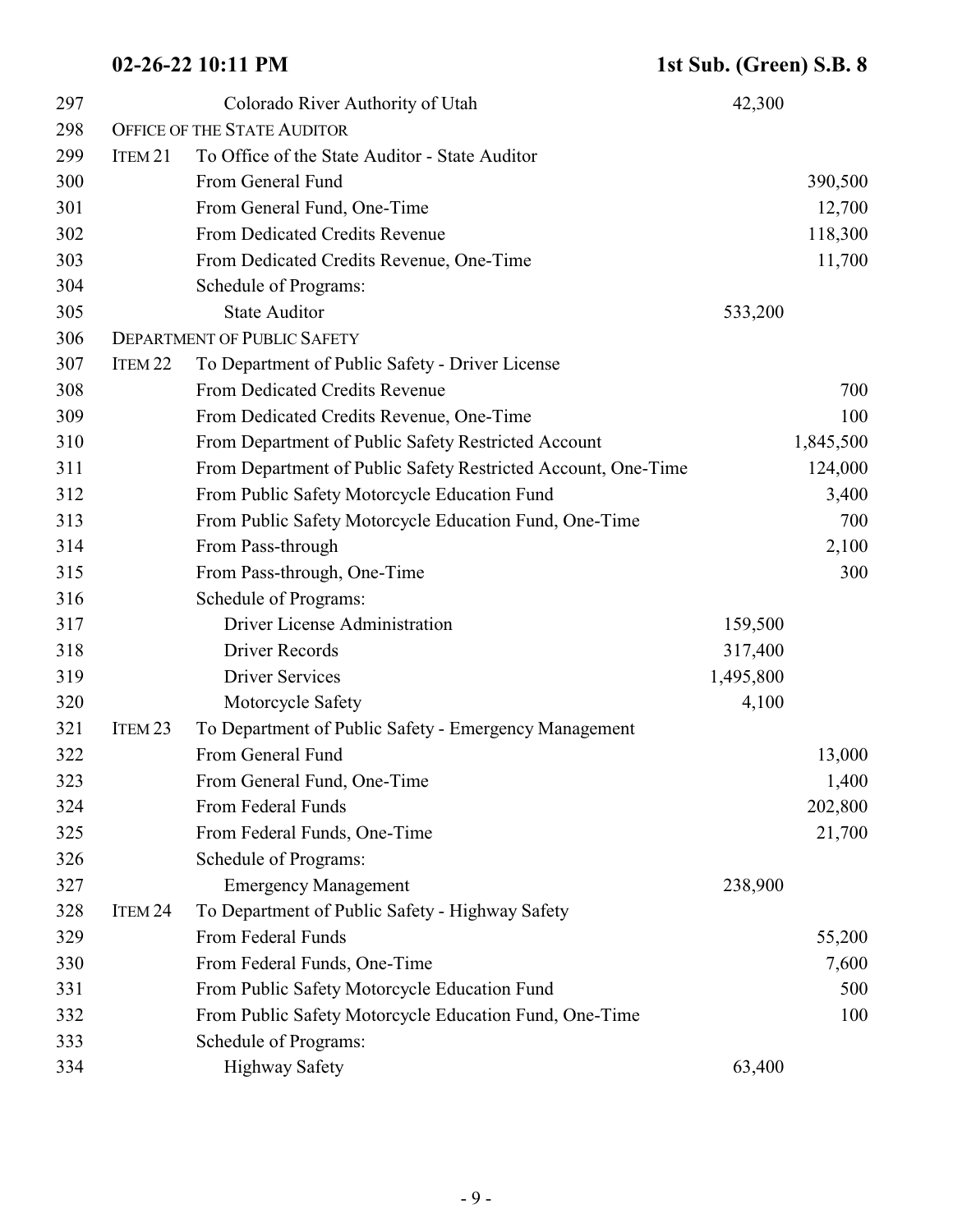| 297 |                    | Colorado River Authority of Utah                              | 42,300    |           |
|-----|--------------------|---------------------------------------------------------------|-----------|-----------|
| 298 |                    | <b>OFFICE OF THE STATE AUDITOR</b>                            |           |           |
| 299 | ITEM <sub>21</sub> | To Office of the State Auditor - State Auditor                |           |           |
| 300 |                    | From General Fund                                             |           | 390,500   |
| 301 |                    | From General Fund, One-Time                                   |           | 12,700    |
| 302 |                    | From Dedicated Credits Revenue                                |           | 118,300   |
| 303 |                    | From Dedicated Credits Revenue, One-Time                      |           | 11,700    |
| 304 |                    | Schedule of Programs:                                         |           |           |
| 305 |                    | <b>State Auditor</b>                                          | 533,200   |           |
| 306 |                    | <b>DEPARTMENT OF PUBLIC SAFETY</b>                            |           |           |
| 307 | ITEM <sub>22</sub> | To Department of Public Safety - Driver License               |           |           |
| 308 |                    | From Dedicated Credits Revenue                                |           | 700       |
| 309 |                    | From Dedicated Credits Revenue, One-Time                      |           | 100       |
| 310 |                    | From Department of Public Safety Restricted Account           |           | 1,845,500 |
| 311 |                    | From Department of Public Safety Restricted Account, One-Time |           | 124,000   |
| 312 |                    | From Public Safety Motorcycle Education Fund                  |           | 3,400     |
| 313 |                    | From Public Safety Motorcycle Education Fund, One-Time        |           | 700       |
| 314 |                    | From Pass-through                                             |           | 2,100     |
| 315 |                    | From Pass-through, One-Time                                   |           | 300       |
| 316 |                    | Schedule of Programs:                                         |           |           |
| 317 |                    | Driver License Administration                                 | 159,500   |           |
| 318 |                    | <b>Driver Records</b>                                         | 317,400   |           |
| 319 |                    | <b>Driver Services</b>                                        | 1,495,800 |           |
| 320 |                    | Motorcycle Safety                                             | 4,100     |           |
| 321 | ITEM <sub>23</sub> | To Department of Public Safety - Emergency Management         |           |           |
| 322 |                    | From General Fund                                             |           | 13,000    |
| 323 |                    | From General Fund, One-Time                                   |           | 1,400     |
| 324 |                    | From Federal Funds                                            |           | 202,800   |
| 325 |                    | From Federal Funds, One-Time                                  |           | 21,700    |
| 326 |                    | Schedule of Programs:                                         |           |           |
| 327 |                    | <b>Emergency Management</b>                                   | 238,900   |           |
| 328 | ITEM 24            | To Department of Public Safety - Highway Safety               |           |           |
| 329 |                    | From Federal Funds                                            |           | 55,200    |
| 330 |                    | From Federal Funds, One-Time                                  |           | 7,600     |
| 331 |                    | From Public Safety Motorcycle Education Fund                  |           | 500       |
| 332 |                    | From Public Safety Motorcycle Education Fund, One-Time        |           | 100       |
| 333 |                    | Schedule of Programs:                                         |           |           |
| 334 |                    | <b>Highway Safety</b>                                         | 63,400    |           |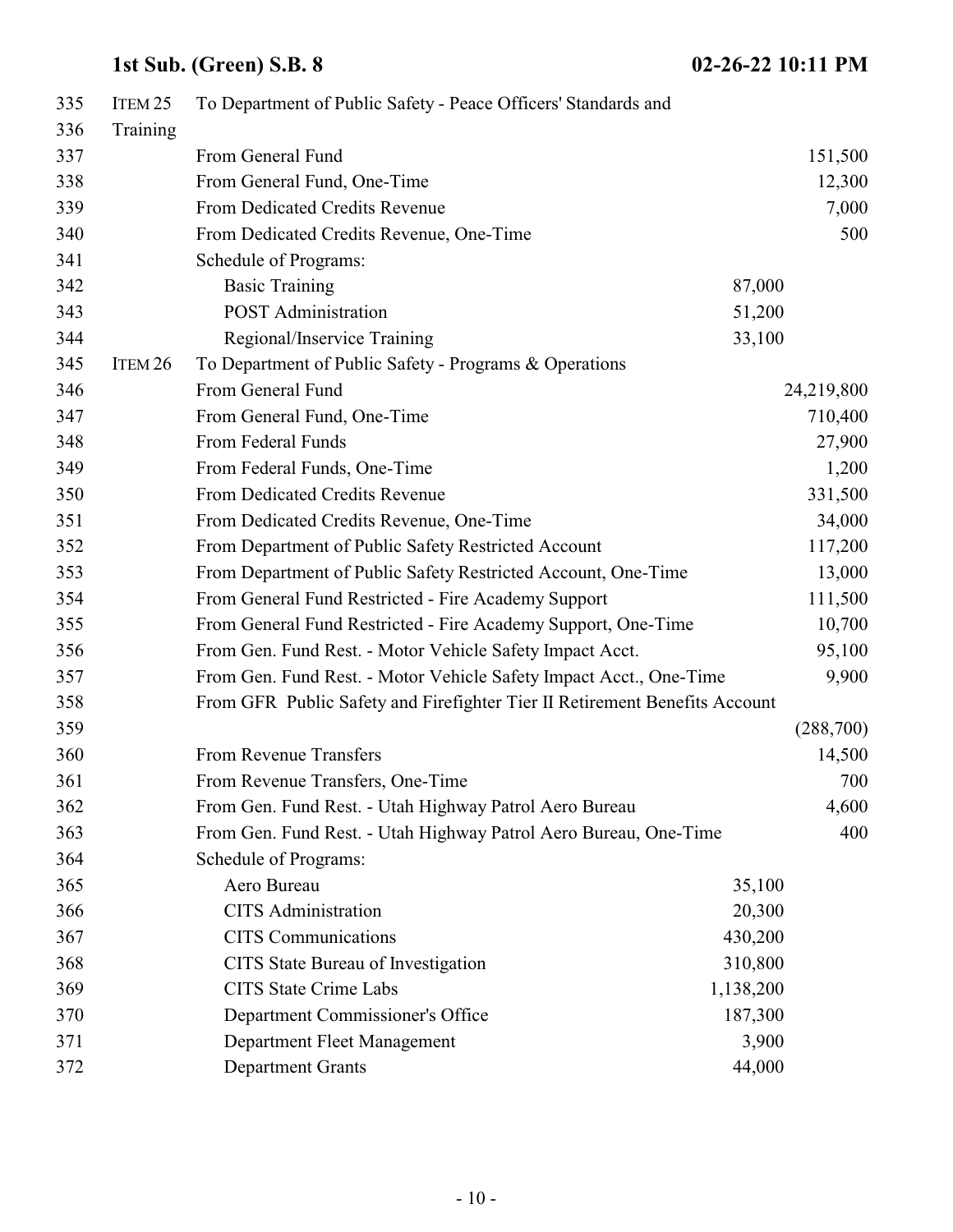| 335 | ITEM <sub>25</sub> | To Department of Public Safety - Peace Officers' Standards and             |           |            |
|-----|--------------------|----------------------------------------------------------------------------|-----------|------------|
| 336 | Training           |                                                                            |           |            |
| 337 |                    | From General Fund                                                          |           | 151,500    |
| 338 |                    | From General Fund, One-Time                                                |           | 12,300     |
| 339 |                    | From Dedicated Credits Revenue                                             |           | 7,000      |
| 340 |                    | From Dedicated Credits Revenue, One-Time                                   |           | 500        |
| 341 |                    | Schedule of Programs:                                                      |           |            |
| 342 |                    | <b>Basic Training</b>                                                      | 87,000    |            |
| 343 |                    | <b>POST</b> Administration                                                 | 51,200    |            |
| 344 |                    | Regional/Inservice Training                                                | 33,100    |            |
| 345 | ITEM 26            | To Department of Public Safety - Programs & Operations                     |           |            |
| 346 |                    | From General Fund                                                          |           | 24,219,800 |
| 347 |                    | From General Fund, One-Time                                                |           | 710,400    |
| 348 |                    | From Federal Funds                                                         |           | 27,900     |
| 349 |                    | From Federal Funds, One-Time                                               |           | 1,200      |
| 350 |                    | From Dedicated Credits Revenue                                             |           | 331,500    |
| 351 |                    | From Dedicated Credits Revenue, One-Time                                   |           | 34,000     |
| 352 |                    | From Department of Public Safety Restricted Account                        |           | 117,200    |
| 353 |                    | From Department of Public Safety Restricted Account, One-Time              |           | 13,000     |
| 354 |                    | From General Fund Restricted - Fire Academy Support                        |           | 111,500    |
| 355 |                    | From General Fund Restricted - Fire Academy Support, One-Time              |           | 10,700     |
| 356 |                    | From Gen. Fund Rest. - Motor Vehicle Safety Impact Acct.                   |           | 95,100     |
| 357 |                    | From Gen. Fund Rest. - Motor Vehicle Safety Impact Acct., One-Time         |           | 9,900      |
| 358 |                    | From GFR Public Safety and Firefighter Tier II Retirement Benefits Account |           |            |
| 359 |                    |                                                                            |           | (288,700)  |
| 360 |                    | <b>From Revenue Transfers</b>                                              |           | 14,500     |
| 361 |                    | From Revenue Transfers, One-Time                                           |           | 700        |
| 362 |                    | From Gen. Fund Rest. - Utah Highway Patrol Aero Bureau                     |           | 4,600      |
| 363 |                    | From Gen. Fund Rest. - Utah Highway Patrol Aero Bureau, One-Time           |           | 400        |
| 364 |                    | Schedule of Programs:                                                      |           |            |
| 365 |                    | Aero Bureau                                                                | 35,100    |            |
| 366 |                    | <b>CITS</b> Administration                                                 | 20,300    |            |
| 367 |                    | <b>CITS</b> Communications                                                 | 430,200   |            |
| 368 |                    | CITS State Bureau of Investigation                                         | 310,800   |            |
| 369 |                    | <b>CITS State Crime Labs</b>                                               | 1,138,200 |            |
| 370 |                    | Department Commissioner's Office                                           | 187,300   |            |
| 371 |                    | Department Fleet Management                                                | 3,900     |            |
| 372 |                    | <b>Department Grants</b>                                                   | 44,000    |            |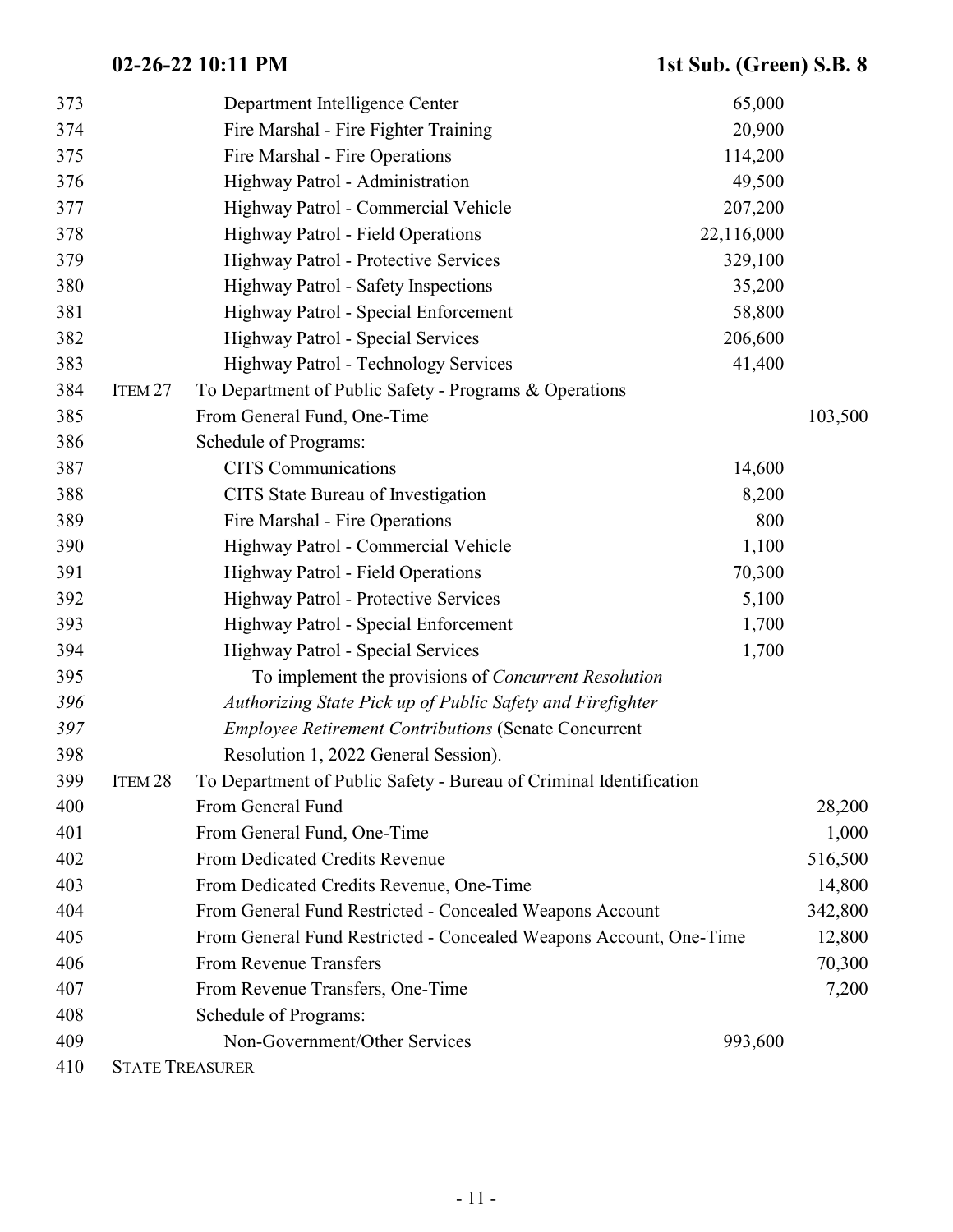| 373 |                    | Department Intelligence Center                                     | 65,000     |         |
|-----|--------------------|--------------------------------------------------------------------|------------|---------|
| 374 |                    | Fire Marshal - Fire Fighter Training                               | 20,900     |         |
| 375 |                    | Fire Marshal - Fire Operations                                     | 114,200    |         |
| 376 |                    | Highway Patrol - Administration                                    | 49,500     |         |
| 377 |                    | Highway Patrol - Commercial Vehicle                                | 207,200    |         |
| 378 |                    | Highway Patrol - Field Operations                                  | 22,116,000 |         |
| 379 |                    | Highway Patrol - Protective Services                               | 329,100    |         |
| 380 |                    | Highway Patrol - Safety Inspections                                | 35,200     |         |
| 381 |                    | Highway Patrol - Special Enforcement                               | 58,800     |         |
| 382 |                    | Highway Patrol - Special Services                                  | 206,600    |         |
| 383 |                    | <b>Highway Patrol - Technology Services</b>                        | 41,400     |         |
| 384 | ITEM <sub>27</sub> | To Department of Public Safety - Programs & Operations             |            |         |
| 385 |                    | From General Fund, One-Time                                        |            | 103,500 |
| 386 |                    | Schedule of Programs:                                              |            |         |
| 387 |                    | <b>CITS</b> Communications                                         | 14,600     |         |
| 388 |                    | CITS State Bureau of Investigation                                 | 8,200      |         |
| 389 |                    | Fire Marshal - Fire Operations                                     | 800        |         |
| 390 |                    | Highway Patrol - Commercial Vehicle                                | 1,100      |         |
| 391 |                    | Highway Patrol - Field Operations                                  | 70,300     |         |
| 392 |                    | Highway Patrol - Protective Services                               | 5,100      |         |
| 393 |                    | Highway Patrol - Special Enforcement                               | 1,700      |         |
| 394 |                    | Highway Patrol - Special Services                                  | 1,700      |         |
| 395 |                    | To implement the provisions of <i>Concurrent Resolution</i>        |            |         |
| 396 |                    | Authorizing State Pick up of Public Safety and Firefighter         |            |         |
| 397 |                    | <b>Employee Retirement Contributions (Senate Concurrent</b>        |            |         |
| 398 |                    | Resolution 1, 2022 General Session).                               |            |         |
| 399 | ITEM <sub>28</sub> | To Department of Public Safety - Bureau of Criminal Identification |            |         |
| 400 |                    | From General Fund                                                  |            | 28,200  |
| 401 |                    | From General Fund, One-Time                                        |            | 1,000   |
| 402 |                    | From Dedicated Credits Revenue                                     |            | 516,500 |
| 403 |                    | From Dedicated Credits Revenue, One-Time                           |            | 14,800  |
| 404 |                    | From General Fund Restricted - Concealed Weapons Account           |            | 342,800 |
| 405 |                    | From General Fund Restricted - Concealed Weapons Account, One-Time |            | 12,800  |
| 406 |                    | <b>From Revenue Transfers</b>                                      |            | 70,300  |
| 407 |                    | From Revenue Transfers, One-Time                                   |            | 7,200   |
| 408 |                    | Schedule of Programs:                                              |            |         |
| 409 |                    | Non-Government/Other Services                                      | 993,600    |         |
| 410 |                    | <b>STATE TREASURER</b>                                             |            |         |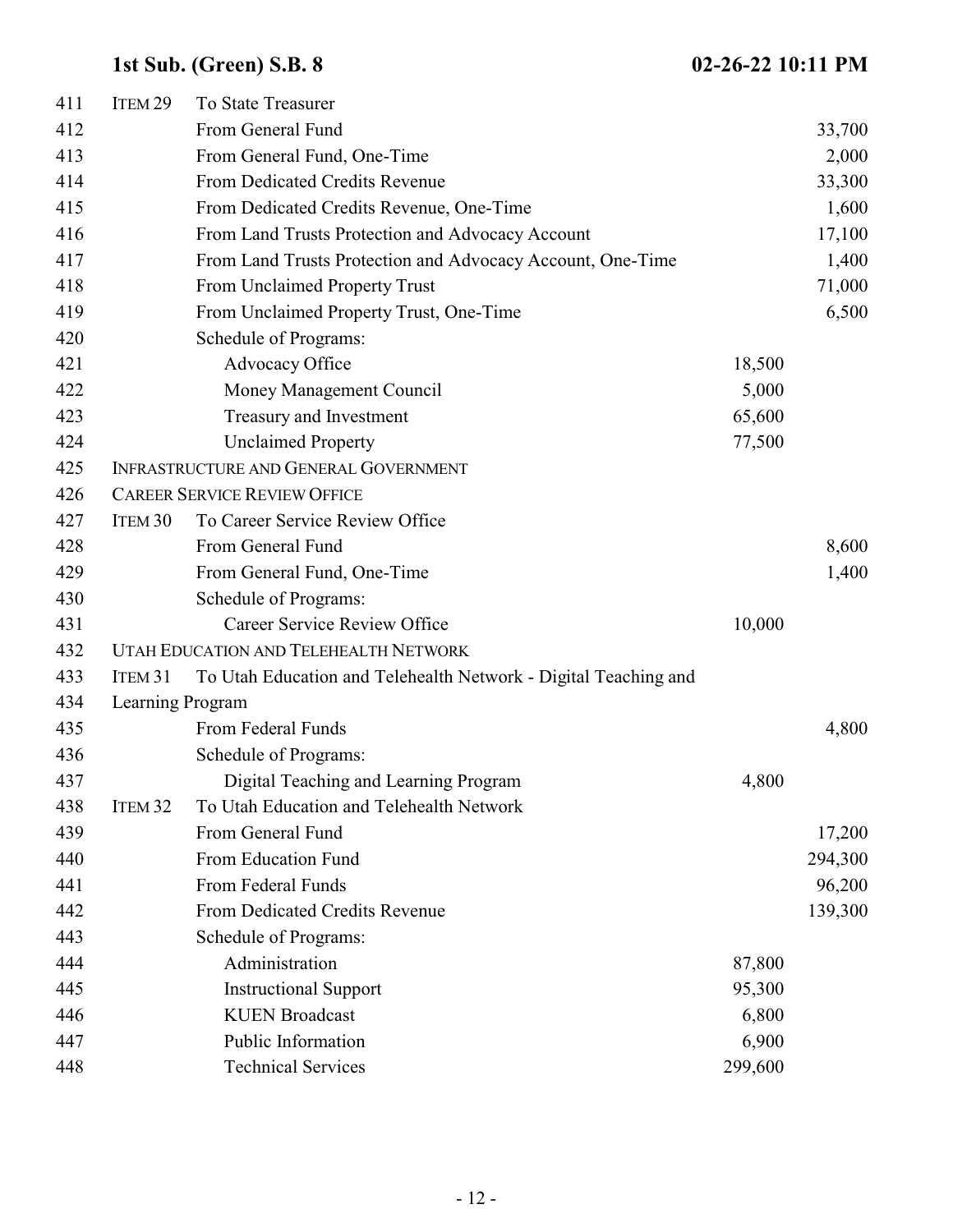| 411 | ITEM <sub>29</sub> | To State Treasurer                                              |         |         |
|-----|--------------------|-----------------------------------------------------------------|---------|---------|
| 412 |                    | From General Fund                                               |         | 33,700  |
| 413 |                    | From General Fund, One-Time                                     |         | 2,000   |
| 414 |                    | From Dedicated Credits Revenue                                  |         | 33,300  |
| 415 |                    | From Dedicated Credits Revenue, One-Time                        |         | 1,600   |
| 416 |                    | From Land Trusts Protection and Advocacy Account                |         | 17,100  |
| 417 |                    | From Land Trusts Protection and Advocacy Account, One-Time      |         | 1,400   |
| 418 |                    | From Unclaimed Property Trust                                   |         | 71,000  |
| 419 |                    | From Unclaimed Property Trust, One-Time                         |         | 6,500   |
| 420 |                    | Schedule of Programs:                                           |         |         |
| 421 |                    | Advocacy Office                                                 | 18,500  |         |
| 422 |                    | Money Management Council                                        | 5,000   |         |
| 423 |                    | Treasury and Investment                                         | 65,600  |         |
| 424 |                    | <b>Unclaimed Property</b>                                       | 77,500  |         |
| 425 |                    | <b>INFRASTRUCTURE AND GENERAL GOVERNMENT</b>                    |         |         |
| 426 |                    | <b>CAREER SERVICE REVIEW OFFICE</b>                             |         |         |
| 427 | ITEM <sub>30</sub> | To Career Service Review Office                                 |         |         |
| 428 |                    | From General Fund                                               |         | 8,600   |
| 429 |                    | From General Fund, One-Time                                     |         | 1,400   |
| 430 |                    | Schedule of Programs:                                           |         |         |
| 431 |                    | Career Service Review Office                                    | 10,000  |         |
| 432 |                    | UTAH EDUCATION AND TELEHEALTH NETWORK                           |         |         |
| 433 | ITEM 31            | To Utah Education and Telehealth Network - Digital Teaching and |         |         |
| 434 | Learning Program   |                                                                 |         |         |
| 435 |                    | From Federal Funds                                              |         | 4,800   |
| 436 |                    | Schedule of Programs:                                           |         |         |
| 437 |                    | Digital Teaching and Learning Program                           | 4,800   |         |
| 438 | ITEM <sub>32</sub> | To Utah Education and Telehealth Network                        |         |         |
| 439 |                    | From General Fund                                               |         | 17,200  |
| 440 |                    | From Education Fund                                             |         | 294,300 |
| 441 |                    | From Federal Funds                                              |         | 96,200  |
| 442 |                    | From Dedicated Credits Revenue                                  |         | 139,300 |
| 443 |                    | Schedule of Programs:                                           |         |         |
| 444 |                    | Administration                                                  | 87,800  |         |
| 445 |                    | <b>Instructional Support</b>                                    | 95,300  |         |
| 446 |                    | <b>KUEN Broadcast</b>                                           | 6,800   |         |
| 447 |                    | Public Information                                              | 6,900   |         |
| 448 |                    | <b>Technical Services</b>                                       | 299,600 |         |
|     |                    |                                                                 |         |         |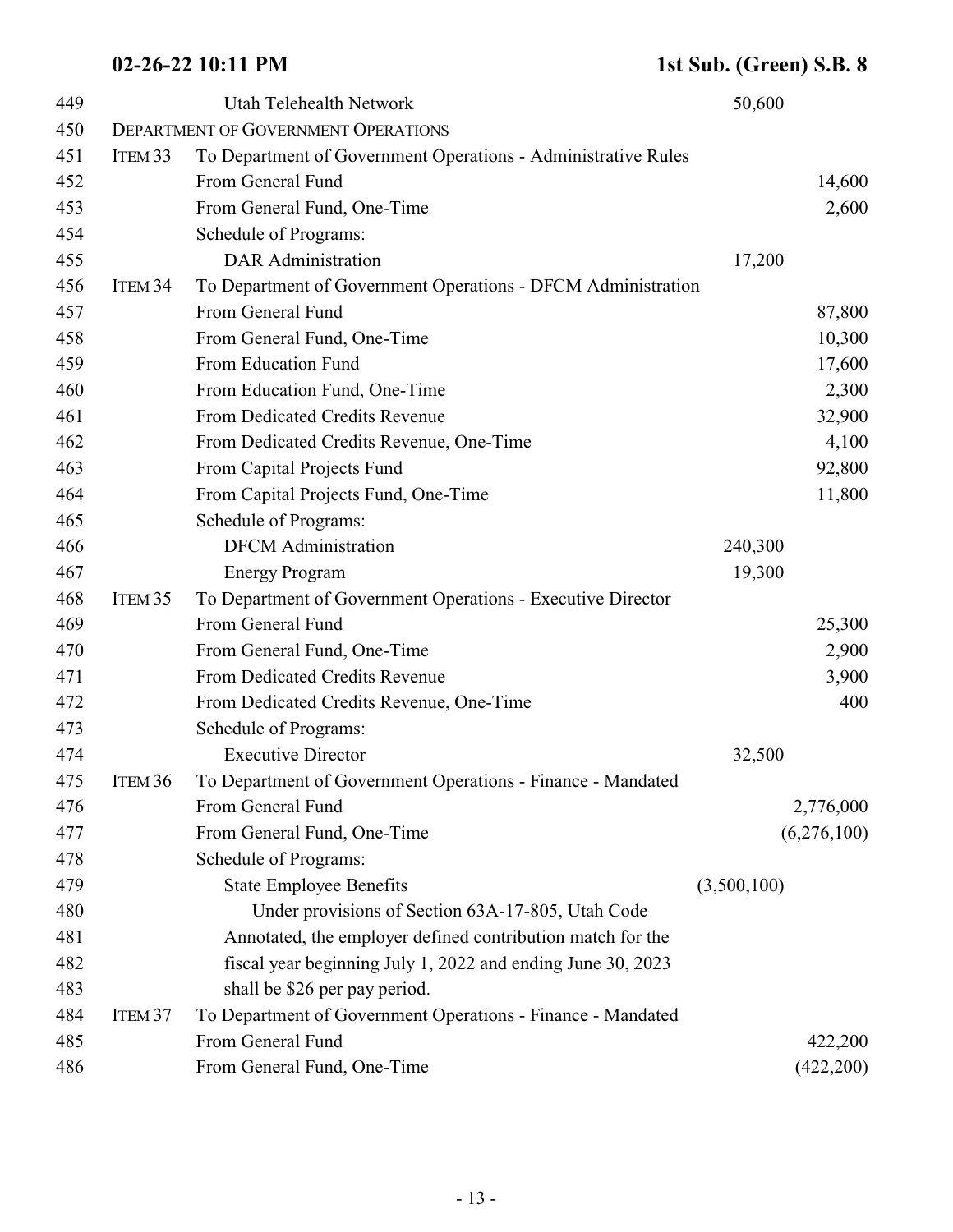| 449 |                    | Utah Telehealth Network                                       | 50,600      |
|-----|--------------------|---------------------------------------------------------------|-------------|
| 450 |                    | <b>DEPARTMENT OF GOVERNMENT OPERATIONS</b>                    |             |
| 451 | ITEM <sub>33</sub> | To Department of Government Operations - Administrative Rules |             |
| 452 |                    | From General Fund                                             | 14,600      |
| 453 |                    | From General Fund, One-Time                                   | 2,600       |
| 454 |                    | Schedule of Programs:                                         |             |
| 455 |                    | <b>DAR</b> Administration                                     | 17,200      |
| 456 | ITEM <sub>34</sub> | To Department of Government Operations - DFCM Administration  |             |
| 457 |                    | From General Fund                                             | 87,800      |
| 458 |                    | From General Fund, One-Time                                   | 10,300      |
| 459 |                    | From Education Fund                                           | 17,600      |
| 460 |                    | From Education Fund, One-Time                                 | 2,300       |
| 461 |                    | From Dedicated Credits Revenue                                | 32,900      |
| 462 |                    | From Dedicated Credits Revenue, One-Time                      | 4,100       |
| 463 |                    | From Capital Projects Fund                                    | 92,800      |
| 464 |                    | From Capital Projects Fund, One-Time                          | 11,800      |
| 465 |                    | Schedule of Programs:                                         |             |
| 466 |                    | <b>DFCM</b> Administration                                    | 240,300     |
| 467 |                    | <b>Energy Program</b>                                         | 19,300      |
| 468 | ITEM <sub>35</sub> | To Department of Government Operations - Executive Director   |             |
| 469 |                    | From General Fund                                             | 25,300      |
| 470 |                    | From General Fund, One-Time                                   | 2,900       |
| 471 |                    | From Dedicated Credits Revenue                                | 3,900       |
| 472 |                    | From Dedicated Credits Revenue, One-Time                      | 400         |
| 473 |                    | Schedule of Programs:                                         |             |
| 474 |                    | <b>Executive Director</b>                                     | 32,500      |
| 475 | Item 36            | To Department of Government Operations - Finance - Mandated   |             |
| 476 |                    | From General Fund                                             | 2,776,000   |
| 477 |                    | From General Fund, One-Time                                   | (6,276,100) |
| 478 |                    | Schedule of Programs:                                         |             |
| 479 |                    | <b>State Employee Benefits</b>                                | (3,500,100) |
| 480 |                    | Under provisions of Section 63A-17-805, Utah Code             |             |
| 481 |                    | Annotated, the employer defined contribution match for the    |             |
| 482 |                    | fiscal year beginning July 1, 2022 and ending June 30, 2023   |             |
| 483 |                    | shall be \$26 per pay period.                                 |             |
| 484 | ITEM <sub>37</sub> | To Department of Government Operations - Finance - Mandated   |             |
| 485 |                    | From General Fund                                             | 422,200     |
| 486 |                    | From General Fund, One-Time                                   | (422,200)   |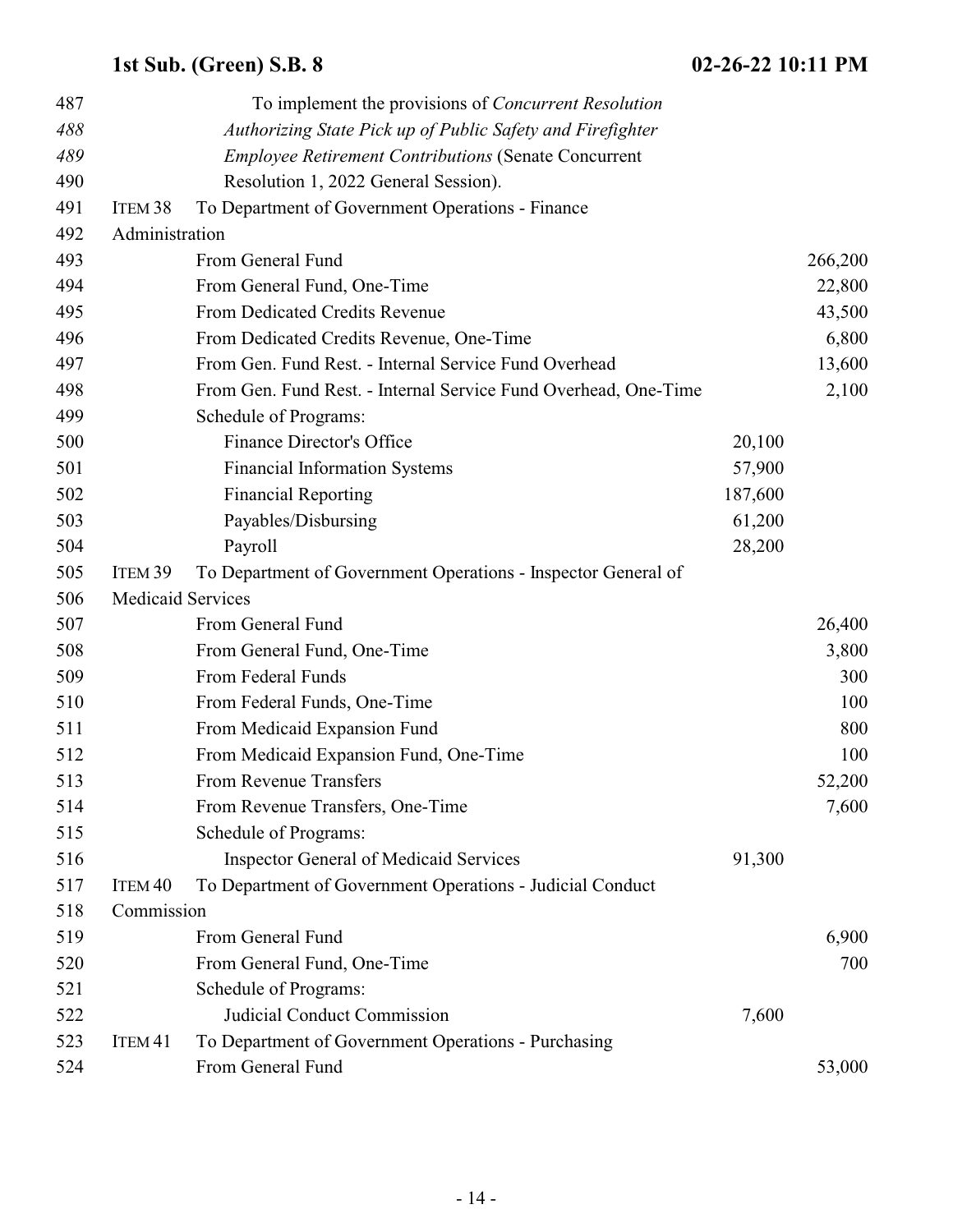| 487 |                          | To implement the provisions of <i>Concurrent Resolution</i>     |         |         |
|-----|--------------------------|-----------------------------------------------------------------|---------|---------|
| 488 |                          | Authorizing State Pick up of Public Safety and Firefighter      |         |         |
| 489 |                          | <b>Employee Retirement Contributions (Senate Concurrent</b>     |         |         |
| 490 |                          | Resolution 1, 2022 General Session).                            |         |         |
| 491 | ITEM <sub>38</sub>       | To Department of Government Operations - Finance                |         |         |
| 492 | Administration           |                                                                 |         |         |
| 493 |                          | From General Fund                                               |         | 266,200 |
| 494 |                          | From General Fund, One-Time                                     |         | 22,800  |
| 495 |                          | From Dedicated Credits Revenue                                  |         | 43,500  |
| 496 |                          | From Dedicated Credits Revenue, One-Time                        |         | 6,800   |
| 497 |                          | From Gen. Fund Rest. - Internal Service Fund Overhead           |         | 13,600  |
| 498 |                          | From Gen. Fund Rest. - Internal Service Fund Overhead, One-Time |         | 2,100   |
| 499 |                          | Schedule of Programs:                                           |         |         |
| 500 |                          | <b>Finance Director's Office</b>                                | 20,100  |         |
| 501 |                          | <b>Financial Information Systems</b>                            | 57,900  |         |
| 502 |                          | <b>Financial Reporting</b>                                      | 187,600 |         |
| 503 |                          | Payables/Disbursing                                             | 61,200  |         |
| 504 |                          | Payroll                                                         | 28,200  |         |
| 505 | ITEM 39                  | To Department of Government Operations - Inspector General of   |         |         |
| 506 | <b>Medicaid Services</b> |                                                                 |         |         |
| 507 |                          | From General Fund                                               |         | 26,400  |
| 508 |                          | From General Fund, One-Time                                     |         | 3,800   |
| 509 |                          | From Federal Funds                                              |         | 300     |
| 510 |                          | From Federal Funds, One-Time                                    |         | 100     |
| 511 |                          | From Medicaid Expansion Fund                                    |         | 800     |
| 512 |                          | From Medicaid Expansion Fund, One-Time                          |         | 100     |
| 513 |                          | From Revenue Transfers                                          |         | 52,200  |
| 514 |                          | From Revenue Transfers, One-Time                                |         | 7,600   |
| 515 |                          | Schedule of Programs:                                           |         |         |
| 516 |                          | <b>Inspector General of Medicaid Services</b>                   | 91,300  |         |
| 517 | ITEM <sub>40</sub>       | To Department of Government Operations - Judicial Conduct       |         |         |
| 518 | Commission               |                                                                 |         |         |
| 519 |                          | From General Fund                                               |         | 6,900   |
| 520 |                          | From General Fund, One-Time                                     |         | 700     |
| 521 |                          | Schedule of Programs:                                           |         |         |
| 522 |                          | <b>Judicial Conduct Commission</b>                              | 7,600   |         |
| 523 | ITEM <sub>41</sub>       | To Department of Government Operations - Purchasing             |         |         |
| 524 |                          | From General Fund                                               |         | 53,000  |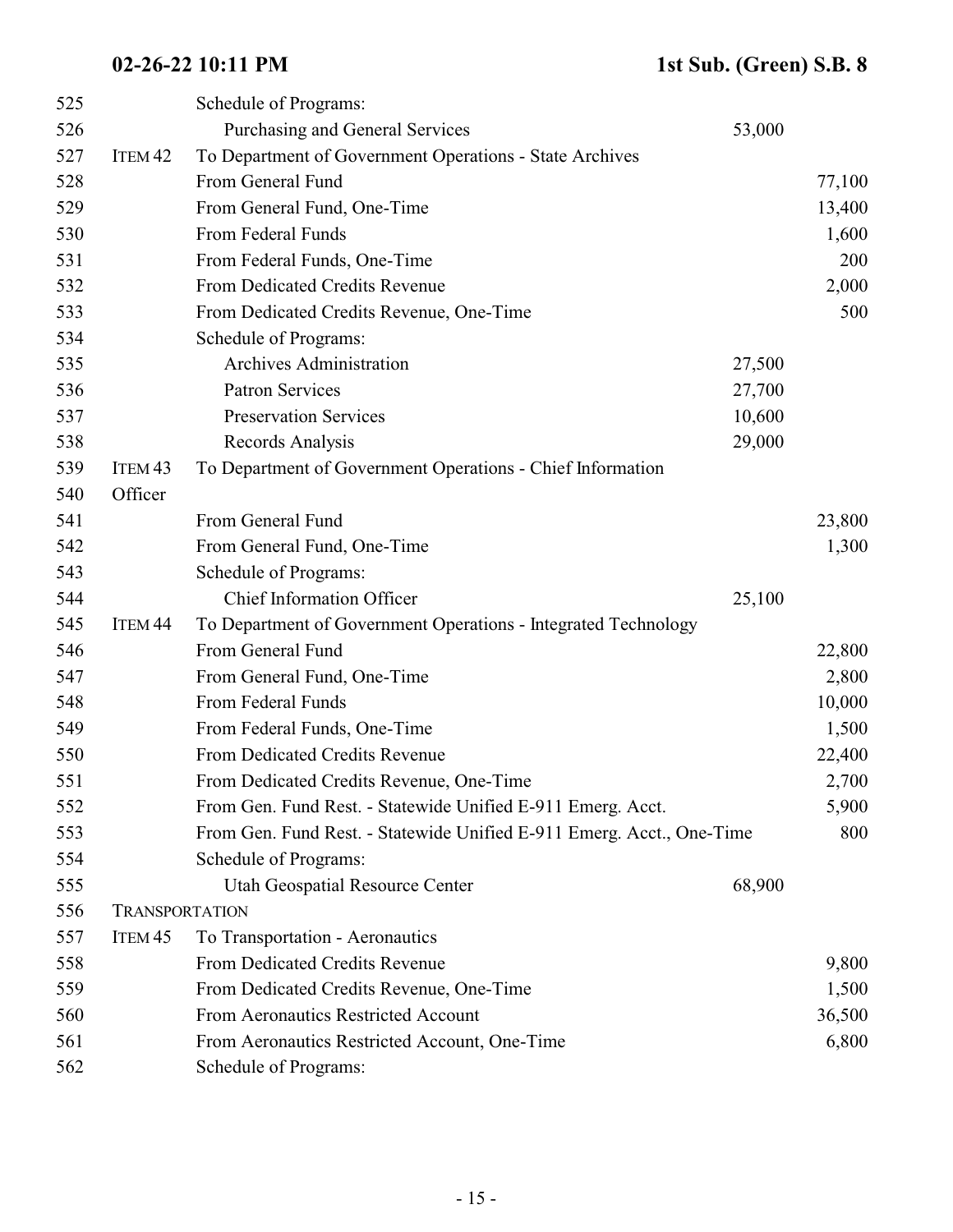| 525 |                       | Schedule of Programs:                                                 |        |        |
|-----|-----------------------|-----------------------------------------------------------------------|--------|--------|
| 526 |                       | Purchasing and General Services                                       | 53,000 |        |
| 527 | ITEM <sub>42</sub>    | To Department of Government Operations - State Archives               |        |        |
| 528 |                       | From General Fund                                                     |        | 77,100 |
| 529 |                       | From General Fund, One-Time                                           |        | 13,400 |
| 530 |                       | From Federal Funds                                                    |        | 1,600  |
| 531 |                       | From Federal Funds, One-Time                                          |        | 200    |
| 532 |                       | From Dedicated Credits Revenue                                        |        | 2,000  |
| 533 |                       | From Dedicated Credits Revenue, One-Time                              |        | 500    |
| 534 |                       | Schedule of Programs:                                                 |        |        |
| 535 |                       | <b>Archives Administration</b>                                        | 27,500 |        |
| 536 |                       | <b>Patron Services</b>                                                | 27,700 |        |
| 537 |                       | <b>Preservation Services</b>                                          | 10,600 |        |
| 538 |                       | Records Analysis                                                      | 29,000 |        |
| 539 | ITEM <sub>43</sub>    | To Department of Government Operations - Chief Information            |        |        |
| 540 | Officer               |                                                                       |        |        |
| 541 |                       | From General Fund                                                     |        | 23,800 |
| 542 |                       | From General Fund, One-Time                                           |        | 1,300  |
| 543 |                       | Schedule of Programs:                                                 |        |        |
| 544 |                       | <b>Chief Information Officer</b>                                      | 25,100 |        |
| 545 | ITEM <sub>44</sub>    | To Department of Government Operations - Integrated Technology        |        |        |
| 546 |                       | From General Fund                                                     |        | 22,800 |
| 547 |                       | From General Fund, One-Time                                           |        | 2,800  |
| 548 |                       | From Federal Funds                                                    |        | 10,000 |
| 549 |                       | From Federal Funds, One-Time                                          |        | 1,500  |
| 550 |                       | From Dedicated Credits Revenue                                        |        | 22,400 |
| 551 |                       | From Dedicated Credits Revenue, One-Time                              |        | 2,700  |
| 552 |                       | From Gen. Fund Rest. - Statewide Unified E-911 Emerg. Acct.           |        | 5,900  |
| 553 |                       | From Gen. Fund Rest. - Statewide Unified E-911 Emerg. Acct., One-Time |        | 800    |
| 554 |                       | Schedule of Programs:                                                 |        |        |
| 555 |                       | Utah Geospatial Resource Center                                       | 68,900 |        |
| 556 | <b>TRANSPORTATION</b> |                                                                       |        |        |
| 557 | ITEM <sub>45</sub>    | To Transportation - Aeronautics                                       |        |        |
| 558 |                       | From Dedicated Credits Revenue                                        |        | 9,800  |
| 559 |                       | From Dedicated Credits Revenue, One-Time                              |        | 1,500  |
| 560 |                       | From Aeronautics Restricted Account                                   |        | 36,500 |
| 561 |                       | From Aeronautics Restricted Account, One-Time                         |        | 6,800  |
| 562 |                       | Schedule of Programs:                                                 |        |        |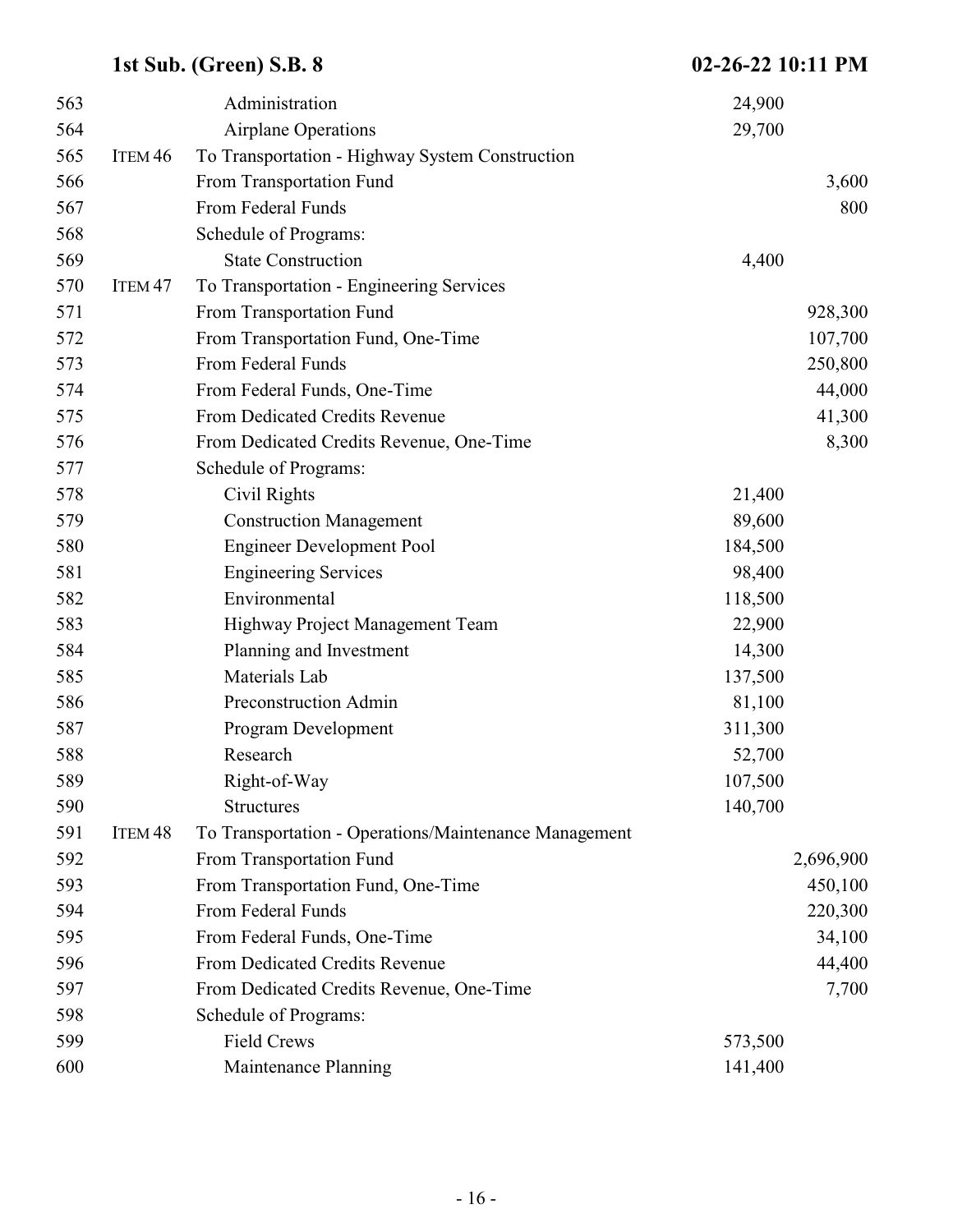| 563 |                    | Administration                                        | 24,900  |           |
|-----|--------------------|-------------------------------------------------------|---------|-----------|
| 564 |                    | <b>Airplane Operations</b>                            | 29,700  |           |
| 565 | ITEM <sub>46</sub> | To Transportation - Highway System Construction       |         |           |
| 566 |                    | From Transportation Fund                              |         | 3,600     |
| 567 |                    | From Federal Funds                                    |         | 800       |
| 568 |                    | Schedule of Programs:                                 |         |           |
| 569 |                    | <b>State Construction</b>                             | 4,400   |           |
| 570 | ITEM <sub>47</sub> | To Transportation - Engineering Services              |         |           |
| 571 |                    | From Transportation Fund                              |         | 928,300   |
| 572 |                    | From Transportation Fund, One-Time                    |         | 107,700   |
| 573 |                    | From Federal Funds                                    |         | 250,800   |
| 574 |                    | From Federal Funds, One-Time                          |         | 44,000    |
| 575 |                    | From Dedicated Credits Revenue                        |         | 41,300    |
| 576 |                    | From Dedicated Credits Revenue, One-Time              |         | 8,300     |
| 577 |                    | Schedule of Programs:                                 |         |           |
| 578 |                    | Civil Rights                                          | 21,400  |           |
| 579 |                    | <b>Construction Management</b>                        | 89,600  |           |
| 580 |                    | <b>Engineer Development Pool</b>                      | 184,500 |           |
| 581 |                    | <b>Engineering Services</b>                           | 98,400  |           |
| 582 |                    | Environmental                                         | 118,500 |           |
| 583 |                    | Highway Project Management Team                       | 22,900  |           |
| 584 |                    | Planning and Investment                               | 14,300  |           |
| 585 |                    | Materials Lab                                         | 137,500 |           |
| 586 |                    | Preconstruction Admin                                 | 81,100  |           |
| 587 |                    | Program Development                                   | 311,300 |           |
| 588 |                    | Research                                              | 52,700  |           |
| 589 |                    | Right-of-Way                                          | 107,500 |           |
| 590 |                    | <b>Structures</b>                                     | 140,700 |           |
| 591 | ITEM <sub>48</sub> | To Transportation - Operations/Maintenance Management |         |           |
| 592 |                    | From Transportation Fund                              |         | 2,696,900 |
| 593 |                    | From Transportation Fund, One-Time                    |         | 450,100   |
| 594 |                    | From Federal Funds                                    |         | 220,300   |
| 595 |                    | From Federal Funds, One-Time                          |         | 34,100    |
| 596 |                    | From Dedicated Credits Revenue                        |         | 44,400    |
| 597 |                    | From Dedicated Credits Revenue, One-Time              |         | 7,700     |
| 598 |                    | Schedule of Programs:                                 |         |           |
| 599 |                    | <b>Field Crews</b>                                    | 573,500 |           |
| 600 |                    | Maintenance Planning                                  | 141,400 |           |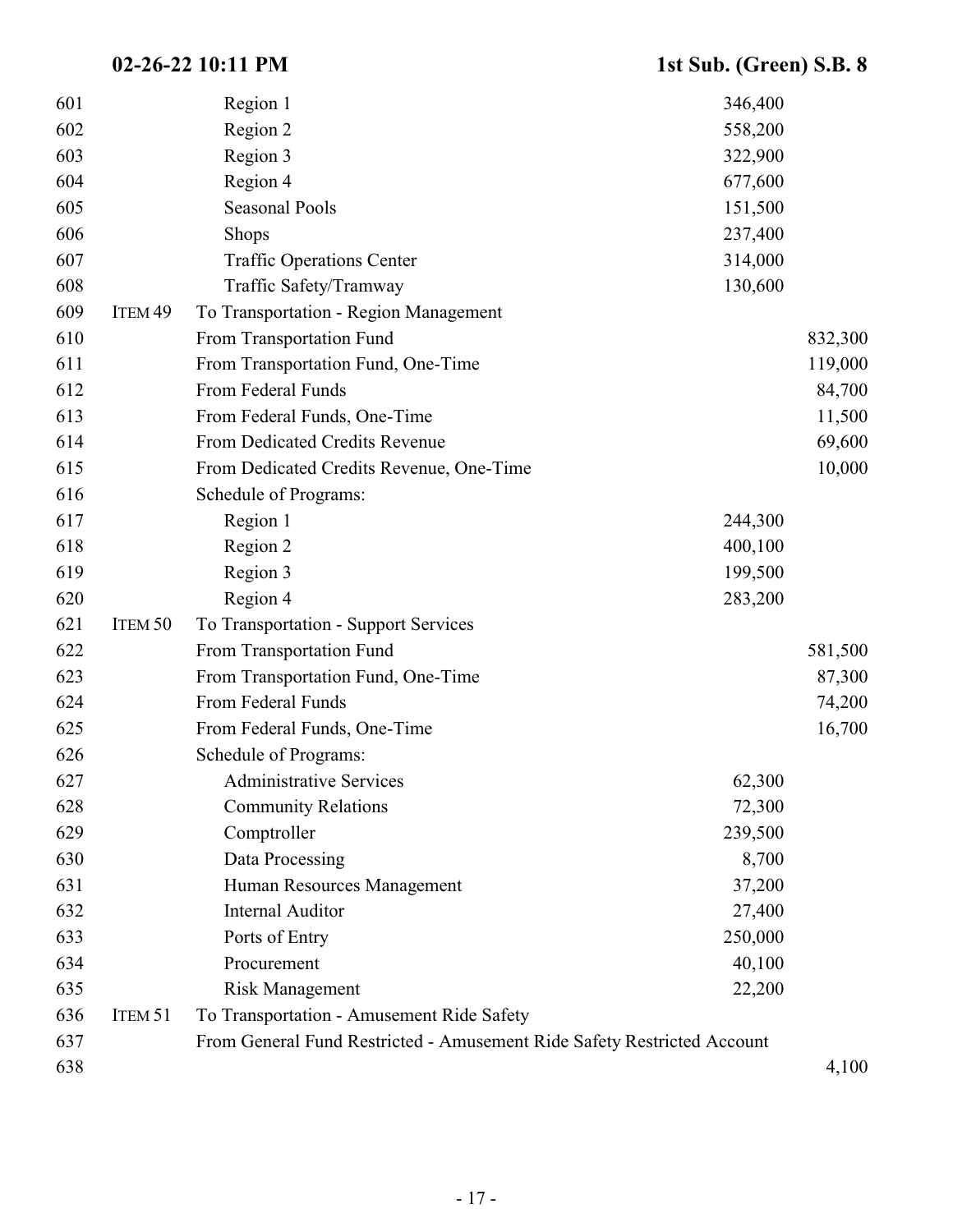| 601 |                    | Region 1                                                                | 346,400 |         |
|-----|--------------------|-------------------------------------------------------------------------|---------|---------|
| 602 |                    | Region 2                                                                | 558,200 |         |
| 603 |                    | Region 3                                                                | 322,900 |         |
| 604 |                    | Region 4                                                                | 677,600 |         |
| 605 |                    | <b>Seasonal Pools</b>                                                   | 151,500 |         |
| 606 |                    | <b>Shops</b>                                                            | 237,400 |         |
| 607 |                    | <b>Traffic Operations Center</b>                                        | 314,000 |         |
| 608 |                    | Traffic Safety/Tramway                                                  | 130,600 |         |
| 609 | ITEM <sub>49</sub> | To Transportation - Region Management                                   |         |         |
| 610 |                    | From Transportation Fund                                                |         | 832,300 |
| 611 |                    | From Transportation Fund, One-Time                                      |         | 119,000 |
| 612 |                    | From Federal Funds                                                      |         | 84,700  |
| 613 |                    | From Federal Funds, One-Time                                            |         | 11,500  |
| 614 |                    | From Dedicated Credits Revenue                                          |         | 69,600  |
| 615 |                    | From Dedicated Credits Revenue, One-Time                                |         | 10,000  |
| 616 |                    | Schedule of Programs:                                                   |         |         |
| 617 |                    | Region 1                                                                | 244,300 |         |
| 618 |                    | Region 2                                                                | 400,100 |         |
| 619 |                    | Region 3                                                                | 199,500 |         |
| 620 |                    | Region 4                                                                | 283,200 |         |
| 621 | ITEM 50            | To Transportation - Support Services                                    |         |         |
| 622 |                    | From Transportation Fund                                                |         | 581,500 |
| 623 |                    | From Transportation Fund, One-Time                                      |         | 87,300  |
| 624 |                    | From Federal Funds                                                      |         | 74,200  |
| 625 |                    | From Federal Funds, One-Time                                            |         | 16,700  |
| 626 |                    | Schedule of Programs:                                                   |         |         |
| 627 |                    | <b>Administrative Services</b>                                          | 62,300  |         |
| 628 |                    | <b>Community Relations</b>                                              | 72,300  |         |
| 629 |                    | Comptroller                                                             | 239,500 |         |
| 630 |                    | Data Processing                                                         | 8,700   |         |
| 631 |                    | Human Resources Management                                              | 37,200  |         |
| 632 |                    | <b>Internal Auditor</b>                                                 | 27,400  |         |
| 633 |                    | Ports of Entry                                                          | 250,000 |         |
| 634 |                    | Procurement                                                             | 40,100  |         |
| 635 |                    | <b>Risk Management</b>                                                  | 22,200  |         |
| 636 | ITEM 51            | To Transportation - Amusement Ride Safety                               |         |         |
| 637 |                    | From General Fund Restricted - Amusement Ride Safety Restricted Account |         |         |
| 638 |                    |                                                                         |         | 4,100   |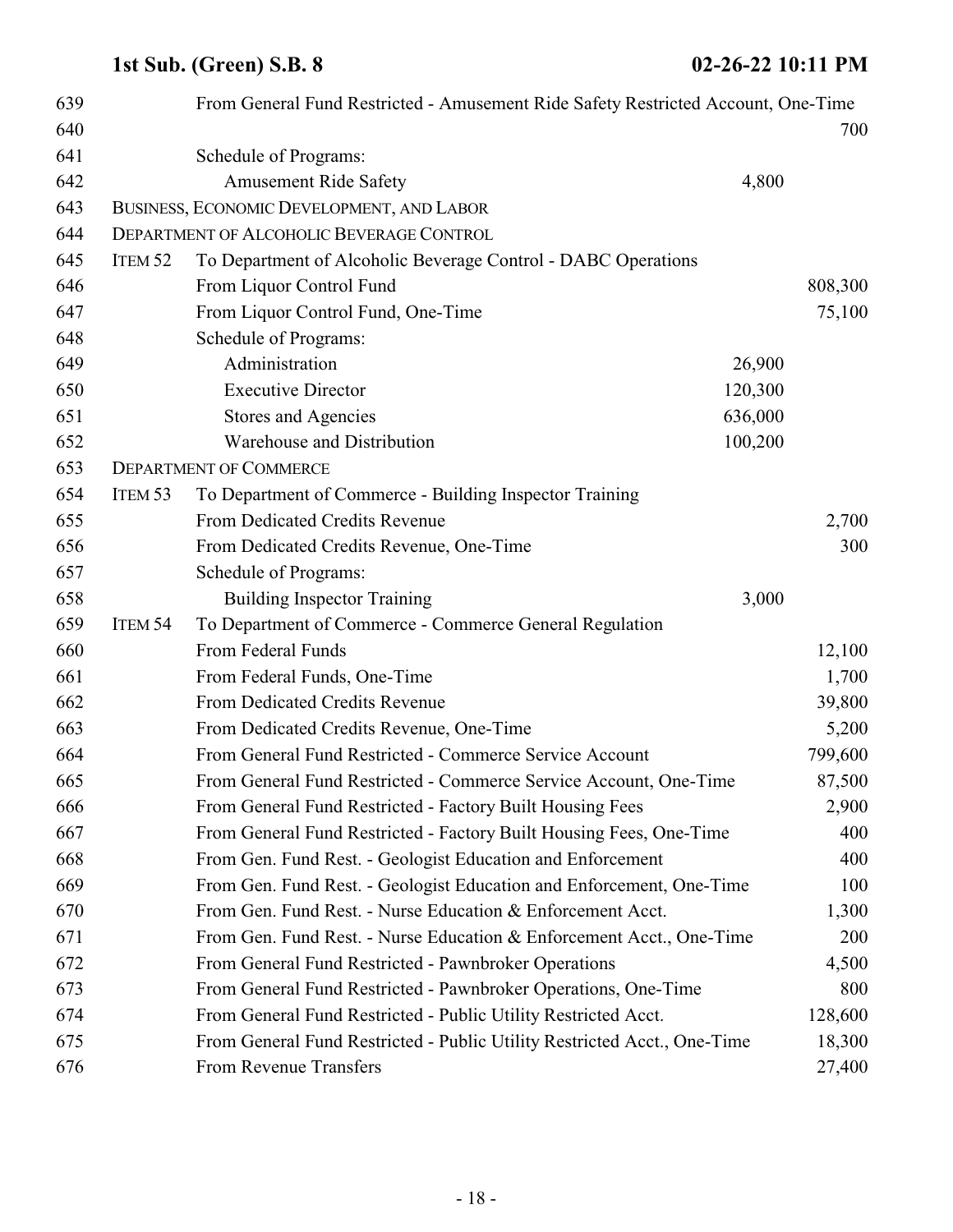| 639<br>640 |                    | From General Fund Restricted - Amusement Ride Safety Restricted Account, One-Time |         |
|------------|--------------------|-----------------------------------------------------------------------------------|---------|
|            |                    |                                                                                   | 700     |
| 641<br>642 |                    | Schedule of Programs:                                                             |         |
|            |                    | <b>Amusement Ride Safety</b><br>4,800                                             |         |
| 643        |                    | BUSINESS, ECONOMIC DEVELOPMENT, AND LABOR                                         |         |
| 644        |                    | DEPARTMENT OF ALCOHOLIC BEVERAGE CONTROL                                          |         |
| 645        | ITEM <sub>52</sub> | To Department of Alcoholic Beverage Control - DABC Operations                     |         |
| 646        |                    | From Liquor Control Fund                                                          | 808,300 |
| 647        |                    | From Liquor Control Fund, One-Time                                                | 75,100  |
| 648        |                    | Schedule of Programs:                                                             |         |
| 649        |                    | Administration<br>26,900                                                          |         |
| 650        |                    | <b>Executive Director</b><br>120,300                                              |         |
| 651        |                    | 636,000<br>Stores and Agencies                                                    |         |
| 652        |                    | Warehouse and Distribution<br>100,200                                             |         |
| 653        |                    | <b>DEPARTMENT OF COMMERCE</b>                                                     |         |
| 654        | ITEM 53            | To Department of Commerce - Building Inspector Training                           |         |
| 655        |                    | From Dedicated Credits Revenue                                                    | 2,700   |
| 656        |                    | From Dedicated Credits Revenue, One-Time                                          | 300     |
| 657        |                    | Schedule of Programs:                                                             |         |
| 658        |                    | <b>Building Inspector Training</b><br>3,000                                       |         |
| 659        | ITEM 54            | To Department of Commerce - Commerce General Regulation                           |         |
| 660        |                    | From Federal Funds                                                                | 12,100  |
| 661        |                    | From Federal Funds, One-Time                                                      | 1,700   |
| 662        |                    | From Dedicated Credits Revenue                                                    | 39,800  |
| 663        |                    | From Dedicated Credits Revenue, One-Time                                          | 5,200   |
| 664        |                    | From General Fund Restricted - Commerce Service Account                           | 799,600 |
| 665        |                    | From General Fund Restricted - Commerce Service Account, One-Time                 | 87,500  |
| 666        |                    | From General Fund Restricted - Factory Built Housing Fees                         | 2,900   |
| 667        |                    | From General Fund Restricted - Factory Built Housing Fees, One-Time               | 400     |
| 668        |                    | From Gen. Fund Rest. - Geologist Education and Enforcement                        | 400     |
| 669        |                    | From Gen. Fund Rest. - Geologist Education and Enforcement, One-Time              | 100     |
| 670        |                    | From Gen. Fund Rest. - Nurse Education & Enforcement Acct.                        | 1,300   |
| 671        |                    | From Gen. Fund Rest. - Nurse Education & Enforcement Acct., One-Time              | 200     |
| 672        |                    | From General Fund Restricted - Pawnbroker Operations                              | 4,500   |
| 673        |                    | From General Fund Restricted - Pawnbroker Operations, One-Time                    | 800     |
| 674        |                    | From General Fund Restricted - Public Utility Restricted Acct.                    | 128,600 |
| 675        |                    | From General Fund Restricted - Public Utility Restricted Acct., One-Time          | 18,300  |
| 676        |                    | From Revenue Transfers                                                            | 27,400  |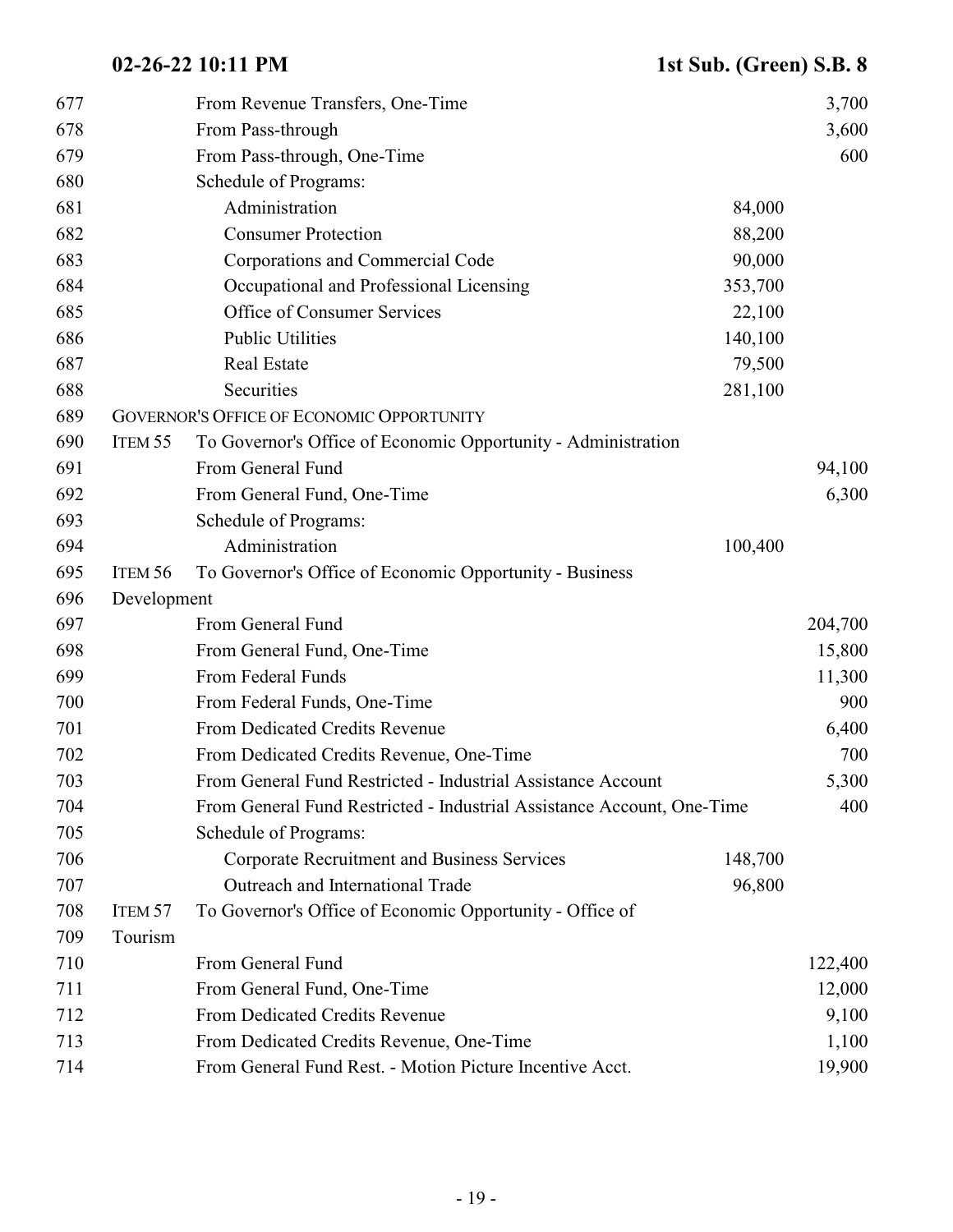| 677 |                    | From Revenue Transfers, One-Time                                       |         | 3,700   |
|-----|--------------------|------------------------------------------------------------------------|---------|---------|
| 678 |                    | From Pass-through                                                      |         | 3,600   |
| 679 |                    | From Pass-through, One-Time                                            |         | 600     |
| 680 |                    | Schedule of Programs:                                                  |         |         |
| 681 |                    | Administration                                                         | 84,000  |         |
| 682 |                    | <b>Consumer Protection</b>                                             | 88,200  |         |
| 683 |                    | Corporations and Commercial Code                                       | 90,000  |         |
| 684 |                    | Occupational and Professional Licensing                                | 353,700 |         |
| 685 |                    | Office of Consumer Services                                            | 22,100  |         |
| 686 |                    | <b>Public Utilities</b>                                                | 140,100 |         |
| 687 |                    | <b>Real Estate</b>                                                     | 79,500  |         |
| 688 |                    | Securities                                                             | 281,100 |         |
| 689 |                    | <b>GOVERNOR'S OFFICE OF ECONOMIC OPPORTUNITY</b>                       |         |         |
| 690 | ITEM 55            | To Governor's Office of Economic Opportunity - Administration          |         |         |
| 691 |                    | From General Fund                                                      |         | 94,100  |
| 692 |                    | From General Fund, One-Time                                            |         | 6,300   |
| 693 |                    | Schedule of Programs:                                                  |         |         |
| 694 |                    | Administration                                                         | 100,400 |         |
| 695 | ITEM 56            | To Governor's Office of Economic Opportunity - Business                |         |         |
| 696 | Development        |                                                                        |         |         |
| 697 |                    | From General Fund                                                      |         | 204,700 |
| 698 |                    | From General Fund, One-Time                                            |         | 15,800  |
| 699 |                    | From Federal Funds                                                     |         | 11,300  |
| 700 |                    | From Federal Funds, One-Time                                           |         | 900     |
| 701 |                    | From Dedicated Credits Revenue                                         |         | 6,400   |
| 702 |                    | From Dedicated Credits Revenue, One-Time                               |         | 700     |
| 703 |                    | From General Fund Restricted - Industrial Assistance Account           |         | 5,300   |
| 704 |                    | From General Fund Restricted - Industrial Assistance Account, One-Time |         | 400     |
| 705 |                    | Schedule of Programs:                                                  |         |         |
| 706 |                    | Corporate Recruitment and Business Services                            | 148,700 |         |
| 707 |                    | Outreach and International Trade                                       | 96,800  |         |
| 708 | ITEM <sub>57</sub> | To Governor's Office of Economic Opportunity - Office of               |         |         |
| 709 | Tourism            |                                                                        |         |         |
| 710 |                    | From General Fund                                                      |         | 122,400 |
| 711 |                    | From General Fund, One-Time                                            |         | 12,000  |
| 712 |                    | From Dedicated Credits Revenue                                         |         | 9,100   |
| 713 |                    | From Dedicated Credits Revenue, One-Time                               |         | 1,100   |
| 714 |                    | From General Fund Rest. - Motion Picture Incentive Acct.               |         | 19,900  |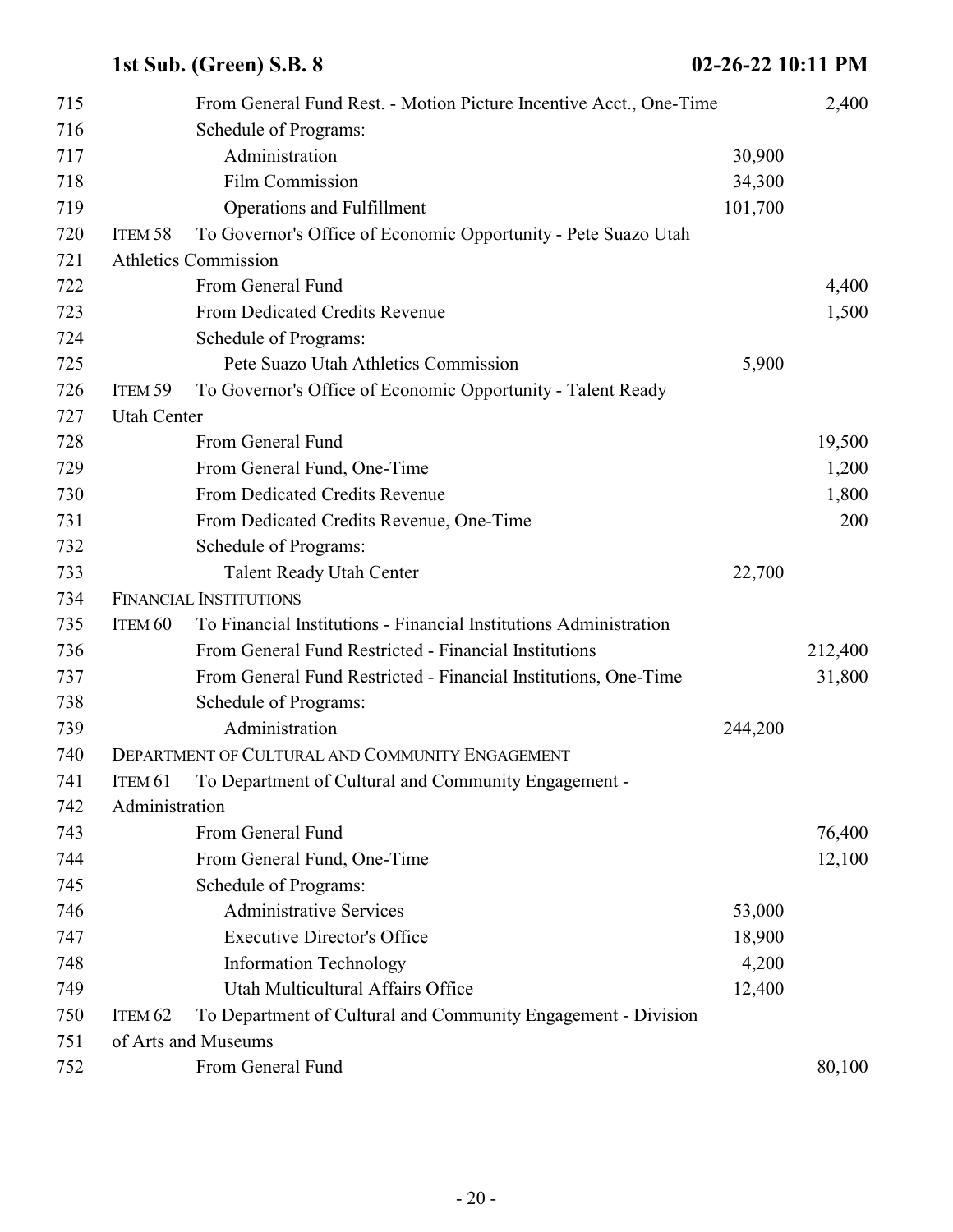| 715 |                    | From General Fund Rest. - Motion Picture Incentive Acct., One-Time |         | 2,400   |
|-----|--------------------|--------------------------------------------------------------------|---------|---------|
| 716 |                    | Schedule of Programs:                                              |         |         |
| 717 |                    | Administration                                                     | 30,900  |         |
| 718 |                    | Film Commission                                                    | 34,300  |         |
| 719 |                    | Operations and Fulfillment                                         | 101,700 |         |
| 720 | ITEM <sub>58</sub> | To Governor's Office of Economic Opportunity - Pete Suazo Utah     |         |         |
| 721 |                    | <b>Athletics Commission</b>                                        |         |         |
| 722 |                    | From General Fund                                                  |         | 4,400   |
| 723 |                    | From Dedicated Credits Revenue                                     |         | 1,500   |
| 724 |                    | Schedule of Programs:                                              |         |         |
| 725 |                    | Pete Suazo Utah Athletics Commission                               | 5,900   |         |
| 726 | ITEM <sub>59</sub> | To Governor's Office of Economic Opportunity - Talent Ready        |         |         |
| 727 | <b>Utah Center</b> |                                                                    |         |         |
| 728 |                    | From General Fund                                                  |         | 19,500  |
| 729 |                    | From General Fund, One-Time                                        |         | 1,200   |
| 730 |                    | From Dedicated Credits Revenue                                     |         | 1,800   |
| 731 |                    | From Dedicated Credits Revenue, One-Time                           |         | 200     |
| 732 |                    | Schedule of Programs:                                              |         |         |
| 733 |                    | <b>Talent Ready Utah Center</b>                                    | 22,700  |         |
| 734 |                    | <b>FINANCIAL INSTITUTIONS</b>                                      |         |         |
| 735 | ITEM <sub>60</sub> | To Financial Institutions - Financial Institutions Administration  |         |         |
| 736 |                    | From General Fund Restricted - Financial Institutions              |         | 212,400 |
| 737 |                    | From General Fund Restricted - Financial Institutions, One-Time    |         | 31,800  |
| 738 |                    | Schedule of Programs:                                              |         |         |
| 739 |                    | Administration                                                     | 244,200 |         |
| 740 |                    | DEPARTMENT OF CULTURAL AND COMMUNITY ENGAGEMENT                    |         |         |
| 741 | ITEM 61            | To Department of Cultural and Community Engagement -               |         |         |
| 742 | Administration     |                                                                    |         |         |
| 743 |                    | From General Fund                                                  |         | 76,400  |
| 744 |                    | From General Fund, One-Time                                        |         | 12,100  |
| 745 |                    | Schedule of Programs:                                              |         |         |
| 746 |                    | <b>Administrative Services</b>                                     | 53,000  |         |
| 747 |                    | <b>Executive Director's Office</b>                                 | 18,900  |         |
| 748 |                    | <b>Information Technology</b>                                      | 4,200   |         |
| 749 |                    | Utah Multicultural Affairs Office                                  | 12,400  |         |
| 750 | ITEM <sub>62</sub> | To Department of Cultural and Community Engagement - Division      |         |         |
| 751 |                    | of Arts and Museums                                                |         |         |
| 752 |                    | From General Fund                                                  |         | 80,100  |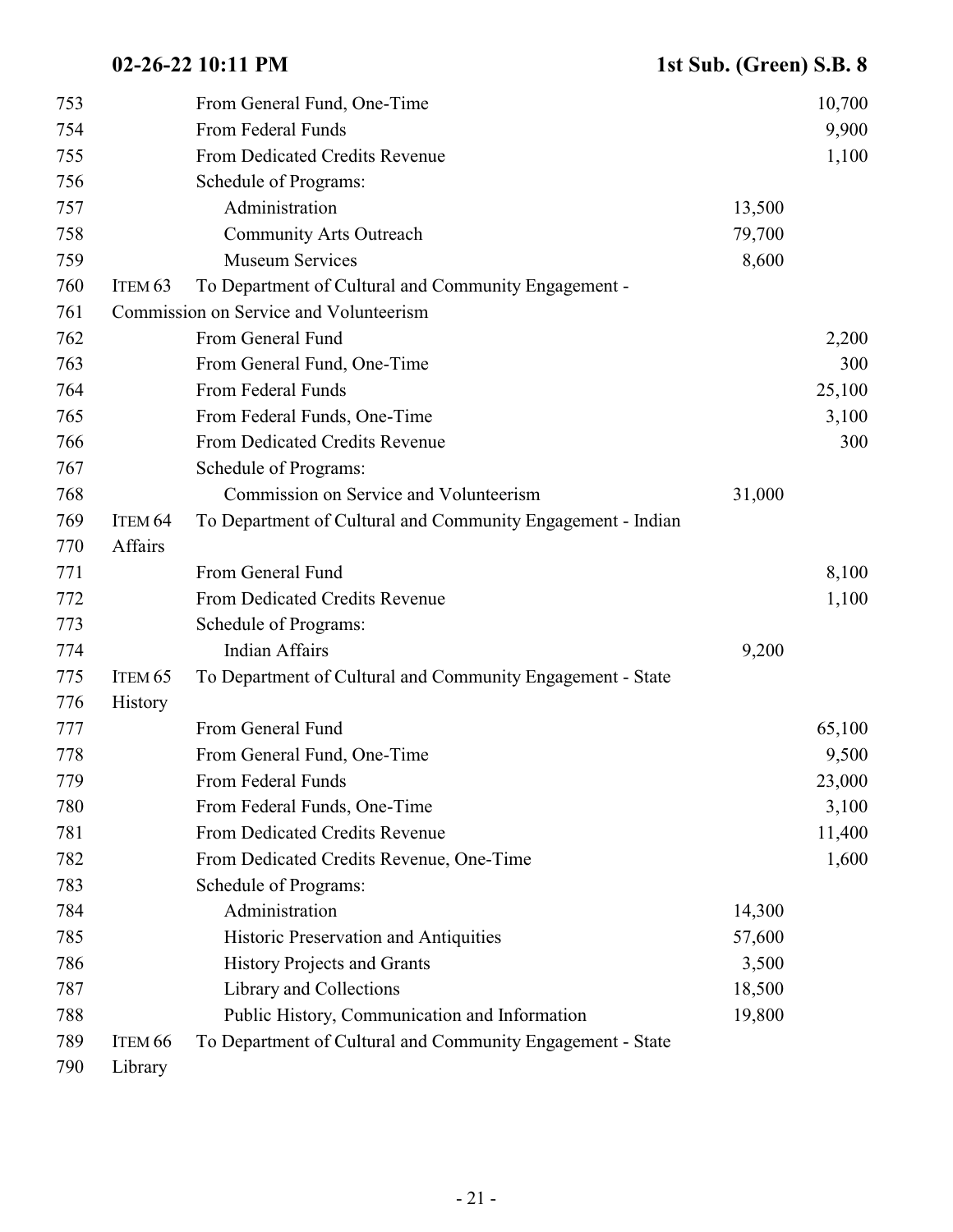| 753 |                    | From General Fund, One-Time                                 |        | 10,700 |
|-----|--------------------|-------------------------------------------------------------|--------|--------|
| 754 |                    | From Federal Funds                                          |        | 9,900  |
| 755 |                    | From Dedicated Credits Revenue                              |        | 1,100  |
| 756 |                    | Schedule of Programs:                                       |        |        |
| 757 |                    | Administration                                              | 13,500 |        |
| 758 |                    | <b>Community Arts Outreach</b>                              | 79,700 |        |
| 759 |                    | <b>Museum Services</b>                                      | 8,600  |        |
| 760 | ITEM <sub>63</sub> | To Department of Cultural and Community Engagement -        |        |        |
| 761 |                    | Commission on Service and Volunteerism                      |        |        |
| 762 |                    | From General Fund                                           |        | 2,200  |
| 763 |                    | From General Fund, One-Time                                 |        | 300    |
| 764 |                    | From Federal Funds                                          |        | 25,100 |
| 765 |                    | From Federal Funds, One-Time                                |        | 3,100  |
| 766 |                    | From Dedicated Credits Revenue                              |        | 300    |
| 767 |                    | Schedule of Programs:                                       |        |        |
| 768 |                    | Commission on Service and Volunteerism                      | 31,000 |        |
| 769 | ITEM <sub>64</sub> | To Department of Cultural and Community Engagement - Indian |        |        |
| 770 | Affairs            |                                                             |        |        |
| 771 |                    | From General Fund                                           |        | 8,100  |
| 772 |                    | From Dedicated Credits Revenue                              |        | 1,100  |
| 773 |                    | Schedule of Programs:                                       |        |        |
| 774 |                    | <b>Indian Affairs</b>                                       | 9,200  |        |
| 775 | ITEM <sub>65</sub> | To Department of Cultural and Community Engagement - State  |        |        |
| 776 | History            |                                                             |        |        |
| 777 |                    | From General Fund                                           |        | 65,100 |
| 778 |                    | From General Fund, One-Time                                 |        | 9,500  |
| 779 |                    | From Federal Funds                                          |        | 23,000 |
| 780 |                    | From Federal Funds, One-Time                                |        | 3,100  |
| 781 |                    | From Dedicated Credits Revenue                              |        | 11,400 |
| 782 |                    | From Dedicated Credits Revenue, One-Time                    |        | 1,600  |
| 783 |                    | Schedule of Programs:                                       |        |        |
| 784 |                    | Administration                                              | 14,300 |        |
| 785 |                    | Historic Preservation and Antiquities                       | 57,600 |        |
| 786 |                    | <b>History Projects and Grants</b>                          | 3,500  |        |
| 787 |                    | Library and Collections                                     | 18,500 |        |
| 788 |                    | Public History, Communication and Information               | 19,800 |        |
| 789 | ITEM <sub>66</sub> | To Department of Cultural and Community Engagement - State  |        |        |
| 790 | Library            |                                                             |        |        |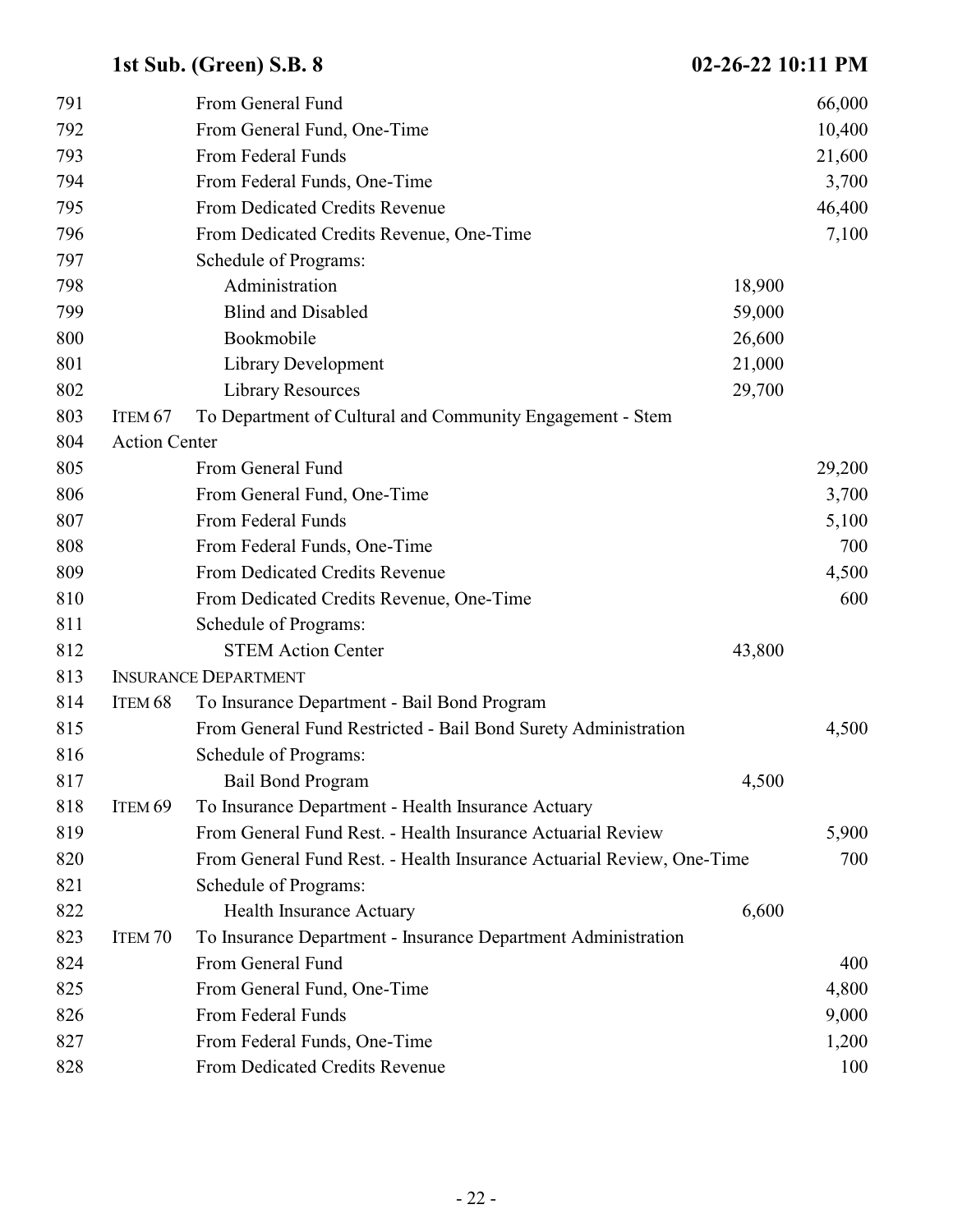| 791 |                      | From General Fund                                                     |        | 66,000 |
|-----|----------------------|-----------------------------------------------------------------------|--------|--------|
| 792 |                      | From General Fund, One-Time                                           |        | 10,400 |
| 793 |                      | From Federal Funds                                                    |        | 21,600 |
| 794 |                      | From Federal Funds, One-Time                                          |        | 3,700  |
| 795 |                      | From Dedicated Credits Revenue                                        |        | 46,400 |
| 796 |                      | From Dedicated Credits Revenue, One-Time                              |        | 7,100  |
| 797 |                      | Schedule of Programs:                                                 |        |        |
| 798 |                      | Administration                                                        | 18,900 |        |
| 799 |                      | <b>Blind and Disabled</b>                                             | 59,000 |        |
| 800 |                      | Bookmobile                                                            | 26,600 |        |
| 801 |                      | Library Development                                                   | 21,000 |        |
| 802 |                      | <b>Library Resources</b>                                              | 29,700 |        |
| 803 | ITEM <sub>67</sub>   | To Department of Cultural and Community Engagement - Stem             |        |        |
| 804 | <b>Action Center</b> |                                                                       |        |        |
| 805 |                      | From General Fund                                                     |        | 29,200 |
| 806 |                      | From General Fund, One-Time                                           |        | 3,700  |
| 807 |                      | From Federal Funds                                                    |        | 5,100  |
| 808 |                      | From Federal Funds, One-Time                                          |        | 700    |
| 809 |                      | From Dedicated Credits Revenue                                        |        | 4,500  |
| 810 |                      | From Dedicated Credits Revenue, One-Time                              |        | 600    |
| 811 |                      | Schedule of Programs:                                                 |        |        |
| 812 |                      | <b>STEM Action Center</b>                                             | 43,800 |        |
| 813 |                      | <b>INSURANCE DEPARTMENT</b>                                           |        |        |
| 814 | ITEM <sub>68</sub>   | To Insurance Department - Bail Bond Program                           |        |        |
| 815 |                      | From General Fund Restricted - Bail Bond Surety Administration        |        | 4,500  |
| 816 |                      | Schedule of Programs:                                                 |        |        |
| 817 |                      | <b>Bail Bond Program</b>                                              | 4,500  |        |
| 818 | ITEM <sub>69</sub>   | To Insurance Department - Health Insurance Actuary                    |        |        |
| 819 |                      | From General Fund Rest. - Health Insurance Actuarial Review           |        | 5,900  |
| 820 |                      | From General Fund Rest. - Health Insurance Actuarial Review, One-Time |        | 700    |
| 821 |                      | Schedule of Programs:                                                 |        |        |
| 822 |                      | <b>Health Insurance Actuary</b>                                       | 6,600  |        |
| 823 | ITEM <sub>70</sub>   | To Insurance Department - Insurance Department Administration         |        |        |
| 824 |                      | From General Fund                                                     |        | 400    |
| 825 |                      | From General Fund, One-Time                                           |        | 4,800  |
| 826 |                      | From Federal Funds                                                    |        | 9,000  |
| 827 |                      | From Federal Funds, One-Time                                          |        | 1,200  |
| 828 |                      | From Dedicated Credits Revenue                                        |        | 100    |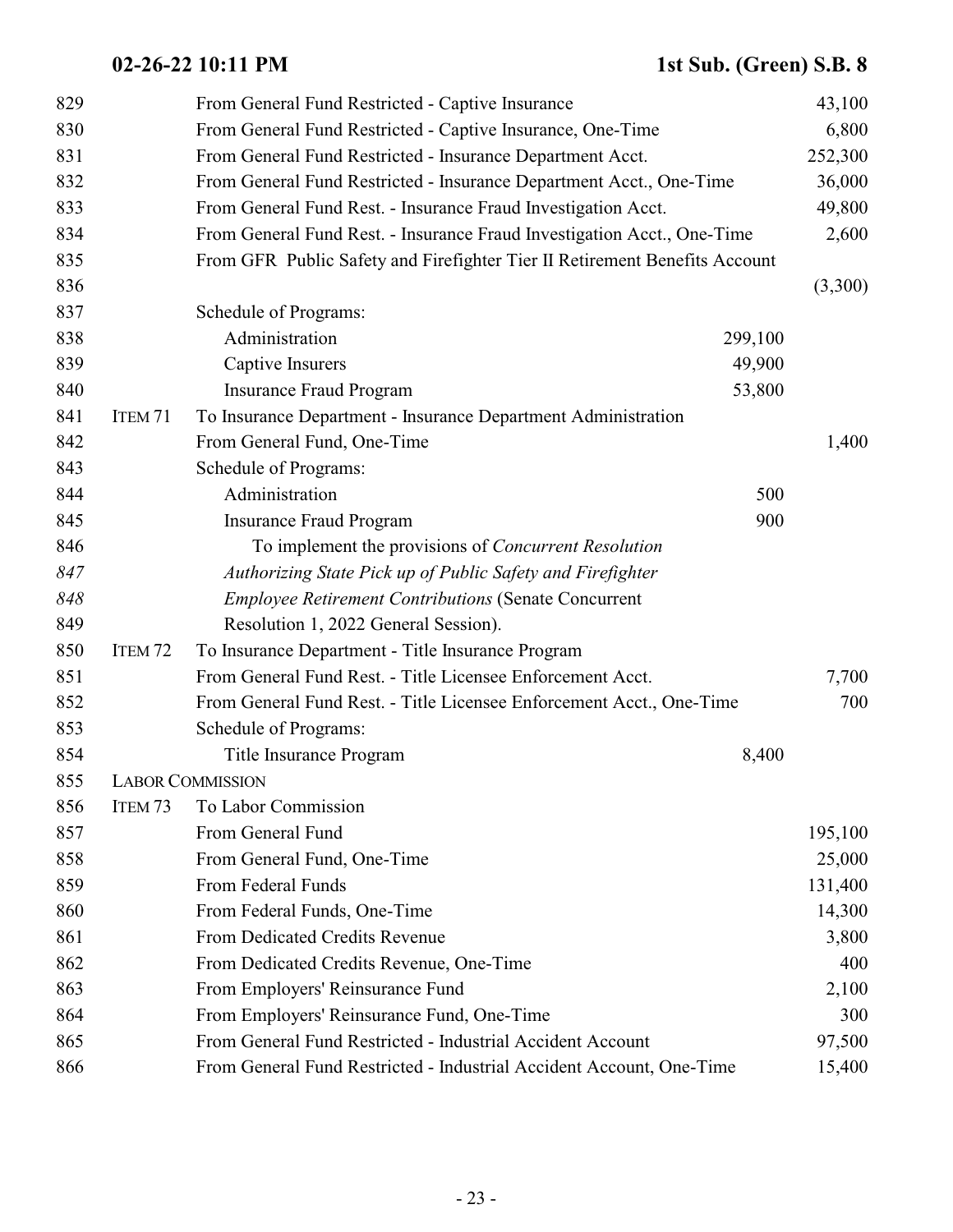| 829 |                    | From General Fund Restricted - Captive Insurance                           | 43,100  |
|-----|--------------------|----------------------------------------------------------------------------|---------|
| 830 |                    | From General Fund Restricted - Captive Insurance, One-Time                 | 6,800   |
| 831 |                    | From General Fund Restricted - Insurance Department Acct.                  | 252,300 |
| 832 |                    | From General Fund Restricted - Insurance Department Acct., One-Time        | 36,000  |
| 833 |                    | From General Fund Rest. - Insurance Fraud Investigation Acct.              | 49,800  |
| 834 |                    | From General Fund Rest. - Insurance Fraud Investigation Acct., One-Time    | 2,600   |
| 835 |                    | From GFR Public Safety and Firefighter Tier II Retirement Benefits Account |         |
| 836 |                    |                                                                            | (3,300) |
| 837 |                    | Schedule of Programs:                                                      |         |
| 838 |                    | Administration<br>299,100                                                  |         |
| 839 |                    | Captive Insurers<br>49,900                                                 |         |
| 840 |                    | 53,800<br><b>Insurance Fraud Program</b>                                   |         |
| 841 | ITEM <sub>71</sub> | To Insurance Department - Insurance Department Administration              |         |
| 842 |                    | From General Fund, One-Time                                                | 1,400   |
| 843 |                    | Schedule of Programs:                                                      |         |
| 844 |                    | Administration<br>500                                                      |         |
| 845 |                    | 900<br><b>Insurance Fraud Program</b>                                      |         |
| 846 |                    | To implement the provisions of <i>Concurrent Resolution</i>                |         |
| 847 |                    | Authorizing State Pick up of Public Safety and Firefighter                 |         |
| 848 |                    | <b>Employee Retirement Contributions (Senate Concurrent</b>                |         |
| 849 |                    | Resolution 1, 2022 General Session).                                       |         |
| 850 | ITEM <sub>72</sub> | To Insurance Department - Title Insurance Program                          |         |
| 851 |                    | From General Fund Rest. - Title Licensee Enforcement Acct.                 | 7,700   |
| 852 |                    | From General Fund Rest. - Title Licensee Enforcement Acct., One-Time       | 700     |
| 853 |                    | Schedule of Programs:                                                      |         |
| 854 |                    | Title Insurance Program<br>8,400                                           |         |
| 855 |                    | <b>LABOR COMMISSION</b>                                                    |         |
| 856 | ITEM <sub>73</sub> | To Labor Commission                                                        |         |
| 857 |                    | From General Fund                                                          | 195,100 |
| 858 |                    | From General Fund, One-Time                                                | 25,000  |
| 859 |                    | From Federal Funds                                                         | 131,400 |
| 860 |                    | From Federal Funds, One-Time                                               | 14,300  |
| 861 |                    | From Dedicated Credits Revenue                                             | 3,800   |
| 862 |                    | From Dedicated Credits Revenue, One-Time                                   | 400     |
| 863 |                    | From Employers' Reinsurance Fund                                           | 2,100   |
| 864 |                    | From Employers' Reinsurance Fund, One-Time                                 | 300     |
| 865 |                    | From General Fund Restricted - Industrial Accident Account                 | 97,500  |
| 866 |                    | From General Fund Restricted - Industrial Accident Account, One-Time       | 15,400  |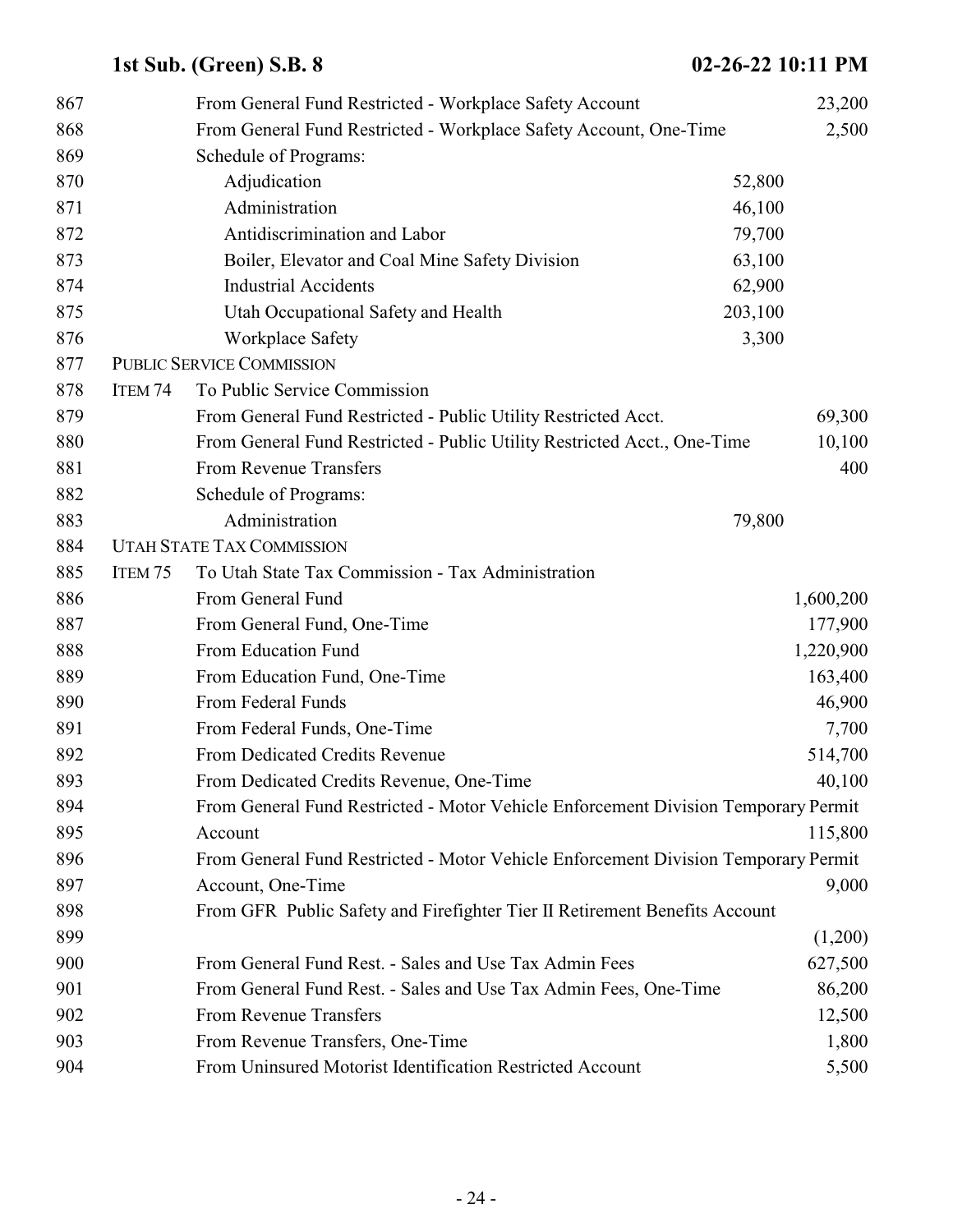| 867 |                    | From General Fund Restricted - Workplace Safety Account                            |         | 23,200    |
|-----|--------------------|------------------------------------------------------------------------------------|---------|-----------|
| 868 |                    | From General Fund Restricted - Workplace Safety Account, One-Time                  |         | 2,500     |
| 869 |                    | Schedule of Programs:                                                              |         |           |
| 870 |                    | Adjudication                                                                       | 52,800  |           |
| 871 |                    | Administration                                                                     | 46,100  |           |
| 872 |                    | Antidiscrimination and Labor                                                       | 79,700  |           |
| 873 |                    | Boiler, Elevator and Coal Mine Safety Division                                     | 63,100  |           |
| 874 |                    | <b>Industrial Accidents</b>                                                        | 62,900  |           |
| 875 |                    | Utah Occupational Safety and Health                                                | 203,100 |           |
| 876 |                    | <b>Workplace Safety</b>                                                            | 3,300   |           |
| 877 |                    | <b>PUBLIC SERVICE COMMISSION</b>                                                   |         |           |
| 878 | ITEM <sub>74</sub> | To Public Service Commission                                                       |         |           |
| 879 |                    | From General Fund Restricted - Public Utility Restricted Acct.                     |         | 69,300    |
| 880 |                    | From General Fund Restricted - Public Utility Restricted Acct., One-Time           |         | 10,100    |
| 881 |                    | <b>From Revenue Transfers</b>                                                      |         | 400       |
| 882 |                    | Schedule of Programs:                                                              |         |           |
| 883 |                    | Administration                                                                     | 79,800  |           |
| 884 |                    | <b>UTAH STATE TAX COMMISSION</b>                                                   |         |           |
| 885 | ITEM <sub>75</sub> | To Utah State Tax Commission - Tax Administration                                  |         |           |
| 886 |                    | From General Fund                                                                  |         | 1,600,200 |
| 887 |                    | From General Fund, One-Time                                                        |         | 177,900   |
| 888 |                    | From Education Fund                                                                |         | 1,220,900 |
| 889 |                    | From Education Fund, One-Time                                                      |         | 163,400   |
| 890 |                    | From Federal Funds                                                                 |         | 46,900    |
| 891 |                    | From Federal Funds, One-Time                                                       |         | 7,700     |
| 892 |                    | From Dedicated Credits Revenue                                                     |         | 514,700   |
| 893 |                    | From Dedicated Credits Revenue, One-Time                                           |         | 40,100    |
| 894 |                    | From General Fund Restricted - Motor Vehicle Enforcement Division Temporary Permit |         |           |
| 895 |                    | Account                                                                            |         | 115,800   |
| 896 |                    | From General Fund Restricted - Motor Vehicle Enforcement Division Temporary Permit |         |           |
| 897 |                    | Account, One-Time                                                                  |         | 9,000     |
| 898 |                    | From GFR Public Safety and Firefighter Tier II Retirement Benefits Account         |         |           |
| 899 |                    |                                                                                    |         | (1,200)   |
| 900 |                    | From General Fund Rest. - Sales and Use Tax Admin Fees                             |         | 627,500   |
| 901 |                    | From General Fund Rest. - Sales and Use Tax Admin Fees, One-Time                   |         | 86,200    |
| 902 |                    | <b>From Revenue Transfers</b>                                                      |         | 12,500    |
| 903 |                    | From Revenue Transfers, One-Time                                                   |         | 1,800     |
| 904 |                    | From Uninsured Motorist Identification Restricted Account                          |         | 5,500     |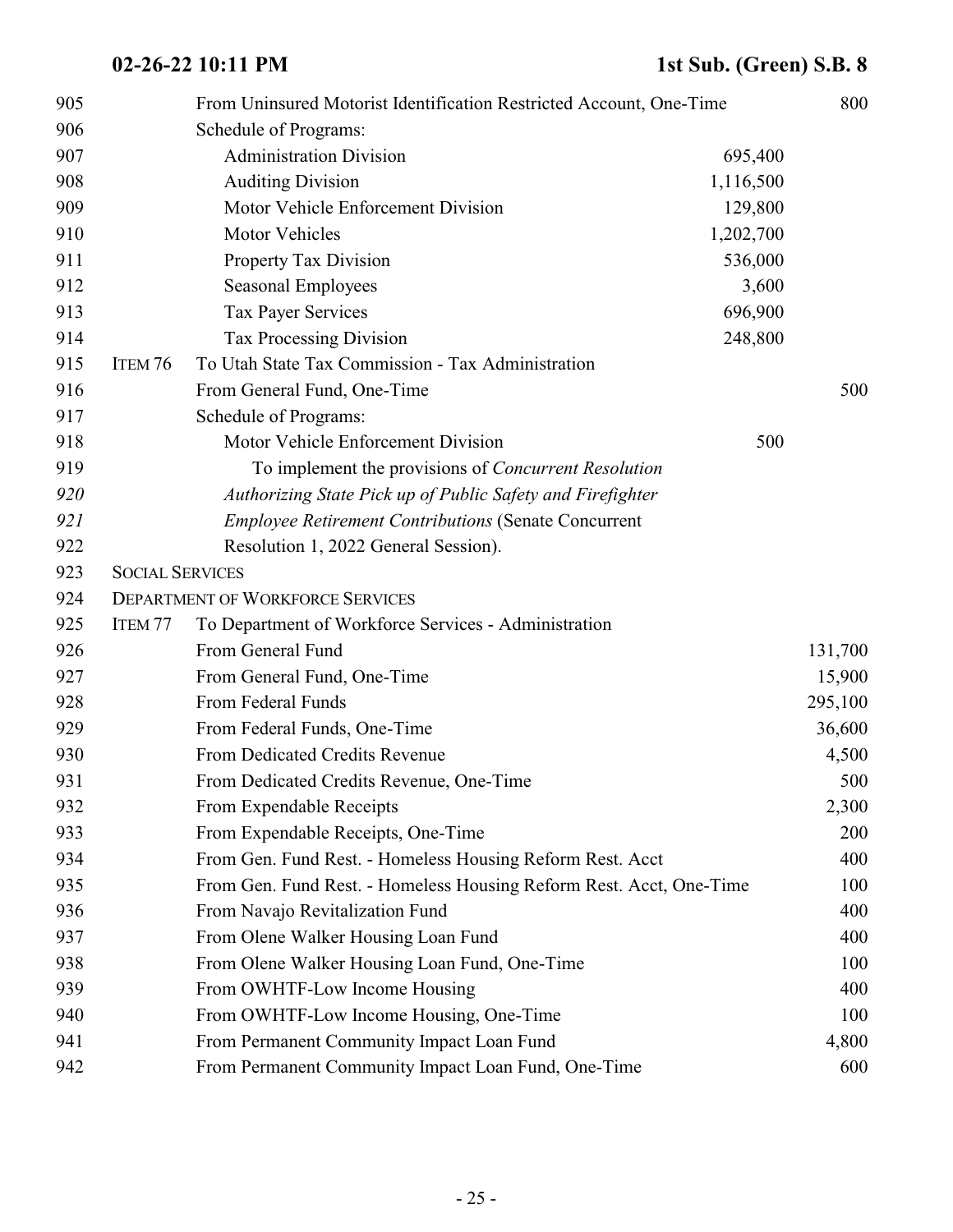| 905 |                        | From Uninsured Motorist Identification Restricted Account, One-Time |         | 800     |
|-----|------------------------|---------------------------------------------------------------------|---------|---------|
| 906 |                        | Schedule of Programs:                                               |         |         |
| 907 |                        | <b>Administration Division</b>                                      | 695,400 |         |
| 908 |                        | <b>Auditing Division</b><br>1,116,500                               |         |         |
| 909 |                        | Motor Vehicle Enforcement Division                                  | 129,800 |         |
| 910 |                        | Motor Vehicles<br>1,202,700                                         |         |         |
| 911 |                        | Property Tax Division                                               | 536,000 |         |
| 912 |                        | <b>Seasonal Employees</b>                                           | 3,600   |         |
| 913 |                        | <b>Tax Payer Services</b>                                           | 696,900 |         |
| 914 |                        | <b>Tax Processing Division</b>                                      | 248,800 |         |
| 915 | ITEM 76                | To Utah State Tax Commission - Tax Administration                   |         |         |
| 916 |                        | From General Fund, One-Time                                         |         | 500     |
| 917 |                        | Schedule of Programs:                                               |         |         |
| 918 |                        | Motor Vehicle Enforcement Division                                  | 500     |         |
| 919 |                        | To implement the provisions of <i>Concurrent Resolution</i>         |         |         |
| 920 |                        | Authorizing State Pick up of Public Safety and Firefighter          |         |         |
| 921 |                        | <b>Employee Retirement Contributions (Senate Concurrent</b>         |         |         |
| 922 |                        | Resolution 1, 2022 General Session).                                |         |         |
| 923 | <b>SOCIAL SERVICES</b> |                                                                     |         |         |
| 924 |                        | <b>DEPARTMENT OF WORKFORCE SERVICES</b>                             |         |         |
| 925 | ITEM <sub>77</sub>     | To Department of Workforce Services - Administration                |         |         |
| 926 |                        | From General Fund                                                   |         | 131,700 |
| 927 |                        | From General Fund, One-Time                                         |         | 15,900  |
| 928 |                        | From Federal Funds                                                  |         | 295,100 |
| 929 |                        | From Federal Funds, One-Time                                        |         | 36,600  |
| 930 |                        | From Dedicated Credits Revenue                                      |         | 4,500   |
| 931 |                        | From Dedicated Credits Revenue, One-Time                            |         | 500     |
| 932 |                        | From Expendable Receipts                                            |         | 2,300   |
| 933 |                        | From Expendable Receipts, One-Time                                  |         | 200     |
| 934 |                        | From Gen. Fund Rest. - Homeless Housing Reform Rest. Acct           |         | 400     |
| 935 |                        | From Gen. Fund Rest. - Homeless Housing Reform Rest. Acct, One-Time |         | 100     |
| 936 |                        | From Navajo Revitalization Fund                                     |         | 400     |
| 937 |                        | From Olene Walker Housing Loan Fund                                 |         | 400     |
| 938 |                        | From Olene Walker Housing Loan Fund, One-Time                       |         | 100     |
| 939 |                        | From OWHTF-Low Income Housing                                       |         | 400     |
| 940 |                        | From OWHTF-Low Income Housing, One-Time                             |         | 100     |
| 941 |                        | From Permanent Community Impact Loan Fund                           |         | 4,800   |
| 942 |                        | From Permanent Community Impact Loan Fund, One-Time                 |         | 600     |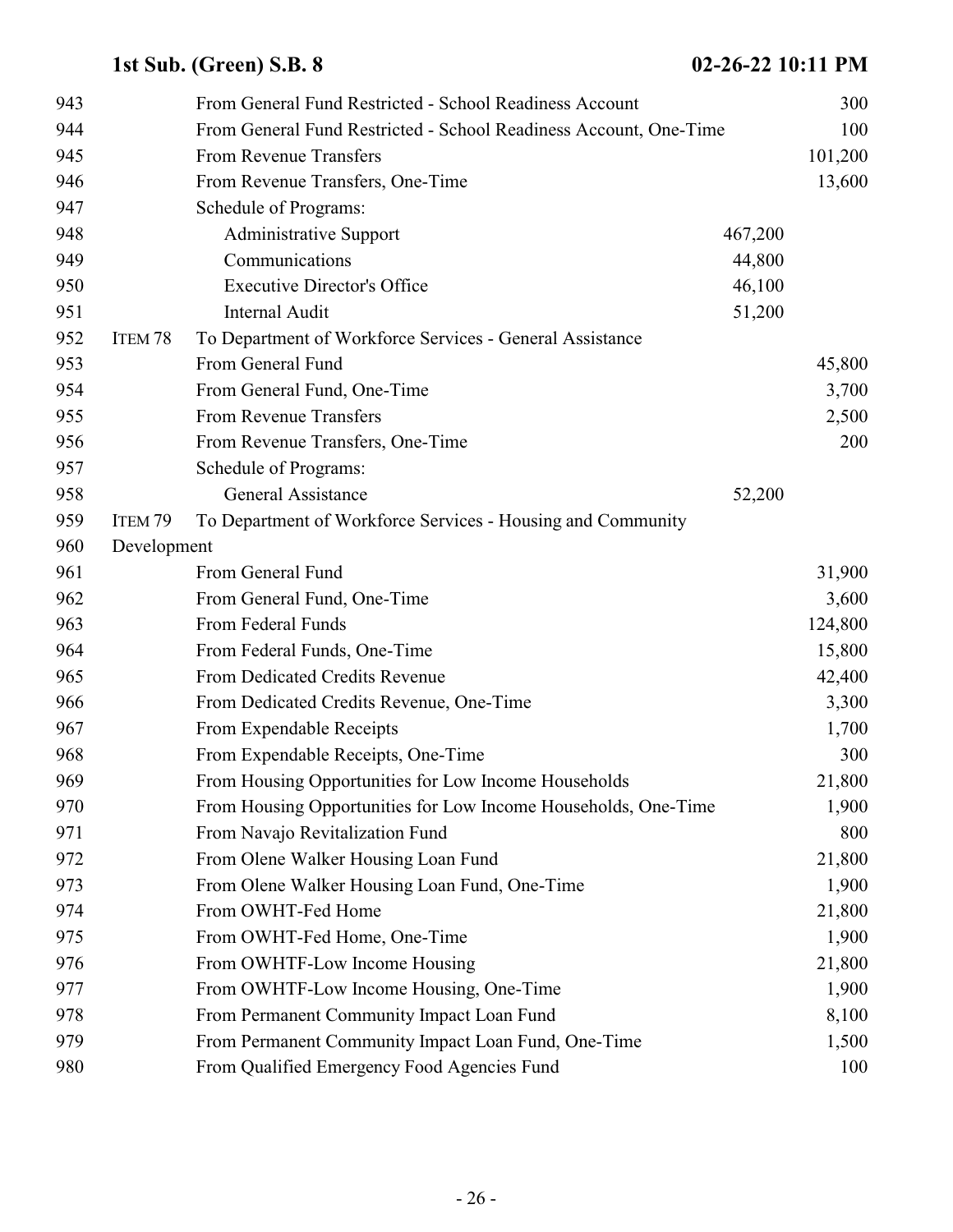| 943 |                    | From General Fund Restricted - School Readiness Account           |         | 300     |
|-----|--------------------|-------------------------------------------------------------------|---------|---------|
| 944 |                    | From General Fund Restricted - School Readiness Account, One-Time |         | 100     |
| 945 |                    | From Revenue Transfers                                            |         | 101,200 |
| 946 |                    | From Revenue Transfers, One-Time                                  |         | 13,600  |
| 947 |                    | Schedule of Programs:                                             |         |         |
| 948 |                    | <b>Administrative Support</b>                                     | 467,200 |         |
| 949 |                    | Communications                                                    | 44,800  |         |
| 950 |                    | <b>Executive Director's Office</b>                                | 46,100  |         |
| 951 |                    | <b>Internal Audit</b>                                             | 51,200  |         |
| 952 | ITEM <sub>78</sub> | To Department of Workforce Services - General Assistance          |         |         |
| 953 |                    | From General Fund                                                 |         | 45,800  |
| 954 |                    | From General Fund, One-Time                                       |         | 3,700   |
| 955 |                    | From Revenue Transfers                                            |         | 2,500   |
| 956 |                    | From Revenue Transfers, One-Time                                  |         | 200     |
| 957 |                    | Schedule of Programs:                                             |         |         |
| 958 |                    | General Assistance                                                | 52,200  |         |
| 959 | ITEM <sub>79</sub> | To Department of Workforce Services - Housing and Community       |         |         |
| 960 | Development        |                                                                   |         |         |
| 961 |                    | From General Fund                                                 |         | 31,900  |
| 962 |                    | From General Fund, One-Time                                       |         | 3,600   |
| 963 |                    | From Federal Funds                                                |         | 124,800 |
| 964 |                    | From Federal Funds, One-Time                                      |         | 15,800  |
| 965 |                    | From Dedicated Credits Revenue                                    |         | 42,400  |
| 966 |                    | From Dedicated Credits Revenue, One-Time                          |         | 3,300   |
| 967 |                    | From Expendable Receipts                                          |         | 1,700   |
| 968 |                    | From Expendable Receipts, One-Time                                |         | 300     |
| 969 |                    | From Housing Opportunities for Low Income Households              |         | 21,800  |
| 970 |                    | From Housing Opportunities for Low Income Households, One-Time    |         | 1,900   |
| 971 |                    | From Navajo Revitalization Fund                                   |         | 800     |
| 972 |                    | From Olene Walker Housing Loan Fund                               |         | 21,800  |
| 973 |                    | From Olene Walker Housing Loan Fund, One-Time                     |         | 1,900   |
| 974 |                    | From OWHT-Fed Home                                                |         | 21,800  |
| 975 |                    | From OWHT-Fed Home, One-Time                                      |         | 1,900   |
| 976 |                    | From OWHTF-Low Income Housing                                     |         | 21,800  |
| 977 |                    | From OWHTF-Low Income Housing, One-Time                           |         | 1,900   |
| 978 |                    | From Permanent Community Impact Loan Fund                         |         | 8,100   |
| 979 |                    | From Permanent Community Impact Loan Fund, One-Time               |         | 1,500   |
| 980 |                    | From Qualified Emergency Food Agencies Fund                       |         | 100     |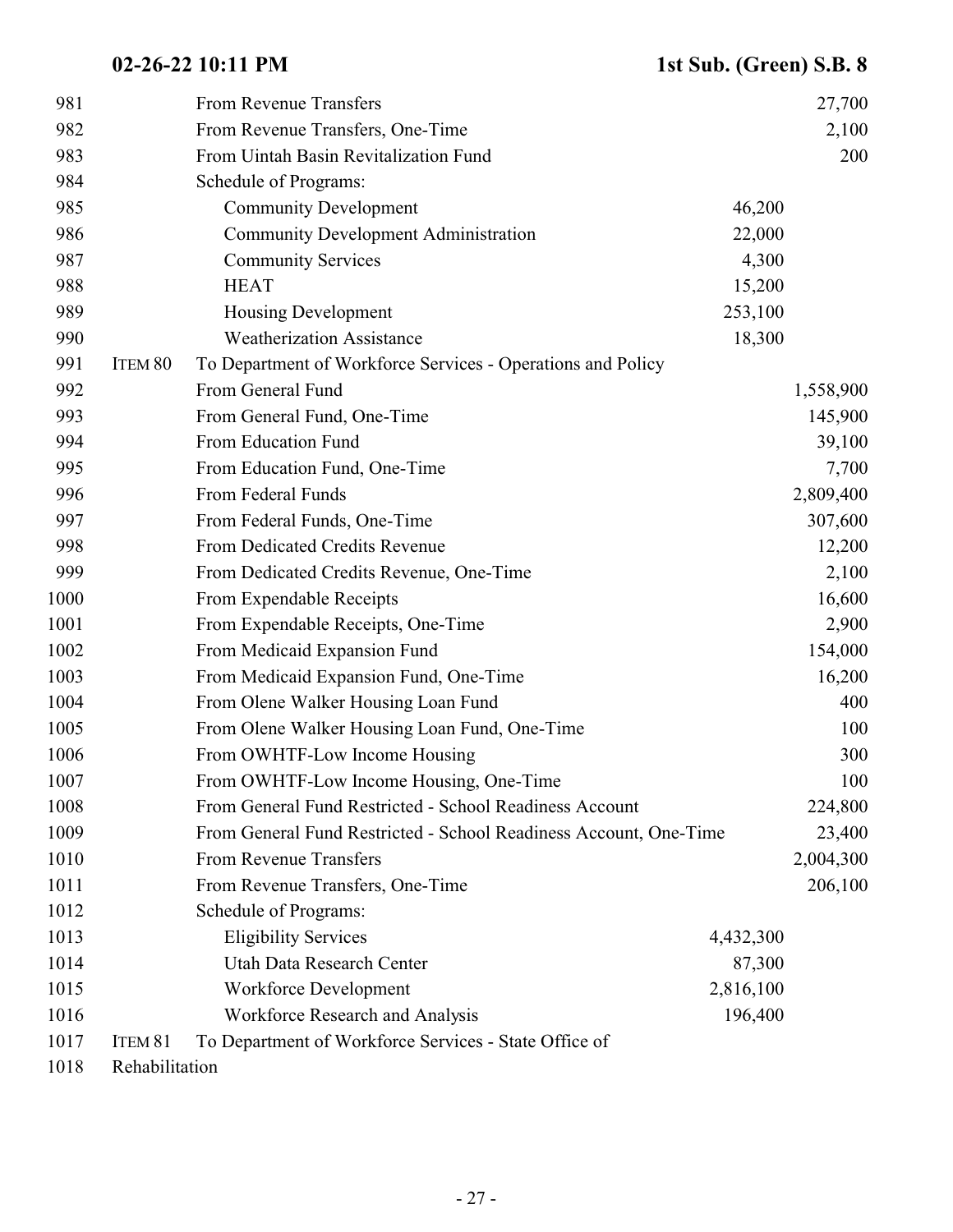| 981  |                    | From Revenue Transfers                                            |           | 27,700    |
|------|--------------------|-------------------------------------------------------------------|-----------|-----------|
| 982  |                    | From Revenue Transfers, One-Time                                  |           | 2,100     |
| 983  |                    | From Uintah Basin Revitalization Fund                             |           | 200       |
| 984  |                    | Schedule of Programs:                                             |           |           |
| 985  |                    | <b>Community Development</b>                                      | 46,200    |           |
| 986  |                    | <b>Community Development Administration</b>                       | 22,000    |           |
| 987  |                    | <b>Community Services</b>                                         | 4,300     |           |
| 988  |                    | <b>HEAT</b>                                                       | 15,200    |           |
| 989  |                    | <b>Housing Development</b>                                        | 253,100   |           |
| 990  |                    | <b>Weatherization Assistance</b>                                  | 18,300    |           |
| 991  | ITEM <sub>80</sub> | To Department of Workforce Services - Operations and Policy       |           |           |
| 992  |                    | From General Fund                                                 |           | 1,558,900 |
| 993  |                    | From General Fund, One-Time                                       |           | 145,900   |
| 994  |                    | From Education Fund                                               |           | 39,100    |
| 995  |                    | From Education Fund, One-Time                                     |           | 7,700     |
| 996  |                    | From Federal Funds                                                |           | 2,809,400 |
| 997  |                    | From Federal Funds, One-Time                                      |           | 307,600   |
| 998  |                    | From Dedicated Credits Revenue                                    |           | 12,200    |
| 999  |                    | From Dedicated Credits Revenue, One-Time                          |           | 2,100     |
| 1000 |                    | From Expendable Receipts                                          |           | 16,600    |
| 1001 |                    | From Expendable Receipts, One-Time                                |           | 2,900     |
| 1002 |                    | From Medicaid Expansion Fund                                      |           | 154,000   |
| 1003 |                    | From Medicaid Expansion Fund, One-Time                            |           | 16,200    |
| 1004 |                    | From Olene Walker Housing Loan Fund                               |           | 400       |
| 1005 |                    | From Olene Walker Housing Loan Fund, One-Time                     |           | 100       |
| 1006 |                    | From OWHTF-Low Income Housing                                     |           | 300       |
| 1007 |                    | From OWHTF-Low Income Housing, One-Time                           |           | 100       |
| 1008 |                    | From General Fund Restricted - School Readiness Account           |           | 224,800   |
| 1009 |                    | From General Fund Restricted - School Readiness Account, One-Time |           | 23,400    |
| 1010 |                    | From Revenue Transfers                                            |           | 2,004,300 |
| 1011 |                    | From Revenue Transfers, One-Time                                  |           | 206,100   |
| 1012 |                    | Schedule of Programs:                                             |           |           |
| 1013 |                    | <b>Eligibility Services</b>                                       | 4,432,300 |           |
| 1014 |                    | Utah Data Research Center                                         | 87,300    |           |
| 1015 |                    | Workforce Development                                             | 2,816,100 |           |
| 1016 |                    | Workforce Research and Analysis                                   | 196,400   |           |
| 1017 | ITEM <sub>81</sub> | To Department of Workforce Services - State Office of             |           |           |
| 1018 | Rehabilitation     |                                                                   |           |           |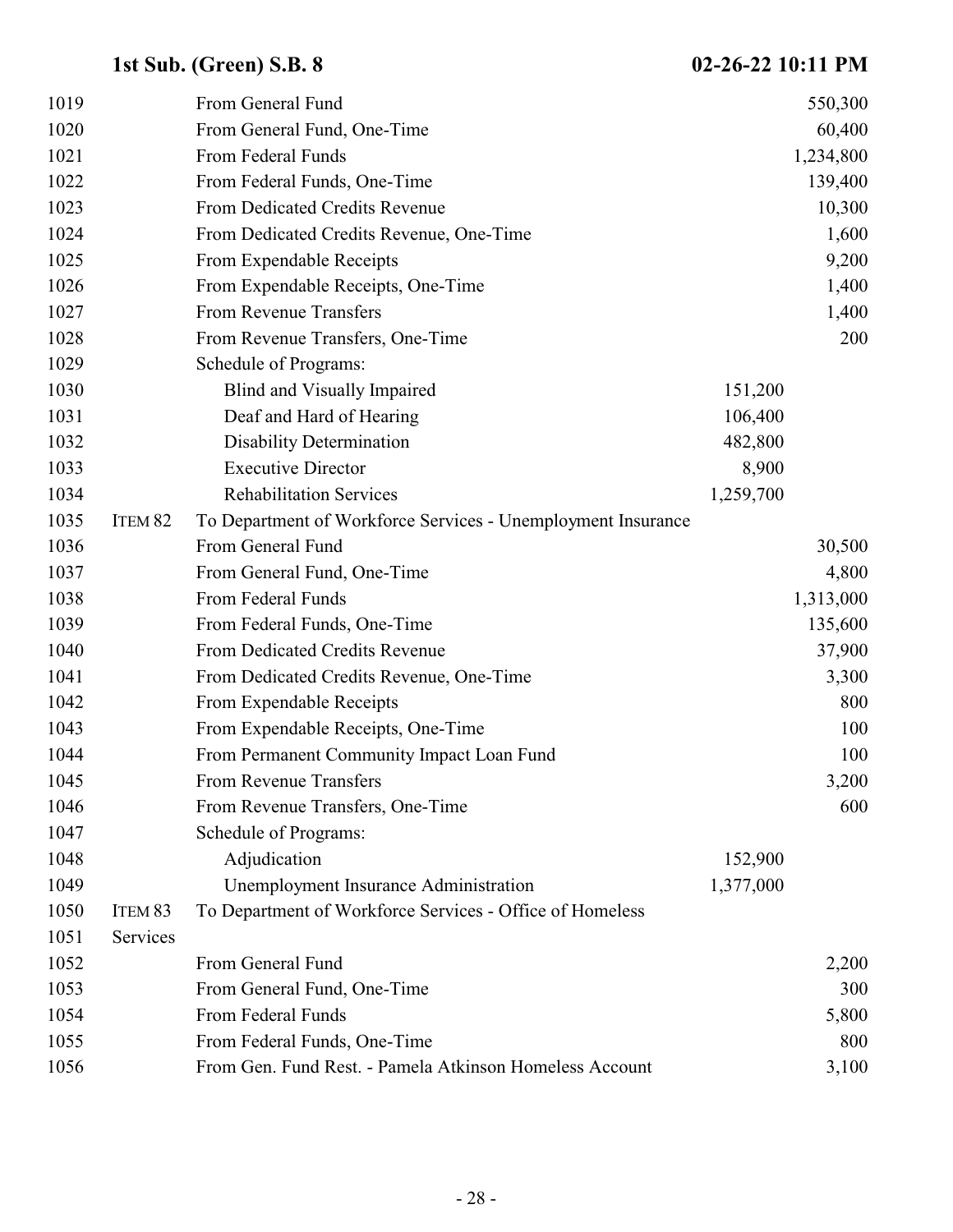| 1019 |                    | From General Fund                                            |           | 550,300   |
|------|--------------------|--------------------------------------------------------------|-----------|-----------|
| 1020 |                    | From General Fund, One-Time                                  |           | 60,400    |
| 1021 |                    | From Federal Funds                                           |           | 1,234,800 |
| 1022 |                    | From Federal Funds, One-Time                                 |           | 139,400   |
| 1023 |                    | From Dedicated Credits Revenue                               |           | 10,300    |
| 1024 |                    | From Dedicated Credits Revenue, One-Time                     |           | 1,600     |
| 1025 |                    | From Expendable Receipts                                     |           | 9,200     |
| 1026 |                    | From Expendable Receipts, One-Time                           |           | 1,400     |
| 1027 |                    | From Revenue Transfers                                       |           | 1,400     |
| 1028 |                    | From Revenue Transfers, One-Time                             |           | 200       |
| 1029 |                    | Schedule of Programs:                                        |           |           |
| 1030 |                    | Blind and Visually Impaired                                  | 151,200   |           |
| 1031 |                    | Deaf and Hard of Hearing                                     | 106,400   |           |
| 1032 |                    | <b>Disability Determination</b>                              | 482,800   |           |
| 1033 |                    | <b>Executive Director</b>                                    | 8,900     |           |
| 1034 |                    | <b>Rehabilitation Services</b>                               | 1,259,700 |           |
| 1035 | ITEM <sub>82</sub> | To Department of Workforce Services - Unemployment Insurance |           |           |
| 1036 |                    | From General Fund                                            |           | 30,500    |
| 1037 |                    | From General Fund, One-Time                                  |           | 4,800     |
| 1038 |                    | From Federal Funds                                           |           | 1,313,000 |
| 1039 |                    | From Federal Funds, One-Time                                 |           | 135,600   |
| 1040 |                    | From Dedicated Credits Revenue                               |           | 37,900    |
| 1041 |                    | From Dedicated Credits Revenue, One-Time                     |           | 3,300     |
| 1042 |                    | From Expendable Receipts                                     |           | 800       |
| 1043 |                    | From Expendable Receipts, One-Time                           |           | 100       |
| 1044 |                    | From Permanent Community Impact Loan Fund                    |           | 100       |
| 1045 |                    | From Revenue Transfers                                       |           | 3,200     |
| 1046 |                    | From Revenue Transfers, One-Time                             |           | 600       |
| 1047 |                    | Schedule of Programs:                                        |           |           |
| 1048 |                    | Adjudication                                                 | 152,900   |           |
| 1049 |                    | Unemployment Insurance Administration                        | 1,377,000 |           |
| 1050 | ITEM 83            | To Department of Workforce Services - Office of Homeless     |           |           |
| 1051 | Services           |                                                              |           |           |
| 1052 |                    | From General Fund                                            |           | 2,200     |
| 1053 |                    | From General Fund, One-Time                                  |           | 300       |
| 1054 |                    | From Federal Funds                                           |           | 5,800     |
| 1055 |                    | From Federal Funds, One-Time                                 |           | 800       |
| 1056 |                    | From Gen. Fund Rest. - Pamela Atkinson Homeless Account      |           | 3,100     |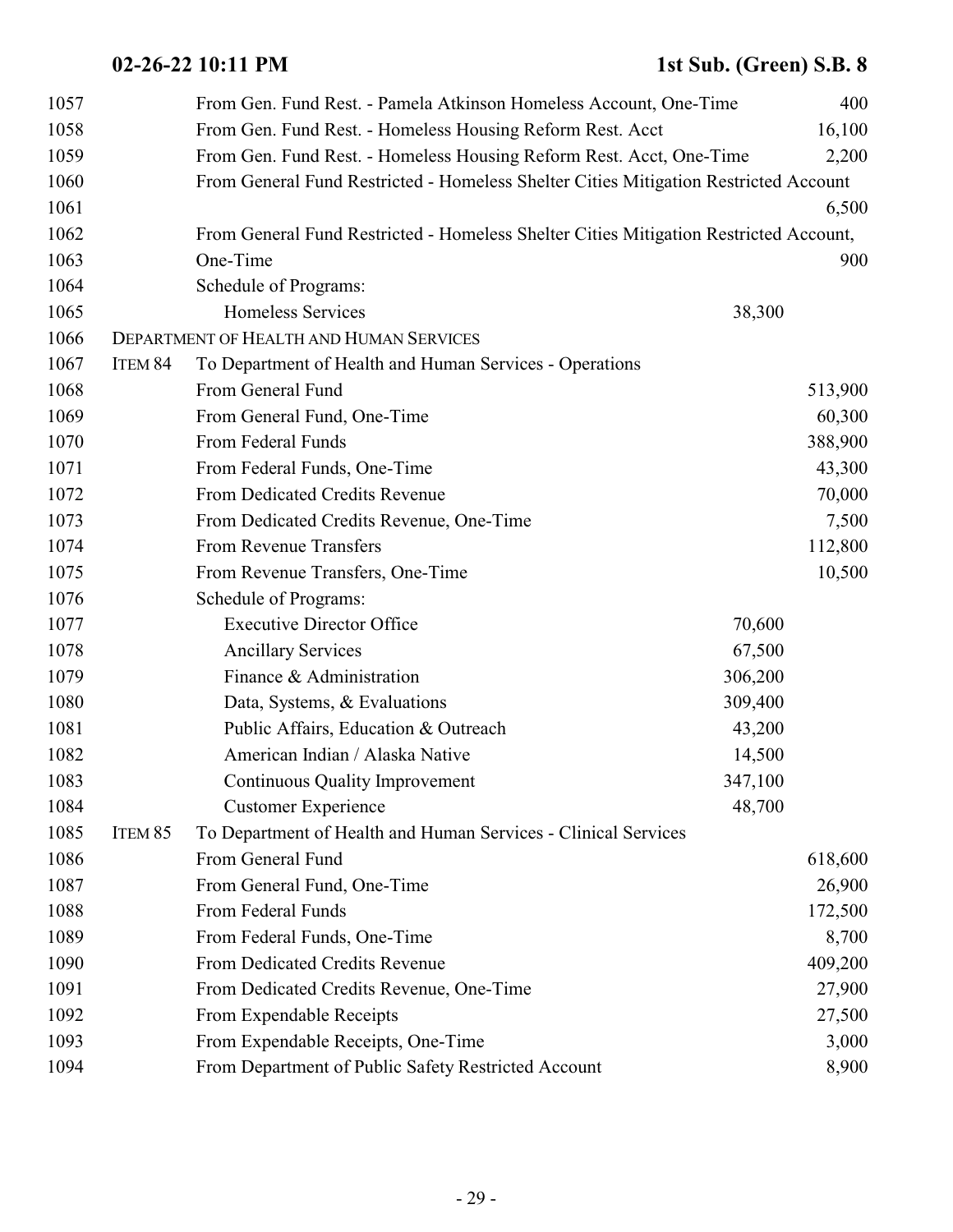| 1057 |                    | From Gen. Fund Rest. - Pamela Atkinson Homeless Account, One-Time                     |         | 400     |
|------|--------------------|---------------------------------------------------------------------------------------|---------|---------|
| 1058 |                    | From Gen. Fund Rest. - Homeless Housing Reform Rest. Acct                             |         | 16,100  |
| 1059 |                    | From Gen. Fund Rest. - Homeless Housing Reform Rest. Acct, One-Time                   |         | 2,200   |
| 1060 |                    | From General Fund Restricted - Homeless Shelter Cities Mitigation Restricted Account  |         |         |
| 1061 |                    |                                                                                       |         | 6,500   |
| 1062 |                    | From General Fund Restricted - Homeless Shelter Cities Mitigation Restricted Account, |         |         |
| 1063 |                    | One-Time                                                                              |         | 900     |
| 1064 |                    | Schedule of Programs:                                                                 |         |         |
| 1065 |                    | Homeless Services                                                                     | 38,300  |         |
| 1066 |                    | <b>DEPARTMENT OF HEALTH AND HUMAN SERVICES</b>                                        |         |         |
| 1067 | ITEM 84            | To Department of Health and Human Services - Operations                               |         |         |
| 1068 |                    | From General Fund                                                                     |         | 513,900 |
| 1069 |                    | From General Fund, One-Time                                                           |         | 60,300  |
| 1070 |                    | From Federal Funds                                                                    |         | 388,900 |
| 1071 |                    | From Federal Funds, One-Time                                                          |         | 43,300  |
| 1072 |                    | From Dedicated Credits Revenue                                                        |         | 70,000  |
| 1073 |                    | From Dedicated Credits Revenue, One-Time                                              |         | 7,500   |
| 1074 |                    | From Revenue Transfers                                                                |         | 112,800 |
| 1075 |                    | From Revenue Transfers, One-Time                                                      |         | 10,500  |
| 1076 |                    | Schedule of Programs:                                                                 |         |         |
| 1077 |                    | <b>Executive Director Office</b>                                                      | 70,600  |         |
| 1078 |                    | <b>Ancillary Services</b>                                                             | 67,500  |         |
| 1079 |                    | Finance & Administration                                                              | 306,200 |         |
| 1080 |                    | Data, Systems, & Evaluations                                                          | 309,400 |         |
| 1081 |                    | Public Affairs, Education & Outreach                                                  | 43,200  |         |
| 1082 |                    | American Indian / Alaska Native                                                       | 14,500  |         |
| 1083 |                    | <b>Continuous Quality Improvement</b>                                                 | 347,100 |         |
| 1084 |                    | <b>Customer Experience</b>                                                            | 48,700  |         |
| 1085 | ITEM <sub>85</sub> | To Department of Health and Human Services - Clinical Services                        |         |         |
| 1086 |                    | From General Fund                                                                     |         | 618,600 |
| 1087 |                    | From General Fund, One-Time                                                           |         | 26,900  |
| 1088 |                    | From Federal Funds                                                                    |         | 172,500 |
| 1089 |                    | From Federal Funds, One-Time                                                          |         | 8,700   |
| 1090 |                    | From Dedicated Credits Revenue                                                        |         | 409,200 |
| 1091 |                    | From Dedicated Credits Revenue, One-Time                                              |         | 27,900  |
| 1092 |                    | From Expendable Receipts                                                              |         | 27,500  |
| 1093 |                    | From Expendable Receipts, One-Time                                                    |         | 3,000   |
| 1094 |                    | From Department of Public Safety Restricted Account                                   |         | 8,900   |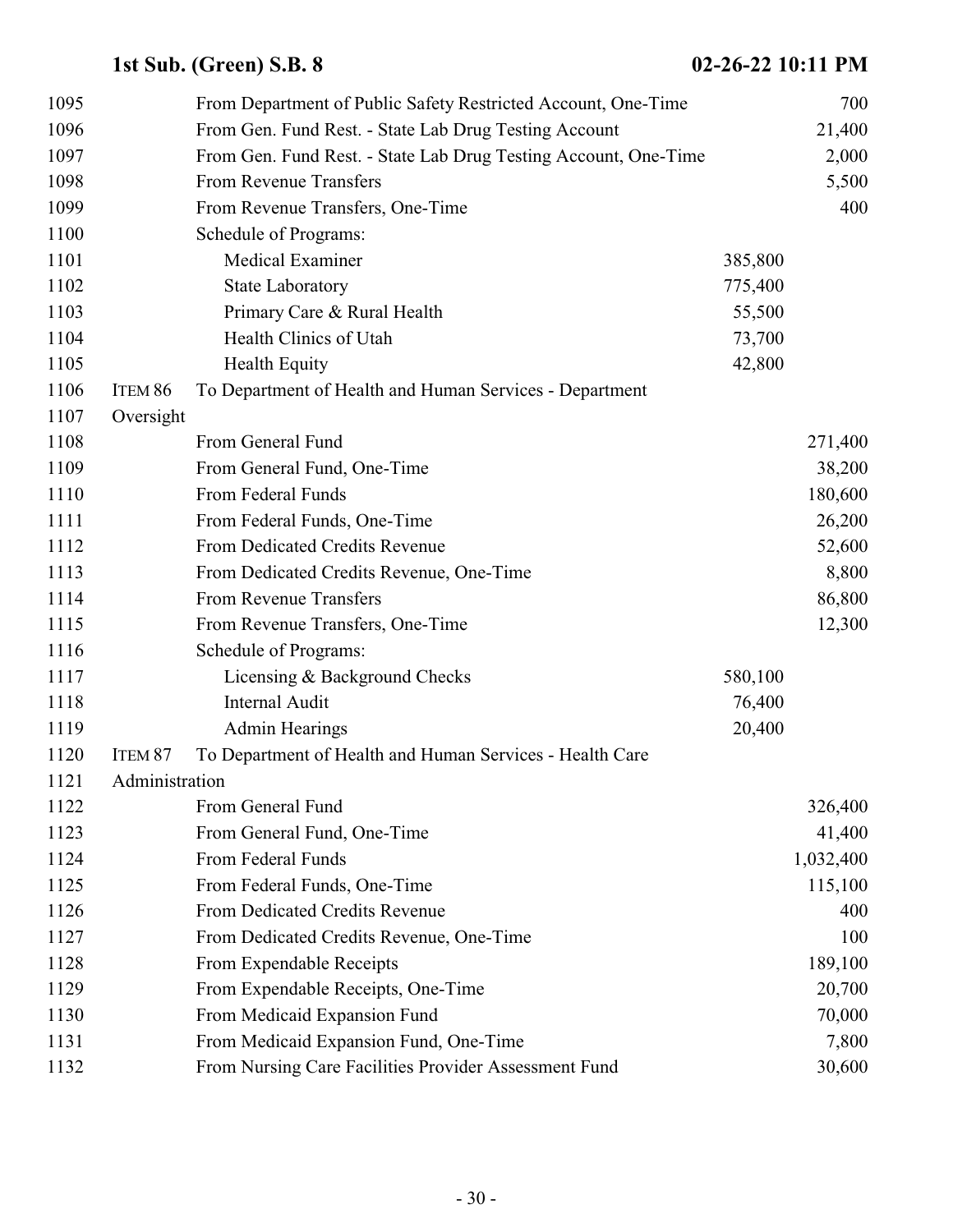| 1095 |                | From Department of Public Safety Restricted Account, One-Time   |         | 700       |
|------|----------------|-----------------------------------------------------------------|---------|-----------|
| 1096 |                | From Gen. Fund Rest. - State Lab Drug Testing Account           |         | 21,400    |
| 1097 |                | From Gen. Fund Rest. - State Lab Drug Testing Account, One-Time |         | 2,000     |
| 1098 |                | From Revenue Transfers                                          |         | 5,500     |
| 1099 |                | From Revenue Transfers, One-Time                                |         | 400       |
| 1100 |                | Schedule of Programs:                                           |         |           |
| 1101 |                | Medical Examiner                                                | 385,800 |           |
| 1102 |                | <b>State Laboratory</b>                                         | 775,400 |           |
| 1103 |                | Primary Care & Rural Health                                     | 55,500  |           |
| 1104 |                | Health Clinics of Utah                                          | 73,700  |           |
| 1105 |                | <b>Health Equity</b>                                            | 42,800  |           |
| 1106 | ITEM 86        | To Department of Health and Human Services - Department         |         |           |
| 1107 | Oversight      |                                                                 |         |           |
| 1108 |                | From General Fund                                               |         | 271,400   |
| 1109 |                | From General Fund, One-Time                                     |         | 38,200    |
| 1110 |                | From Federal Funds                                              |         | 180,600   |
| 1111 |                | From Federal Funds, One-Time                                    |         | 26,200    |
| 1112 |                | From Dedicated Credits Revenue                                  |         | 52,600    |
| 1113 |                | From Dedicated Credits Revenue, One-Time                        |         | 8,800     |
| 1114 |                | From Revenue Transfers                                          |         | 86,800    |
| 1115 |                | From Revenue Transfers, One-Time                                |         | 12,300    |
| 1116 |                | Schedule of Programs:                                           |         |           |
| 1117 |                | Licensing & Background Checks                                   | 580,100 |           |
| 1118 |                | Internal Audit                                                  | 76,400  |           |
| 1119 |                | <b>Admin Hearings</b>                                           | 20,400  |           |
| 1120 | ITEM 87        | To Department of Health and Human Services - Health Care        |         |           |
| 1121 | Administration |                                                                 |         |           |
| 1122 |                | From General Fund                                               |         | 326,400   |
| 1123 |                | From General Fund, One-Time                                     |         | 41,400    |
| 1124 |                | From Federal Funds                                              |         | 1,032,400 |
| 1125 |                | From Federal Funds, One-Time                                    |         | 115,100   |
| 1126 |                | From Dedicated Credits Revenue                                  |         | 400       |
| 1127 |                | From Dedicated Credits Revenue, One-Time                        |         | 100       |
| 1128 |                | From Expendable Receipts                                        |         | 189,100   |
| 1129 |                | From Expendable Receipts, One-Time                              |         | 20,700    |
| 1130 |                | From Medicaid Expansion Fund                                    |         | 70,000    |
| 1131 |                | From Medicaid Expansion Fund, One-Time                          |         | 7,800     |
| 1132 |                | From Nursing Care Facilities Provider Assessment Fund           |         | 30,600    |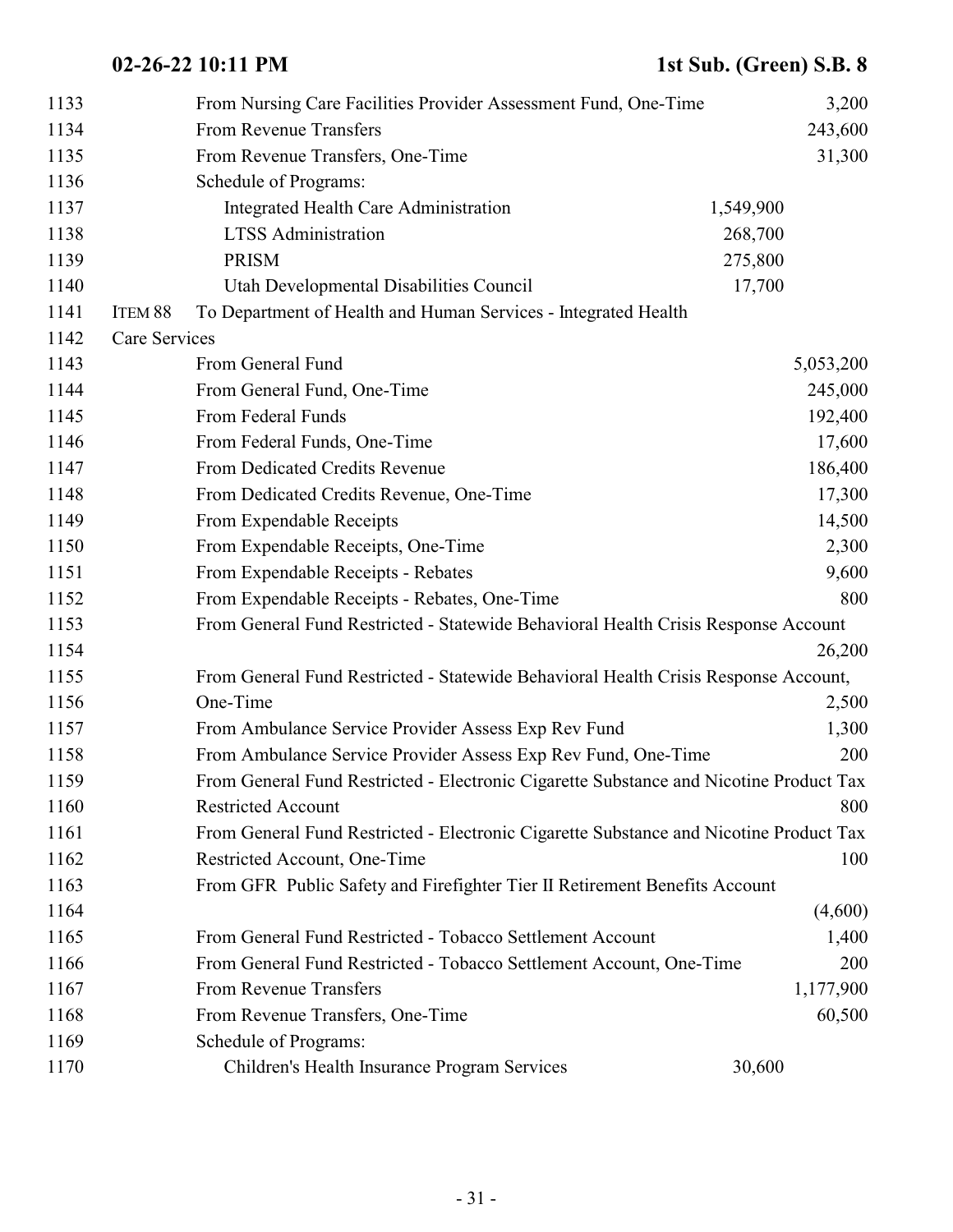| 1133 |               | From Nursing Care Facilities Provider Assessment Fund, One-Time                        |           | 3,200     |
|------|---------------|----------------------------------------------------------------------------------------|-----------|-----------|
| 1134 |               | <b>From Revenue Transfers</b>                                                          |           | 243,600   |
| 1135 |               | From Revenue Transfers, One-Time                                                       |           | 31,300    |
| 1136 |               | Schedule of Programs:                                                                  |           |           |
| 1137 |               | Integrated Health Care Administration                                                  | 1,549,900 |           |
| 1138 |               | <b>LTSS</b> Administration                                                             | 268,700   |           |
| 1139 |               | <b>PRISM</b>                                                                           | 275,800   |           |
| 1140 |               | Utah Developmental Disabilities Council                                                | 17,700    |           |
| 1141 | ITEM 88       | To Department of Health and Human Services - Integrated Health                         |           |           |
| 1142 | Care Services |                                                                                        |           |           |
| 1143 |               | From General Fund                                                                      |           | 5,053,200 |
| 1144 |               | From General Fund, One-Time                                                            |           | 245,000   |
| 1145 |               | From Federal Funds                                                                     |           | 192,400   |
| 1146 |               | From Federal Funds, One-Time                                                           |           | 17,600    |
| 1147 |               | From Dedicated Credits Revenue                                                         |           | 186,400   |
| 1148 |               | From Dedicated Credits Revenue, One-Time                                               |           | 17,300    |
| 1149 |               | From Expendable Receipts                                                               |           | 14,500    |
| 1150 |               | From Expendable Receipts, One-Time                                                     |           | 2,300     |
| 1151 |               | From Expendable Receipts - Rebates                                                     |           | 9,600     |
| 1152 |               | From Expendable Receipts - Rebates, One-Time                                           |           | 800       |
| 1153 |               | From General Fund Restricted - Statewide Behavioral Health Crisis Response Account     |           |           |
| 1154 |               |                                                                                        |           | 26,200    |
| 1155 |               | From General Fund Restricted - Statewide Behavioral Health Crisis Response Account,    |           |           |
| 1156 |               | One-Time                                                                               |           | 2,500     |
| 1157 |               | From Ambulance Service Provider Assess Exp Rev Fund                                    |           | 1,300     |
| 1158 |               | From Ambulance Service Provider Assess Exp Rev Fund, One-Time                          |           | 200       |
| 1159 |               | From General Fund Restricted - Electronic Cigarette Substance and Nicotine Product Tax |           |           |
| 1160 |               | <b>Restricted Account</b>                                                              |           | 800       |
| 1161 |               | From General Fund Restricted - Electronic Cigarette Substance and Nicotine Product Tax |           |           |
| 1162 |               | Restricted Account, One-Time                                                           |           | 100       |
| 1163 |               | From GFR Public Safety and Firefighter Tier II Retirement Benefits Account             |           |           |
| 1164 |               |                                                                                        |           | (4,600)   |
| 1165 |               | From General Fund Restricted - Tobacco Settlement Account                              |           | 1,400     |
| 1166 |               | From General Fund Restricted - Tobacco Settlement Account, One-Time                    |           | 200       |
| 1167 |               | From Revenue Transfers                                                                 |           | 1,177,900 |
| 1168 |               | From Revenue Transfers, One-Time                                                       |           | 60,500    |
| 1169 |               | Schedule of Programs:                                                                  |           |           |
| 1170 |               | Children's Health Insurance Program Services                                           | 30,600    |           |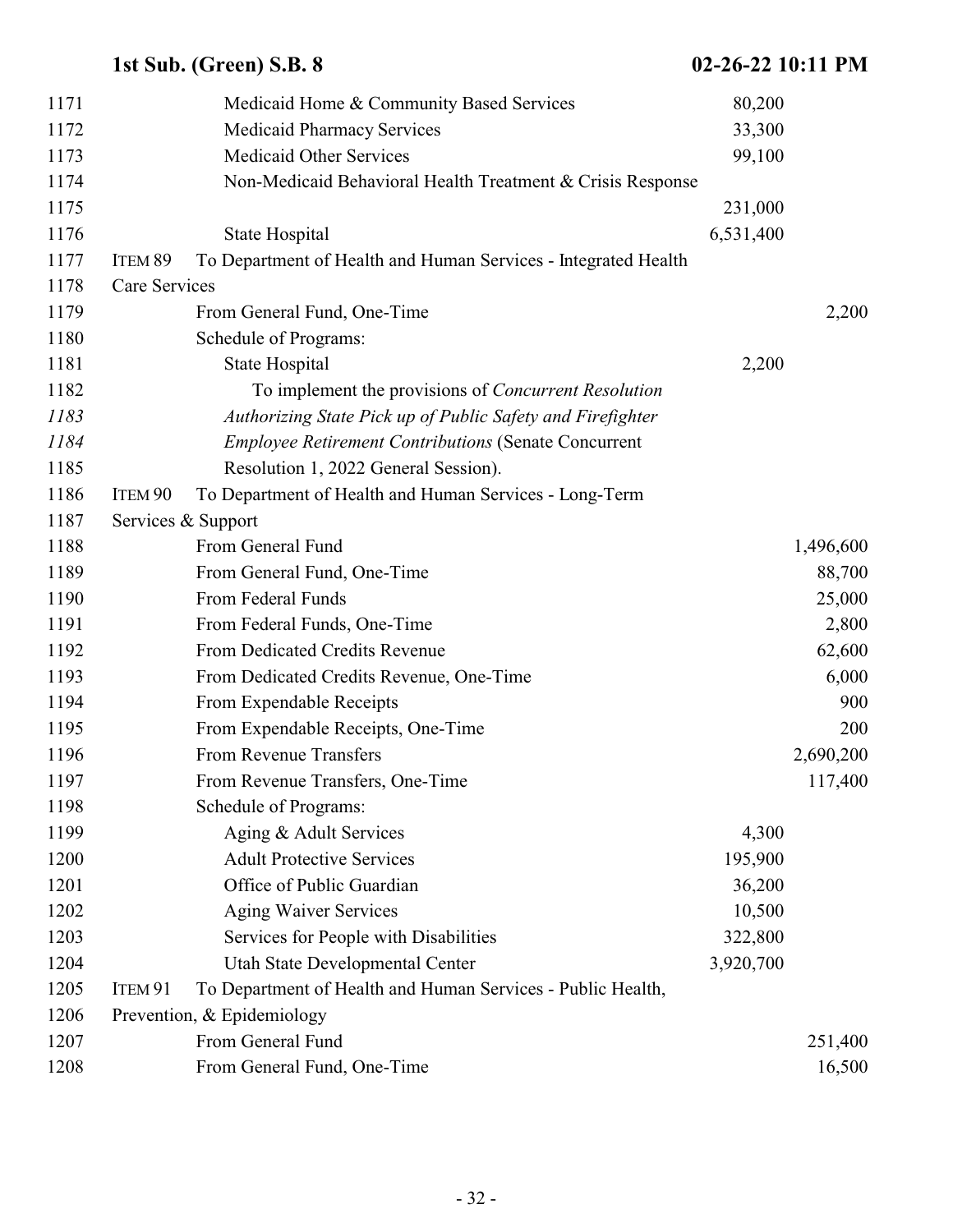|      |               | 1st Sub. (Green) S.B. 8                                        | 02-26-22 10:11 PM |           |
|------|---------------|----------------------------------------------------------------|-------------------|-----------|
| 1171 |               | Medicaid Home & Community Based Services                       | 80,200            |           |
| 1172 |               | <b>Medicaid Pharmacy Services</b>                              | 33,300            |           |
| 1173 |               | <b>Medicaid Other Services</b>                                 | 99,100            |           |
| 1174 |               | Non-Medicaid Behavioral Health Treatment & Crisis Response     |                   |           |
| 1175 |               |                                                                | 231,000           |           |
| 1176 |               | State Hospital                                                 | 6,531,400         |           |
| 1177 | ITEM 89       | To Department of Health and Human Services - Integrated Health |                   |           |
| 1178 | Care Services |                                                                |                   |           |
| 1179 |               | From General Fund, One-Time                                    |                   | 2,200     |
| 1180 |               | Schedule of Programs:                                          |                   |           |
| 1181 |               | State Hospital                                                 | 2,200             |           |
| 1182 |               | To implement the provisions of <i>Concurrent Resolution</i>    |                   |           |
| 1183 |               | Authorizing State Pick up of Public Safety and Firefighter     |                   |           |
| 1184 |               | <b>Employee Retirement Contributions (Senate Concurrent</b>    |                   |           |
| 1185 |               | Resolution 1, 2022 General Session).                           |                   |           |
| 1186 | ITEM 90       | To Department of Health and Human Services - Long-Term         |                   |           |
| 1187 |               | Services & Support                                             |                   |           |
| 1188 |               | From General Fund                                              |                   | 1,496,600 |
| 1189 |               | From General Fund, One-Time                                    |                   | 88,700    |
| 1190 |               | From Federal Funds                                             |                   | 25,000    |
| 1191 |               | From Federal Funds, One-Time                                   |                   | 2,800     |
| 1192 |               | From Dedicated Credits Revenue                                 |                   | 62,600    |
| 1193 |               | From Dedicated Credits Revenue, One-Time                       |                   | 6,000     |
| 1194 |               | From Expendable Receipts                                       |                   | 900       |
| 1195 |               | From Expendable Receipts, One-Time                             |                   | 200       |
| 1196 |               | From Revenue Transfers                                         |                   | 2,690,200 |
| 1197 |               | From Revenue Transfers, One-Time                               |                   | 117,400   |
| 1198 |               | Schedule of Programs:                                          |                   |           |
| 1199 |               | Aging & Adult Services                                         | 4,300             |           |
| 1200 |               | <b>Adult Protective Services</b>                               | 195,900           |           |
| 1201 |               | Office of Public Guardian                                      | 36,200            |           |
| 1202 |               | <b>Aging Waiver Services</b>                                   | 10,500            |           |
| 1203 |               | Services for People with Disabilities                          | 322,800           |           |
| 1204 |               | Utah State Developmental Center                                | 3,920,700         |           |
| 1205 | ITEM 91       | To Department of Health and Human Services - Public Health,    |                   |           |
| 1206 |               | Prevention, & Epidemiology                                     |                   |           |
| 1207 |               | From General Fund                                              |                   | 251,400   |
| 1208 |               | From General Fund, One-Time                                    |                   | 16,500    |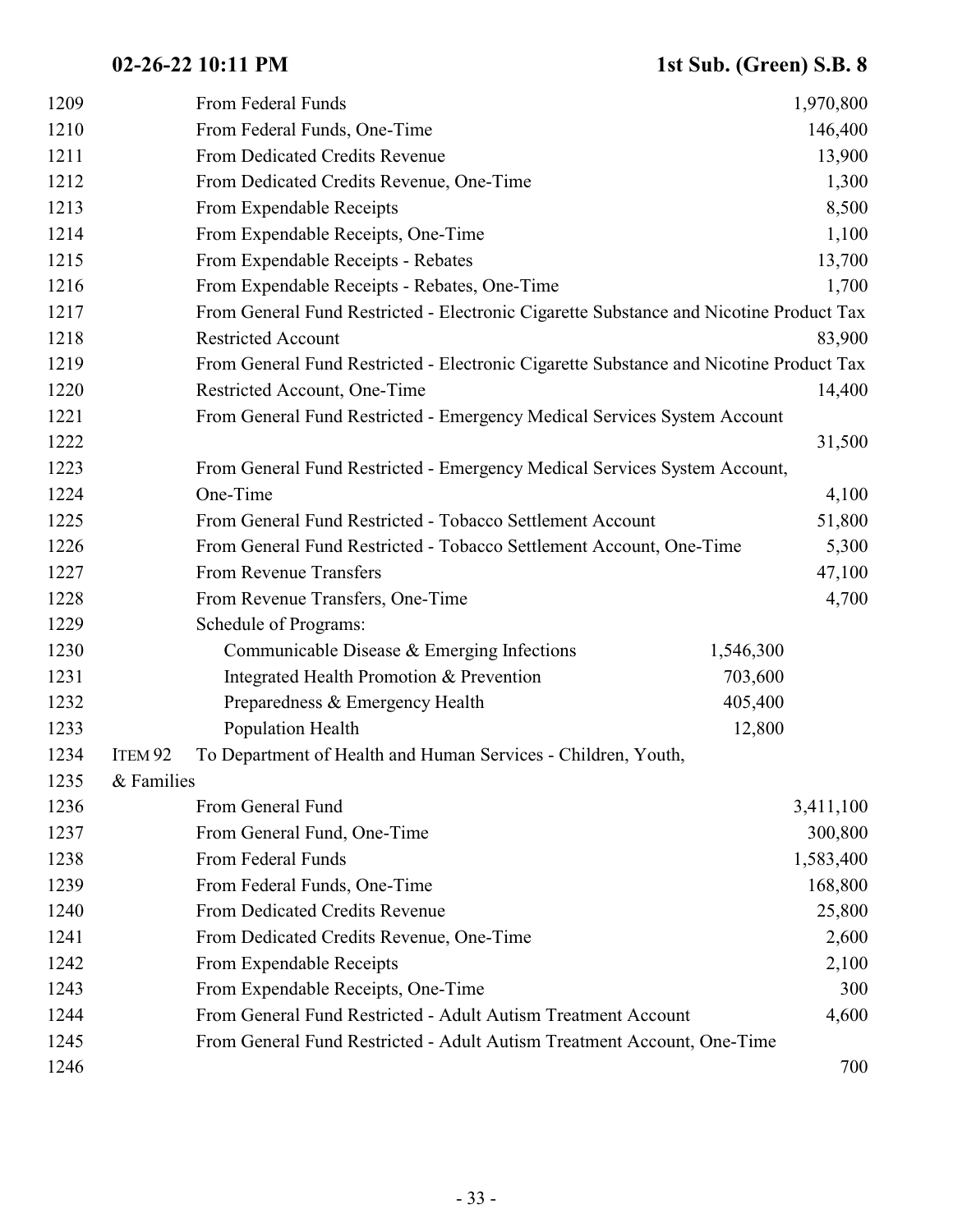| 1209 |                    | From Federal Funds                                                                     |           | 1,970,800 |
|------|--------------------|----------------------------------------------------------------------------------------|-----------|-----------|
| 1210 |                    | From Federal Funds, One-Time                                                           |           | 146,400   |
| 1211 |                    | From Dedicated Credits Revenue                                                         |           | 13,900    |
| 1212 |                    | From Dedicated Credits Revenue, One-Time                                               |           | 1,300     |
| 1213 |                    | From Expendable Receipts                                                               |           | 8,500     |
| 1214 |                    | From Expendable Receipts, One-Time                                                     |           | 1,100     |
| 1215 |                    | From Expendable Receipts - Rebates                                                     |           | 13,700    |
| 1216 |                    | From Expendable Receipts - Rebates, One-Time                                           |           | 1,700     |
| 1217 |                    | From General Fund Restricted - Electronic Cigarette Substance and Nicotine Product Tax |           |           |
| 1218 |                    | <b>Restricted Account</b>                                                              |           | 83,900    |
| 1219 |                    | From General Fund Restricted - Electronic Cigarette Substance and Nicotine Product Tax |           |           |
| 1220 |                    | Restricted Account, One-Time                                                           |           | 14,400    |
| 1221 |                    | From General Fund Restricted - Emergency Medical Services System Account               |           |           |
| 1222 |                    |                                                                                        |           | 31,500    |
| 1223 |                    | From General Fund Restricted - Emergency Medical Services System Account,              |           |           |
| 1224 |                    | One-Time                                                                               |           | 4,100     |
| 1225 |                    | From General Fund Restricted - Tobacco Settlement Account                              |           | 51,800    |
| 1226 |                    | From General Fund Restricted - Tobacco Settlement Account, One-Time                    |           | 5,300     |
| 1227 |                    | From Revenue Transfers                                                                 |           | 47,100    |
| 1228 |                    | From Revenue Transfers, One-Time                                                       |           | 4,700     |
| 1229 |                    | Schedule of Programs:                                                                  |           |           |
| 1230 |                    | Communicable Disease $&$ Emerging Infections                                           | 1,546,300 |           |
| 1231 |                    | Integrated Health Promotion & Prevention                                               | 703,600   |           |
| 1232 |                    | Preparedness & Emergency Health                                                        | 405,400   |           |
| 1233 |                    | Population Health                                                                      | 12,800    |           |
| 1234 | ITEM <sub>92</sub> | To Department of Health and Human Services - Children, Youth,                          |           |           |
| 1235 | & Families         |                                                                                        |           |           |
| 1236 |                    | From General Fund                                                                      |           | 3,411,100 |
| 1237 |                    | From General Fund, One-Time                                                            |           | 300,800   |
| 1238 |                    | From Federal Funds                                                                     |           | 1,583,400 |
| 1239 |                    | From Federal Funds, One-Time                                                           |           | 168,800   |
| 1240 |                    | From Dedicated Credits Revenue                                                         |           | 25,800    |
| 1241 |                    | From Dedicated Credits Revenue, One-Time                                               |           | 2,600     |
| 1242 |                    | From Expendable Receipts                                                               |           | 2,100     |
| 1243 |                    | From Expendable Receipts, One-Time                                                     |           | 300       |
| 1244 |                    | From General Fund Restricted - Adult Autism Treatment Account                          |           | 4,600     |
| 1245 |                    | From General Fund Restricted - Adult Autism Treatment Account, One-Time                |           |           |
| 1246 |                    |                                                                                        |           | 700       |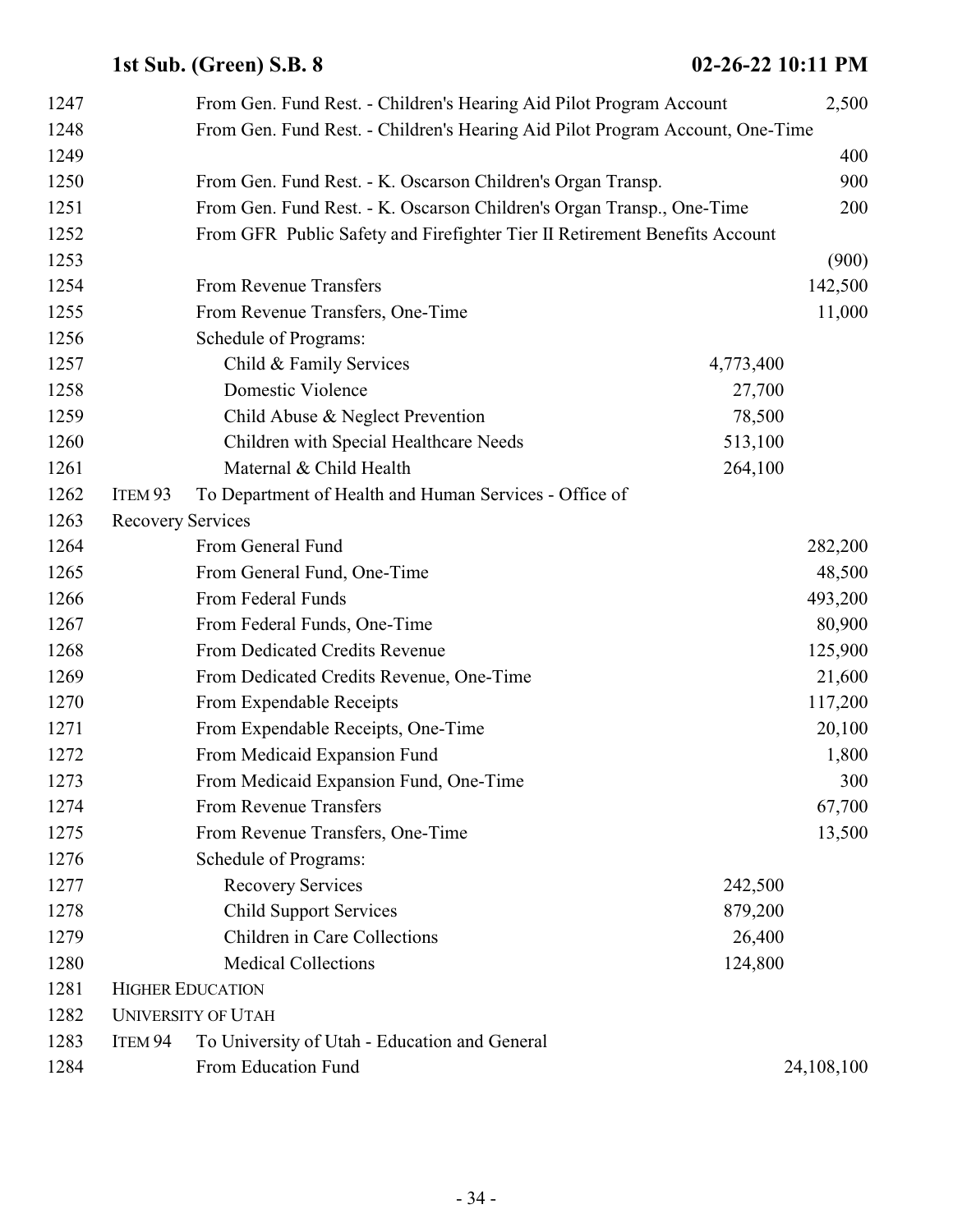| 1247 |                          | From Gen. Fund Rest. - Children's Hearing Aid Pilot Program Account           |           | 2,500      |
|------|--------------------------|-------------------------------------------------------------------------------|-----------|------------|
| 1248 |                          | From Gen. Fund Rest. - Children's Hearing Aid Pilot Program Account, One-Time |           |            |
| 1249 |                          |                                                                               |           | 400        |
| 1250 |                          | From Gen. Fund Rest. - K. Oscarson Children's Organ Transp.                   |           | 900        |
| 1251 |                          | From Gen. Fund Rest. - K. Oscarson Children's Organ Transp., One-Time         |           | 200        |
| 1252 |                          | From GFR Public Safety and Firefighter Tier II Retirement Benefits Account    |           |            |
| 1253 |                          |                                                                               |           | (900)      |
| 1254 |                          | From Revenue Transfers                                                        |           | 142,500    |
| 1255 |                          | From Revenue Transfers, One-Time                                              |           | 11,000     |
| 1256 |                          | Schedule of Programs:                                                         |           |            |
| 1257 |                          | Child & Family Services                                                       | 4,773,400 |            |
| 1258 |                          | Domestic Violence                                                             | 27,700    |            |
| 1259 |                          | Child Abuse & Neglect Prevention                                              | 78,500    |            |
| 1260 |                          | Children with Special Healthcare Needs                                        | 513,100   |            |
| 1261 |                          | Maternal & Child Health                                                       | 264,100   |            |
| 1262 | ITEM 93                  | To Department of Health and Human Services - Office of                        |           |            |
| 1263 | <b>Recovery Services</b> |                                                                               |           |            |
| 1264 |                          | From General Fund                                                             |           | 282,200    |
| 1265 |                          | From General Fund, One-Time                                                   |           | 48,500     |
| 1266 |                          | From Federal Funds                                                            |           | 493,200    |
| 1267 |                          | From Federal Funds, One-Time                                                  |           | 80,900     |
| 1268 |                          | From Dedicated Credits Revenue                                                |           | 125,900    |
| 1269 |                          | From Dedicated Credits Revenue, One-Time                                      |           | 21,600     |
| 1270 |                          | From Expendable Receipts                                                      |           | 117,200    |
| 1271 |                          | From Expendable Receipts, One-Time                                            |           | 20,100     |
| 1272 |                          | From Medicaid Expansion Fund                                                  |           | 1,800      |
| 1273 |                          | From Medicaid Expansion Fund, One-Time                                        |           | 300        |
| 1274 |                          | From Revenue Transfers                                                        |           | 67,700     |
| 1275 |                          | From Revenue Transfers, One-Time                                              |           | 13,500     |
| 1276 |                          | Schedule of Programs:                                                         |           |            |
| 1277 |                          | <b>Recovery Services</b>                                                      | 242,500   |            |
| 1278 |                          | <b>Child Support Services</b>                                                 | 879,200   |            |
| 1279 |                          | Children in Care Collections                                                  | 26,400    |            |
| 1280 |                          | <b>Medical Collections</b>                                                    | 124,800   |            |
| 1281 |                          | <b>HIGHER EDUCATION</b>                                                       |           |            |
| 1282 |                          | <b>UNIVERSITY OF UTAH</b>                                                     |           |            |
| 1283 | ITEM 94                  | To University of Utah - Education and General                                 |           |            |
| 1284 |                          | From Education Fund                                                           |           | 24,108,100 |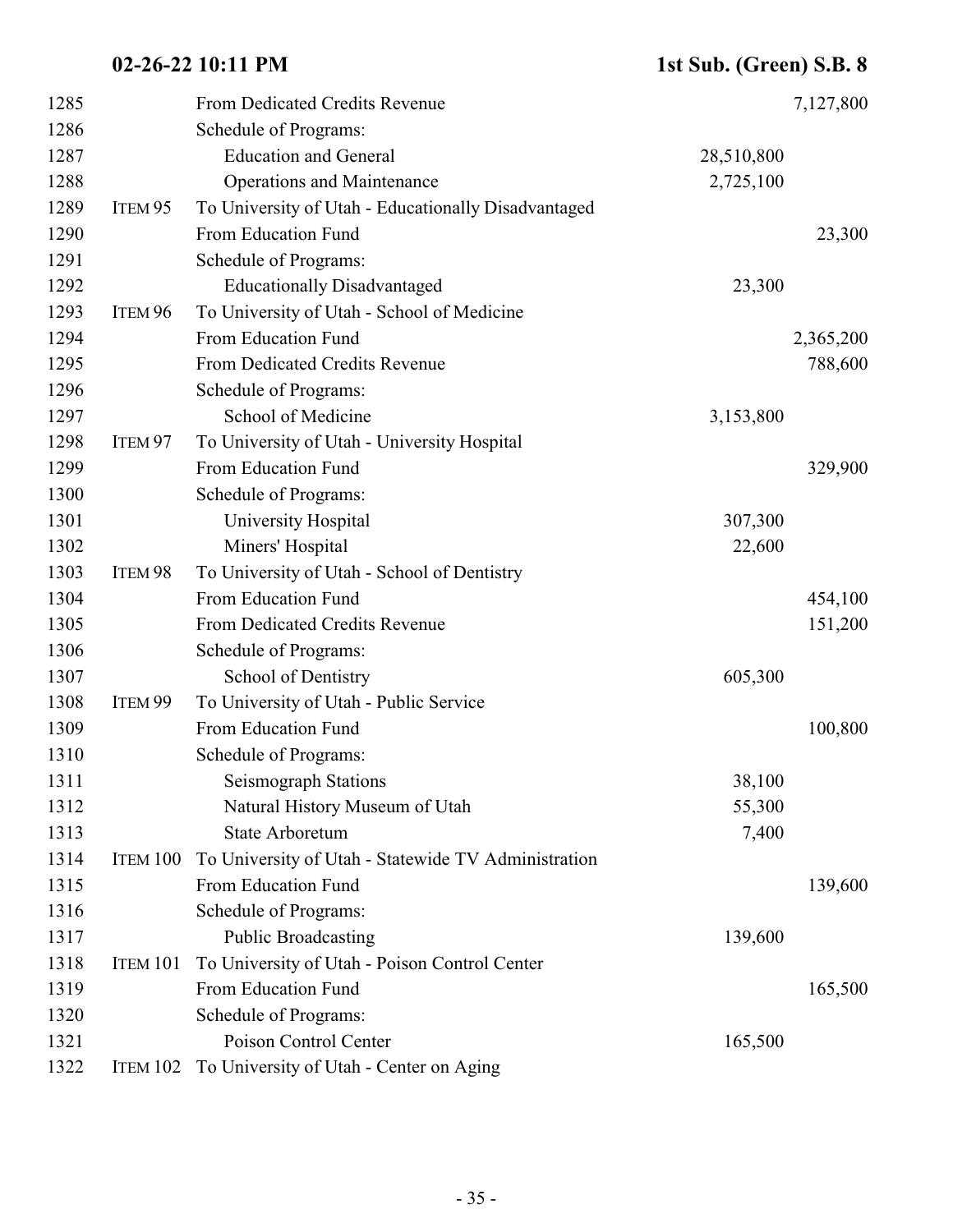| 1285 |                    | From Dedicated Credits Revenue                      |            | 7,127,800 |
|------|--------------------|-----------------------------------------------------|------------|-----------|
| 1286 |                    | Schedule of Programs:                               |            |           |
| 1287 |                    | <b>Education and General</b>                        | 28,510,800 |           |
| 1288 |                    | <b>Operations and Maintenance</b>                   | 2,725,100  |           |
| 1289 | ITEM <sub>95</sub> | To University of Utah - Educationally Disadvantaged |            |           |
| 1290 |                    | From Education Fund                                 |            | 23,300    |
| 1291 |                    | Schedule of Programs:                               |            |           |
| 1292 |                    | <b>Educationally Disadvantaged</b>                  | 23,300     |           |
| 1293 | ITEM 96            | To University of Utah - School of Medicine          |            |           |
| 1294 |                    | From Education Fund                                 |            | 2,365,200 |
| 1295 |                    | From Dedicated Credits Revenue                      |            | 788,600   |
| 1296 |                    | Schedule of Programs:                               |            |           |
| 1297 |                    | School of Medicine                                  | 3,153,800  |           |
| 1298 | ITEM <sub>97</sub> | To University of Utah - University Hospital         |            |           |
| 1299 |                    | From Education Fund                                 |            | 329,900   |
| 1300 |                    | Schedule of Programs:                               |            |           |
| 1301 |                    | University Hospital                                 | 307,300    |           |
| 1302 |                    | Miners' Hospital                                    | 22,600     |           |
| 1303 | ITEM 98            | To University of Utah - School of Dentistry         |            |           |
| 1304 |                    | From Education Fund                                 |            | 454,100   |
| 1305 |                    | From Dedicated Credits Revenue                      |            | 151,200   |
| 1306 |                    | Schedule of Programs:                               |            |           |
| 1307 |                    | School of Dentistry                                 | 605,300    |           |
| 1308 | ITEM <sub>99</sub> | To University of Utah - Public Service              |            |           |
| 1309 |                    | From Education Fund                                 |            | 100,800   |
| 1310 |                    | Schedule of Programs:                               |            |           |
| 1311 |                    | Seismograph Stations                                | 38,100     |           |
| 1312 |                    | Natural History Museum of Utah                      | 55,300     |           |
| 1313 |                    | <b>State Arboretum</b>                              | 7,400      |           |
| 1314 | ITEM 100           | To University of Utah - Statewide TV Administration |            |           |
| 1315 |                    | From Education Fund                                 |            | 139,600   |
| 1316 |                    | Schedule of Programs:                               |            |           |
| 1317 |                    | <b>Public Broadcasting</b>                          | 139,600    |           |
| 1318 | ITEM 101           | To University of Utah - Poison Control Center       |            |           |
| 1319 |                    | From Education Fund                                 |            | 165,500   |
| 1320 |                    | Schedule of Programs:                               |            |           |
| 1321 |                    | Poison Control Center                               | 165,500    |           |
| 1322 | ITEM 102           | To University of Utah - Center on Aging             |            |           |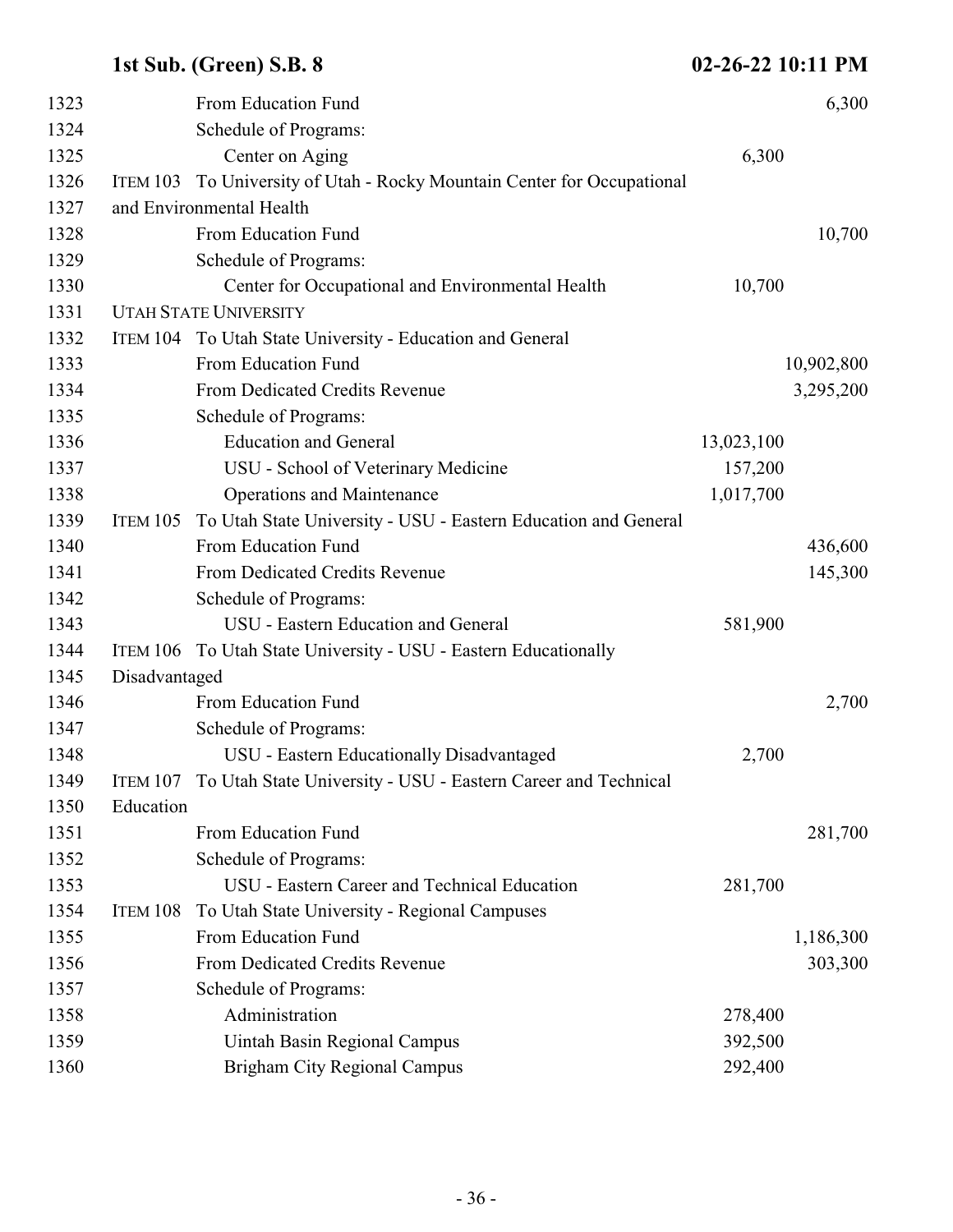| 1323 |               | From Education Fund                                                    |            | 6,300      |
|------|---------------|------------------------------------------------------------------------|------------|------------|
| 1324 |               | Schedule of Programs:                                                  |            |            |
| 1325 |               | Center on Aging                                                        | 6,300      |            |
| 1326 | ITEM 103      | To University of Utah - Rocky Mountain Center for Occupational         |            |            |
| 1327 |               | and Environmental Health                                               |            |            |
| 1328 |               | From Education Fund                                                    |            | 10,700     |
| 1329 |               | Schedule of Programs:                                                  |            |            |
| 1330 |               | Center for Occupational and Environmental Health                       | 10,700     |            |
| 1331 |               | <b>UTAH STATE UNIVERSITY</b>                                           |            |            |
| 1332 |               | ITEM 104 To Utah State University - Education and General              |            |            |
| 1333 |               | From Education Fund                                                    |            | 10,902,800 |
| 1334 |               | From Dedicated Credits Revenue                                         |            | 3,295,200  |
| 1335 |               | Schedule of Programs:                                                  |            |            |
| 1336 |               | <b>Education and General</b>                                           | 13,023,100 |            |
| 1337 |               | USU - School of Veterinary Medicine                                    | 157,200    |            |
| 1338 |               | <b>Operations and Maintenance</b>                                      | 1,017,700  |            |
| 1339 | ITEM 105      | To Utah State University - USU - Eastern Education and General         |            |            |
| 1340 |               | From Education Fund                                                    |            | 436,600    |
| 1341 |               | From Dedicated Credits Revenue                                         |            | 145,300    |
| 1342 |               | Schedule of Programs:                                                  |            |            |
| 1343 |               | USU - Eastern Education and General                                    | 581,900    |            |
| 1344 |               | ITEM 106 To Utah State University - USU - Eastern Educationally        |            |            |
| 1345 | Disadvantaged |                                                                        |            |            |
| 1346 |               | From Education Fund                                                    |            | 2,700      |
| 1347 |               | Schedule of Programs:                                                  |            |            |
| 1348 |               | USU - Eastern Educationally Disadvantaged                              | 2,700      |            |
| 1349 |               | ITEM 107 To Utah State University - USU - Eastern Career and Technical |            |            |
| 1350 | Education     |                                                                        |            |            |
| 1351 |               | From Education Fund                                                    |            | 281,700    |
| 1352 |               | Schedule of Programs:                                                  |            |            |
| 1353 |               | USU - Eastern Career and Technical Education                           | 281,700    |            |
| 1354 | ITEM 108      | To Utah State University - Regional Campuses                           |            |            |
| 1355 |               | From Education Fund                                                    |            | 1,186,300  |
| 1356 |               | From Dedicated Credits Revenue                                         |            | 303,300    |
| 1357 |               | Schedule of Programs:                                                  |            |            |
| 1358 |               | Administration                                                         | 278,400    |            |
| 1359 |               | Uintah Basin Regional Campus                                           | 392,500    |            |
| 1360 |               | <b>Brigham City Regional Campus</b>                                    | 292,400    |            |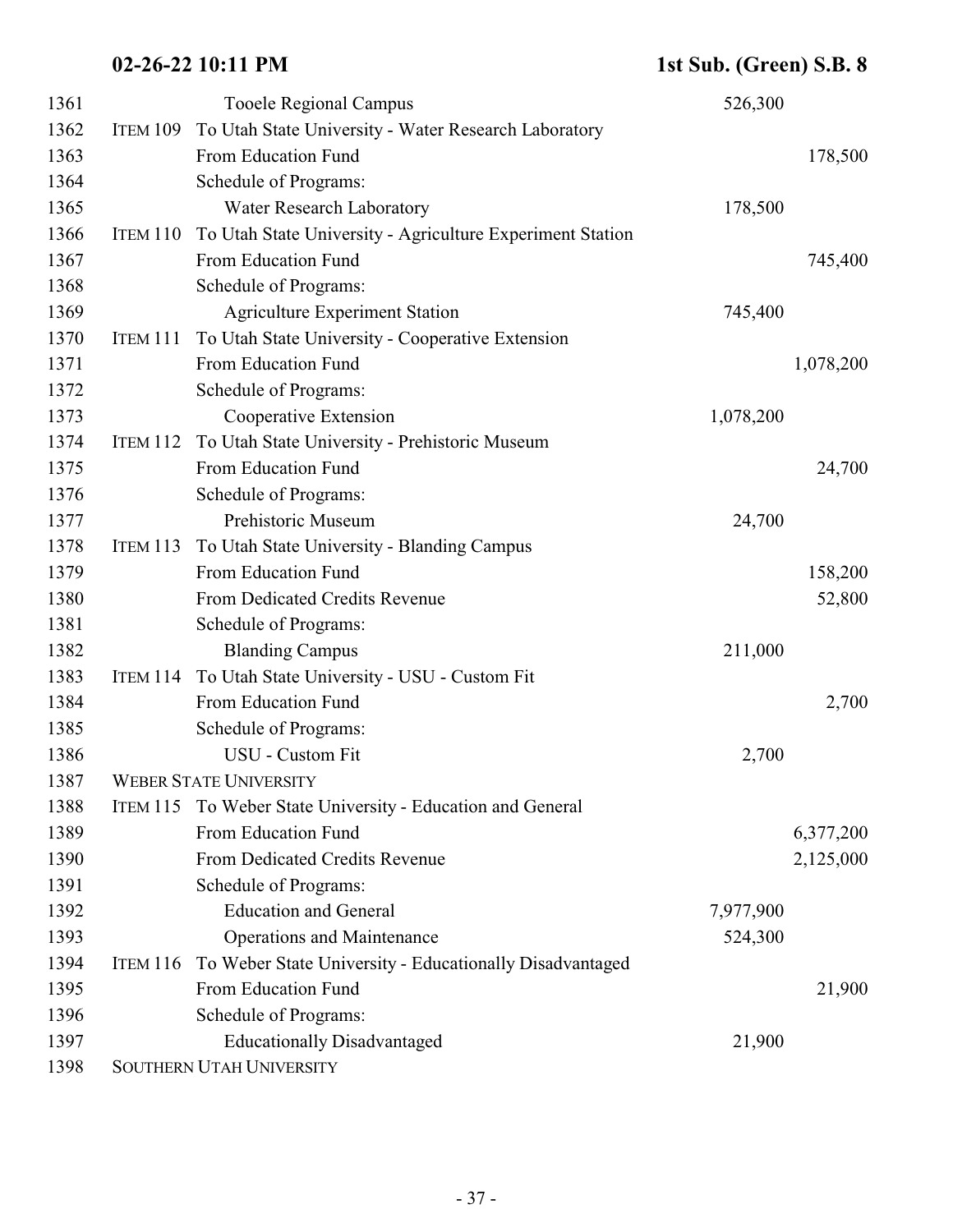| 1361 |                 | <b>Tooele Regional Campus</b>                             | 526,300   |           |
|------|-----------------|-----------------------------------------------------------|-----------|-----------|
| 1362 | ITEM 109        | To Utah State University - Water Research Laboratory      |           |           |
| 1363 |                 | From Education Fund                                       |           | 178,500   |
| 1364 |                 | Schedule of Programs:                                     |           |           |
| 1365 |                 | Water Research Laboratory                                 | 178,500   |           |
| 1366 | ITEM 110        | To Utah State University - Agriculture Experiment Station |           |           |
| 1367 |                 | From Education Fund                                       |           | 745,400   |
| 1368 |                 | Schedule of Programs:                                     |           |           |
| 1369 |                 | <b>Agriculture Experiment Station</b>                     | 745,400   |           |
| 1370 | ITEM 111        | To Utah State University - Cooperative Extension          |           |           |
| 1371 |                 | From Education Fund                                       |           | 1,078,200 |
| 1372 |                 | Schedule of Programs:                                     |           |           |
| 1373 |                 | Cooperative Extension                                     | 1,078,200 |           |
| 1374 | ITEM 112        | To Utah State University - Prehistoric Museum             |           |           |
| 1375 |                 | From Education Fund                                       |           | 24,700    |
| 1376 |                 | Schedule of Programs:                                     |           |           |
| 1377 |                 | Prehistoric Museum                                        | 24,700    |           |
| 1378 | <b>ITEM 113</b> | To Utah State University - Blanding Campus                |           |           |
| 1379 |                 | From Education Fund                                       |           | 158,200   |
| 1380 |                 | From Dedicated Credits Revenue                            |           | 52,800    |
| 1381 |                 | Schedule of Programs:                                     |           |           |
| 1382 |                 | <b>Blanding Campus</b>                                    | 211,000   |           |
| 1383 | <b>ITEM 114</b> | To Utah State University - USU - Custom Fit               |           |           |
| 1384 |                 | From Education Fund                                       |           | 2,700     |
| 1385 |                 | Schedule of Programs:                                     |           |           |
| 1386 |                 | USU - Custom Fit                                          | 2,700     |           |
| 1387 |                 | <b>WEBER STATE UNIVERSITY</b>                             |           |           |
| 1388 | <b>ITEM 115</b> | To Weber State University - Education and General         |           |           |
| 1389 |                 | From Education Fund                                       |           | 6,377,200 |
| 1390 |                 | From Dedicated Credits Revenue                            |           | 2,125,000 |
| 1391 |                 | Schedule of Programs:                                     |           |           |
| 1392 |                 | <b>Education and General</b>                              | 7,977,900 |           |
| 1393 |                 | <b>Operations and Maintenance</b>                         | 524,300   |           |
| 1394 | <b>ITEM 116</b> | To Weber State University - Educationally Disadvantaged   |           |           |
| 1395 |                 | From Education Fund                                       |           | 21,900    |
| 1396 |                 | Schedule of Programs:                                     |           |           |
| 1397 |                 | <b>Educationally Disadvantaged</b>                        | 21,900    |           |
| 1398 |                 | SOUTHERN UTAH UNIVERSITY                                  |           |           |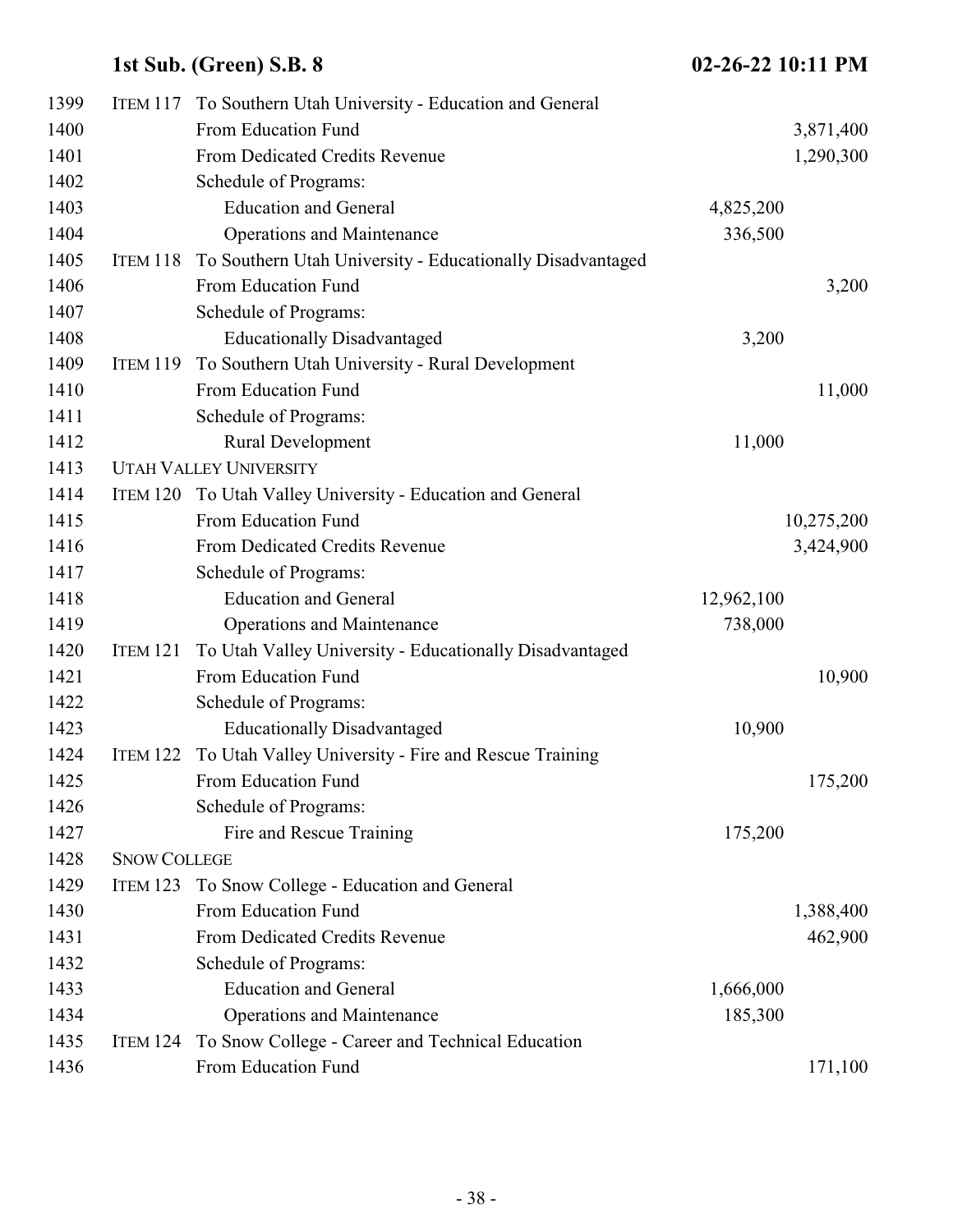| 1399 | ITEM 117            | To Southern Utah University - Education and General           |            |            |
|------|---------------------|---------------------------------------------------------------|------------|------------|
| 1400 |                     | From Education Fund                                           |            | 3,871,400  |
| 1401 |                     | From Dedicated Credits Revenue                                |            | 1,290,300  |
| 1402 |                     | Schedule of Programs:                                         |            |            |
| 1403 |                     | <b>Education and General</b>                                  | 4,825,200  |            |
| 1404 |                     | <b>Operations and Maintenance</b>                             | 336,500    |            |
| 1405 | ITEM 118            | To Southern Utah University - Educationally Disadvantaged     |            |            |
| 1406 |                     | From Education Fund                                           |            | 3,200      |
| 1407 |                     | Schedule of Programs:                                         |            |            |
| 1408 |                     | <b>Educationally Disadvantaged</b>                            | 3,200      |            |
| 1409 | <b>ITEM 119</b>     | To Southern Utah University - Rural Development               |            |            |
| 1410 |                     | From Education Fund                                           |            | 11,000     |
| 1411 |                     | Schedule of Programs:                                         |            |            |
| 1412 |                     | Rural Development                                             | 11,000     |            |
| 1413 |                     | <b>UTAH VALLEY UNIVERSITY</b>                                 |            |            |
| 1414 |                     | ITEM 120 To Utah Valley University - Education and General    |            |            |
| 1415 |                     | From Education Fund                                           |            | 10,275,200 |
| 1416 |                     | From Dedicated Credits Revenue                                |            | 3,424,900  |
| 1417 |                     | Schedule of Programs:                                         |            |            |
| 1418 |                     | <b>Education and General</b>                                  | 12,962,100 |            |
| 1419 |                     | <b>Operations and Maintenance</b>                             | 738,000    |            |
| 1420 | ITEM 121            | To Utah Valley University - Educationally Disadvantaged       |            |            |
| 1421 |                     | From Education Fund                                           |            | 10,900     |
| 1422 |                     | Schedule of Programs:                                         |            |            |
| 1423 |                     | <b>Educationally Disadvantaged</b>                            | 10,900     |            |
| 1424 |                     | ITEM 122 To Utah Valley University - Fire and Rescue Training |            |            |
| 1425 |                     | From Education Fund                                           |            | 175,200    |
| 1426 |                     | Schedule of Programs:                                         |            |            |
| 1427 |                     | Fire and Rescue Training                                      | 175,200    |            |
| 1428 | <b>SNOW COLLEGE</b> |                                                               |            |            |
| 1429 | ITEM 123            | To Snow College - Education and General                       |            |            |
| 1430 |                     | From Education Fund                                           |            | 1,388,400  |
| 1431 |                     | From Dedicated Credits Revenue                                |            | 462,900    |
| 1432 |                     | Schedule of Programs:                                         |            |            |
| 1433 |                     | <b>Education and General</b>                                  | 1,666,000  |            |
| 1434 |                     | <b>Operations and Maintenance</b>                             | 185,300    |            |
| 1435 | ITEM 124            | To Snow College - Career and Technical Education              |            |            |
| 1436 |                     | From Education Fund                                           |            | 171,100    |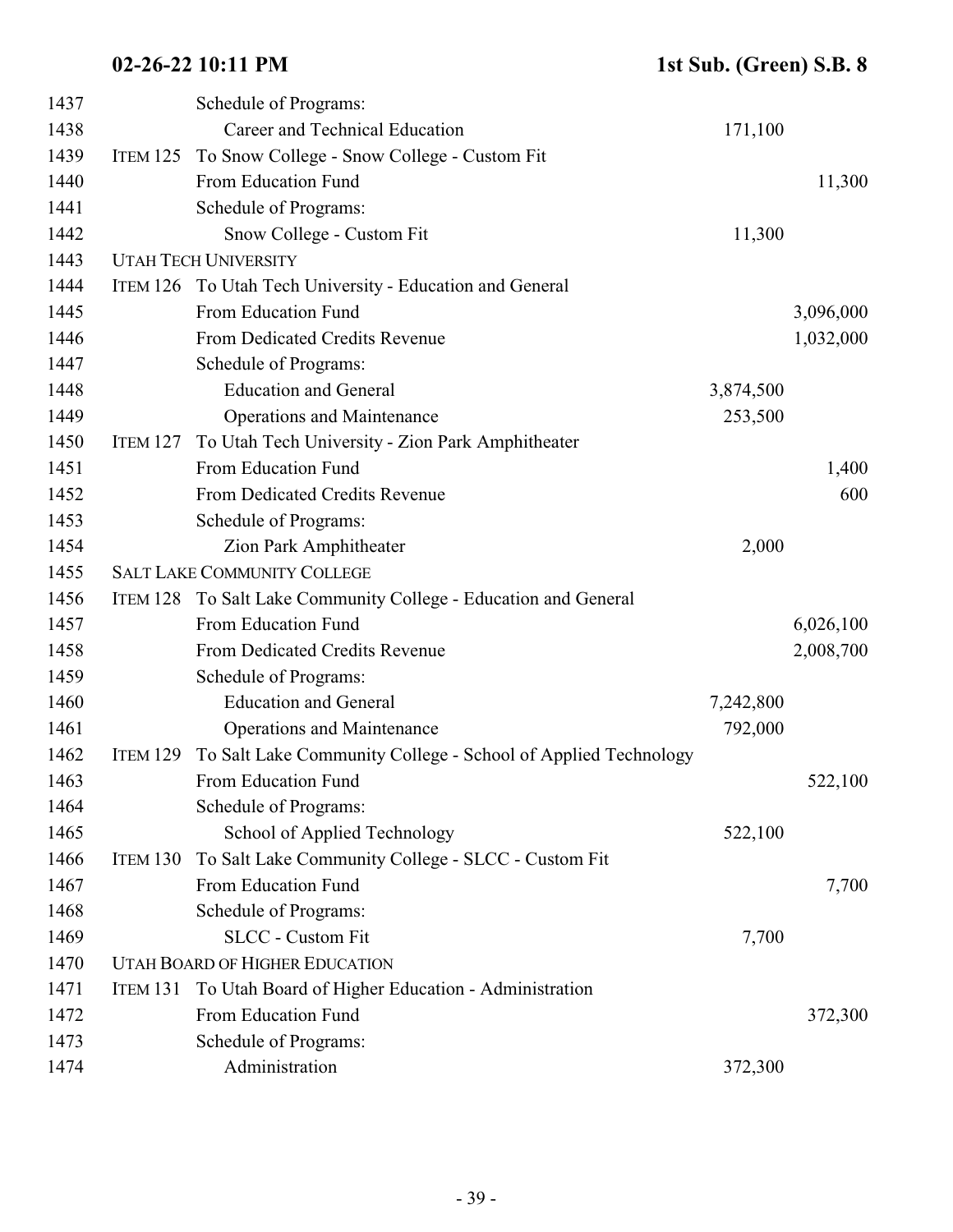| 1437 |                 | Schedule of Programs:                                           |           |           |
|------|-----------------|-----------------------------------------------------------------|-----------|-----------|
| 1438 |                 | Career and Technical Education                                  | 171,100   |           |
| 1439 | ITEM 125        | To Snow College - Snow College - Custom Fit                     |           |           |
| 1440 |                 | From Education Fund                                             |           | 11,300    |
| 1441 |                 | Schedule of Programs:                                           |           |           |
| 1442 |                 | Snow College - Custom Fit                                       | 11,300    |           |
| 1443 |                 | <b>UTAH TECH UNIVERSITY</b>                                     |           |           |
| 1444 |                 | ITEM 126 To Utah Tech University - Education and General        |           |           |
| 1445 |                 | From Education Fund                                             |           | 3,096,000 |
| 1446 |                 | From Dedicated Credits Revenue                                  |           | 1,032,000 |
| 1447 |                 | Schedule of Programs:                                           |           |           |
| 1448 |                 | <b>Education and General</b>                                    | 3,874,500 |           |
| 1449 |                 | <b>Operations and Maintenance</b>                               | 253,500   |           |
| 1450 | <b>ITEM 127</b> | To Utah Tech University - Zion Park Amphitheater                |           |           |
| 1451 |                 | From Education Fund                                             |           | 1,400     |
| 1452 |                 | From Dedicated Credits Revenue                                  |           | 600       |
| 1453 |                 | Schedule of Programs:                                           |           |           |
| 1454 |                 | Zion Park Amphitheater                                          | 2,000     |           |
| 1455 |                 | <b>SALT LAKE COMMUNITY COLLEGE</b>                              |           |           |
| 1456 |                 | ITEM 128 To Salt Lake Community College - Education and General |           |           |
| 1457 |                 | From Education Fund                                             |           | 6,026,100 |
| 1458 |                 | From Dedicated Credits Revenue                                  |           | 2,008,700 |
| 1459 |                 | Schedule of Programs:                                           |           |           |
| 1460 |                 | <b>Education and General</b>                                    | 7,242,800 |           |
| 1461 |                 | <b>Operations and Maintenance</b>                               | 792,000   |           |
| 1462 | <b>ITEM 129</b> | To Salt Lake Community College - School of Applied Technology   |           |           |
| 1463 |                 | From Education Fund                                             |           | 522,100   |
| 1464 |                 | Schedule of Programs:                                           |           |           |
| 1465 |                 | School of Applied Technology                                    | 522,100   |           |
| 1466 | ITEM 130        | To Salt Lake Community College - SLCC - Custom Fit              |           |           |
| 1467 |                 | From Education Fund                                             |           | 7,700     |
| 1468 |                 | Schedule of Programs:                                           |           |           |
| 1469 |                 | <b>SLCC</b> - Custom Fit                                        | 7,700     |           |
| 1470 |                 | <b>UTAH BOARD OF HIGHER EDUCATION</b>                           |           |           |
| 1471 | <b>ITEM 131</b> | To Utah Board of Higher Education - Administration              |           |           |
| 1472 |                 | From Education Fund                                             |           | 372,300   |
| 1473 |                 | Schedule of Programs:                                           |           |           |
| 1474 |                 | Administration                                                  | 372,300   |           |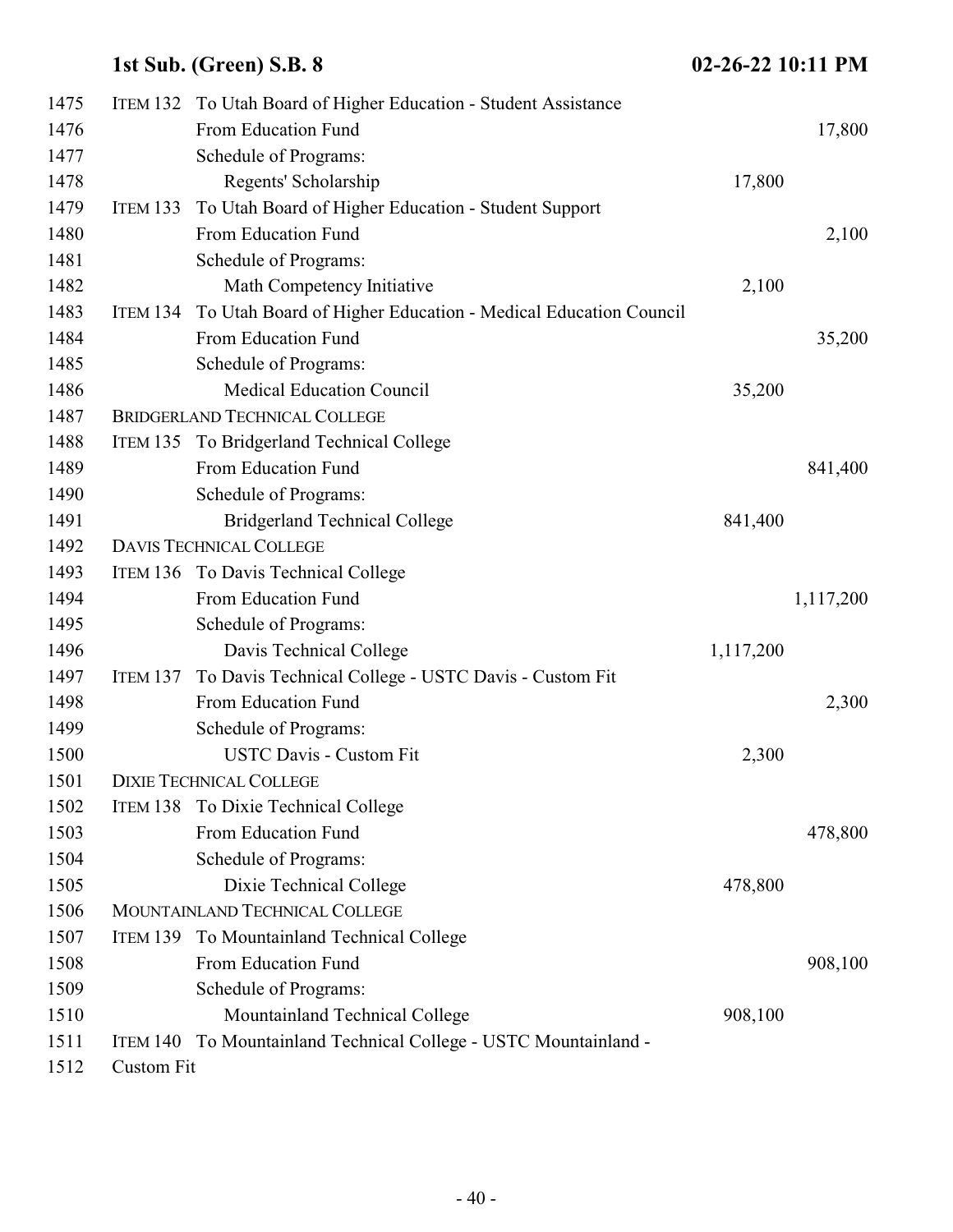| 1475 |                   | ITEM 132 To Utah Board of Higher Education - Student Assistance |           |           |
|------|-------------------|-----------------------------------------------------------------|-----------|-----------|
| 1476 |                   | From Education Fund                                             |           | 17,800    |
| 1477 |                   | Schedule of Programs:                                           |           |           |
| 1478 |                   | Regents' Scholarship                                            | 17,800    |           |
| 1479 | <b>ITEM 133</b>   | To Utah Board of Higher Education - Student Support             |           |           |
| 1480 |                   | From Education Fund                                             |           | 2,100     |
| 1481 |                   | Schedule of Programs:                                           |           |           |
| 1482 |                   | Math Competency Initiative                                      | 2,100     |           |
| 1483 | <b>ITEM 134</b>   | To Utah Board of Higher Education - Medical Education Council   |           |           |
| 1484 |                   | From Education Fund                                             |           | 35,200    |
| 1485 |                   | Schedule of Programs:                                           |           |           |
| 1486 |                   | <b>Medical Education Council</b>                                | 35,200    |           |
| 1487 |                   | <b>BRIDGERLAND TECHNICAL COLLEGE</b>                            |           |           |
| 1488 |                   | ITEM 135 To Bridgerland Technical College                       |           |           |
| 1489 |                   | From Education Fund                                             |           | 841,400   |
| 1490 |                   | Schedule of Programs:                                           |           |           |
| 1491 |                   | <b>Bridgerland Technical College</b>                            | 841,400   |           |
| 1492 |                   | <b>DAVIS TECHNICAL COLLEGE</b>                                  |           |           |
| 1493 |                   | ITEM 136 To Davis Technical College                             |           |           |
| 1494 |                   | From Education Fund                                             |           | 1,117,200 |
| 1495 |                   | Schedule of Programs:                                           |           |           |
| 1496 |                   | Davis Technical College                                         | 1,117,200 |           |
| 1497 | <b>ITEM 137</b>   | To Davis Technical College - USTC Davis - Custom Fit            |           |           |
| 1498 |                   | From Education Fund                                             |           | 2,300     |
| 1499 |                   | Schedule of Programs:                                           |           |           |
| 1500 |                   | <b>USTC Davis - Custom Fit</b>                                  | 2,300     |           |
| 1501 |                   | <b>DIXIE TECHNICAL COLLEGE</b>                                  |           |           |
| 1502 | ITEM 138          | To Dixie Technical College                                      |           |           |
| 1503 |                   | From Education Fund                                             |           | 478,800   |
| 1504 |                   | Schedule of Programs:                                           |           |           |
| 1505 |                   | Dixie Technical College                                         | 478,800   |           |
| 1506 |                   | MOUNTAINLAND TECHNICAL COLLEGE                                  |           |           |
| 1507 | <b>ITEM 139</b>   | To Mountainland Technical College                               |           |           |
| 1508 |                   | From Education Fund                                             |           | 908,100   |
| 1509 |                   | Schedule of Programs:                                           |           |           |
| 1510 |                   | Mountainland Technical College                                  | 908,100   |           |
| 1511 | ITEM 140          | To Mountainland Technical College - USTC Mountainland -         |           |           |
| 1512 | <b>Custom Fit</b> |                                                                 |           |           |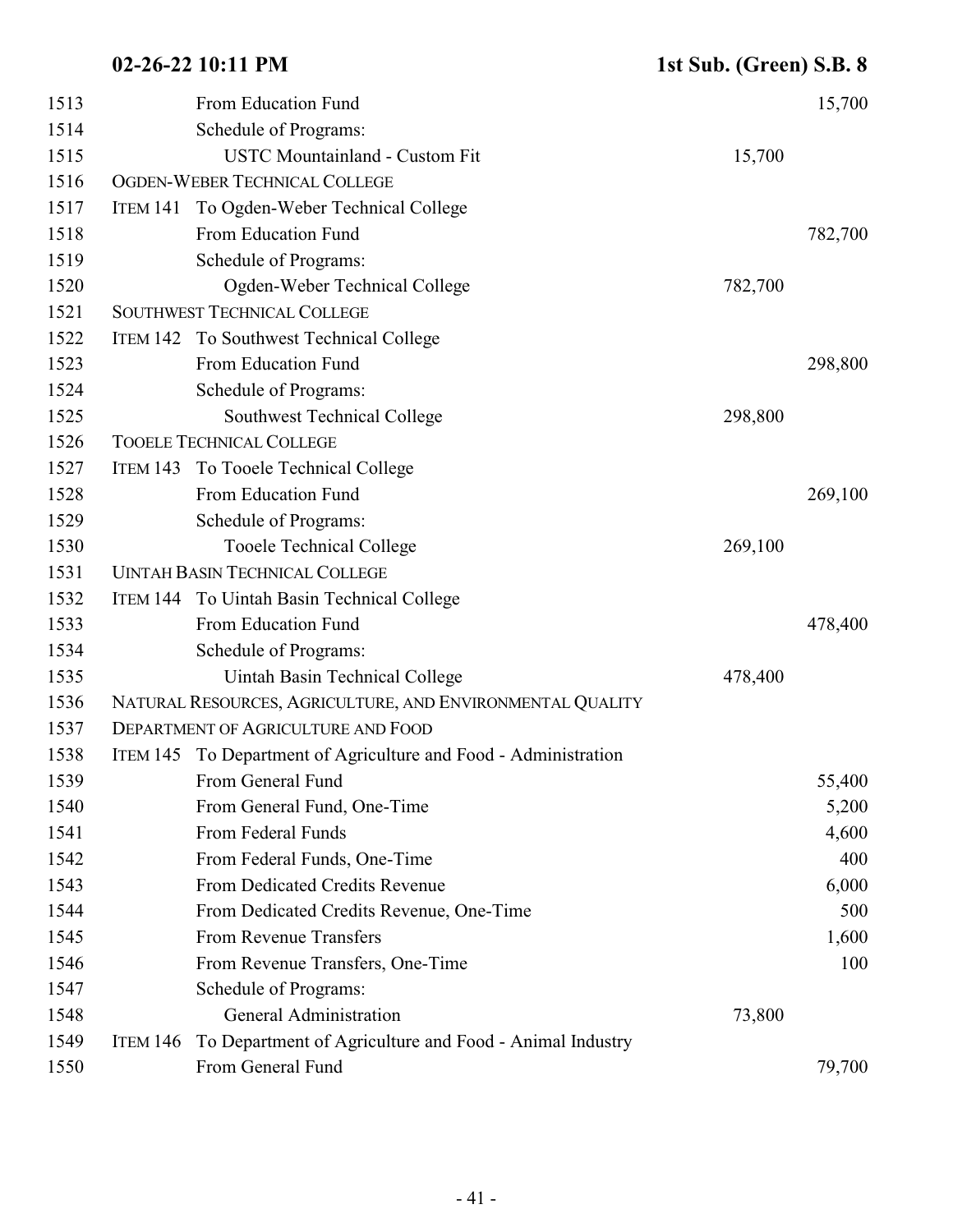| 1513 |          | From Education Fund                                             |         | 15,700  |
|------|----------|-----------------------------------------------------------------|---------|---------|
| 1514 |          | Schedule of Programs:                                           |         |         |
| 1515 |          | <b>USTC Mountainland - Custom Fit</b>                           | 15,700  |         |
| 1516 |          | OGDEN-WEBER TECHNICAL COLLEGE                                   |         |         |
| 1517 |          | ITEM 141 To Ogden-Weber Technical College                       |         |         |
| 1518 |          | From Education Fund                                             |         | 782,700 |
| 1519 |          | Schedule of Programs:                                           |         |         |
| 1520 |          | Ogden-Weber Technical College                                   | 782,700 |         |
| 1521 |          | <b>SOUTHWEST TECHNICAL COLLEGE</b>                              |         |         |
| 1522 |          | ITEM 142 To Southwest Technical College                         |         |         |
| 1523 |          | From Education Fund                                             |         | 298,800 |
| 1524 |          | Schedule of Programs:                                           |         |         |
| 1525 |          | <b>Southwest Technical College</b>                              | 298,800 |         |
| 1526 |          | <b>TOOELE TECHNICAL COLLEGE</b>                                 |         |         |
| 1527 |          | ITEM 143 To Tooele Technical College                            |         |         |
| 1528 |          | From Education Fund                                             |         | 269,100 |
| 1529 |          | Schedule of Programs:                                           |         |         |
| 1530 |          | <b>Tooele Technical College</b>                                 | 269,100 |         |
| 1531 |          | <b>UINTAH BASIN TECHNICAL COLLEGE</b>                           |         |         |
| 1532 |          | ITEM 144 To Uintah Basin Technical College                      |         |         |
| 1533 |          | From Education Fund                                             |         | 478,400 |
| 1534 |          | Schedule of Programs:                                           |         |         |
| 1535 |          | Uintah Basin Technical College                                  | 478,400 |         |
| 1536 |          | NATURAL RESOURCES, AGRICULTURE, AND ENVIRONMENTAL QUALITY       |         |         |
| 1537 |          | <b>DEPARTMENT OF AGRICULTURE AND FOOD</b>                       |         |         |
| 1538 |          | ITEM 145 To Department of Agriculture and Food - Administration |         |         |
| 1539 |          | From General Fund                                               |         | 55,400  |
| 1540 |          | From General Fund, One-Time                                     |         | 5,200   |
| 1541 |          | From Federal Funds                                              |         | 4,600   |
| 1542 |          | From Federal Funds, One-Time                                    |         | 400     |
| 1543 |          | From Dedicated Credits Revenue                                  |         | 6,000   |
| 1544 |          | From Dedicated Credits Revenue, One-Time                        |         | 500     |
| 1545 |          | From Revenue Transfers                                          |         | 1,600   |
| 1546 |          | From Revenue Transfers, One-Time                                |         | 100     |
| 1547 |          | Schedule of Programs:                                           |         |         |
| 1548 |          | <b>General Administration</b>                                   | 73,800  |         |
| 1549 | ITEM 146 | To Department of Agriculture and Food - Animal Industry         |         |         |
| 1550 |          | From General Fund                                               |         | 79,700  |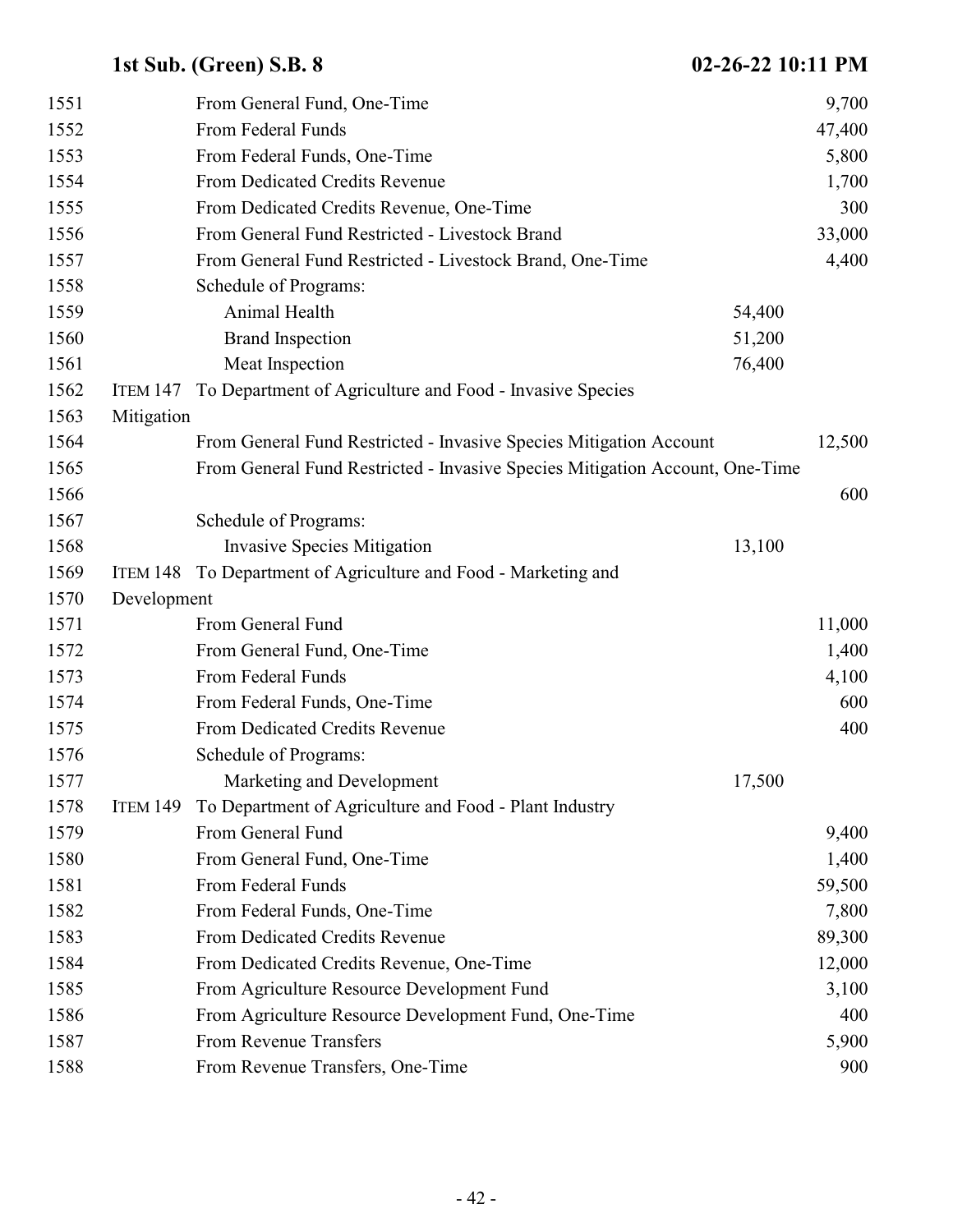| 1551 |                 | From General Fund, One-Time                                                  | 9,700  |  |
|------|-----------------|------------------------------------------------------------------------------|--------|--|
| 1552 |                 | From Federal Funds                                                           | 47,400 |  |
| 1553 |                 | From Federal Funds, One-Time                                                 | 5,800  |  |
| 1554 |                 | From Dedicated Credits Revenue                                               | 1,700  |  |
| 1555 |                 | From Dedicated Credits Revenue, One-Time                                     | 300    |  |
| 1556 |                 | From General Fund Restricted - Livestock Brand                               | 33,000 |  |
| 1557 |                 | From General Fund Restricted - Livestock Brand, One-Time                     | 4,400  |  |
| 1558 |                 | Schedule of Programs:                                                        |        |  |
| 1559 |                 | Animal Health                                                                | 54,400 |  |
| 1560 |                 | <b>Brand Inspection</b>                                                      | 51,200 |  |
| 1561 |                 | Meat Inspection                                                              | 76,400 |  |
| 1562 | <b>ITEM 147</b> | To Department of Agriculture and Food - Invasive Species                     |        |  |
| 1563 | Mitigation      |                                                                              |        |  |
| 1564 |                 | From General Fund Restricted - Invasive Species Mitigation Account           | 12,500 |  |
| 1565 |                 | From General Fund Restricted - Invasive Species Mitigation Account, One-Time |        |  |
| 1566 |                 |                                                                              | 600    |  |
| 1567 |                 | Schedule of Programs:                                                        |        |  |
| 1568 |                 | <b>Invasive Species Mitigation</b>                                           | 13,100 |  |
| 1569 | ITEM 148        | To Department of Agriculture and Food - Marketing and                        |        |  |
| 1570 | Development     |                                                                              |        |  |
| 1571 |                 | From General Fund                                                            | 11,000 |  |
| 1572 |                 | From General Fund, One-Time                                                  | 1,400  |  |
| 1573 |                 | From Federal Funds                                                           | 4,100  |  |
| 1574 |                 | From Federal Funds, One-Time                                                 | 600    |  |
| 1575 |                 | From Dedicated Credits Revenue                                               | 400    |  |
| 1576 |                 | Schedule of Programs:                                                        |        |  |
| 1577 |                 | Marketing and Development                                                    | 17,500 |  |
| 1578 | <b>ITEM 149</b> | To Department of Agriculture and Food - Plant Industry                       |        |  |
| 1579 |                 | From General Fund                                                            | 9,400  |  |
| 1580 |                 | From General Fund, One-Time                                                  | 1,400  |  |
| 1581 |                 | From Federal Funds                                                           | 59,500 |  |
| 1582 |                 | From Federal Funds, One-Time                                                 | 7,800  |  |
| 1583 |                 | From Dedicated Credits Revenue                                               | 89,300 |  |
| 1584 |                 | From Dedicated Credits Revenue, One-Time                                     | 12,000 |  |
| 1585 |                 | From Agriculture Resource Development Fund                                   | 3,100  |  |
| 1586 |                 | From Agriculture Resource Development Fund, One-Time                         | 400    |  |
| 1587 |                 | From Revenue Transfers                                                       | 5,900  |  |
| 1588 |                 | From Revenue Transfers, One-Time                                             | 900    |  |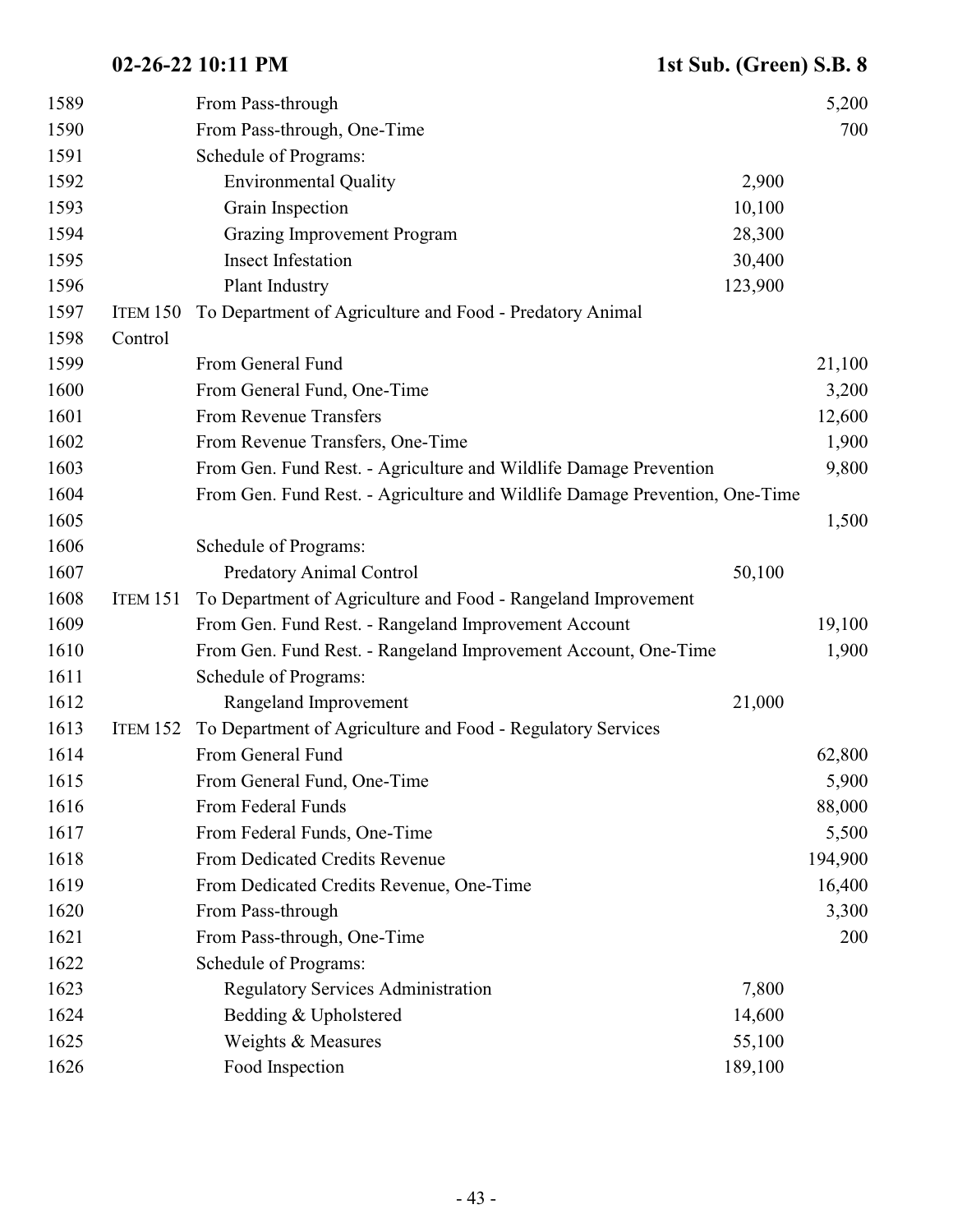| 1589 |                 | From Pass-through                                                           |         | 5,200   |
|------|-----------------|-----------------------------------------------------------------------------|---------|---------|
| 1590 |                 | From Pass-through, One-Time                                                 |         | 700     |
| 1591 |                 | Schedule of Programs:                                                       |         |         |
| 1592 |                 | <b>Environmental Quality</b>                                                | 2,900   |         |
| 1593 |                 | Grain Inspection                                                            | 10,100  |         |
| 1594 |                 | <b>Grazing Improvement Program</b>                                          | 28,300  |         |
| 1595 |                 | <b>Insect Infestation</b>                                                   | 30,400  |         |
| 1596 |                 | Plant Industry                                                              | 123,900 |         |
| 1597 | ITEM 150        | To Department of Agriculture and Food - Predatory Animal                    |         |         |
| 1598 | Control         |                                                                             |         |         |
| 1599 |                 | From General Fund                                                           |         | 21,100  |
| 1600 |                 | From General Fund, One-Time                                                 |         | 3,200   |
| 1601 |                 | From Revenue Transfers                                                      |         | 12,600  |
| 1602 |                 | From Revenue Transfers, One-Time                                            |         | 1,900   |
| 1603 |                 | From Gen. Fund Rest. - Agriculture and Wildlife Damage Prevention           |         | 9,800   |
| 1604 |                 | From Gen. Fund Rest. - Agriculture and Wildlife Damage Prevention, One-Time |         |         |
| 1605 |                 |                                                                             |         | 1,500   |
| 1606 |                 | Schedule of Programs:                                                       |         |         |
| 1607 |                 | <b>Predatory Animal Control</b>                                             | 50,100  |         |
| 1608 | ITEM 151        | To Department of Agriculture and Food - Rangeland Improvement               |         |         |
| 1609 |                 | From Gen. Fund Rest. - Rangeland Improvement Account                        |         | 19,100  |
| 1610 |                 | From Gen. Fund Rest. - Rangeland Improvement Account, One-Time              |         | 1,900   |
| 1611 |                 | Schedule of Programs:                                                       |         |         |
| 1612 |                 | Rangeland Improvement                                                       | 21,000  |         |
| 1613 | <b>ITEM 152</b> | To Department of Agriculture and Food - Regulatory Services                 |         |         |
| 1614 |                 | From General Fund                                                           |         | 62,800  |
| 1615 |                 | From General Fund, One-Time                                                 |         | 5,900   |
| 1616 |                 | From Federal Funds                                                          |         | 88,000  |
| 1617 |                 | From Federal Funds, One-Time                                                |         | 5,500   |
| 1618 |                 | From Dedicated Credits Revenue                                              |         | 194,900 |
| 1619 |                 | From Dedicated Credits Revenue, One-Time                                    |         | 16,400  |
| 1620 |                 | From Pass-through                                                           |         | 3,300   |
| 1621 |                 | From Pass-through, One-Time                                                 |         | 200     |
| 1622 |                 | Schedule of Programs:                                                       |         |         |
| 1623 |                 | <b>Regulatory Services Administration</b>                                   | 7,800   |         |
| 1624 |                 | Bedding & Upholstered                                                       | 14,600  |         |
| 1625 |                 | Weights & Measures                                                          | 55,100  |         |
| 1626 |                 | Food Inspection                                                             | 189,100 |         |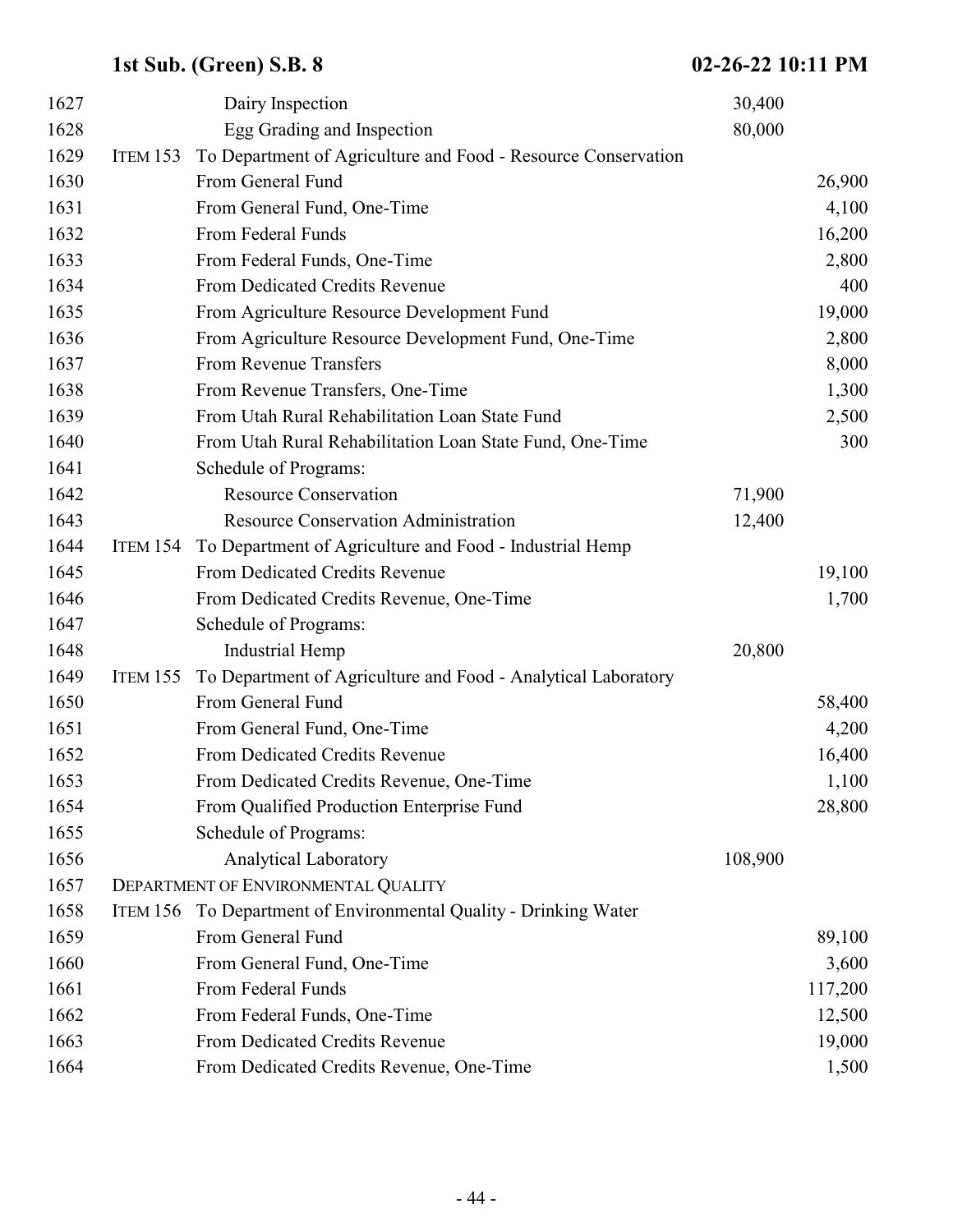| 1627 |                 | Dairy Inspection                                              | 30,400  |         |
|------|-----------------|---------------------------------------------------------------|---------|---------|
| 1628 |                 | Egg Grading and Inspection                                    | 80,000  |         |
| 1629 | <b>ITEM 153</b> | To Department of Agriculture and Food - Resource Conservation |         |         |
| 1630 |                 | From General Fund                                             |         | 26,900  |
| 1631 |                 | From General Fund, One-Time                                   |         | 4,100   |
| 1632 |                 | From Federal Funds                                            |         | 16,200  |
| 1633 |                 | From Federal Funds, One-Time                                  |         | 2,800   |
| 1634 |                 | From Dedicated Credits Revenue                                |         | 400     |
| 1635 |                 | From Agriculture Resource Development Fund                    |         | 19,000  |
| 1636 |                 | From Agriculture Resource Development Fund, One-Time          |         | 2,800   |
| 1637 |                 | From Revenue Transfers                                        |         | 8,000   |
| 1638 |                 | From Revenue Transfers, One-Time                              |         | 1,300   |
| 1639 |                 | From Utah Rural Rehabilitation Loan State Fund                |         | 2,500   |
| 1640 |                 | From Utah Rural Rehabilitation Loan State Fund, One-Time      |         | 300     |
| 1641 |                 | Schedule of Programs:                                         |         |         |
| 1642 |                 | <b>Resource Conservation</b>                                  | 71,900  |         |
| 1643 |                 | <b>Resource Conservation Administration</b>                   | 12,400  |         |
| 1644 | <b>ITEM 154</b> | To Department of Agriculture and Food - Industrial Hemp       |         |         |
| 1645 |                 | From Dedicated Credits Revenue                                |         | 19,100  |
| 1646 |                 | From Dedicated Credits Revenue, One-Time                      |         | 1,700   |
| 1647 |                 | Schedule of Programs:                                         |         |         |
| 1648 |                 | <b>Industrial Hemp</b>                                        | 20,800  |         |
| 1649 | <b>ITEM 155</b> | To Department of Agriculture and Food - Analytical Laboratory |         |         |
| 1650 |                 | From General Fund                                             |         | 58,400  |
| 1651 |                 | From General Fund, One-Time                                   |         | 4,200   |
| 1652 |                 | From Dedicated Credits Revenue                                |         | 16,400  |
| 1653 |                 | From Dedicated Credits Revenue, One-Time                      |         | 1,100   |
| 1654 |                 | From Qualified Production Enterprise Fund                     |         | 28,800  |
| 1655 |                 | Schedule of Programs:                                         |         |         |
| 1656 |                 | <b>Analytical Laboratory</b>                                  | 108,900 |         |
| 1657 |                 | DEPARTMENT OF ENVIRONMENTAL QUALITY                           |         |         |
| 1658 | <b>ITEM 156</b> | To Department of Environmental Quality - Drinking Water       |         |         |
| 1659 |                 | From General Fund                                             |         | 89,100  |
| 1660 |                 | From General Fund, One-Time                                   |         | 3,600   |
| 1661 |                 | From Federal Funds                                            |         | 117,200 |
| 1662 |                 | From Federal Funds, One-Time                                  |         | 12,500  |
| 1663 |                 | From Dedicated Credits Revenue                                |         | 19,000  |
| 1664 |                 | From Dedicated Credits Revenue, One-Time                      |         | 1,500   |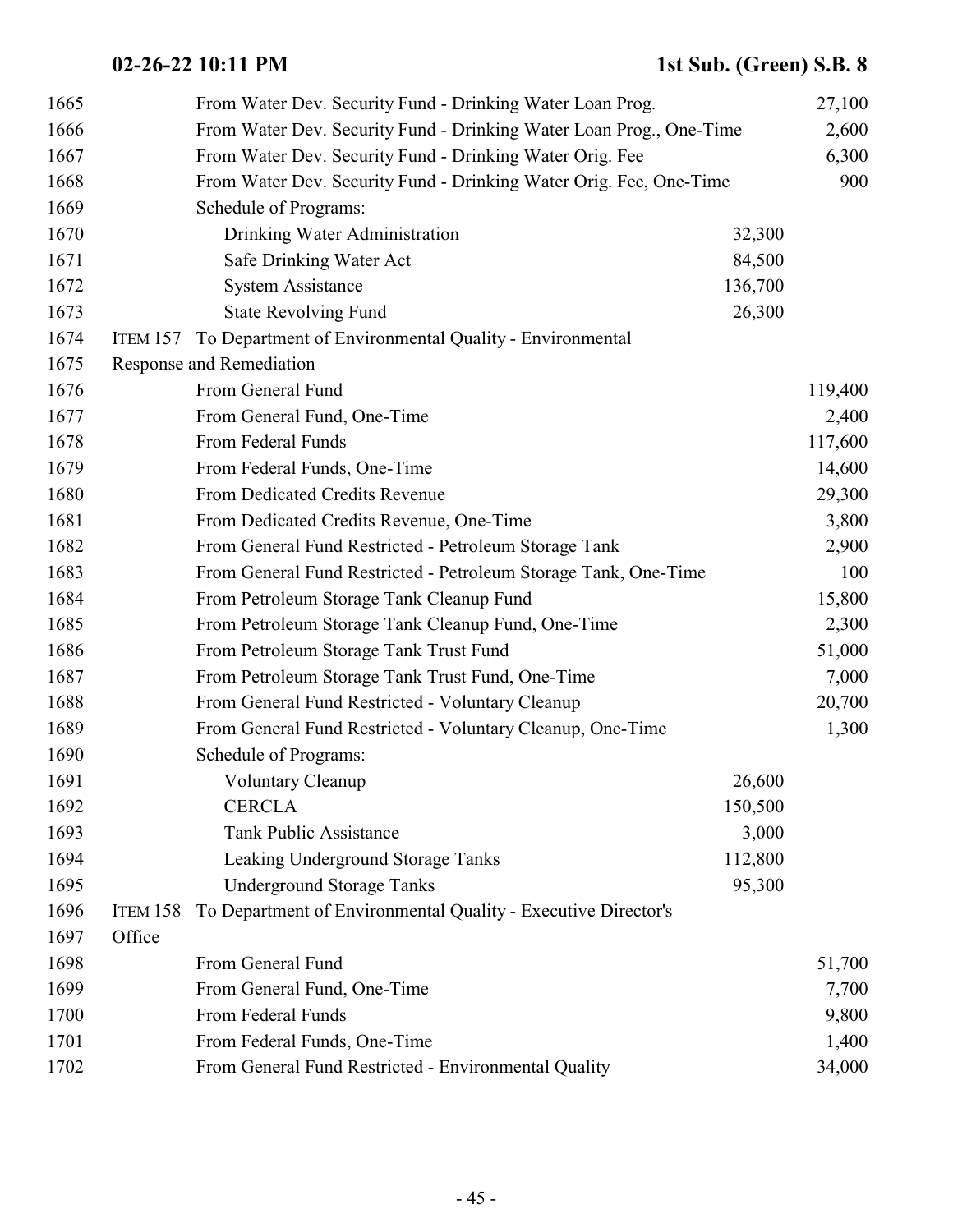| 1665 |          | From Water Dev. Security Fund - Drinking Water Loan Prog.           |         | 27,100  |
|------|----------|---------------------------------------------------------------------|---------|---------|
| 1666 |          | From Water Dev. Security Fund - Drinking Water Loan Prog., One-Time |         | 2,600   |
| 1667 |          | From Water Dev. Security Fund - Drinking Water Orig. Fee            |         | 6,300   |
| 1668 |          | From Water Dev. Security Fund - Drinking Water Orig. Fee, One-Time  |         | 900     |
| 1669 |          | Schedule of Programs:                                               |         |         |
| 1670 |          | Drinking Water Administration                                       | 32,300  |         |
| 1671 |          | Safe Drinking Water Act                                             | 84,500  |         |
| 1672 |          | <b>System Assistance</b>                                            | 136,700 |         |
| 1673 |          | <b>State Revolving Fund</b>                                         | 26,300  |         |
| 1674 | ITEM 157 | To Department of Environmental Quality - Environmental              |         |         |
| 1675 |          | Response and Remediation                                            |         |         |
| 1676 |          | From General Fund                                                   |         | 119,400 |
| 1677 |          | From General Fund, One-Time                                         |         | 2,400   |
| 1678 |          | From Federal Funds                                                  |         | 117,600 |
| 1679 |          | From Federal Funds, One-Time                                        |         | 14,600  |
| 1680 |          | From Dedicated Credits Revenue                                      |         | 29,300  |
| 1681 |          | From Dedicated Credits Revenue, One-Time                            |         | 3,800   |
| 1682 |          | From General Fund Restricted - Petroleum Storage Tank               |         | 2,900   |
| 1683 |          | From General Fund Restricted - Petroleum Storage Tank, One-Time     |         | 100     |
| 1684 |          | From Petroleum Storage Tank Cleanup Fund                            |         | 15,800  |
| 1685 |          | From Petroleum Storage Tank Cleanup Fund, One-Time                  |         | 2,300   |
| 1686 |          | From Petroleum Storage Tank Trust Fund                              |         | 51,000  |
| 1687 |          | From Petroleum Storage Tank Trust Fund, One-Time                    |         | 7,000   |
| 1688 |          | From General Fund Restricted - Voluntary Cleanup                    |         | 20,700  |
| 1689 |          | From General Fund Restricted - Voluntary Cleanup, One-Time          |         | 1,300   |
| 1690 |          | Schedule of Programs:                                               |         |         |
| 1691 |          | <b>Voluntary Cleanup</b>                                            | 26,600  |         |
| 1692 |          | <b>CERCLA</b>                                                       | 150,500 |         |
| 1693 |          | <b>Tank Public Assistance</b>                                       | 3,000   |         |
| 1694 |          | Leaking Underground Storage Tanks                                   | 112,800 |         |
| 1695 |          | <b>Underground Storage Tanks</b>                                    | 95,300  |         |
| 1696 | ITEM 158 | To Department of Environmental Quality - Executive Director's       |         |         |
| 1697 | Office   |                                                                     |         |         |
| 1698 |          | From General Fund                                                   |         | 51,700  |
| 1699 |          | From General Fund, One-Time                                         |         | 7,700   |
| 1700 |          | From Federal Funds                                                  |         | 9,800   |
| 1701 |          | From Federal Funds, One-Time                                        |         | 1,400   |
| 1702 |          | From General Fund Restricted - Environmental Quality                |         | 34,000  |
|      |          |                                                                     |         |         |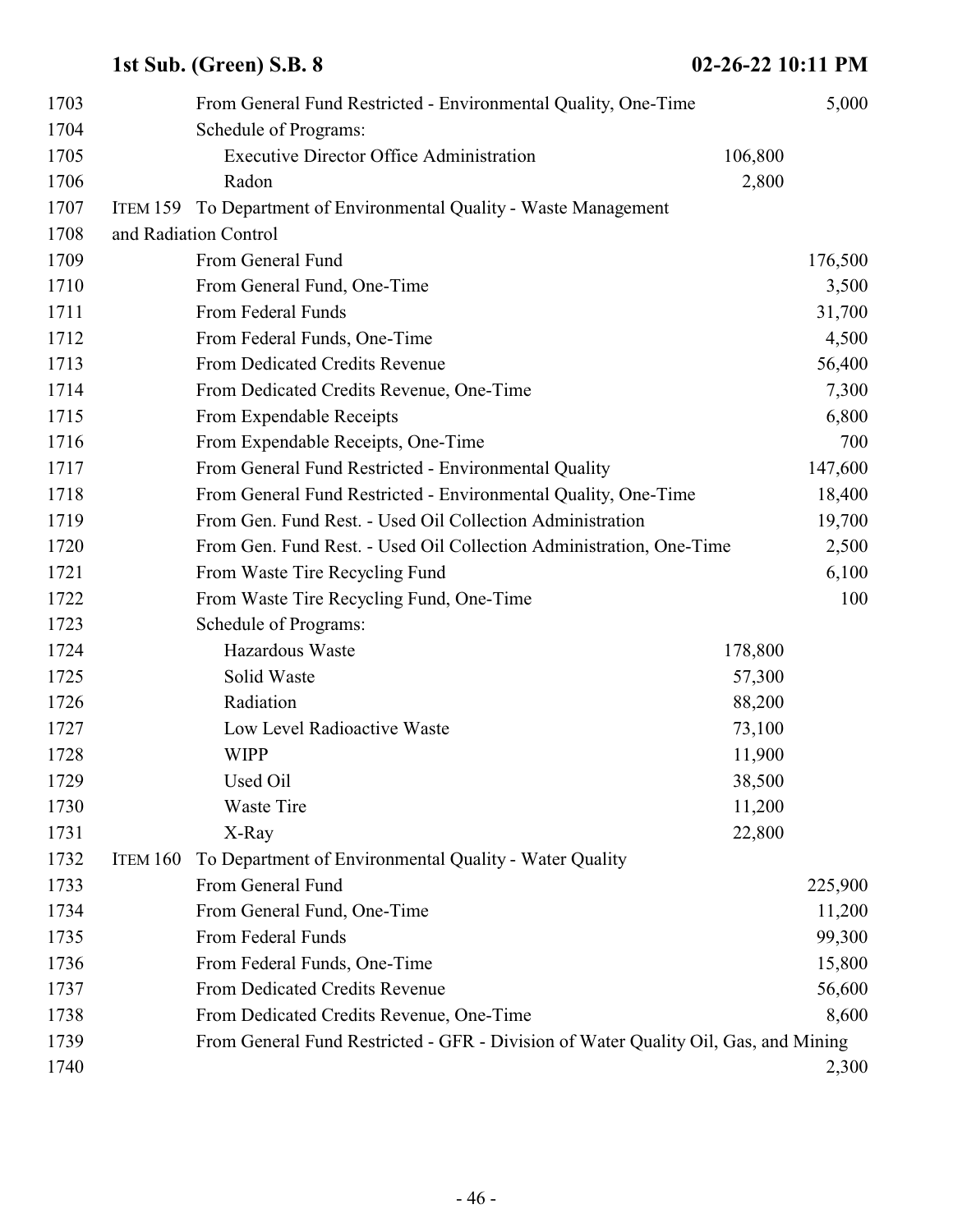| 1703 |          | From General Fund Restricted - Environmental Quality, One-Time                      |         | 5,000   |
|------|----------|-------------------------------------------------------------------------------------|---------|---------|
| 1704 |          | Schedule of Programs:                                                               |         |         |
| 1705 |          | <b>Executive Director Office Administration</b>                                     | 106,800 |         |
| 1706 |          | Radon                                                                               | 2,800   |         |
| 1707 |          | ITEM 159 To Department of Environmental Quality - Waste Management                  |         |         |
| 1708 |          | and Radiation Control                                                               |         |         |
| 1709 |          | From General Fund                                                                   |         | 176,500 |
| 1710 |          | From General Fund, One-Time                                                         |         | 3,500   |
| 1711 |          | From Federal Funds                                                                  |         | 31,700  |
| 1712 |          | From Federal Funds, One-Time                                                        |         | 4,500   |
| 1713 |          | From Dedicated Credits Revenue                                                      |         | 56,400  |
| 1714 |          | From Dedicated Credits Revenue, One-Time                                            |         | 7,300   |
| 1715 |          | From Expendable Receipts                                                            |         | 6,800   |
| 1716 |          | From Expendable Receipts, One-Time                                                  |         | 700     |
| 1717 |          | From General Fund Restricted - Environmental Quality                                |         | 147,600 |
| 1718 |          | From General Fund Restricted - Environmental Quality, One-Time                      |         | 18,400  |
| 1719 |          | From Gen. Fund Rest. - Used Oil Collection Administration                           |         | 19,700  |
| 1720 |          | From Gen. Fund Rest. - Used Oil Collection Administration, One-Time                 |         | 2,500   |
| 1721 |          | From Waste Tire Recycling Fund                                                      |         | 6,100   |
| 1722 |          | From Waste Tire Recycling Fund, One-Time                                            |         | 100     |
| 1723 |          | Schedule of Programs:                                                               |         |         |
| 1724 |          | Hazardous Waste                                                                     | 178,800 |         |
| 1725 |          | Solid Waste                                                                         | 57,300  |         |
| 1726 |          | Radiation                                                                           | 88,200  |         |
| 1727 |          | Low Level Radioactive Waste                                                         | 73,100  |         |
| 1728 |          | <b>WIPP</b>                                                                         | 11,900  |         |
| 1729 |          | Used Oil                                                                            | 38,500  |         |
| 1730 |          | Waste Tire                                                                          | 11,200  |         |
| 1731 |          | X-Ray                                                                               | 22,800  |         |
| 1732 | ITEM 160 | To Department of Environmental Quality - Water Quality                              |         |         |
| 1733 |          | From General Fund                                                                   |         | 225,900 |
| 1734 |          | From General Fund, One-Time                                                         |         | 11,200  |
| 1735 |          | From Federal Funds                                                                  |         | 99,300  |
| 1736 |          | From Federal Funds, One-Time                                                        |         | 15,800  |
| 1737 |          | From Dedicated Credits Revenue                                                      |         | 56,600  |
| 1738 |          | From Dedicated Credits Revenue, One-Time                                            |         | 8,600   |
| 1739 |          | From General Fund Restricted - GFR - Division of Water Quality Oil, Gas, and Mining |         |         |
| 1740 |          |                                                                                     |         | 2,300   |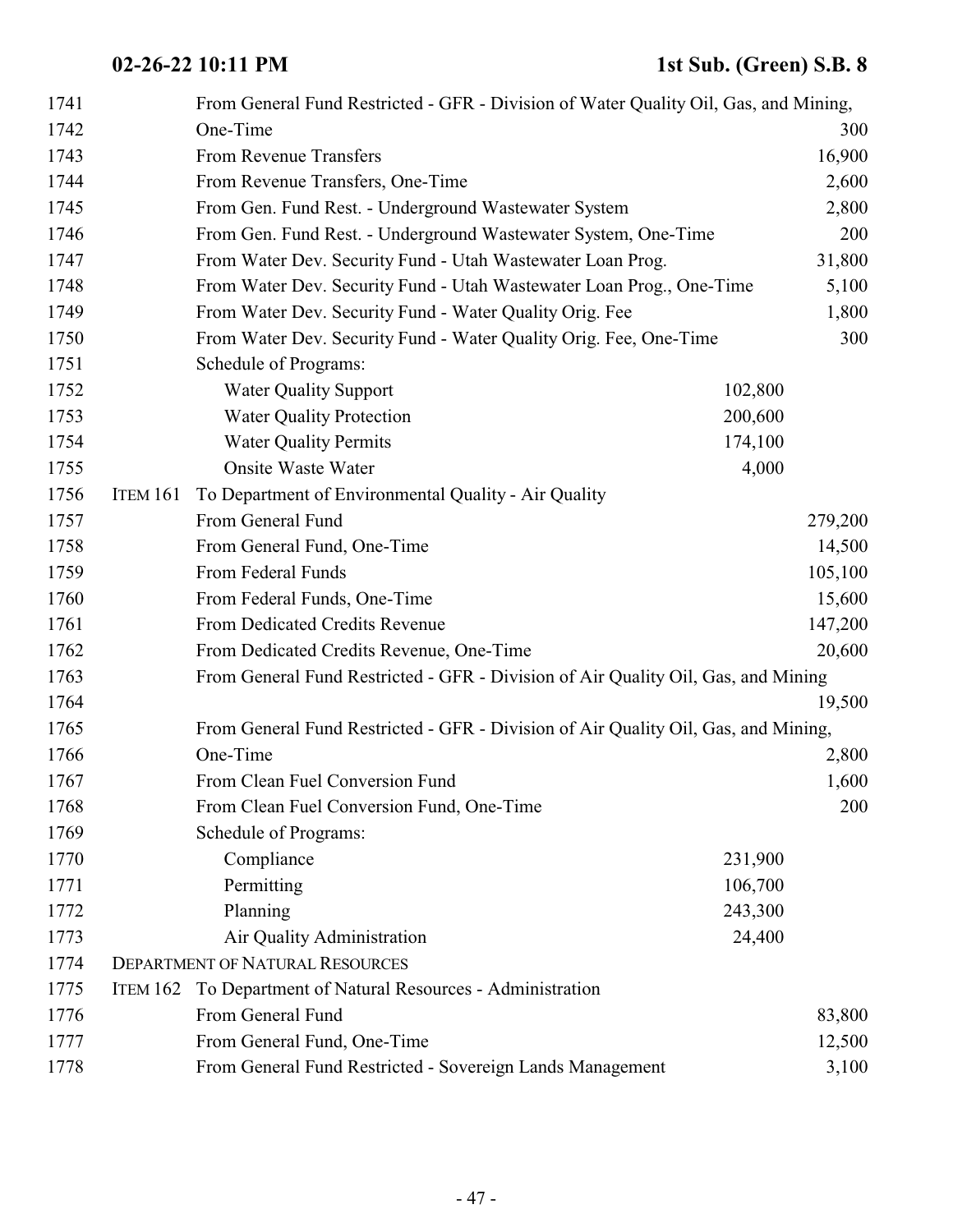| 1741 |                 | From General Fund Restricted - GFR - Division of Water Quality Oil, Gas, and Mining, |         |         |
|------|-----------------|--------------------------------------------------------------------------------------|---------|---------|
| 1742 |                 | One-Time                                                                             |         | 300     |
| 1743 |                 | From Revenue Transfers                                                               |         | 16,900  |
| 1744 |                 | From Revenue Transfers, One-Time                                                     |         | 2,600   |
| 1745 |                 | From Gen. Fund Rest. - Underground Wastewater System                                 |         | 2,800   |
| 1746 |                 | From Gen. Fund Rest. - Underground Wastewater System, One-Time                       |         | 200     |
| 1747 |                 | From Water Dev. Security Fund - Utah Wastewater Loan Prog.                           |         | 31,800  |
| 1748 |                 | From Water Dev. Security Fund - Utah Wastewater Loan Prog., One-Time                 |         | 5,100   |
| 1749 |                 | From Water Dev. Security Fund - Water Quality Orig. Fee                              |         | 1,800   |
| 1750 |                 | From Water Dev. Security Fund - Water Quality Orig. Fee, One-Time                    |         | 300     |
| 1751 |                 | Schedule of Programs:                                                                |         |         |
| 1752 |                 | <b>Water Quality Support</b>                                                         | 102,800 |         |
| 1753 |                 | <b>Water Quality Protection</b>                                                      | 200,600 |         |
| 1754 |                 | <b>Water Quality Permits</b>                                                         | 174,100 |         |
| 1755 |                 | <b>Onsite Waste Water</b>                                                            | 4,000   |         |
| 1756 | <b>ITEM 161</b> | To Department of Environmental Quality - Air Quality                                 |         |         |
| 1757 |                 | From General Fund                                                                    |         | 279,200 |
| 1758 |                 | From General Fund, One-Time                                                          |         | 14,500  |
| 1759 |                 | From Federal Funds                                                                   |         | 105,100 |
| 1760 |                 | From Federal Funds, One-Time                                                         |         | 15,600  |
| 1761 |                 | From Dedicated Credits Revenue                                                       |         | 147,200 |
| 1762 |                 | From Dedicated Credits Revenue, One-Time                                             |         | 20,600  |
| 1763 |                 | From General Fund Restricted - GFR - Division of Air Quality Oil, Gas, and Mining    |         |         |
| 1764 |                 |                                                                                      |         | 19,500  |
| 1765 |                 | From General Fund Restricted - GFR - Division of Air Quality Oil, Gas, and Mining,   |         |         |
| 1766 |                 | One-Time                                                                             |         | 2,800   |
| 1767 |                 | From Clean Fuel Conversion Fund                                                      |         | 1,600   |
| 1768 |                 | From Clean Fuel Conversion Fund, One-Time                                            |         | 200     |
| 1769 |                 | Schedule of Programs:                                                                |         |         |
| 1770 |                 | Compliance                                                                           | 231,900 |         |
| 1771 |                 | Permitting                                                                           | 106,700 |         |
| 1772 |                 | Planning                                                                             | 243,300 |         |
| 1773 |                 | Air Quality Administration                                                           | 24,400  |         |
| 1774 |                 | <b>DEPARTMENT OF NATURAL RESOURCES</b>                                               |         |         |
| 1775 | ITEM 162        | To Department of Natural Resources - Administration                                  |         |         |
| 1776 |                 | From General Fund                                                                    |         | 83,800  |
| 1777 |                 | From General Fund, One-Time                                                          |         | 12,500  |
| 1778 |                 | From General Fund Restricted - Sovereign Lands Management                            |         | 3,100   |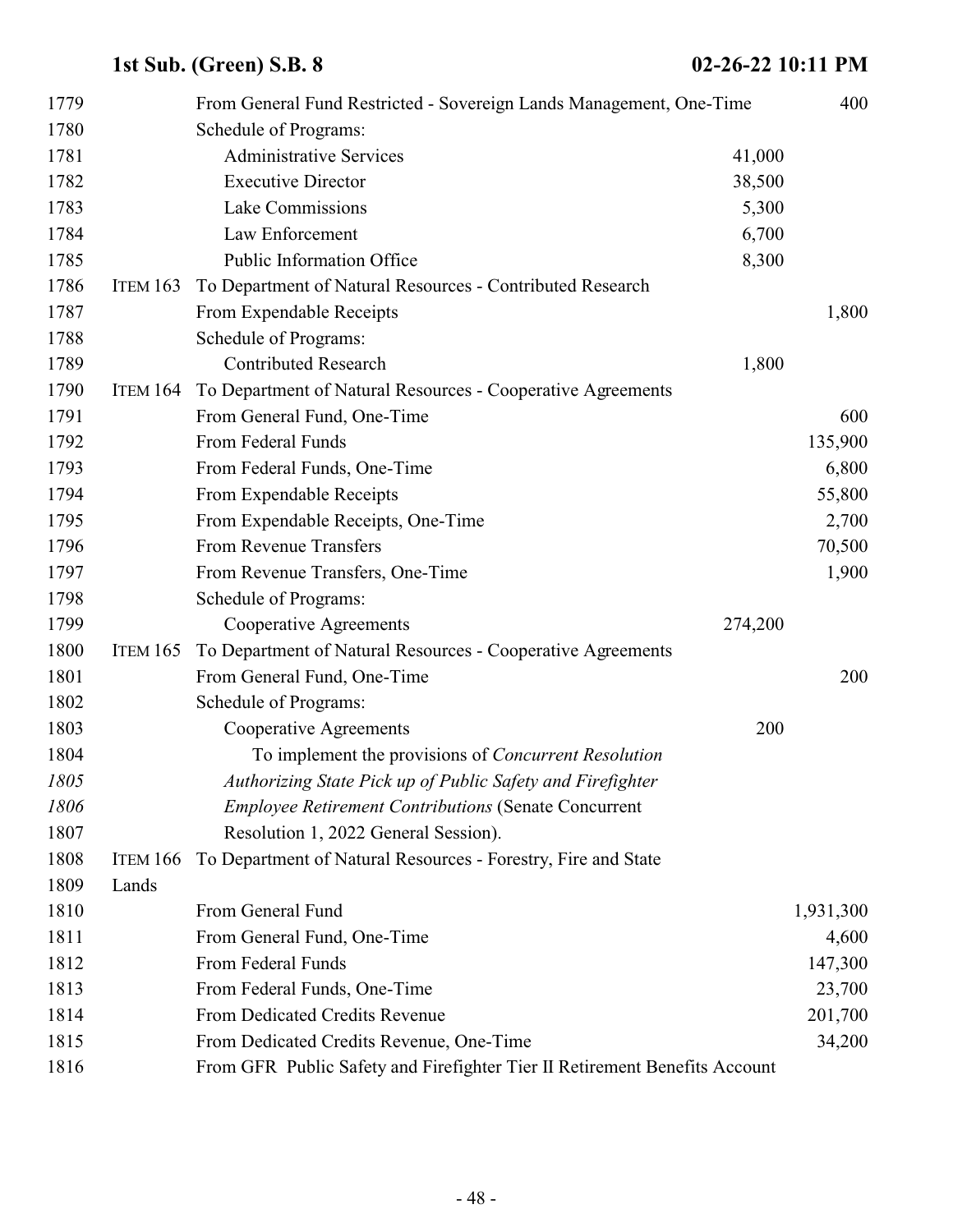| 1779 |                 | From General Fund Restricted - Sovereign Lands Management, One-Time        |         | 400       |
|------|-----------------|----------------------------------------------------------------------------|---------|-----------|
| 1780 |                 | Schedule of Programs:                                                      |         |           |
| 1781 |                 | <b>Administrative Services</b>                                             | 41,000  |           |
| 1782 |                 | <b>Executive Director</b>                                                  | 38,500  |           |
| 1783 |                 | Lake Commissions                                                           | 5,300   |           |
| 1784 |                 | Law Enforcement                                                            | 6,700   |           |
| 1785 |                 | Public Information Office                                                  | 8,300   |           |
| 1786 | <b>ITEM 163</b> | To Department of Natural Resources - Contributed Research                  |         |           |
| 1787 |                 | From Expendable Receipts                                                   |         | 1,800     |
| 1788 |                 | Schedule of Programs:                                                      |         |           |
| 1789 |                 | <b>Contributed Research</b>                                                | 1,800   |           |
| 1790 | <b>ITEM 164</b> | To Department of Natural Resources - Cooperative Agreements                |         |           |
| 1791 |                 | From General Fund, One-Time                                                |         | 600       |
| 1792 |                 | From Federal Funds                                                         |         | 135,900   |
| 1793 |                 | From Federal Funds, One-Time                                               |         | 6,800     |
| 1794 |                 | From Expendable Receipts                                                   |         | 55,800    |
| 1795 |                 | From Expendable Receipts, One-Time                                         |         | 2,700     |
| 1796 |                 | From Revenue Transfers                                                     |         | 70,500    |
| 1797 |                 | From Revenue Transfers, One-Time                                           |         | 1,900     |
| 1798 |                 | Schedule of Programs:                                                      |         |           |
| 1799 |                 | Cooperative Agreements                                                     | 274,200 |           |
| 1800 | <b>ITEM 165</b> | To Department of Natural Resources - Cooperative Agreements                |         |           |
| 1801 |                 | From General Fund, One-Time                                                |         | 200       |
| 1802 |                 | Schedule of Programs:                                                      |         |           |
| 1803 |                 | Cooperative Agreements                                                     | 200     |           |
| 1804 |                 | To implement the provisions of Concurrent Resolution                       |         |           |
| 1805 |                 | Authorizing State Pick up of Public Safety and Firefighter                 |         |           |
| 1806 |                 | <b>Employee Retirement Contributions (Senate Concurrent</b>                |         |           |
| 1807 |                 | Resolution 1, 2022 General Session).                                       |         |           |
| 1808 | <b>ITEM 166</b> | To Department of Natural Resources - Forestry, Fire and State              |         |           |
| 1809 | Lands           |                                                                            |         |           |
| 1810 |                 | From General Fund                                                          |         | 1,931,300 |
| 1811 |                 | From General Fund, One-Time                                                |         | 4,600     |
| 1812 |                 | From Federal Funds                                                         |         | 147,300   |
| 1813 |                 | From Federal Funds, One-Time                                               |         | 23,700    |
| 1814 |                 | From Dedicated Credits Revenue                                             |         | 201,700   |
| 1815 |                 | From Dedicated Credits Revenue, One-Time                                   |         | 34,200    |
| 1816 |                 | From GFR Public Safety and Firefighter Tier II Retirement Benefits Account |         |           |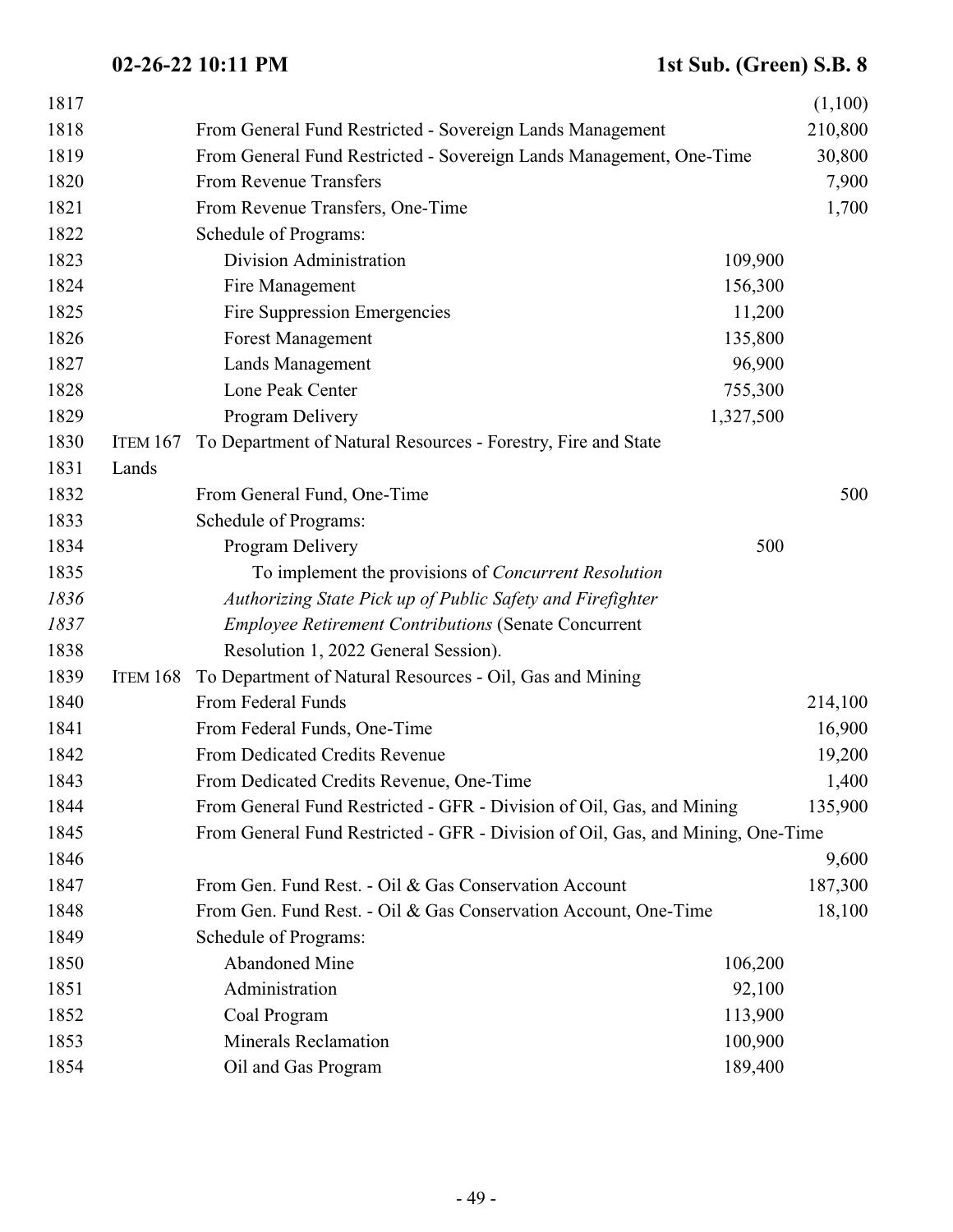| 1817 |                 |                                                                                 |           | (1,100) |
|------|-----------------|---------------------------------------------------------------------------------|-----------|---------|
| 1818 |                 | From General Fund Restricted - Sovereign Lands Management                       |           | 210,800 |
| 1819 |                 | From General Fund Restricted - Sovereign Lands Management, One-Time             |           | 30,800  |
| 1820 |                 | From Revenue Transfers                                                          |           | 7,900   |
| 1821 |                 | From Revenue Transfers, One-Time                                                |           | 1,700   |
| 1822 |                 | Schedule of Programs:                                                           |           |         |
| 1823 |                 | Division Administration                                                         | 109,900   |         |
| 1824 |                 | Fire Management                                                                 | 156,300   |         |
| 1825 |                 | Fire Suppression Emergencies                                                    | 11,200    |         |
| 1826 |                 | <b>Forest Management</b>                                                        | 135,800   |         |
| 1827 |                 | Lands Management                                                                | 96,900    |         |
| 1828 |                 | Lone Peak Center                                                                | 755,300   |         |
| 1829 |                 | Program Delivery                                                                | 1,327,500 |         |
| 1830 | <b>ITEM 167</b> | To Department of Natural Resources - Forestry, Fire and State                   |           |         |
| 1831 | Lands           |                                                                                 |           |         |
| 1832 |                 | From General Fund, One-Time                                                     |           | 500     |
| 1833 |                 | Schedule of Programs:                                                           |           |         |
| 1834 |                 | Program Delivery                                                                | 500       |         |
| 1835 |                 | To implement the provisions of Concurrent Resolution                            |           |         |
| 1836 |                 | Authorizing State Pick up of Public Safety and Firefighter                      |           |         |
| 1837 |                 | <b>Employee Retirement Contributions (Senate Concurrent</b>                     |           |         |
| 1838 |                 | Resolution 1, 2022 General Session).                                            |           |         |
| 1839 | ITEM 168        | To Department of Natural Resources - Oil, Gas and Mining                        |           |         |
| 1840 |                 | From Federal Funds                                                              |           | 214,100 |
| 1841 |                 | From Federal Funds, One-Time                                                    |           | 16,900  |
| 1842 |                 | From Dedicated Credits Revenue                                                  |           | 19,200  |
| 1843 |                 | From Dedicated Credits Revenue, One-Time                                        |           | 1,400   |
| 1844 |                 | From General Fund Restricted - GFR - Division of Oil, Gas, and Mining           |           | 135,900 |
| 1845 |                 | From General Fund Restricted - GFR - Division of Oil, Gas, and Mining, One-Time |           |         |
| 1846 |                 |                                                                                 |           | 9,600   |
| 1847 |                 | From Gen. Fund Rest. - Oil & Gas Conservation Account                           |           | 187,300 |
| 1848 |                 | From Gen. Fund Rest. - Oil & Gas Conservation Account, One-Time                 |           | 18,100  |
| 1849 |                 | Schedule of Programs:                                                           |           |         |
| 1850 |                 | <b>Abandoned Mine</b>                                                           | 106,200   |         |
| 1851 |                 | Administration                                                                  | 92,100    |         |
| 1852 |                 | Coal Program                                                                    | 113,900   |         |
| 1853 |                 | <b>Minerals Reclamation</b>                                                     | 100,900   |         |
| 1854 |                 | Oil and Gas Program                                                             | 189,400   |         |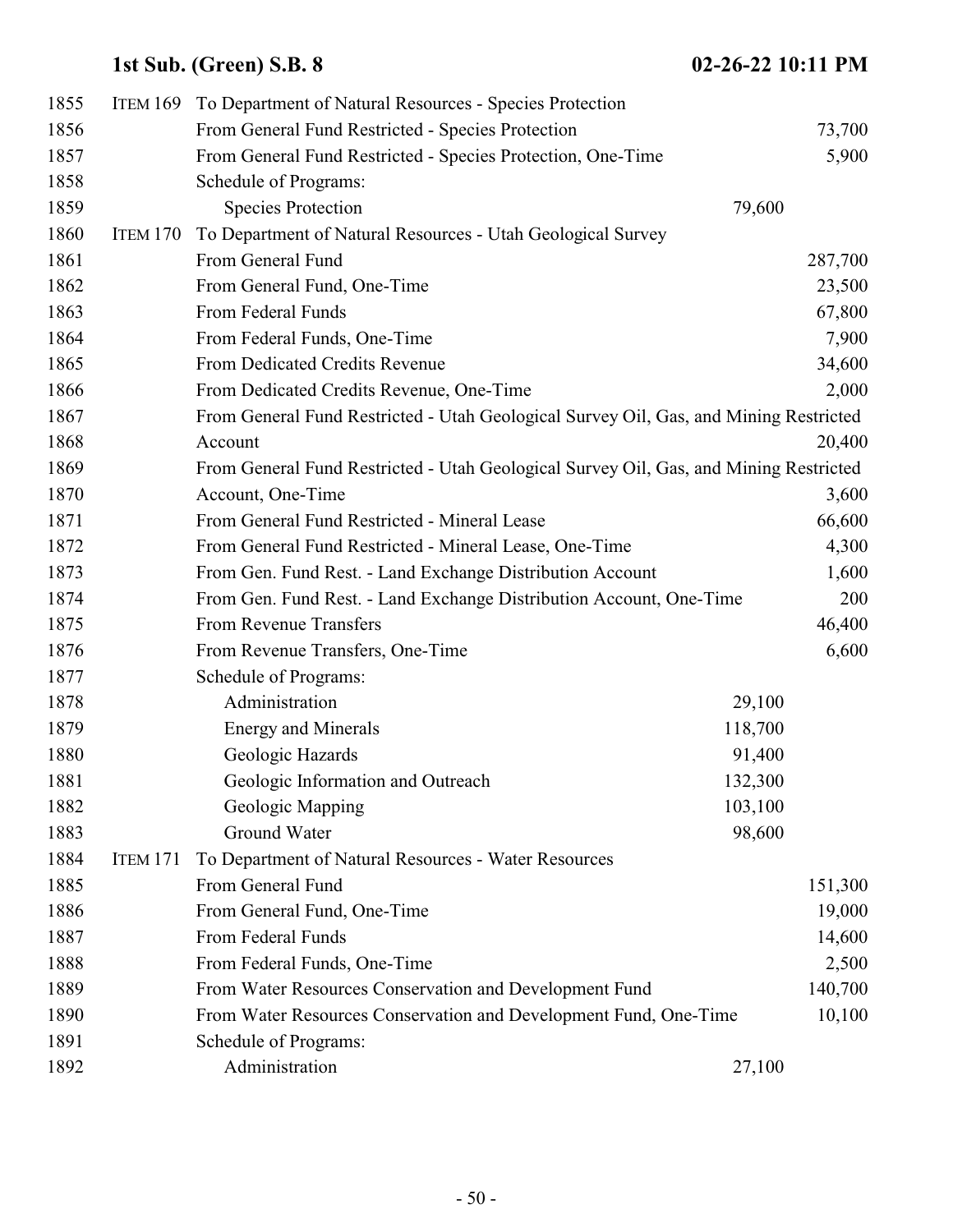| 1855 |                 | ITEM 169 To Department of Natural Resources - Species Protection                      |         |         |
|------|-----------------|---------------------------------------------------------------------------------------|---------|---------|
| 1856 |                 | From General Fund Restricted - Species Protection                                     |         | 73,700  |
| 1857 |                 | From General Fund Restricted - Species Protection, One-Time                           |         | 5,900   |
| 1858 |                 | Schedule of Programs:                                                                 |         |         |
| 1859 |                 | <b>Species Protection</b>                                                             | 79,600  |         |
| 1860 | ITEM 170        | To Department of Natural Resources - Utah Geological Survey                           |         |         |
| 1861 |                 | From General Fund                                                                     |         | 287,700 |
| 1862 |                 | From General Fund, One-Time                                                           |         | 23,500  |
| 1863 |                 | From Federal Funds                                                                    |         | 67,800  |
| 1864 |                 | From Federal Funds, One-Time                                                          |         | 7,900   |
| 1865 |                 | From Dedicated Credits Revenue                                                        |         | 34,600  |
| 1866 |                 | From Dedicated Credits Revenue, One-Time                                              |         | 2,000   |
| 1867 |                 | From General Fund Restricted - Utah Geological Survey Oil, Gas, and Mining Restricted |         |         |
| 1868 |                 | Account                                                                               |         | 20,400  |
| 1869 |                 | From General Fund Restricted - Utah Geological Survey Oil, Gas, and Mining Restricted |         |         |
| 1870 |                 | Account, One-Time                                                                     |         | 3,600   |
| 1871 |                 | From General Fund Restricted - Mineral Lease                                          |         | 66,600  |
| 1872 |                 | From General Fund Restricted - Mineral Lease, One-Time                                |         | 4,300   |
| 1873 |                 | From Gen. Fund Rest. - Land Exchange Distribution Account                             |         | 1,600   |
| 1874 |                 | From Gen. Fund Rest. - Land Exchange Distribution Account, One-Time                   |         | 200     |
| 1875 |                 | From Revenue Transfers                                                                |         | 46,400  |
| 1876 |                 | From Revenue Transfers, One-Time                                                      |         | 6,600   |
| 1877 |                 | Schedule of Programs:                                                                 |         |         |
| 1878 |                 | Administration                                                                        | 29,100  |         |
| 1879 |                 | <b>Energy and Minerals</b>                                                            | 118,700 |         |
| 1880 |                 | Geologic Hazards                                                                      | 91,400  |         |
| 1881 |                 | Geologic Information and Outreach                                                     | 132,300 |         |
| 1882 |                 | Geologic Mapping                                                                      | 103,100 |         |
| 1883 |                 | Ground Water                                                                          | 98,600  |         |
| 1884 | <b>ITEM 171</b> | To Department of Natural Resources - Water Resources                                  |         |         |
| 1885 |                 | From General Fund                                                                     |         | 151,300 |
| 1886 |                 | From General Fund, One-Time                                                           |         | 19,000  |
| 1887 |                 | From Federal Funds                                                                    |         | 14,600  |
| 1888 |                 | From Federal Funds, One-Time                                                          |         | 2,500   |
| 1889 |                 | From Water Resources Conservation and Development Fund                                |         | 140,700 |
| 1890 |                 | From Water Resources Conservation and Development Fund, One-Time                      |         | 10,100  |
| 1891 |                 | Schedule of Programs:                                                                 |         |         |
| 1892 |                 | Administration                                                                        | 27,100  |         |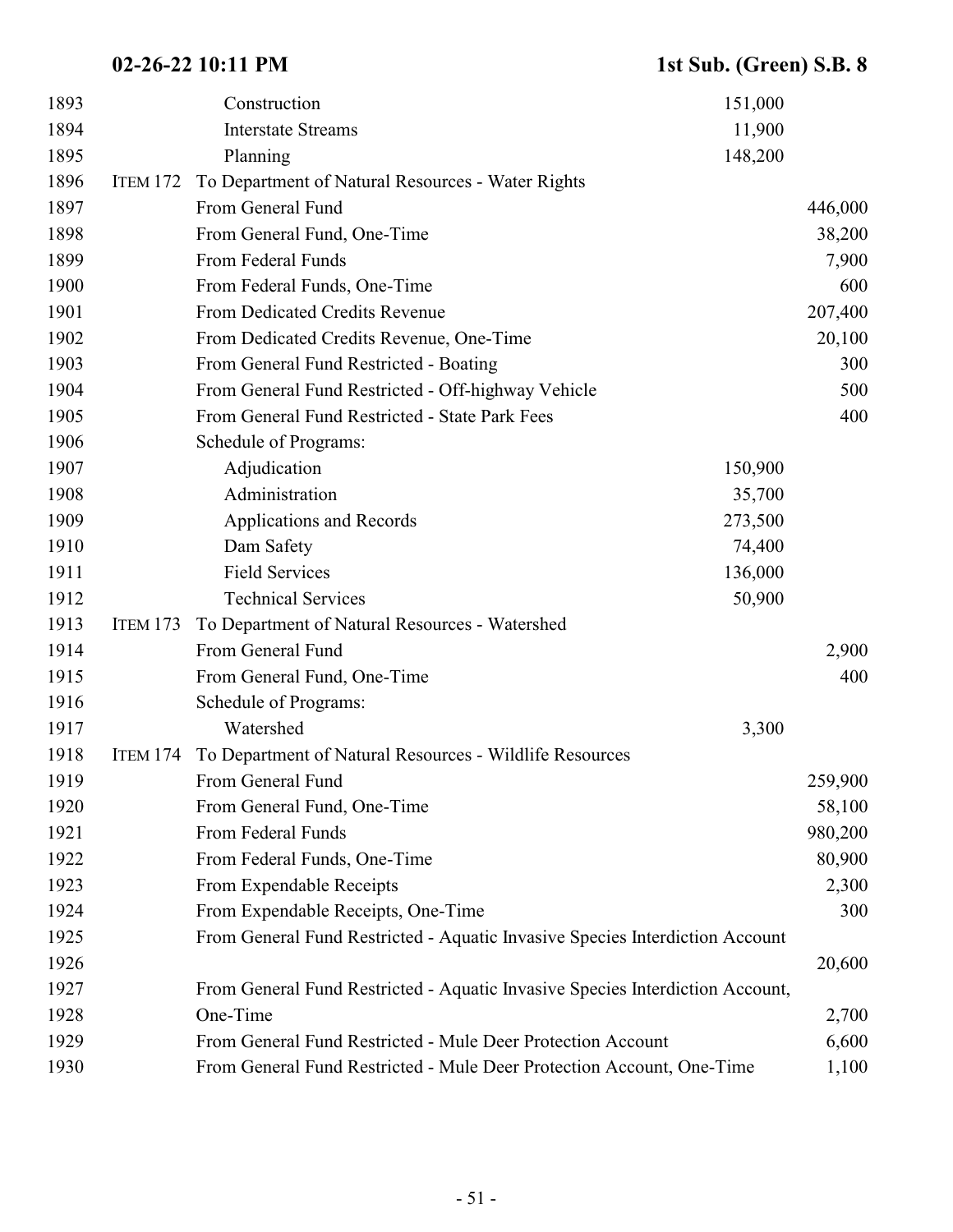| 1893 |                 | 151,000<br>Construction                                                       |         |
|------|-----------------|-------------------------------------------------------------------------------|---------|
| 1894 |                 | <b>Interstate Streams</b><br>11,900                                           |         |
| 1895 |                 | 148,200<br>Planning                                                           |         |
| 1896 | ITEM 172        | To Department of Natural Resources - Water Rights                             |         |
| 1897 |                 | From General Fund                                                             | 446,000 |
| 1898 |                 | From General Fund, One-Time                                                   | 38,200  |
| 1899 |                 | From Federal Funds                                                            | 7,900   |
| 1900 |                 | From Federal Funds, One-Time                                                  | 600     |
| 1901 |                 | From Dedicated Credits Revenue                                                | 207,400 |
| 1902 |                 | From Dedicated Credits Revenue, One-Time                                      | 20,100  |
| 1903 |                 | From General Fund Restricted - Boating                                        | 300     |
| 1904 |                 | From General Fund Restricted - Off-highway Vehicle                            | 500     |
| 1905 |                 | From General Fund Restricted - State Park Fees                                | 400     |
| 1906 |                 | Schedule of Programs:                                                         |         |
| 1907 |                 | Adjudication<br>150,900                                                       |         |
| 1908 |                 | Administration<br>35,700                                                      |         |
| 1909 |                 | <b>Applications and Records</b><br>273,500                                    |         |
| 1910 |                 | Dam Safety<br>74,400                                                          |         |
| 1911 |                 | <b>Field Services</b><br>136,000                                              |         |
| 1912 |                 | <b>Technical Services</b><br>50,900                                           |         |
| 1913 | ITEM 173        | To Department of Natural Resources - Watershed                                |         |
| 1914 |                 | From General Fund                                                             | 2,900   |
| 1915 |                 | From General Fund, One-Time                                                   | 400     |
| 1916 |                 | Schedule of Programs:                                                         |         |
| 1917 |                 | Watershed<br>3,300                                                            |         |
| 1918 | <b>ITEM 174</b> | To Department of Natural Resources - Wildlife Resources                       |         |
| 1919 |                 | From General Fund                                                             | 259,900 |
| 1920 |                 | From General Fund, One-Time                                                   | 58,100  |
| 1921 |                 | From Federal Funds                                                            | 980,200 |
| 1922 |                 | From Federal Funds, One-Time                                                  | 80,900  |
| 1923 |                 | From Expendable Receipts                                                      | 2,300   |
| 1924 |                 | From Expendable Receipts, One-Time                                            | 300     |
| 1925 |                 | From General Fund Restricted - Aquatic Invasive Species Interdiction Account  |         |
| 1926 |                 |                                                                               | 20,600  |
| 1927 |                 | From General Fund Restricted - Aquatic Invasive Species Interdiction Account, |         |
| 1928 |                 | One-Time                                                                      | 2,700   |
| 1929 |                 | From General Fund Restricted - Mule Deer Protection Account                   | 6,600   |
| 1930 |                 | From General Fund Restricted - Mule Deer Protection Account, One-Time         | 1,100   |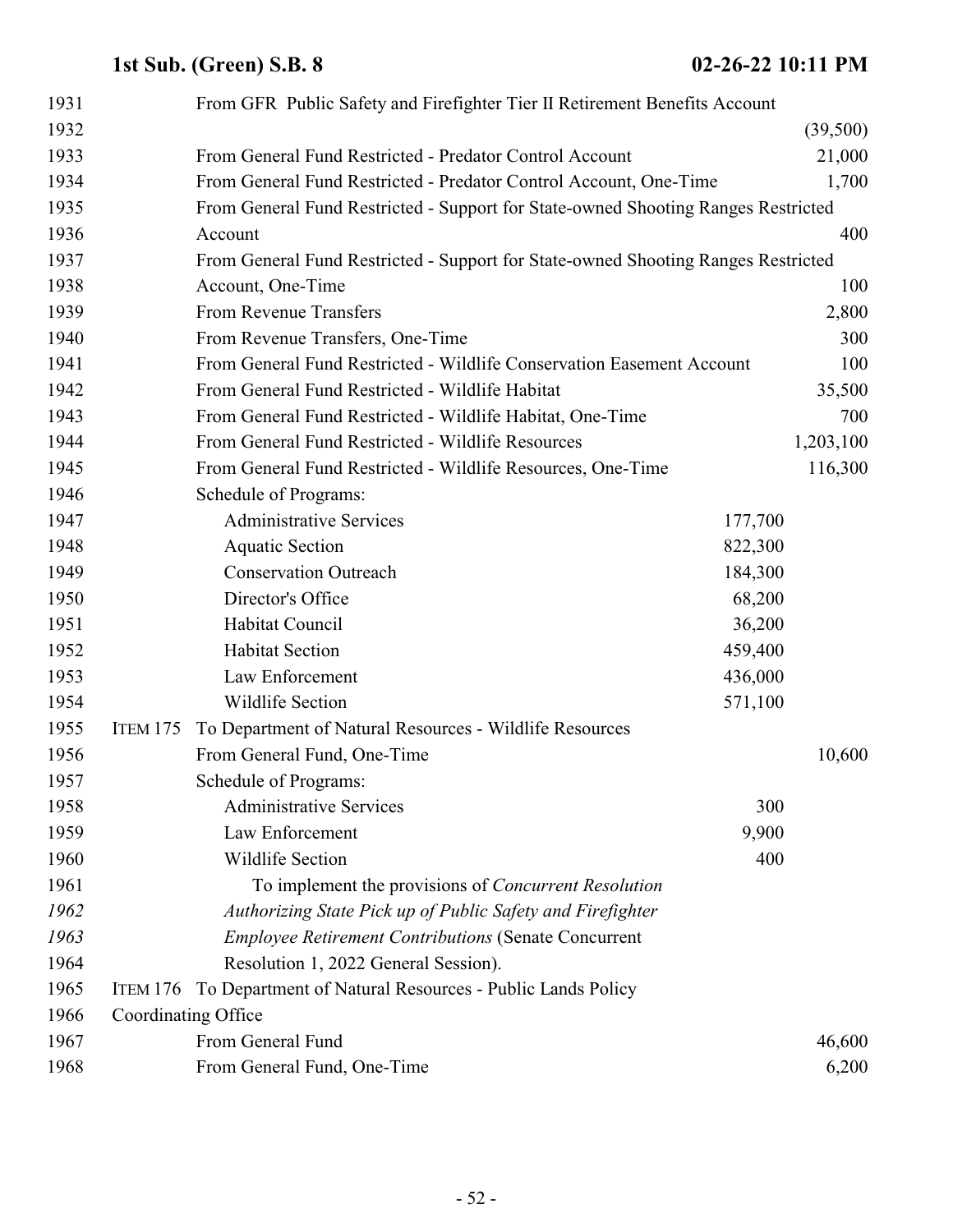| 1931 |                     | From GFR Public Safety and Firefighter Tier II Retirement Benefits Account        |         |           |
|------|---------------------|-----------------------------------------------------------------------------------|---------|-----------|
| 1932 |                     |                                                                                   |         | (39,500)  |
| 1933 |                     | From General Fund Restricted - Predator Control Account                           |         | 21,000    |
| 1934 |                     | From General Fund Restricted - Predator Control Account, One-Time                 |         | 1,700     |
| 1935 |                     | From General Fund Restricted - Support for State-owned Shooting Ranges Restricted |         |           |
| 1936 |                     | Account                                                                           |         | 400       |
| 1937 |                     | From General Fund Restricted - Support for State-owned Shooting Ranges Restricted |         |           |
| 1938 |                     | Account, One-Time                                                                 |         | 100       |
| 1939 |                     | From Revenue Transfers                                                            |         | 2,800     |
| 1940 |                     | From Revenue Transfers, One-Time                                                  |         | 300       |
| 1941 |                     | From General Fund Restricted - Wildlife Conservation Easement Account             |         | 100       |
| 1942 |                     | From General Fund Restricted - Wildlife Habitat                                   |         | 35,500    |
| 1943 |                     | From General Fund Restricted - Wildlife Habitat, One-Time                         |         | 700       |
| 1944 |                     | From General Fund Restricted - Wildlife Resources                                 |         | 1,203,100 |
| 1945 |                     | From General Fund Restricted - Wildlife Resources, One-Time                       |         | 116,300   |
| 1946 |                     | Schedule of Programs:                                                             |         |           |
| 1947 |                     | <b>Administrative Services</b>                                                    | 177,700 |           |
| 1948 |                     | <b>Aquatic Section</b>                                                            | 822,300 |           |
| 1949 |                     | <b>Conservation Outreach</b>                                                      | 184,300 |           |
| 1950 |                     | Director's Office                                                                 | 68,200  |           |
| 1951 |                     | Habitat Council                                                                   | 36,200  |           |
| 1952 |                     | <b>Habitat Section</b>                                                            | 459,400 |           |
| 1953 |                     | Law Enforcement                                                                   | 436,000 |           |
| 1954 |                     | <b>Wildlife Section</b>                                                           | 571,100 |           |
| 1955 | <b>ITEM 175</b>     | To Department of Natural Resources - Wildlife Resources                           |         |           |
| 1956 |                     | From General Fund, One-Time                                                       |         | 10,600    |
| 1957 |                     | Schedule of Programs:                                                             |         |           |
| 1958 |                     | <b>Administrative Services</b>                                                    | 300     |           |
| 1959 |                     | Law Enforcement                                                                   | 9,900   |           |
| 1960 |                     | <b>Wildlife Section</b>                                                           | 400     |           |
| 1961 |                     | To implement the provisions of <i>Concurrent Resolution</i>                       |         |           |
| 1962 |                     | Authorizing State Pick up of Public Safety and Firefighter                        |         |           |
| 1963 |                     | <b>Employee Retirement Contributions (Senate Concurrent</b>                       |         |           |
| 1964 |                     | Resolution 1, 2022 General Session).                                              |         |           |
| 1965 | ITEM 176            | To Department of Natural Resources - Public Lands Policy                          |         |           |
| 1966 | Coordinating Office |                                                                                   |         |           |
| 1967 |                     | From General Fund                                                                 |         | 46,600    |
| 1968 |                     | From General Fund, One-Time                                                       |         | 6,200     |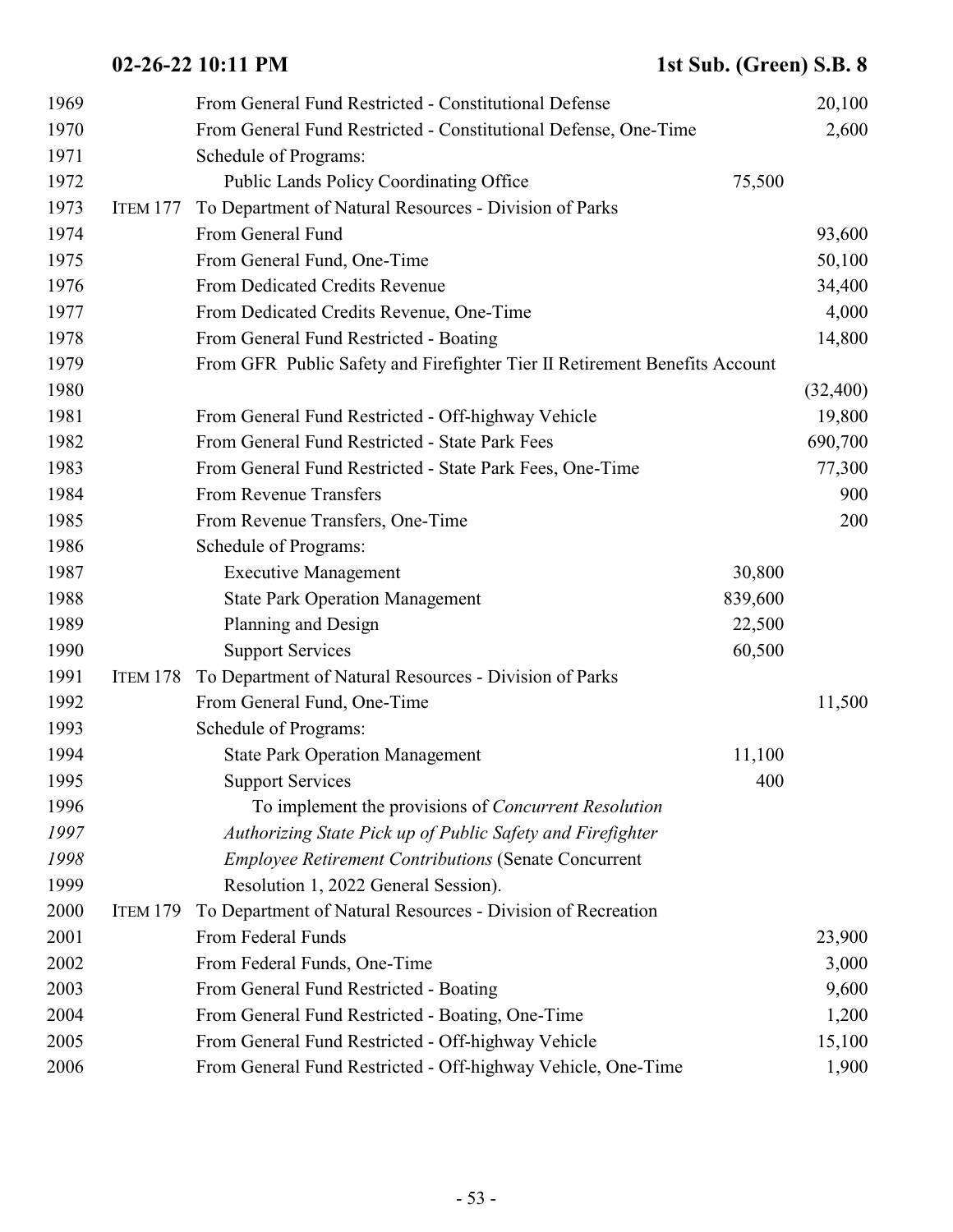| 1969 |                 | From General Fund Restricted - Constitutional Defense                      |         | 20,100   |
|------|-----------------|----------------------------------------------------------------------------|---------|----------|
| 1970 |                 | From General Fund Restricted - Constitutional Defense, One-Time            |         | 2,600    |
| 1971 |                 | Schedule of Programs:                                                      |         |          |
| 1972 |                 | <b>Public Lands Policy Coordinating Office</b>                             | 75,500  |          |
| 1973 | ITEM 177        | To Department of Natural Resources - Division of Parks                     |         |          |
| 1974 |                 | From General Fund                                                          |         | 93,600   |
| 1975 |                 | From General Fund, One-Time                                                |         | 50,100   |
| 1976 |                 | From Dedicated Credits Revenue                                             |         | 34,400   |
| 1977 |                 | From Dedicated Credits Revenue, One-Time                                   |         | 4,000    |
| 1978 |                 | From General Fund Restricted - Boating                                     |         | 14,800   |
| 1979 |                 | From GFR Public Safety and Firefighter Tier II Retirement Benefits Account |         |          |
| 1980 |                 |                                                                            |         | (32,400) |
| 1981 |                 | From General Fund Restricted - Off-highway Vehicle                         |         | 19,800   |
| 1982 |                 | From General Fund Restricted - State Park Fees                             |         | 690,700  |
| 1983 |                 | From General Fund Restricted - State Park Fees, One-Time                   |         | 77,300   |
| 1984 |                 | From Revenue Transfers                                                     |         | 900      |
| 1985 |                 | From Revenue Transfers, One-Time                                           |         | 200      |
| 1986 |                 | Schedule of Programs:                                                      |         |          |
| 1987 |                 | <b>Executive Management</b>                                                | 30,800  |          |
| 1988 |                 | <b>State Park Operation Management</b>                                     | 839,600 |          |
| 1989 |                 | Planning and Design                                                        | 22,500  |          |
| 1990 |                 | <b>Support Services</b>                                                    | 60,500  |          |
| 1991 | ITEM 178        | To Department of Natural Resources - Division of Parks                     |         |          |
| 1992 |                 | From General Fund, One-Time                                                |         | 11,500   |
| 1993 |                 | Schedule of Programs:                                                      |         |          |
| 1994 |                 | <b>State Park Operation Management</b>                                     | 11,100  |          |
| 1995 |                 | <b>Support Services</b>                                                    | 400     |          |
| 1996 |                 | To implement the provisions of <i>Concurrent Resolution</i>                |         |          |
| 1997 |                 | Authorizing State Pick up of Public Safety and Firefighter                 |         |          |
| 1998 |                 | <b>Employee Retirement Contributions (Senate Concurrent</b>                |         |          |
| 1999 |                 | Resolution 1, 2022 General Session).                                       |         |          |
| 2000 | <b>ITEM 179</b> | To Department of Natural Resources - Division of Recreation                |         |          |
| 2001 |                 | From Federal Funds                                                         |         | 23,900   |
| 2002 |                 | From Federal Funds, One-Time                                               |         | 3,000    |
| 2003 |                 | From General Fund Restricted - Boating                                     |         | 9,600    |
| 2004 |                 | From General Fund Restricted - Boating, One-Time                           |         | 1,200    |
| 2005 |                 | From General Fund Restricted - Off-highway Vehicle                         |         | 15,100   |
| 2006 |                 | From General Fund Restricted - Off-highway Vehicle, One-Time               |         | 1,900    |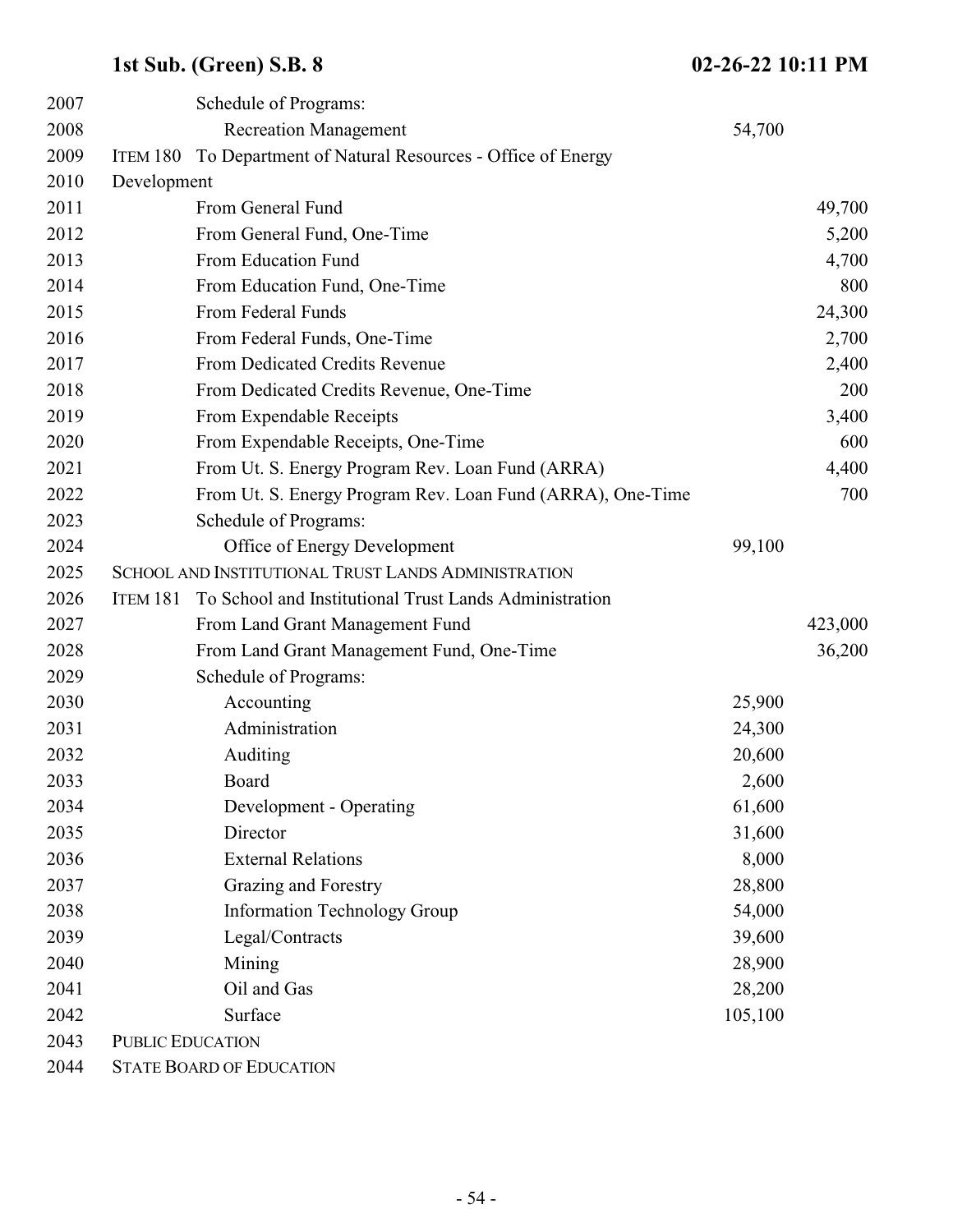| 2007 |                         | Schedule of Programs:                                      |         |         |
|------|-------------------------|------------------------------------------------------------|---------|---------|
| 2008 |                         | <b>Recreation Management</b>                               | 54,700  |         |
| 2009 | ITEM 180                | To Department of Natural Resources - Office of Energy      |         |         |
| 2010 | Development             |                                                            |         |         |
| 2011 |                         | From General Fund                                          |         | 49,700  |
| 2012 |                         | From General Fund, One-Time                                |         | 5,200   |
| 2013 |                         | From Education Fund                                        |         | 4,700   |
| 2014 |                         | From Education Fund, One-Time                              |         | 800     |
| 2015 |                         | From Federal Funds                                         |         | 24,300  |
| 2016 |                         | From Federal Funds, One-Time                               |         | 2,700   |
| 2017 |                         | From Dedicated Credits Revenue                             |         | 2,400   |
| 2018 |                         | From Dedicated Credits Revenue, One-Time                   |         | 200     |
| 2019 |                         | From Expendable Receipts                                   |         | 3,400   |
| 2020 |                         | From Expendable Receipts, One-Time                         |         | 600     |
| 2021 |                         | From Ut. S. Energy Program Rev. Loan Fund (ARRA)           |         | 4,400   |
| 2022 |                         | From Ut. S. Energy Program Rev. Loan Fund (ARRA), One-Time |         | 700     |
| 2023 |                         | Schedule of Programs:                                      |         |         |
| 2024 |                         | Office of Energy Development                               | 99,100  |         |
| 2025 |                         | SCHOOL AND INSTITUTIONAL TRUST LANDS ADMINISTRATION        |         |         |
| 2026 | ITEM 181                | To School and Institutional Trust Lands Administration     |         |         |
| 2027 |                         | From Land Grant Management Fund                            |         | 423,000 |
| 2028 |                         | From Land Grant Management Fund, One-Time                  |         | 36,200  |
| 2029 |                         | Schedule of Programs:                                      |         |         |
| 2030 |                         | Accounting                                                 | 25,900  |         |
| 2031 |                         | Administration                                             | 24,300  |         |
| 2032 |                         | Auditing                                                   | 20,600  |         |
| 2033 |                         | Board                                                      | 2,600   |         |
| 2034 |                         | Development - Operating                                    | 61,600  |         |
| 2035 |                         | Director                                                   | 31,600  |         |
| 2036 |                         | <b>External Relations</b>                                  | 8,000   |         |
| 2037 |                         | Grazing and Forestry                                       | 28,800  |         |
| 2038 |                         | <b>Information Technology Group</b>                        | 54,000  |         |
| 2039 |                         | Legal/Contracts                                            | 39,600  |         |
| 2040 |                         | Mining                                                     | 28,900  |         |
| 2041 |                         | Oil and Gas                                                | 28,200  |         |
| 2042 |                         | Surface                                                    | 105,100 |         |
| 2043 | <b>PUBLIC EDUCATION</b> |                                                            |         |         |
| 2044 |                         | <b>STATE BOARD OF EDUCATION</b>                            |         |         |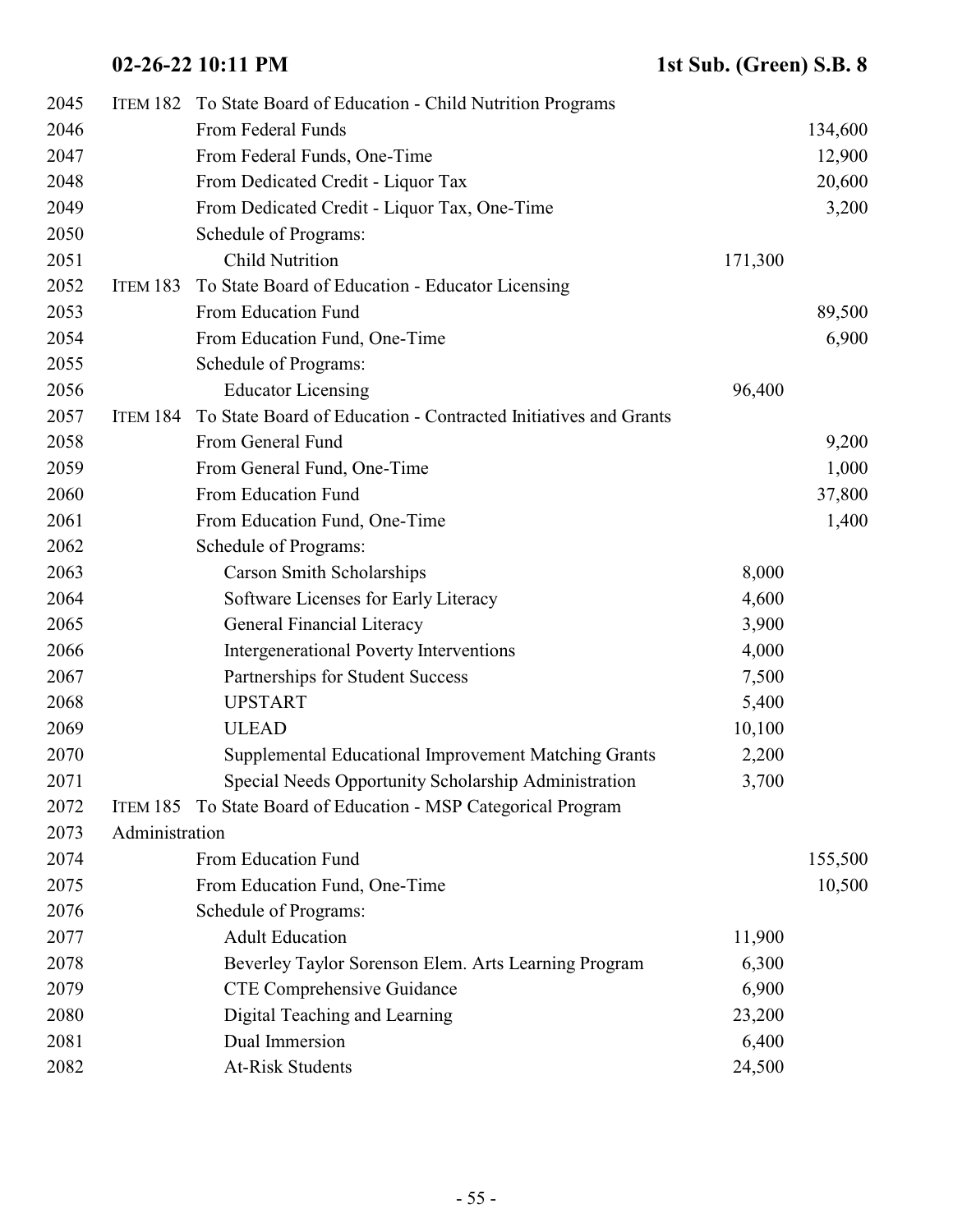| 2045 |                | ITEM 182 To State Board of Education - Child Nutrition Programs |         |         |
|------|----------------|-----------------------------------------------------------------|---------|---------|
| 2046 |                | From Federal Funds                                              |         | 134,600 |
| 2047 |                | From Federal Funds, One-Time                                    |         | 12,900  |
| 2048 |                | From Dedicated Credit - Liquor Tax                              |         | 20,600  |
| 2049 |                | From Dedicated Credit - Liquor Tax, One-Time                    |         | 3,200   |
| 2050 |                | Schedule of Programs:                                           |         |         |
| 2051 |                | <b>Child Nutrition</b>                                          | 171,300 |         |
| 2052 | ITEM 183       | To State Board of Education - Educator Licensing                |         |         |
| 2053 |                | From Education Fund                                             |         | 89,500  |
| 2054 |                | From Education Fund, One-Time                                   |         | 6,900   |
| 2055 |                | Schedule of Programs:                                           |         |         |
| 2056 |                | <b>Educator Licensing</b>                                       | 96,400  |         |
| 2057 | ITEM 184       | To State Board of Education - Contracted Initiatives and Grants |         |         |
| 2058 |                | From General Fund                                               |         | 9,200   |
| 2059 |                | From General Fund, One-Time                                     |         | 1,000   |
| 2060 |                | From Education Fund                                             |         | 37,800  |
| 2061 |                | From Education Fund, One-Time                                   |         | 1,400   |
| 2062 |                | Schedule of Programs:                                           |         |         |
| 2063 |                | <b>Carson Smith Scholarships</b>                                | 8,000   |         |
| 2064 |                | Software Licenses for Early Literacy                            | 4,600   |         |
| 2065 |                | <b>General Financial Literacy</b>                               | 3,900   |         |
| 2066 |                | Intergenerational Poverty Interventions                         | 4,000   |         |
| 2067 |                | Partnerships for Student Success                                | 7,500   |         |
| 2068 |                | <b>UPSTART</b>                                                  | 5,400   |         |
| 2069 |                | <b>ULEAD</b>                                                    | 10,100  |         |
| 2070 |                | Supplemental Educational Improvement Matching Grants            | 2,200   |         |
| 2071 |                | Special Needs Opportunity Scholarship Administration            | 3,700   |         |
| 2072 |                | ITEM 185 To State Board of Education - MSP Categorical Program  |         |         |
| 2073 | Administration |                                                                 |         |         |
| 2074 |                | From Education Fund                                             |         | 155,500 |
| 2075 |                | From Education Fund, One-Time                                   |         | 10,500  |
| 2076 |                | Schedule of Programs:                                           |         |         |
| 2077 |                | <b>Adult Education</b>                                          | 11,900  |         |
| 2078 |                | Beverley Taylor Sorenson Elem. Arts Learning Program            | 6,300   |         |
| 2079 |                | CTE Comprehensive Guidance                                      | 6,900   |         |
| 2080 |                | Digital Teaching and Learning                                   | 23,200  |         |
| 2081 |                | Dual Immersion                                                  | 6,400   |         |
| 2082 |                | <b>At-Risk Students</b>                                         | 24,500  |         |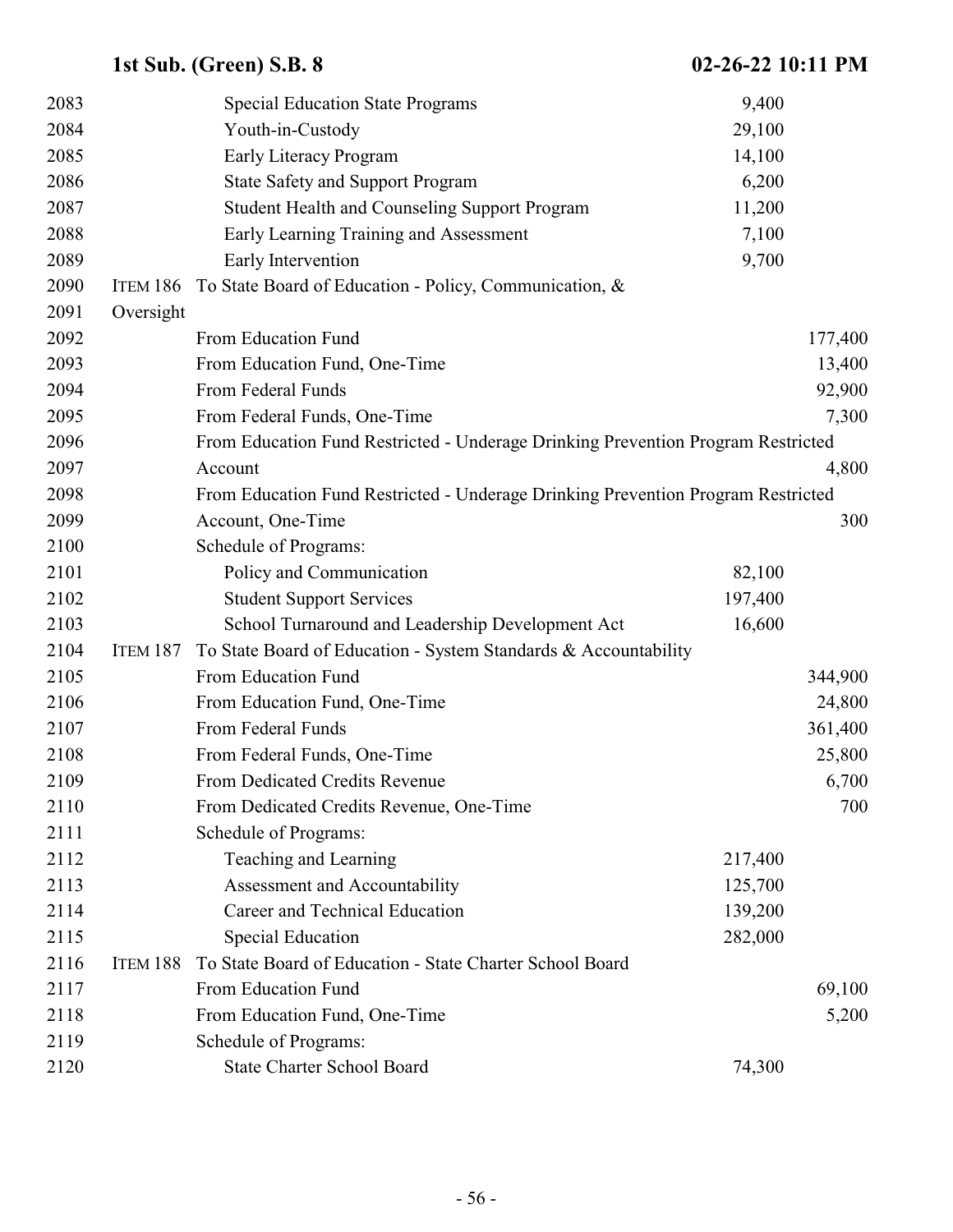| 2083 |           | <b>Special Education State Programs</b>                                          | 9,400   |         |
|------|-----------|----------------------------------------------------------------------------------|---------|---------|
| 2084 |           | Youth-in-Custody                                                                 | 29,100  |         |
| 2085 |           | Early Literacy Program                                                           | 14,100  |         |
| 2086 |           | <b>State Safety and Support Program</b>                                          | 6,200   |         |
| 2087 |           | <b>Student Health and Counseling Support Program</b>                             | 11,200  |         |
| 2088 |           | Early Learning Training and Assessment                                           | 7,100   |         |
| 2089 |           | Early Intervention                                                               | 9,700   |         |
| 2090 | ITEM 186  | To State Board of Education - Policy, Communication, &                           |         |         |
| 2091 | Oversight |                                                                                  |         |         |
| 2092 |           | From Education Fund                                                              |         | 177,400 |
| 2093 |           | From Education Fund, One-Time                                                    |         | 13,400  |
| 2094 |           | From Federal Funds                                                               |         | 92,900  |
| 2095 |           | From Federal Funds, One-Time                                                     |         | 7,300   |
| 2096 |           | From Education Fund Restricted - Underage Drinking Prevention Program Restricted |         |         |
| 2097 |           | Account                                                                          |         | 4,800   |
| 2098 |           | From Education Fund Restricted - Underage Drinking Prevention Program Restricted |         |         |
| 2099 |           | Account, One-Time                                                                |         | 300     |
| 2100 |           | Schedule of Programs:                                                            |         |         |
| 2101 |           | Policy and Communication                                                         | 82,100  |         |
| 2102 |           | <b>Student Support Services</b>                                                  | 197,400 |         |
| 2103 |           | School Turnaround and Leadership Development Act                                 | 16,600  |         |
| 2104 | ITEM 187  | To State Board of Education - System Standards & Accountability                  |         |         |
| 2105 |           | From Education Fund                                                              |         | 344,900 |
| 2106 |           | From Education Fund, One-Time                                                    |         | 24,800  |
| 2107 |           | From Federal Funds                                                               |         | 361,400 |
| 2108 |           | From Federal Funds, One-Time                                                     |         | 25,800  |
| 2109 |           | From Dedicated Credits Revenue                                                   |         | 6,700   |
| 2110 |           | From Dedicated Credits Revenue, One-Time                                         |         | 700     |
| 2111 |           | Schedule of Programs:                                                            |         |         |
| 2112 |           | Teaching and Learning                                                            | 217,400 |         |
| 2113 |           | Assessment and Accountability                                                    | 125,700 |         |
| 2114 |           | Career and Technical Education                                                   | 139,200 |         |
| 2115 |           | <b>Special Education</b>                                                         | 282,000 |         |
| 2116 | ITEM 188  | To State Board of Education - State Charter School Board                         |         |         |
| 2117 |           | From Education Fund                                                              |         | 69,100  |
| 2118 |           | From Education Fund, One-Time                                                    |         | 5,200   |
| 2119 |           | Schedule of Programs:                                                            |         |         |
| 2120 |           | <b>State Charter School Board</b>                                                | 74,300  |         |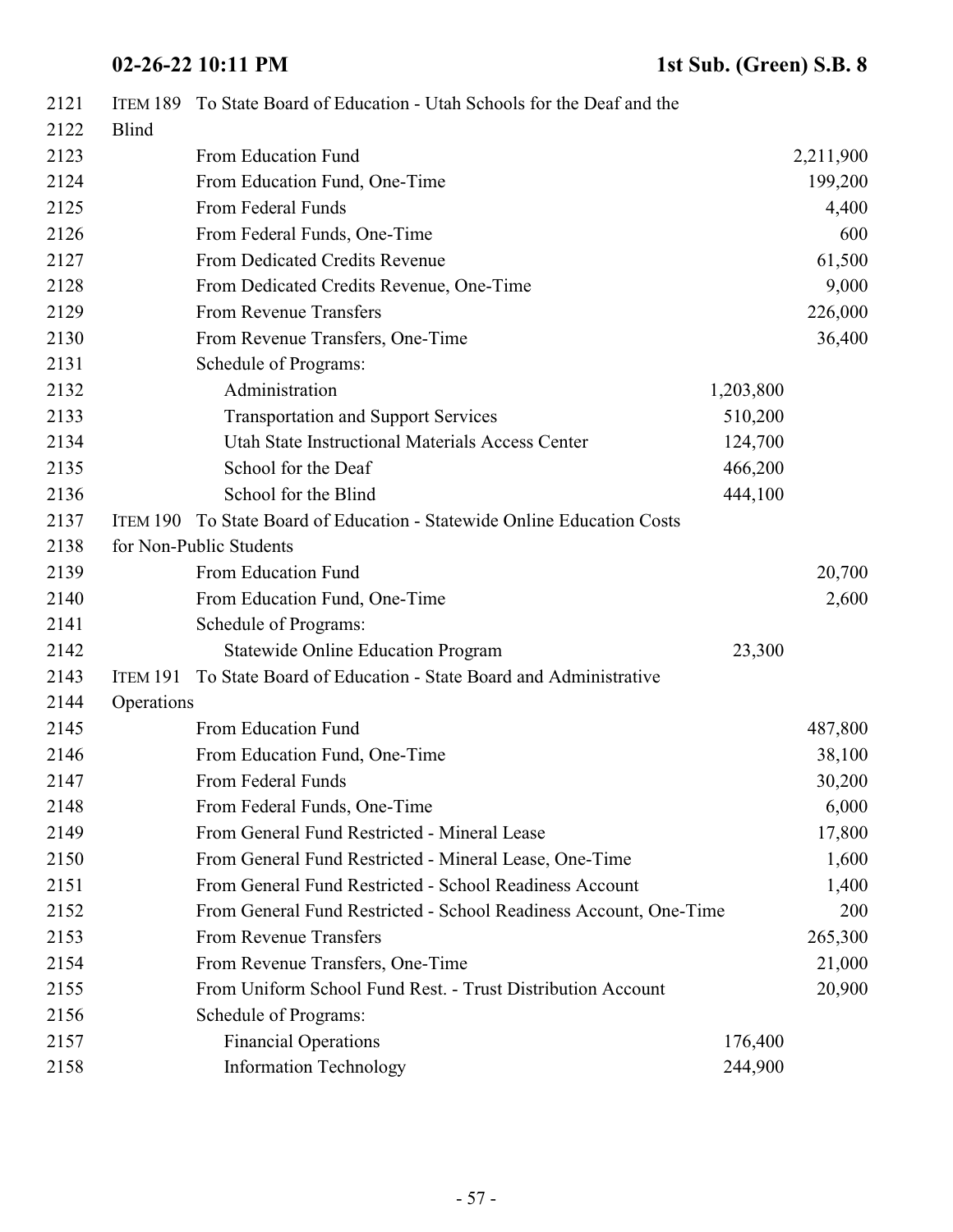| 2121 |              | ITEM 189 To State Board of Education - Utah Schools for the Deaf and the |           |           |
|------|--------------|--------------------------------------------------------------------------|-----------|-----------|
| 2122 | <b>Blind</b> |                                                                          |           |           |
| 2123 |              | From Education Fund                                                      |           | 2,211,900 |
| 2124 |              | From Education Fund, One-Time                                            |           | 199,200   |
| 2125 |              | From Federal Funds                                                       |           | 4,400     |
| 2126 |              | From Federal Funds, One-Time                                             |           | 600       |
| 2127 |              | From Dedicated Credits Revenue                                           |           | 61,500    |
| 2128 |              | From Dedicated Credits Revenue, One-Time                                 |           | 9,000     |
| 2129 |              | From Revenue Transfers                                                   |           | 226,000   |
| 2130 |              | From Revenue Transfers, One-Time                                         |           | 36,400    |
| 2131 |              | Schedule of Programs:                                                    |           |           |
| 2132 |              | Administration                                                           | 1,203,800 |           |
| 2133 |              | <b>Transportation and Support Services</b>                               | 510,200   |           |
| 2134 |              | Utah State Instructional Materials Access Center                         | 124,700   |           |
| 2135 |              | School for the Deaf                                                      | 466,200   |           |
| 2136 |              | School for the Blind                                                     | 444,100   |           |
| 2137 | ITEM 190     | To State Board of Education - Statewide Online Education Costs           |           |           |
| 2138 |              | for Non-Public Students                                                  |           |           |
| 2139 |              | From Education Fund                                                      |           | 20,700    |
| 2140 |              | From Education Fund, One-Time                                            |           | 2,600     |
| 2141 |              | Schedule of Programs:                                                    |           |           |
| 2142 |              | <b>Statewide Online Education Program</b>                                | 23,300    |           |
| 2143 | ITEM 191     | To State Board of Education - State Board and Administrative             |           |           |
| 2144 | Operations   |                                                                          |           |           |
| 2145 |              | From Education Fund                                                      |           | 487,800   |
| 2146 |              | From Education Fund, One-Time                                            |           | 38,100    |
| 2147 |              | From Federal Funds                                                       |           | 30,200    |
| 2148 |              | From Federal Funds, One-Time                                             |           | 6,000     |
| 2149 |              | From General Fund Restricted - Mineral Lease                             |           | 17,800    |
| 2150 |              | From General Fund Restricted - Mineral Lease, One-Time                   |           | 1,600     |
| 2151 |              | From General Fund Restricted - School Readiness Account                  |           | 1,400     |
| 2152 |              | From General Fund Restricted - School Readiness Account, One-Time        |           | 200       |
| 2153 |              | From Revenue Transfers                                                   |           | 265,300   |
| 2154 |              | From Revenue Transfers, One-Time                                         |           | 21,000    |
| 2155 |              | From Uniform School Fund Rest. - Trust Distribution Account              |           | 20,900    |
| 2156 |              | Schedule of Programs:                                                    |           |           |
| 2157 |              | <b>Financial Operations</b>                                              | 176,400   |           |
| 2158 |              | <b>Information Technology</b>                                            | 244,900   |           |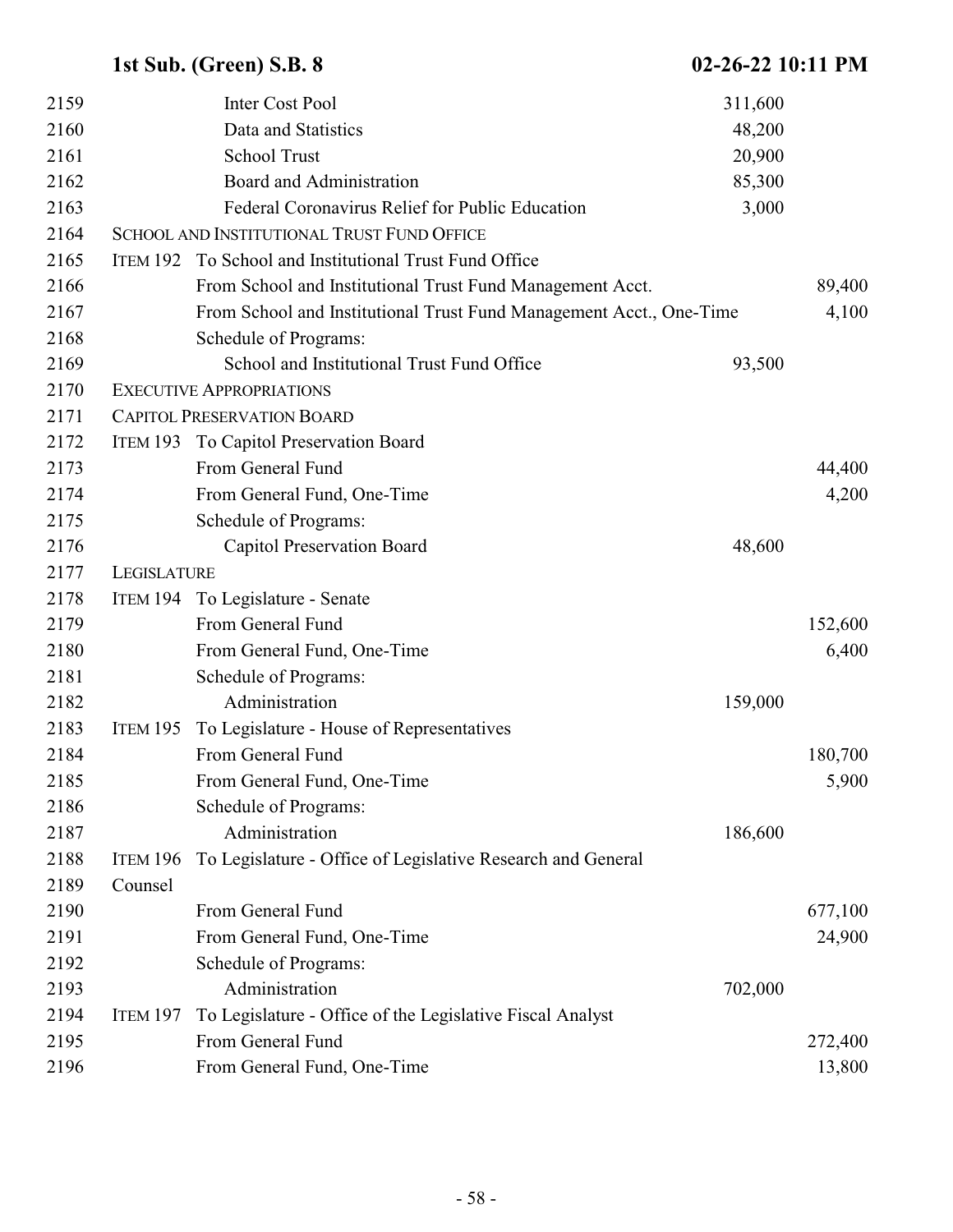| 2159 |                 | Inter Cost Pool                                                     | 311,600 |         |
|------|-----------------|---------------------------------------------------------------------|---------|---------|
| 2160 |                 | Data and Statistics                                                 | 48,200  |         |
| 2161 |                 | <b>School Trust</b>                                                 | 20,900  |         |
| 2162 |                 | Board and Administration                                            | 85,300  |         |
| 2163 |                 | Federal Coronavirus Relief for Public Education                     | 3,000   |         |
| 2164 |                 | SCHOOL AND INSTITUTIONAL TRUST FUND OFFICE                          |         |         |
| 2165 |                 | ITEM 192 To School and Institutional Trust Fund Office              |         |         |
| 2166 |                 | From School and Institutional Trust Fund Management Acct.           |         | 89,400  |
| 2167 |                 | From School and Institutional Trust Fund Management Acct., One-Time |         | 4,100   |
| 2168 |                 | Schedule of Programs:                                               |         |         |
| 2169 |                 | School and Institutional Trust Fund Office                          | 93,500  |         |
| 2170 |                 | <b>EXECUTIVE APPROPRIATIONS</b>                                     |         |         |
| 2171 |                 | <b>CAPITOL PRESERVATION BOARD</b>                                   |         |         |
| 2172 |                 | ITEM 193 To Capitol Preservation Board                              |         |         |
| 2173 |                 | From General Fund                                                   |         | 44,400  |
| 2174 |                 | From General Fund, One-Time                                         |         | 4,200   |
| 2175 |                 | Schedule of Programs:                                               |         |         |
| 2176 |                 | <b>Capitol Preservation Board</b>                                   | 48,600  |         |
| 2177 | LEGISLATURE     |                                                                     |         |         |
| 2178 |                 | ITEM 194 To Legislature - Senate                                    |         |         |
| 2179 |                 | From General Fund                                                   |         | 152,600 |
| 2180 |                 | From General Fund, One-Time                                         |         | 6,400   |
| 2181 |                 | Schedule of Programs:                                               |         |         |
| 2182 |                 | Administration                                                      | 159,000 |         |
| 2183 | <b>ITEM 195</b> | To Legislature - House of Representatives                           |         |         |
| 2184 |                 | From General Fund                                                   |         | 180,700 |
| 2185 |                 | From General Fund, One-Time                                         |         | 5,900   |
| 2186 |                 | Schedule of Programs:                                               |         |         |
| 2187 |                 | Administration                                                      | 186,600 |         |
| 2188 | <b>ITEM 196</b> | To Legislature - Office of Legislative Research and General         |         |         |
| 2189 | Counsel         |                                                                     |         |         |
| 2190 |                 | From General Fund                                                   |         | 677,100 |
| 2191 |                 | From General Fund, One-Time                                         |         | 24,900  |
| 2192 |                 | Schedule of Programs:                                               |         |         |
| 2193 |                 | Administration                                                      | 702,000 |         |
| 2194 | <b>ITEM 197</b> | To Legislature - Office of the Legislative Fiscal Analyst           |         |         |
| 2195 |                 | From General Fund                                                   |         | 272,400 |
| 2196 |                 | From General Fund, One-Time                                         |         | 13,800  |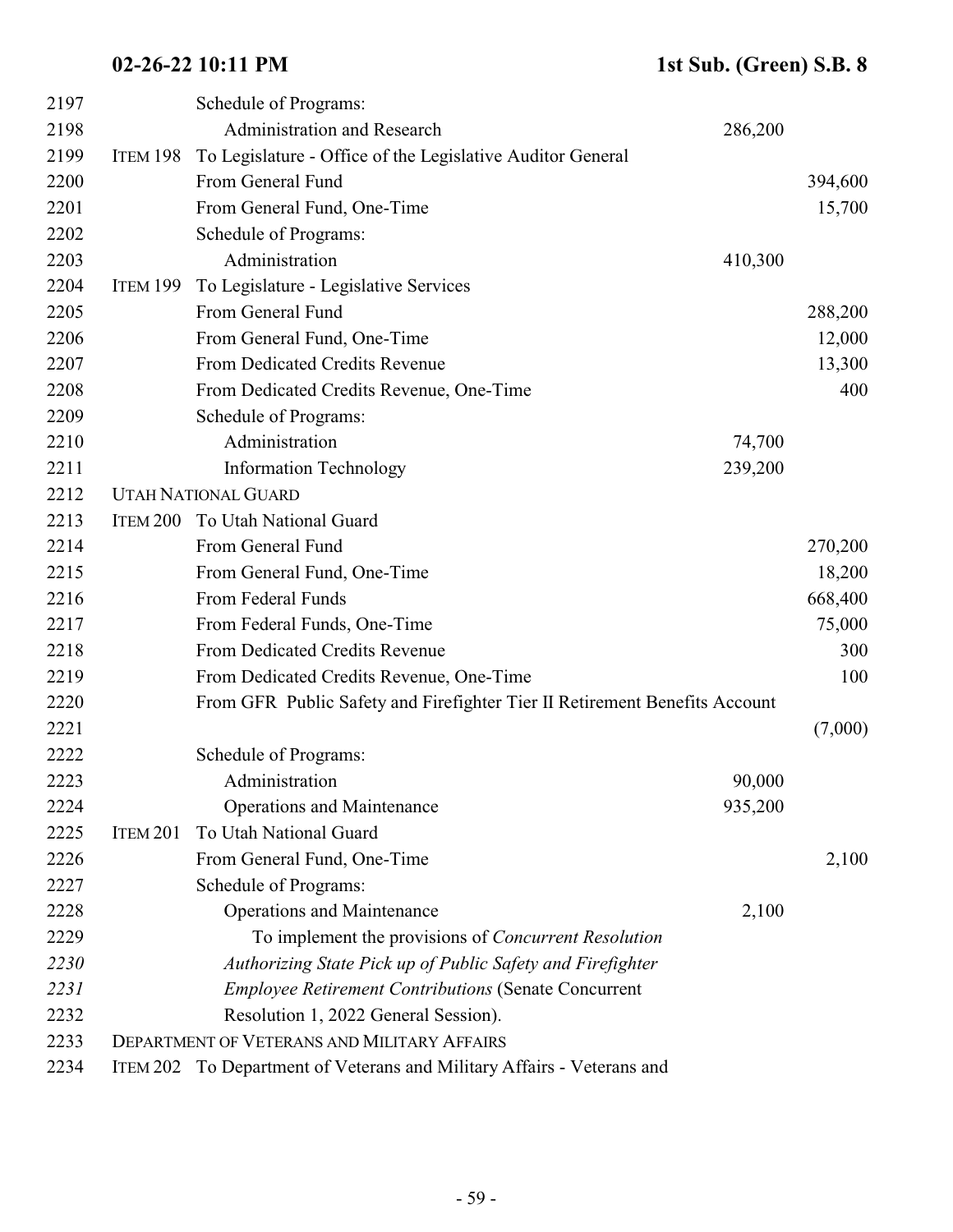| 2198 |                 | Administration and Research                                                |         |         |
|------|-----------------|----------------------------------------------------------------------------|---------|---------|
|      |                 |                                                                            | 286,200 |         |
| 2199 | ITEM 198        | To Legislature - Office of the Legislative Auditor General                 |         |         |
| 2200 |                 | From General Fund                                                          |         | 394,600 |
| 2201 |                 | From General Fund, One-Time                                                |         | 15,700  |
| 2202 |                 | Schedule of Programs:                                                      |         |         |
| 2203 |                 | Administration                                                             | 410,300 |         |
| 2204 | <b>ITEM 199</b> | To Legislature - Legislative Services                                      |         |         |
| 2205 |                 | From General Fund                                                          |         | 288,200 |
| 2206 |                 | From General Fund, One-Time                                                |         | 12,000  |
| 2207 |                 | From Dedicated Credits Revenue                                             |         | 13,300  |
| 2208 |                 | From Dedicated Credits Revenue, One-Time                                   |         | 400     |
| 2209 |                 | Schedule of Programs:                                                      |         |         |
| 2210 |                 | Administration                                                             | 74,700  |         |
| 2211 |                 | <b>Information Technology</b>                                              | 239,200 |         |
| 2212 |                 | <b>UTAH NATIONAL GUARD</b>                                                 |         |         |
| 2213 | <b>ITEM 200</b> | To Utah National Guard                                                     |         |         |
| 2214 |                 | From General Fund                                                          |         | 270,200 |
| 2215 |                 | From General Fund, One-Time                                                |         | 18,200  |
| 2216 |                 | From Federal Funds                                                         |         | 668,400 |
| 2217 |                 | From Federal Funds, One-Time                                               |         | 75,000  |
| 2218 |                 | From Dedicated Credits Revenue                                             |         | 300     |
| 2219 |                 | From Dedicated Credits Revenue, One-Time                                   |         | 100     |
| 2220 |                 | From GFR Public Safety and Firefighter Tier II Retirement Benefits Account |         |         |
| 2221 |                 |                                                                            |         | (7,000) |
| 2222 |                 | Schedule of Programs:                                                      |         |         |
| 2223 |                 | Administration                                                             | 90,000  |         |
| 2224 |                 | <b>Operations and Maintenance</b>                                          | 935,200 |         |
| 2225 | <b>ITEM 201</b> | To Utah National Guard                                                     |         |         |
| 2226 |                 | From General Fund, One-Time                                                |         | 2,100   |
| 2227 |                 | Schedule of Programs:                                                      |         |         |
| 2228 |                 | <b>Operations and Maintenance</b>                                          | 2,100   |         |
| 2229 |                 | To implement the provisions of <i>Concurrent Resolution</i>                |         |         |
| 2230 |                 | Authorizing State Pick up of Public Safety and Firefighter                 |         |         |
| 2231 |                 | <b>Employee Retirement Contributions (Senate Concurrent</b>                |         |         |
| 2232 |                 | Resolution 1, 2022 General Session).                                       |         |         |
| 2233 |                 | <b>DEPARTMENT OF VETERANS AND MILITARY AFFAIRS</b>                         |         |         |
| 2234 | ITEM 202        | To Department of Veterans and Military Affairs - Veterans and              |         |         |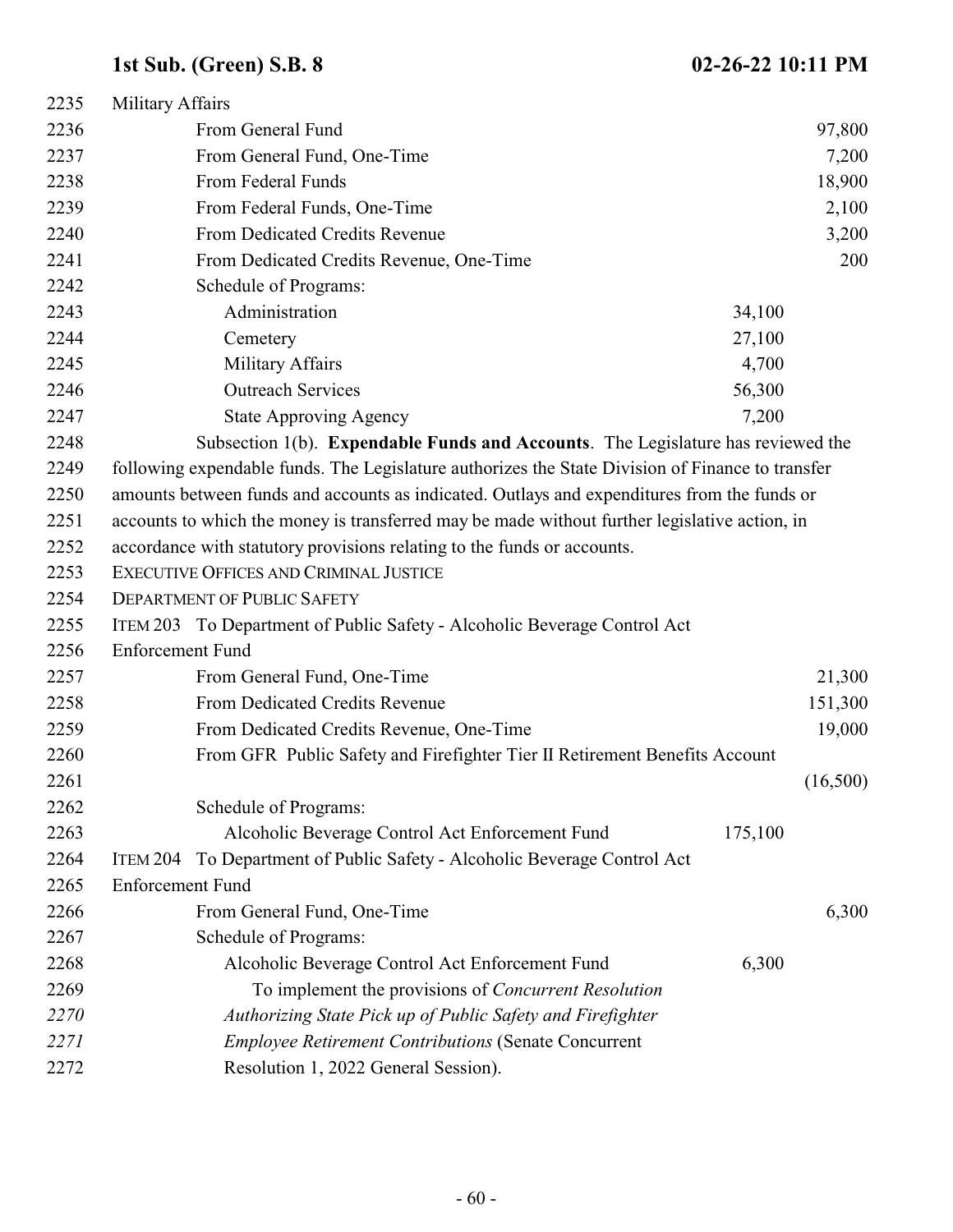| 2235 | Military Affairs                                                                                 |         |          |
|------|--------------------------------------------------------------------------------------------------|---------|----------|
| 2236 | From General Fund                                                                                |         | 97,800   |
| 2237 | From General Fund, One-Time                                                                      |         | 7,200    |
| 2238 | From Federal Funds                                                                               |         | 18,900   |
| 2239 | From Federal Funds, One-Time                                                                     |         | 2,100    |
| 2240 | From Dedicated Credits Revenue                                                                   |         | 3,200    |
| 2241 | From Dedicated Credits Revenue, One-Time                                                         |         | 200      |
| 2242 | Schedule of Programs:                                                                            |         |          |
| 2243 | Administration                                                                                   | 34,100  |          |
| 2244 | Cemetery                                                                                         | 27,100  |          |
| 2245 | <b>Military Affairs</b>                                                                          | 4,700   |          |
| 2246 | <b>Outreach Services</b>                                                                         | 56,300  |          |
| 2247 | <b>State Approving Agency</b>                                                                    | 7,200   |          |
| 2248 | Subsection 1(b). <b>Expendable Funds and Accounts</b> . The Legislature has reviewed the         |         |          |
| 2249 | following expendable funds. The Legislature authorizes the State Division of Finance to transfer |         |          |
| 2250 | amounts between funds and accounts as indicated. Outlays and expenditures from the funds or      |         |          |
| 2251 | accounts to which the money is transferred may be made without further legislative action, in    |         |          |
| 2252 | accordance with statutory provisions relating to the funds or accounts.                          |         |          |
| 2253 | <b>EXECUTIVE OFFICES AND CRIMINAL JUSTICE</b>                                                    |         |          |
| 2254 | <b>DEPARTMENT OF PUBLIC SAFETY</b>                                                               |         |          |
| 2255 | ITEM 203 To Department of Public Safety - Alcoholic Beverage Control Act                         |         |          |
| 2256 | <b>Enforcement Fund</b>                                                                          |         |          |
| 2257 | From General Fund, One-Time                                                                      |         | 21,300   |
| 2258 | From Dedicated Credits Revenue                                                                   |         | 151,300  |
| 2259 | From Dedicated Credits Revenue, One-Time                                                         |         | 19,000   |
| 2260 | From GFR Public Safety and Firefighter Tier II Retirement Benefits Account                       |         |          |
| 2261 |                                                                                                  |         | (16,500) |
| 2262 | Schedule of Programs:                                                                            |         |          |
| 2263 | Alcoholic Beverage Control Act Enforcement Fund                                                  | 175,100 |          |
| 2264 | To Department of Public Safety - Alcoholic Beverage Control Act<br>ITEM 204                      |         |          |
| 2265 | <b>Enforcement Fund</b>                                                                          |         |          |
| 2266 | From General Fund, One-Time                                                                      |         | 6,300    |
| 2267 | Schedule of Programs:                                                                            |         |          |
| 2268 | Alcoholic Beverage Control Act Enforcement Fund                                                  | 6,300   |          |
| 2269 | To implement the provisions of Concurrent Resolution                                             |         |          |
| 2270 | Authorizing State Pick up of Public Safety and Firefighter                                       |         |          |
| 2271 | <b>Employee Retirement Contributions (Senate Concurrent</b>                                      |         |          |
| 2272 | Resolution 1, 2022 General Session).                                                             |         |          |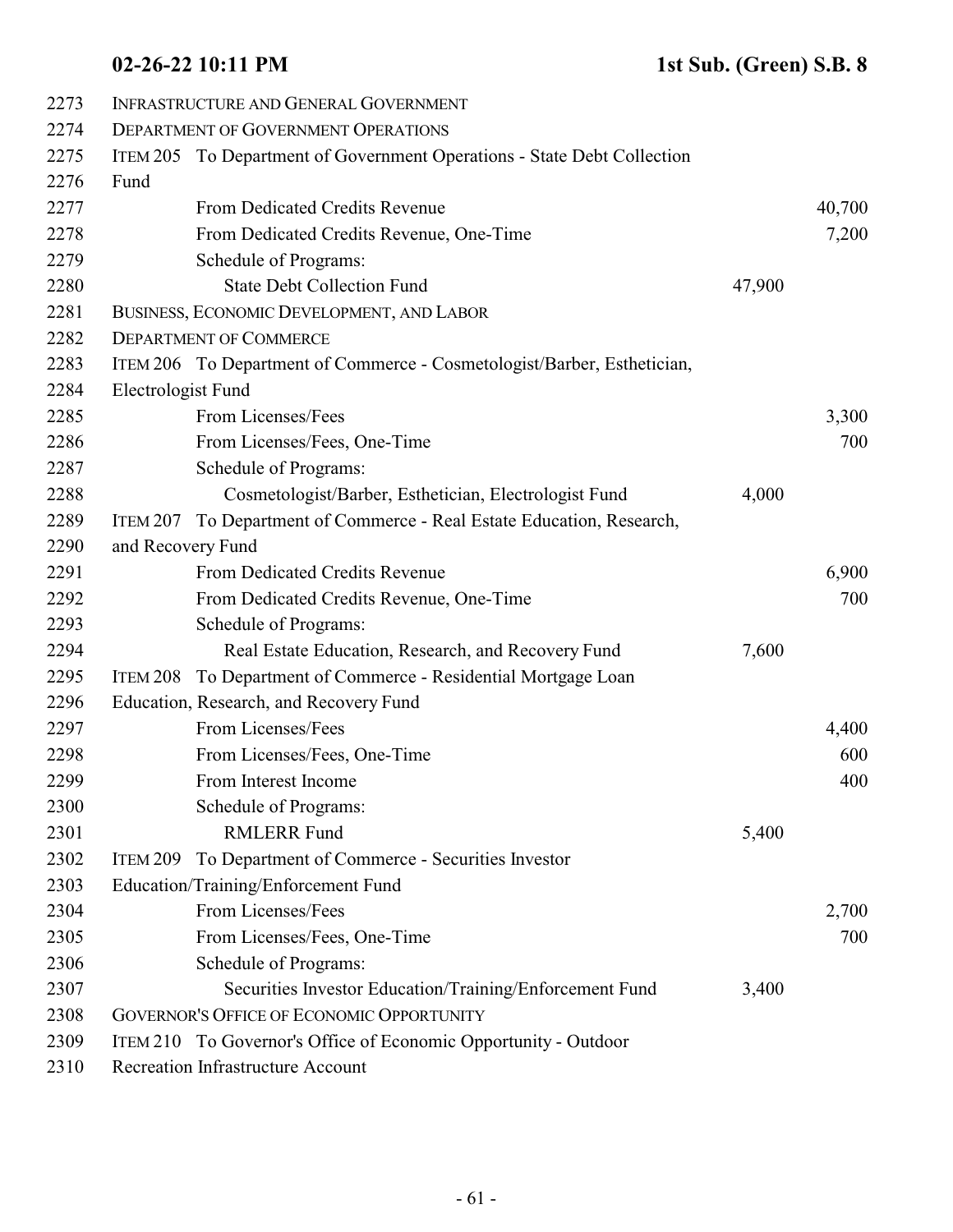| 2273 | <b>INFRASTRUCTURE AND GENERAL GOVERNMENT</b> |                                                                         |        |        |  |
|------|----------------------------------------------|-------------------------------------------------------------------------|--------|--------|--|
| 2274 |                                              | <b>DEPARTMENT OF GOVERNMENT OPERATIONS</b>                              |        |        |  |
| 2275 |                                              | ITEM 205 To Department of Government Operations - State Debt Collection |        |        |  |
| 2276 | Fund                                         |                                                                         |        |        |  |
| 2277 |                                              | From Dedicated Credits Revenue                                          |        | 40,700 |  |
| 2278 |                                              | From Dedicated Credits Revenue, One-Time                                |        | 7,200  |  |
| 2279 |                                              | Schedule of Programs:                                                   |        |        |  |
| 2280 |                                              | <b>State Debt Collection Fund</b>                                       | 47,900 |        |  |
| 2281 |                                              | BUSINESS, ECONOMIC DEVELOPMENT, AND LABOR                               |        |        |  |
| 2282 | <b>DEPARTMENT OF COMMERCE</b>                |                                                                         |        |        |  |
| 2283 |                                              | ITEM 206 To Department of Commerce - Cosmetologist/Barber, Esthetician, |        |        |  |
| 2284 | Electrologist Fund                           |                                                                         |        |        |  |
| 2285 |                                              | From Licenses/Fees                                                      |        | 3,300  |  |
| 2286 |                                              | From Licenses/Fees, One-Time                                            |        | 700    |  |
| 2287 |                                              | Schedule of Programs:                                                   |        |        |  |
| 2288 |                                              | Cosmetologist/Barber, Esthetician, Electrologist Fund                   | 4,000  |        |  |
| 2289 | ITEM 207                                     | To Department of Commerce - Real Estate Education, Research,            |        |        |  |
| 2290 | and Recovery Fund                            |                                                                         |        |        |  |
| 2291 |                                              | From Dedicated Credits Revenue                                          |        | 6,900  |  |
| 2292 |                                              | From Dedicated Credits Revenue, One-Time                                |        | 700    |  |
| 2293 |                                              | Schedule of Programs:                                                   |        |        |  |
| 2294 |                                              | Real Estate Education, Research, and Recovery Fund                      | 7,600  |        |  |
| 2295 | ITEM 208                                     | To Department of Commerce - Residential Mortgage Loan                   |        |        |  |
| 2296 |                                              | Education, Research, and Recovery Fund                                  |        |        |  |
| 2297 |                                              | From Licenses/Fees                                                      |        | 4,400  |  |
| 2298 |                                              | From Licenses/Fees, One-Time                                            |        | 600    |  |
| 2299 |                                              | From Interest Income                                                    |        | 400    |  |
| 2300 |                                              | Schedule of Programs:                                                   |        |        |  |
| 2301 |                                              | <b>RMLERR Fund</b>                                                      | 5,400  |        |  |
| 2302 |                                              | ITEM 209 To Department of Commerce - Securities Investor                |        |        |  |
| 2303 |                                              | Education/Training/Enforcement Fund                                     |        |        |  |
| 2304 |                                              | From Licenses/Fees                                                      |        | 2,700  |  |
| 2305 |                                              | From Licenses/Fees, One-Time                                            |        | 700    |  |
| 2306 |                                              | Schedule of Programs:                                                   |        |        |  |
| 2307 |                                              | Securities Investor Education/Training/Enforcement Fund                 | 3,400  |        |  |
| 2308 |                                              | <b>GOVERNOR'S OFFICE OF ECONOMIC OPPORTUNITY</b>                        |        |        |  |
| 2309 |                                              | ITEM 210 To Governor's Office of Economic Opportunity - Outdoor         |        |        |  |
| 2310 |                                              | Recreation Infrastructure Account                                       |        |        |  |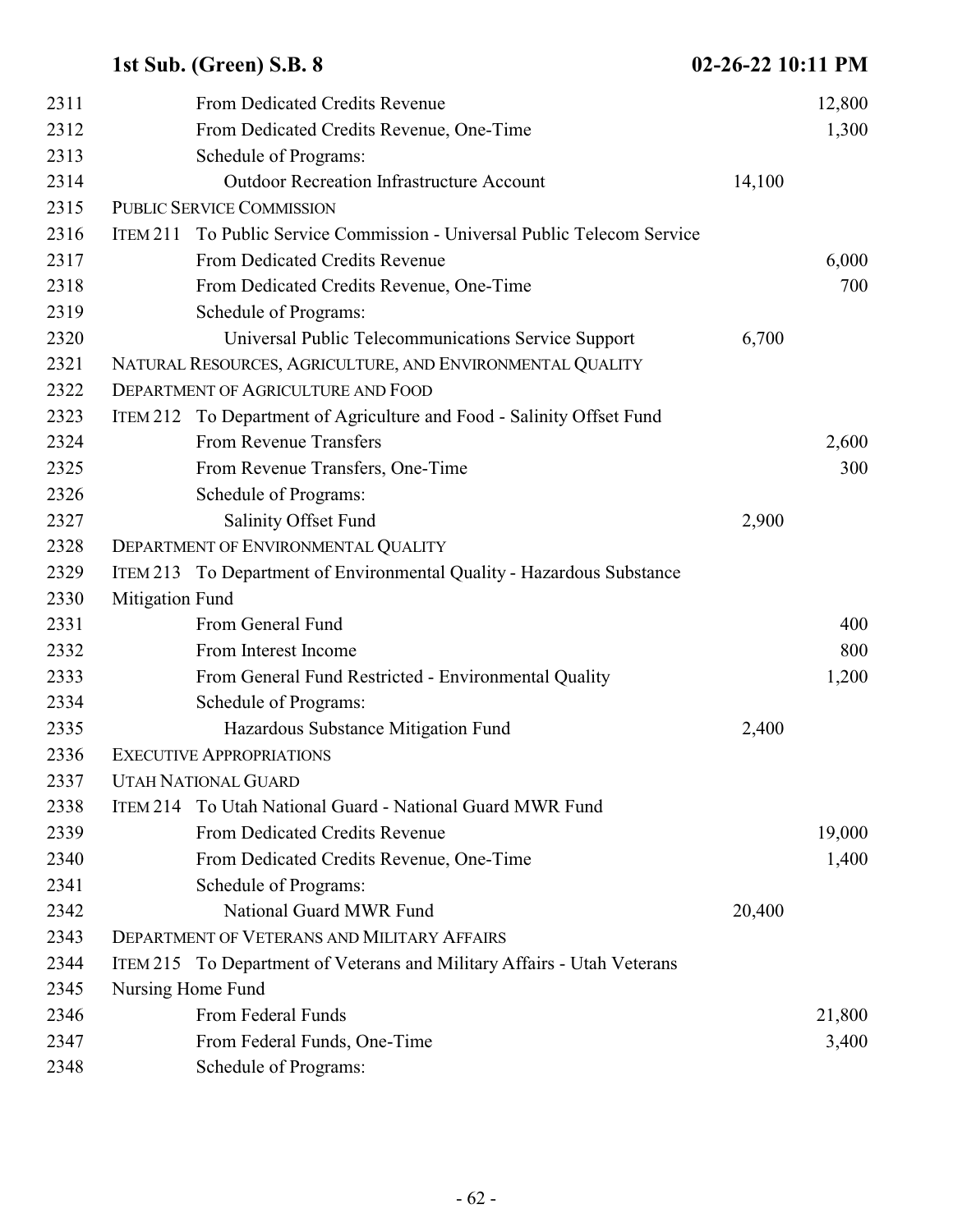| 2311 |                   | From Dedicated Credits Revenue                                           |        | 12,800 |
|------|-------------------|--------------------------------------------------------------------------|--------|--------|
| 2312 |                   | From Dedicated Credits Revenue, One-Time                                 |        | 1,300  |
| 2313 |                   | Schedule of Programs:                                                    |        |        |
| 2314 |                   | <b>Outdoor Recreation Infrastructure Account</b>                         | 14,100 |        |
| 2315 |                   | <b>PUBLIC SERVICE COMMISSION</b>                                         |        |        |
| 2316 |                   | ITEM 211 To Public Service Commission - Universal Public Telecom Service |        |        |
| 2317 |                   | From Dedicated Credits Revenue                                           |        | 6,000  |
| 2318 |                   | From Dedicated Credits Revenue, One-Time                                 |        | 700    |
| 2319 |                   | Schedule of Programs:                                                    |        |        |
| 2320 |                   | Universal Public Telecommunications Service Support                      | 6,700  |        |
| 2321 |                   | NATURAL RESOURCES, AGRICULTURE, AND ENVIRONMENTAL QUALITY                |        |        |
| 2322 |                   | DEPARTMENT OF AGRICULTURE AND FOOD                                       |        |        |
| 2323 |                   | ITEM 212 To Department of Agriculture and Food - Salinity Offset Fund    |        |        |
| 2324 |                   | From Revenue Transfers                                                   |        | 2,600  |
| 2325 |                   | From Revenue Transfers, One-Time                                         |        | 300    |
| 2326 |                   | Schedule of Programs:                                                    |        |        |
| 2327 |                   | Salinity Offset Fund                                                     | 2,900  |        |
| 2328 |                   | DEPARTMENT OF ENVIRONMENTAL QUALITY                                      |        |        |
| 2329 |                   | ITEM 213 To Department of Environmental Quality - Hazardous Substance    |        |        |
| 2330 | Mitigation Fund   |                                                                          |        |        |
| 2331 |                   | From General Fund                                                        |        | 400    |
| 2332 |                   | From Interest Income                                                     |        | 800    |
| 2333 |                   | From General Fund Restricted - Environmental Quality                     |        | 1,200  |
| 2334 |                   | Schedule of Programs:                                                    |        |        |
| 2335 |                   | Hazardous Substance Mitigation Fund                                      | 2,400  |        |
| 2336 |                   | <b>EXECUTIVE APPROPRIATIONS</b>                                          |        |        |
| 2337 |                   | <b>UTAH NATIONAL GUARD</b>                                               |        |        |
| 2338 |                   | ITEM 214 To Utah National Guard - National Guard MWR Fund                |        |        |
| 2339 |                   | From Dedicated Credits Revenue                                           |        | 19,000 |
| 2340 |                   | From Dedicated Credits Revenue, One-Time                                 |        | 1,400  |
| 2341 |                   | Schedule of Programs:                                                    |        |        |
| 2342 |                   | National Guard MWR Fund                                                  | 20,400 |        |
| 2343 |                   | <b>DEPARTMENT OF VETERANS AND MILITARY AFFAIRS</b>                       |        |        |
| 2344 |                   | ITEM 215 To Department of Veterans and Military Affairs - Utah Veterans  |        |        |
| 2345 | Nursing Home Fund |                                                                          |        |        |
| 2346 |                   | From Federal Funds                                                       |        | 21,800 |
| 2347 |                   | From Federal Funds, One-Time                                             |        | 3,400  |
| 2348 |                   | Schedule of Programs:                                                    |        |        |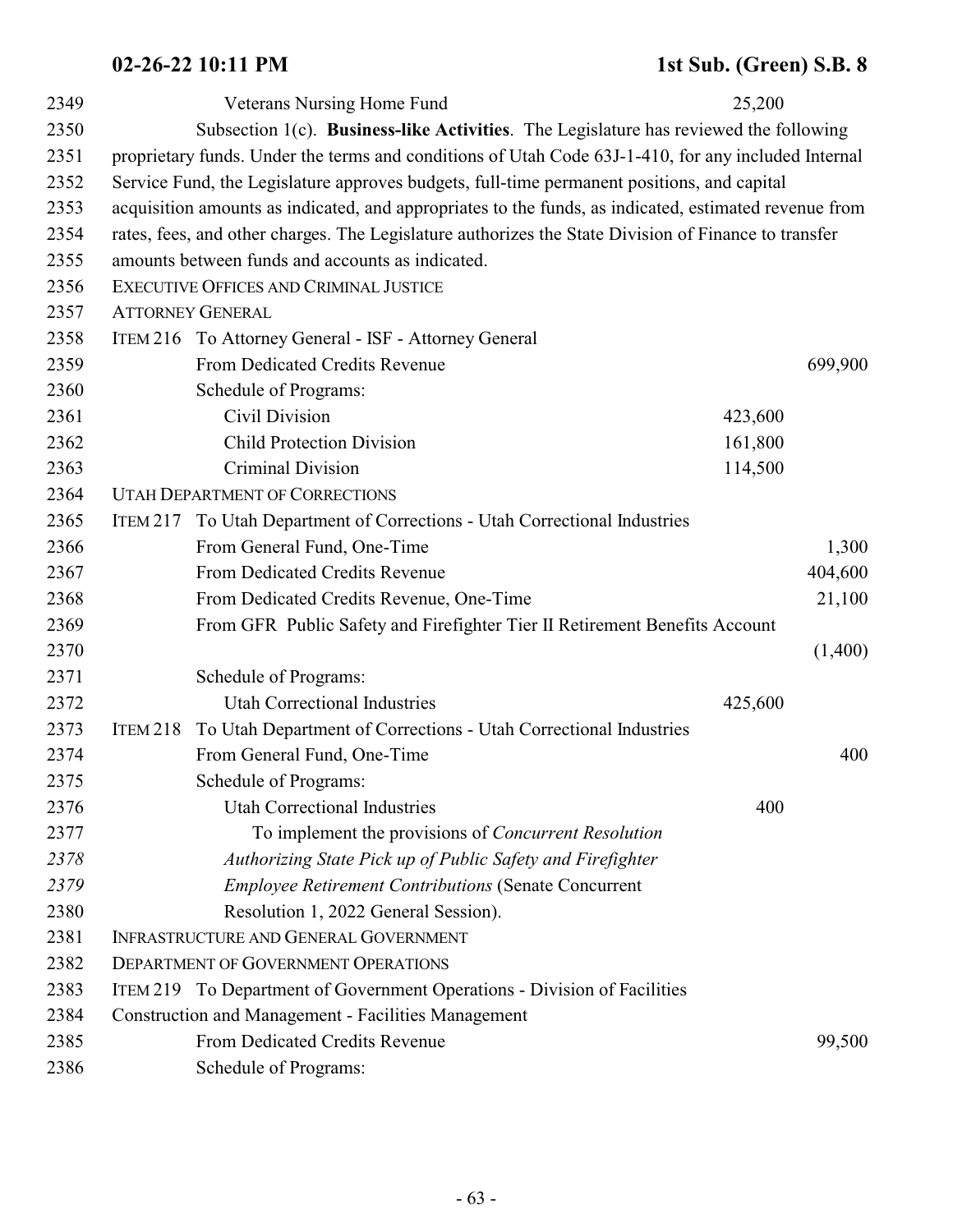| 2349 |                                                                                                     | Veterans Nursing Home Fund                                                                            | 25,200  |         |  |  |
|------|-----------------------------------------------------------------------------------------------------|-------------------------------------------------------------------------------------------------------|---------|---------|--|--|
| 2350 | Subsection 1(c). Business-like Activities. The Legislature has reviewed the following               |                                                                                                       |         |         |  |  |
| 2351 | proprietary funds. Under the terms and conditions of Utah Code 63J-1-410, for any included Internal |                                                                                                       |         |         |  |  |
| 2352 | Service Fund, the Legislature approves budgets, full-time permanent positions, and capital          |                                                                                                       |         |         |  |  |
| 2353 |                                                                                                     | acquisition amounts as indicated, and appropriates to the funds, as indicated, estimated revenue from |         |         |  |  |
| 2354 |                                                                                                     | rates, fees, and other charges. The Legislature authorizes the State Division of Finance to transfer  |         |         |  |  |
| 2355 |                                                                                                     | amounts between funds and accounts as indicated.                                                      |         |         |  |  |
| 2356 |                                                                                                     | EXECUTIVE OFFICES AND CRIMINAL JUSTICE                                                                |         |         |  |  |
| 2357 | <b>ATTORNEY GENERAL</b>                                                                             |                                                                                                       |         |         |  |  |
| 2358 |                                                                                                     | ITEM 216 To Attorney General - ISF - Attorney General                                                 |         |         |  |  |
| 2359 |                                                                                                     | From Dedicated Credits Revenue                                                                        |         | 699,900 |  |  |
| 2360 |                                                                                                     | Schedule of Programs:                                                                                 |         |         |  |  |
| 2361 |                                                                                                     | Civil Division                                                                                        | 423,600 |         |  |  |
| 2362 |                                                                                                     | <b>Child Protection Division</b>                                                                      | 161,800 |         |  |  |
| 2363 |                                                                                                     | Criminal Division                                                                                     | 114,500 |         |  |  |
| 2364 |                                                                                                     | <b>UTAH DEPARTMENT OF CORRECTIONS</b>                                                                 |         |         |  |  |
| 2365 | ITEM 217                                                                                            | To Utah Department of Corrections - Utah Correctional Industries                                      |         |         |  |  |
| 2366 |                                                                                                     | From General Fund, One-Time                                                                           |         | 1,300   |  |  |
| 2367 |                                                                                                     | From Dedicated Credits Revenue                                                                        |         | 404,600 |  |  |
| 2368 |                                                                                                     | From Dedicated Credits Revenue, One-Time                                                              |         | 21,100  |  |  |
| 2369 |                                                                                                     | From GFR Public Safety and Firefighter Tier II Retirement Benefits Account                            |         |         |  |  |
| 2370 |                                                                                                     |                                                                                                       |         | (1,400) |  |  |
| 2371 |                                                                                                     | Schedule of Programs:                                                                                 |         |         |  |  |
| 2372 |                                                                                                     | <b>Utah Correctional Industries</b>                                                                   | 425,600 |         |  |  |
| 2373 | ITEM 218                                                                                            | To Utah Department of Corrections - Utah Correctional Industries                                      |         |         |  |  |
| 2374 |                                                                                                     | From General Fund, One-Time                                                                           |         | 400     |  |  |
| 2375 |                                                                                                     | Schedule of Programs:                                                                                 |         |         |  |  |
| 2376 |                                                                                                     | Utah Correctional Industries                                                                          | 400     |         |  |  |
| 2377 |                                                                                                     | To implement the provisions of <i>Concurrent Resolution</i>                                           |         |         |  |  |
| 2378 |                                                                                                     | Authorizing State Pick up of Public Safety and Firefighter                                            |         |         |  |  |
| 2379 |                                                                                                     | <b>Employee Retirement Contributions (Senate Concurrent</b>                                           |         |         |  |  |
| 2380 |                                                                                                     | Resolution 1, 2022 General Session).                                                                  |         |         |  |  |
| 2381 | INFRASTRUCTURE AND GENERAL GOVERNMENT                                                               |                                                                                                       |         |         |  |  |
| 2382 | <b>DEPARTMENT OF GOVERNMENT OPERATIONS</b>                                                          |                                                                                                       |         |         |  |  |
| 2383 |                                                                                                     | ITEM 219 To Department of Government Operations - Division of Facilities                              |         |         |  |  |
| 2384 |                                                                                                     | <b>Construction and Management - Facilities Management</b>                                            |         |         |  |  |
| 2385 |                                                                                                     | From Dedicated Credits Revenue                                                                        |         | 99,500  |  |  |
| 2386 |                                                                                                     | Schedule of Programs:                                                                                 |         |         |  |  |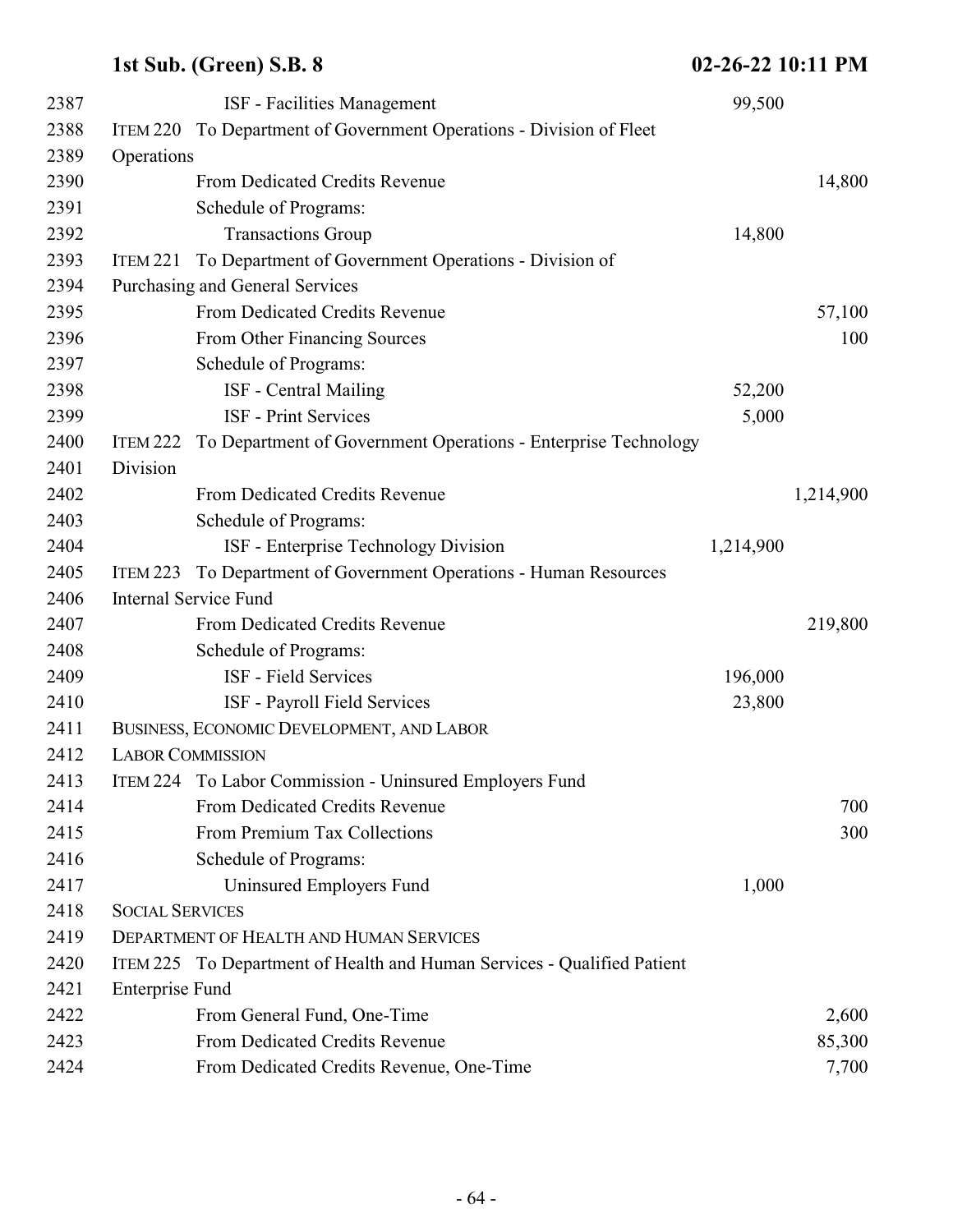| 2387 |                         | <b>ISF</b> - Facilities Management                                      | 99,500    |           |
|------|-------------------------|-------------------------------------------------------------------------|-----------|-----------|
| 2388 |                         | ITEM 220 To Department of Government Operations - Division of Fleet     |           |           |
| 2389 | Operations              |                                                                         |           |           |
| 2390 |                         | From Dedicated Credits Revenue                                          |           | 14,800    |
| 2391 |                         | Schedule of Programs:                                                   |           |           |
| 2392 |                         | <b>Transactions Group</b>                                               | 14,800    |           |
| 2393 | <b>ITEM 221</b>         | To Department of Government Operations - Division of                    |           |           |
| 2394 |                         | Purchasing and General Services                                         |           |           |
| 2395 |                         | From Dedicated Credits Revenue                                          |           | 57,100    |
| 2396 |                         | From Other Financing Sources                                            |           | 100       |
| 2397 |                         | Schedule of Programs:                                                   |           |           |
| 2398 |                         | ISF - Central Mailing                                                   | 52,200    |           |
| 2399 |                         | <b>ISF</b> - Print Services                                             | 5,000     |           |
| 2400 | ITEM 222                | To Department of Government Operations - Enterprise Technology          |           |           |
| 2401 | Division                |                                                                         |           |           |
| 2402 |                         | From Dedicated Credits Revenue                                          |           | 1,214,900 |
| 2403 |                         | Schedule of Programs:                                                   |           |           |
| 2404 |                         | ISF - Enterprise Technology Division                                    | 1,214,900 |           |
| 2405 | <b>ITEM 223</b>         | To Department of Government Operations - Human Resources                |           |           |
| 2406 |                         | <b>Internal Service Fund</b>                                            |           |           |
| 2407 |                         | From Dedicated Credits Revenue                                          |           | 219,800   |
| 2408 |                         | Schedule of Programs:                                                   |           |           |
| 2409 |                         | ISF - Field Services                                                    | 196,000   |           |
| 2410 |                         | ISF - Payroll Field Services                                            | 23,800    |           |
| 2411 |                         | BUSINESS, ECONOMIC DEVELOPMENT, AND LABOR                               |           |           |
| 2412 | <b>LABOR COMMISSION</b> |                                                                         |           |           |
| 2413 |                         | ITEM 224 To Labor Commission - Uninsured Employers Fund                 |           |           |
| 2414 |                         | From Dedicated Credits Revenue                                          |           | 700       |
| 2415 |                         | From Premium Tax Collections                                            |           | 300       |
| 2416 |                         | Schedule of Programs:                                                   |           |           |
| 2417 |                         | Uninsured Employers Fund                                                | 1,000     |           |
| 2418 | <b>SOCIAL SERVICES</b>  |                                                                         |           |           |
| 2419 |                         | <b>DEPARTMENT OF HEALTH AND HUMAN SERVICES</b>                          |           |           |
| 2420 |                         | ITEM 225 To Department of Health and Human Services - Qualified Patient |           |           |
| 2421 | <b>Enterprise Fund</b>  |                                                                         |           |           |
| 2422 |                         | From General Fund, One-Time                                             |           | 2,600     |
| 2423 |                         | From Dedicated Credits Revenue                                          |           | 85,300    |
| 2424 |                         | From Dedicated Credits Revenue, One-Time                                |           | 7,700     |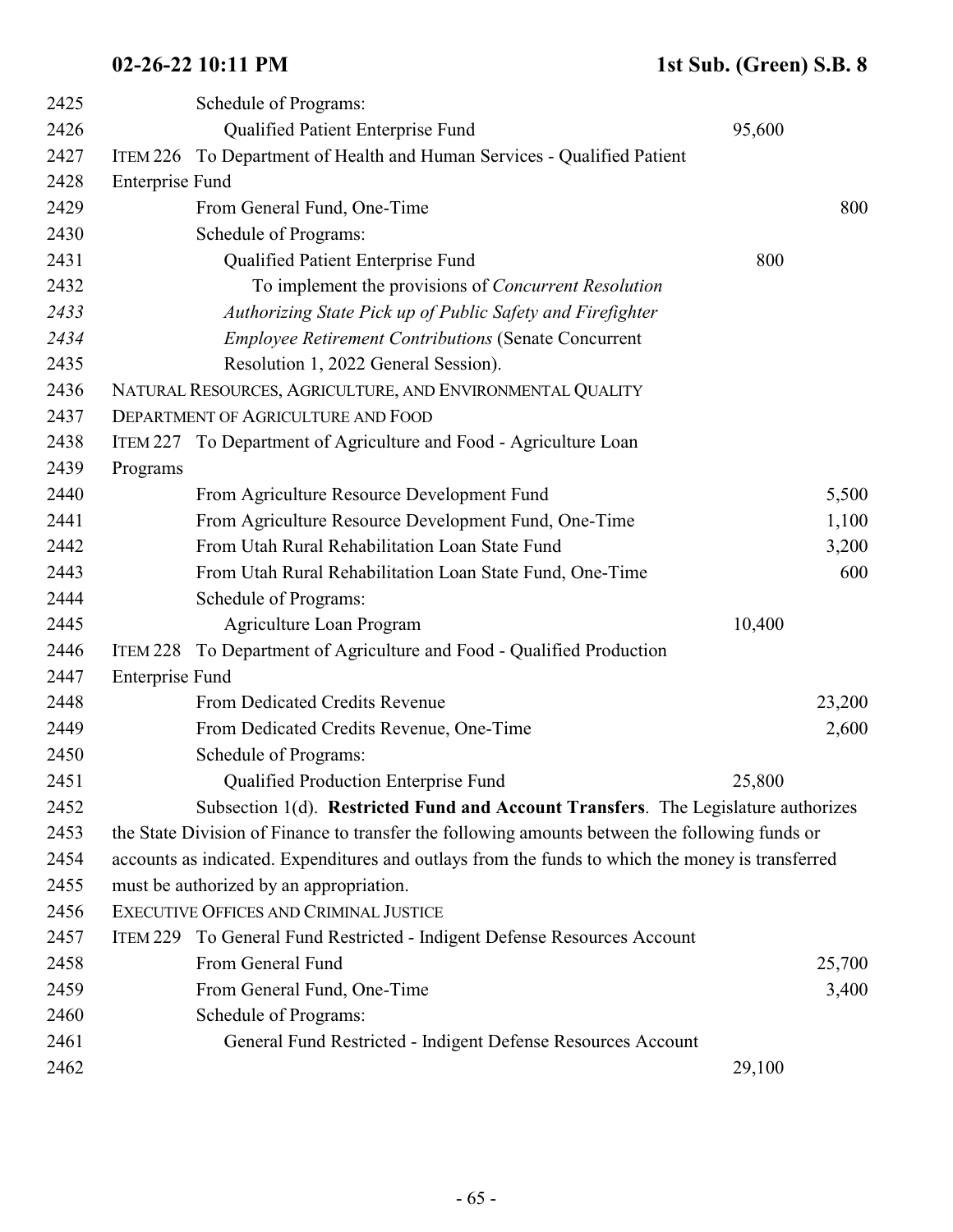| 2425 |                        | Schedule of Programs:                                                                            |        |        |
|------|------------------------|--------------------------------------------------------------------------------------------------|--------|--------|
| 2426 |                        | Qualified Patient Enterprise Fund                                                                | 95,600 |        |
| 2427 |                        | ITEM 226 To Department of Health and Human Services - Qualified Patient                          |        |        |
| 2428 | <b>Enterprise Fund</b> |                                                                                                  |        |        |
| 2429 |                        | From General Fund, One-Time                                                                      |        | 800    |
| 2430 |                        | Schedule of Programs:                                                                            |        |        |
| 2431 |                        | Qualified Patient Enterprise Fund                                                                | 800    |        |
| 2432 |                        | To implement the provisions of Concurrent Resolution                                             |        |        |
| 2433 |                        | Authorizing State Pick up of Public Safety and Firefighter                                       |        |        |
| 2434 |                        | <b>Employee Retirement Contributions (Senate Concurrent</b>                                      |        |        |
| 2435 |                        | Resolution 1, 2022 General Session).                                                             |        |        |
| 2436 |                        | NATURAL RESOURCES, AGRICULTURE, AND ENVIRONMENTAL QUALITY                                        |        |        |
| 2437 |                        | DEPARTMENT OF AGRICULTURE AND FOOD                                                               |        |        |
| 2438 |                        | ITEM 227 To Department of Agriculture and Food - Agriculture Loan                                |        |        |
| 2439 | Programs               |                                                                                                  |        |        |
| 2440 |                        | From Agriculture Resource Development Fund                                                       |        | 5,500  |
| 2441 |                        | From Agriculture Resource Development Fund, One-Time                                             |        | 1,100  |
| 2442 |                        | From Utah Rural Rehabilitation Loan State Fund                                                   |        | 3,200  |
| 2443 |                        | From Utah Rural Rehabilitation Loan State Fund, One-Time                                         |        | 600    |
| 2444 |                        | Schedule of Programs:                                                                            |        |        |
| 2445 |                        | Agriculture Loan Program                                                                         | 10,400 |        |
| 2446 | ITEM 228               | To Department of Agriculture and Food - Qualified Production                                     |        |        |
| 2447 | <b>Enterprise Fund</b> |                                                                                                  |        |        |
| 2448 |                        | From Dedicated Credits Revenue                                                                   |        | 23,200 |
| 2449 |                        | From Dedicated Credits Revenue, One-Time                                                         |        | 2,600  |
| 2450 |                        | Schedule of Programs:                                                                            |        |        |
| 2451 |                        | Qualified Production Enterprise Fund                                                             | 25,800 |        |
| 2452 |                        | Subsection 1(d). Restricted Fund and Account Transfers. The Legislature authorizes               |        |        |
| 2453 |                        | the State Division of Finance to transfer the following amounts between the following funds or   |        |        |
| 2454 |                        | accounts as indicated. Expenditures and outlays from the funds to which the money is transferred |        |        |
| 2455 |                        | must be authorized by an appropriation.                                                          |        |        |
| 2456 |                        | EXECUTIVE OFFICES AND CRIMINAL JUSTICE                                                           |        |        |
| 2457 |                        | ITEM 229 To General Fund Restricted - Indigent Defense Resources Account                         |        |        |
| 2458 |                        | From General Fund                                                                                |        | 25,700 |
| 2459 |                        | From General Fund, One-Time                                                                      |        | 3,400  |
| 2460 |                        | Schedule of Programs:                                                                            |        |        |
| 2461 |                        | General Fund Restricted - Indigent Defense Resources Account                                     |        |        |
| 2462 |                        |                                                                                                  | 29,100 |        |